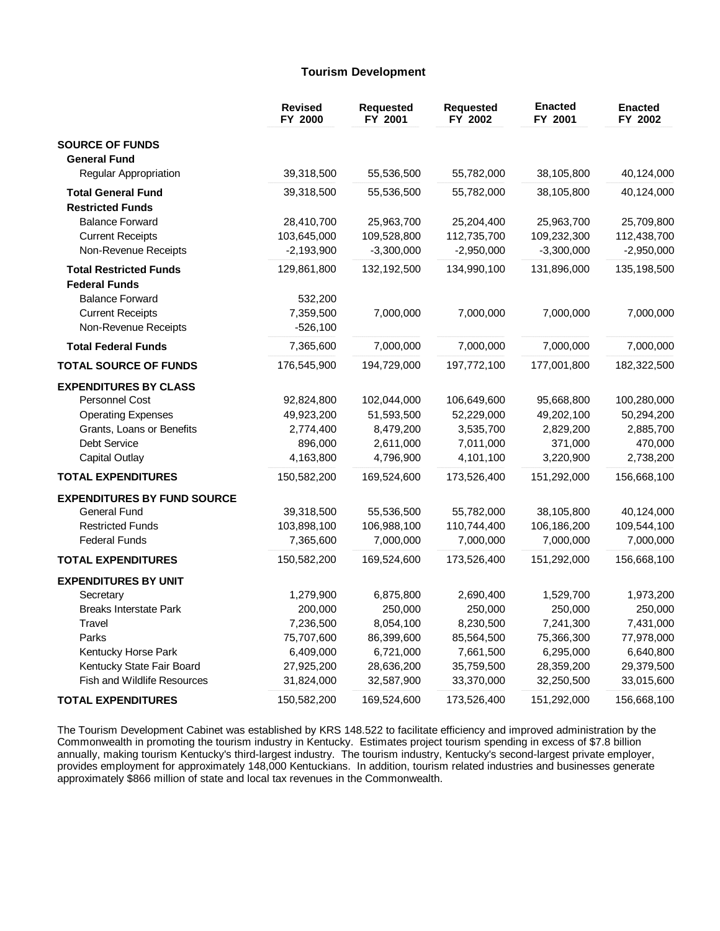## **Tourism Development**

|                                    | <b>Revised</b><br>FY 2000 | <b>Requested</b><br>FY 2001 | <b>Requested</b><br>FY 2002 | <b>Enacted</b><br>FY 2001 | <b>Enacted</b><br>FY 2002 |
|------------------------------------|---------------------------|-----------------------------|-----------------------------|---------------------------|---------------------------|
| <b>SOURCE OF FUNDS</b>             |                           |                             |                             |                           |                           |
| <b>General Fund</b>                |                           |                             |                             |                           |                           |
| <b>Regular Appropriation</b>       | 39,318,500                | 55,536,500                  | 55,782,000                  | 38,105,800                | 40,124,000                |
| <b>Total General Fund</b>          | 39,318,500                | 55,536,500                  | 55,782,000                  | 38,105,800                | 40,124,000                |
| <b>Restricted Funds</b>            |                           |                             |                             |                           |                           |
| <b>Balance Forward</b>             | 28,410,700                | 25,963,700                  | 25,204,400                  | 25,963,700                | 25,709,800                |
| <b>Current Receipts</b>            | 103,645,000               | 109,528,800                 | 112,735,700                 | 109,232,300               | 112,438,700               |
| Non-Revenue Receipts               | $-2,193,900$              | $-3,300,000$                | $-2,950,000$                | $-3,300,000$              | $-2,950,000$              |
| <b>Total Restricted Funds</b>      | 129,861,800               | 132,192,500                 | 134,990,100                 | 131,896,000               | 135,198,500               |
| <b>Federal Funds</b>               |                           |                             |                             |                           |                           |
| <b>Balance Forward</b>             | 532,200                   |                             |                             |                           |                           |
| <b>Current Receipts</b>            | 7,359,500                 | 7,000,000                   | 7,000,000                   | 7,000,000                 | 7,000,000                 |
| Non-Revenue Receipts               | $-526,100$                |                             |                             |                           |                           |
| <b>Total Federal Funds</b>         | 7,365,600                 | 7,000,000                   | 7,000,000                   | 7,000,000                 | 7,000,000                 |
| <b>TOTAL SOURCE OF FUNDS</b>       | 176,545,900               | 194,729,000                 | 197,772,100                 | 177,001,800               | 182,322,500               |
| <b>EXPENDITURES BY CLASS</b>       |                           |                             |                             |                           |                           |
| <b>Personnel Cost</b>              | 92,824,800                | 102,044,000                 | 106,649,600                 | 95,668,800                | 100,280,000               |
| <b>Operating Expenses</b>          | 49,923,200                | 51,593,500                  | 52,229,000                  | 49,202,100                | 50,294,200                |
| Grants, Loans or Benefits          | 2,774,400                 | 8,479,200                   | 3,535,700                   | 2,829,200                 | 2,885,700                 |
| Debt Service                       | 896,000                   | 2,611,000                   | 7,011,000                   | 371,000                   | 470,000                   |
| Capital Outlay                     | 4,163,800                 | 4,796,900                   | 4,101,100                   | 3,220,900                 | 2,738,200                 |
| <b>TOTAL EXPENDITURES</b>          | 150,582,200               | 169,524,600                 | 173,526,400                 | 151,292,000               | 156,668,100               |
| <b>EXPENDITURES BY FUND SOURCE</b> |                           |                             |                             |                           |                           |
| <b>General Fund</b>                | 39,318,500                | 55,536,500                  | 55,782,000                  | 38,105,800                | 40,124,000                |
| <b>Restricted Funds</b>            | 103,898,100               | 106,988,100                 | 110,744,400                 | 106,186,200               | 109,544,100               |
| <b>Federal Funds</b>               | 7,365,600                 | 7,000,000                   | 7,000,000                   | 7,000,000                 | 7,000,000                 |
| <b>TOTAL EXPENDITURES</b>          | 150,582,200               | 169,524,600                 | 173,526,400                 | 151,292,000               | 156,668,100               |
| <b>EXPENDITURES BY UNIT</b>        |                           |                             |                             |                           |                           |
| Secretary                          | 1,279,900                 | 6,875,800                   | 2,690,400                   | 1,529,700                 | 1,973,200                 |
| <b>Breaks Interstate Park</b>      | 200,000                   | 250,000                     | 250,000                     | 250,000                   | 250,000                   |
| Travel                             | 7,236,500                 | 8,054,100                   | 8,230,500                   | 7,241,300                 | 7,431,000                 |
| Parks                              | 75,707,600                | 86,399,600                  | 85,564,500                  | 75,366,300                | 77,978,000                |
| Kentucky Horse Park                | 6,409,000                 | 6,721,000                   | 7,661,500                   | 6,295,000                 | 6,640,800                 |
| Kentucky State Fair Board          | 27,925,200                | 28,636,200                  | 35,759,500                  | 28,359,200                | 29,379,500                |
| <b>Fish and Wildlife Resources</b> | 31,824,000                | 32,587,900                  | 33,370,000                  | 32,250,500                | 33,015,600                |
| <b>TOTAL EXPENDITURES</b>          | 150,582,200               | 169,524,600                 | 173,526,400                 | 151,292,000               | 156,668,100               |

The Tourism Development Cabinet was established by KRS 148.522 to facilitate efficiency and improved administration by the Commonwealth in promoting the tourism industry in Kentucky. Estimates project tourism spending in excess of \$7.8 billion annually, making tourism Kentucky's third-largest industry. The tourism industry, Kentucky's second-largest private employer, provides employment for approximately 148,000 Kentuckians. In addition, tourism related industries and businesses generate approximately \$866 million of state and local tax revenues in the Commonwealth.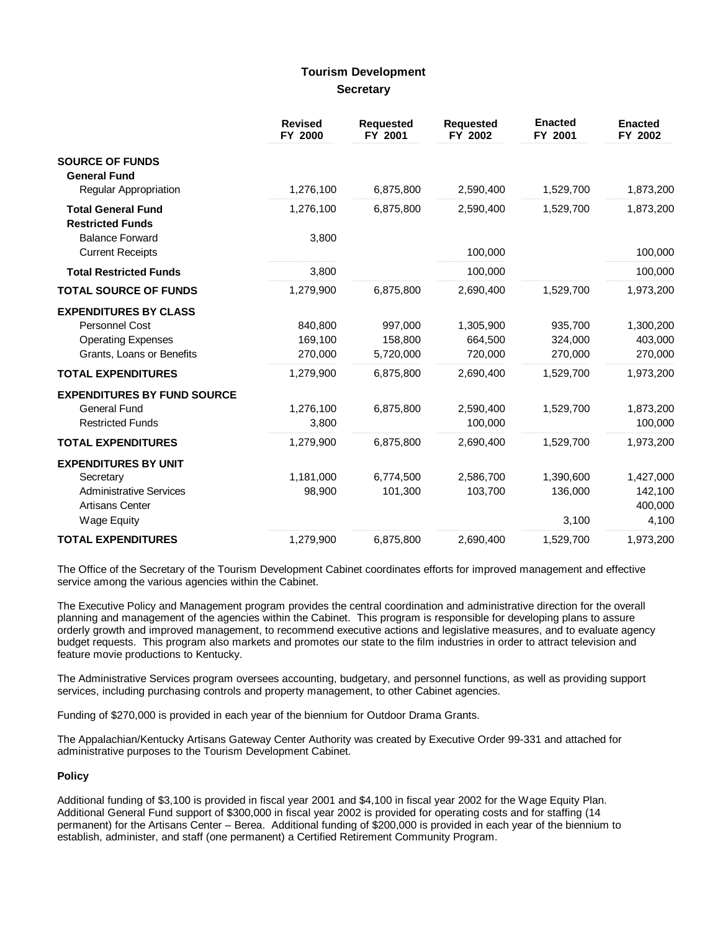## **Tourism Development Secretary**

|                                                                                                                            | <b>Revised</b><br>FY 2000     | <b>Requested</b><br>FY 2001     | <b>Requested</b><br>FY 2002     | <b>Enacted</b><br>FY 2001     | <b>Enacted</b><br>FY 2002                |
|----------------------------------------------------------------------------------------------------------------------------|-------------------------------|---------------------------------|---------------------------------|-------------------------------|------------------------------------------|
| <b>SOURCE OF FUNDS</b><br><b>General Fund</b>                                                                              |                               |                                 |                                 |                               |                                          |
| Regular Appropriation                                                                                                      | 1,276,100                     | 6,875,800                       | 2,590,400                       | 1,529,700                     | 1,873,200                                |
| <b>Total General Fund</b><br><b>Restricted Funds</b>                                                                       | 1,276,100                     | 6,875,800                       | 2,590,400                       | 1,529,700                     | 1,873,200                                |
| <b>Balance Forward</b><br><b>Current Receipts</b>                                                                          | 3,800                         |                                 | 100,000                         |                               | 100,000                                  |
| <b>Total Restricted Funds</b>                                                                                              | 3,800                         |                                 | 100,000                         |                               | 100,000                                  |
| <b>TOTAL SOURCE OF FUNDS</b>                                                                                               | 1,279,900                     | 6,875,800                       | 2,690,400                       | 1,529,700                     | 1,973,200                                |
| <b>EXPENDITURES BY CLASS</b><br>Personnel Cost<br><b>Operating Expenses</b><br>Grants, Loans or Benefits                   | 840,800<br>169,100<br>270,000 | 997,000<br>158,800<br>5,720,000 | 1,305,900<br>664,500<br>720,000 | 935,700<br>324,000<br>270,000 | 1,300,200<br>403,000<br>270,000          |
| <b>TOTAL EXPENDITURES</b>                                                                                                  | 1,279,900                     | 6,875,800                       | 2,690,400                       | 1,529,700                     | 1,973,200                                |
| <b>EXPENDITURES BY FUND SOURCE</b><br><b>General Fund</b><br><b>Restricted Funds</b>                                       | 1,276,100<br>3,800            | 6,875,800                       | 2,590,400<br>100,000            | 1,529,700                     | 1,873,200<br>100,000                     |
| <b>TOTAL EXPENDITURES</b>                                                                                                  | 1,279,900                     | 6,875,800                       | 2,690,400                       | 1,529,700                     | 1,973,200                                |
| <b>EXPENDITURES BY UNIT</b><br>Secretary<br><b>Administrative Services</b><br><b>Artisans Center</b><br><b>Wage Equity</b> | 1,181,000<br>98,900           | 6,774,500<br>101,300            | 2,586,700<br>103,700            | 1,390,600<br>136,000<br>3,100 | 1,427,000<br>142,100<br>400,000<br>4,100 |
| <b>TOTAL EXPENDITURES</b>                                                                                                  | 1,279,900                     | 6,875,800                       | 2,690,400                       | 1,529,700                     | 1,973,200                                |

The Office of the Secretary of the Tourism Development Cabinet coordinates efforts for improved management and effective service among the various agencies within the Cabinet.

The Executive Policy and Management program provides the central coordination and administrative direction for the overall planning and management of the agencies within the Cabinet. This program is responsible for developing plans to assure orderly growth and improved management, to recommend executive actions and legislative measures, and to evaluate agency budget requests. This program also markets and promotes our state to the film industries in order to attract television and feature movie productions to Kentucky.

The Administrative Services program oversees accounting, budgetary, and personnel functions, as well as providing support services, including purchasing controls and property management, to other Cabinet agencies.

Funding of \$270,000 is provided in each year of the biennium for Outdoor Drama Grants.

The Appalachian/Kentucky Artisans Gateway Center Authority was created by Executive Order 99-331 and attached for administrative purposes to the Tourism Development Cabinet.

## **Policy**

Additional funding of \$3,100 is provided in fiscal year 2001 and \$4,100 in fiscal year 2002 for the Wage Equity Plan. Additional General Fund support of \$300,000 in fiscal year 2002 is provided for operating costs and for staffing (14 permanent) for the Artisans Center – Berea. Additional funding of \$200,000 is provided in each year of the biennium to establish, administer, and staff (one permanent) a Certified Retirement Community Program.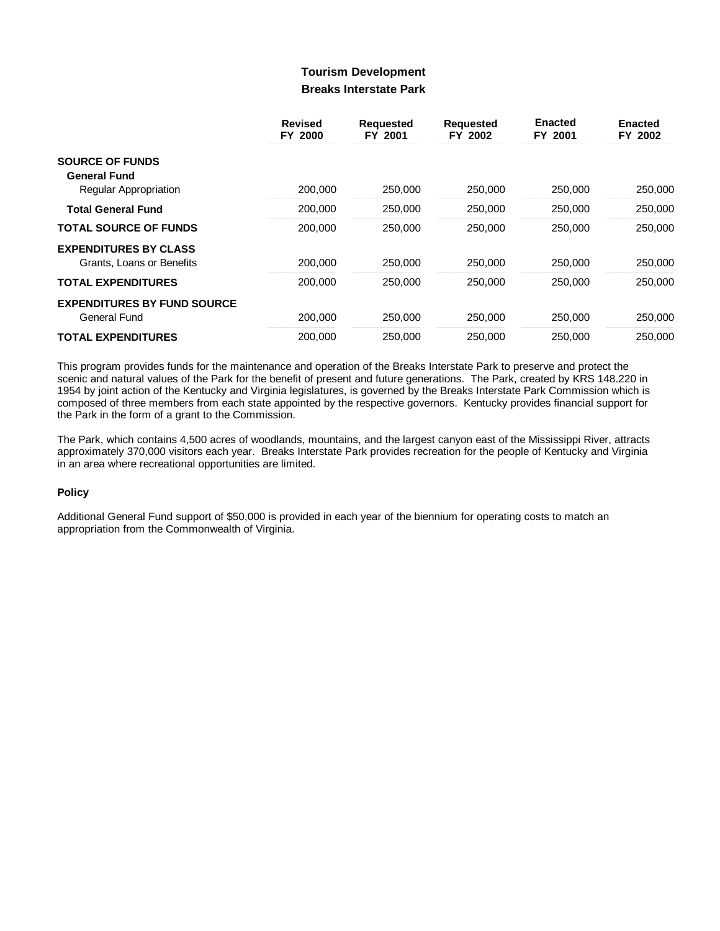## **Tourism Development Breaks Interstate Park**

|                                    | <b>Revised</b><br>FY 2000 | <b>Requested</b><br>FY 2001 | <b>Requested</b><br>FY 2002 | <b>Enacted</b><br>FY 2001 | <b>Enacted</b><br>FY 2002 |
|------------------------------------|---------------------------|-----------------------------|-----------------------------|---------------------------|---------------------------|
| <b>SOURCE OF FUNDS</b>             |                           |                             |                             |                           |                           |
| <b>General Fund</b>                |                           |                             |                             |                           |                           |
| <b>Regular Appropriation</b>       | 200,000                   | 250,000                     | 250,000                     | 250,000                   | 250,000                   |
| <b>Total General Fund</b>          | 200.000                   | 250,000                     | 250,000                     | 250,000                   | 250,000                   |
| <b>TOTAL SOURCE OF FUNDS</b>       | 200,000                   | 250,000                     | 250,000                     | 250,000                   | 250,000                   |
| <b>EXPENDITURES BY CLASS</b>       |                           |                             |                             |                           |                           |
| Grants. Loans or Benefits          | 200.000                   | 250,000                     | 250,000                     | 250,000                   | 250,000                   |
| <b>TOTAL EXPENDITURES</b>          | 200,000                   | 250,000                     | 250,000                     | 250,000                   | 250,000                   |
| <b>EXPENDITURES BY FUND SOURCE</b> |                           |                             |                             |                           |                           |
| General Fund                       | 200.000                   | 250,000                     | 250,000                     | 250,000                   | 250,000                   |
| <b>TOTAL EXPENDITURES</b>          | 200,000                   | 250,000                     | 250,000                     | 250,000                   | 250,000                   |

This program provides funds for the maintenance and operation of the Breaks Interstate Park to preserve and protect the scenic and natural values of the Park for the benefit of present and future generations. The Park, created by KRS 148.220 in 1954 by joint action of the Kentucky and Virginia legislatures, is governed by the Breaks Interstate Park Commission which is composed of three members from each state appointed by the respective governors. Kentucky provides financial support for the Park in the form of a grant to the Commission.

The Park, which contains 4,500 acres of woodlands, mountains, and the largest canyon east of the Mississippi River, attracts approximately 370,000 visitors each year. Breaks Interstate Park provides recreation for the people of Kentucky and Virginia in an area where recreational opportunities are limited.

## **Policy**

Additional General Fund support of \$50,000 is provided in each year of the biennium for operating costs to match an appropriation from the Commonwealth of Virginia.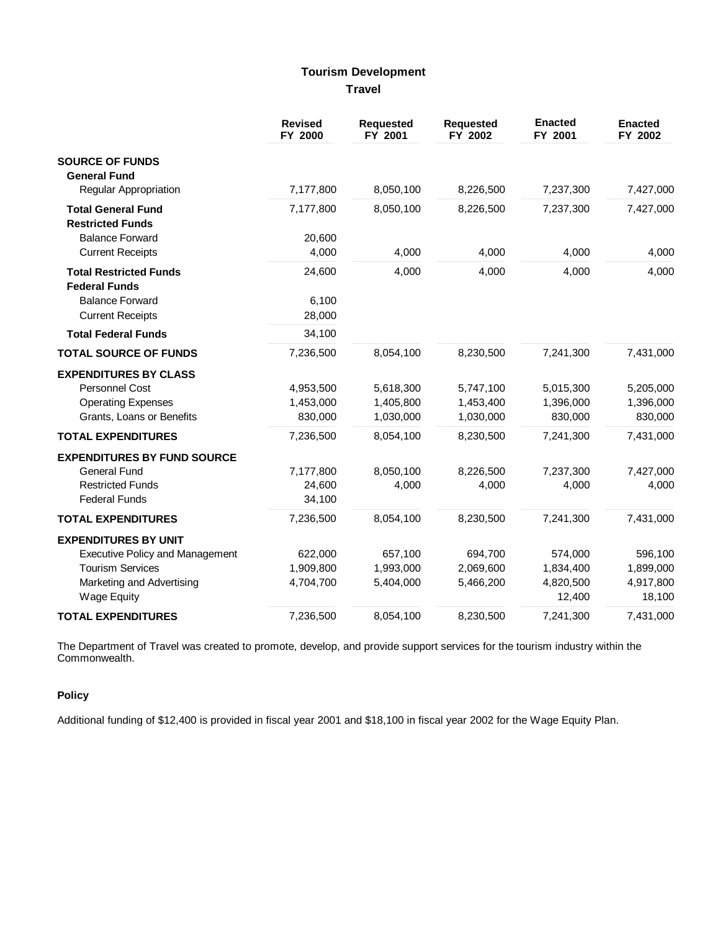# **Tourism Development Travel**

|                                        | <b>Revised</b><br>FY 2000 | Requested<br>FY 2001 | <b>Requested</b><br>FY 2002 | <b>Enacted</b><br>FY 2001 | <b>Enacted</b><br>FY 2002 |
|----------------------------------------|---------------------------|----------------------|-----------------------------|---------------------------|---------------------------|
| <b>SOURCE OF FUNDS</b>                 |                           |                      |                             |                           |                           |
| <b>General Fund</b>                    |                           |                      |                             |                           |                           |
| <b>Regular Appropriation</b>           | 7,177,800                 | 8,050,100            | 8,226,500                   | 7,237,300                 | 7,427,000                 |
| <b>Total General Fund</b>              | 7,177,800                 | 8,050,100            | 8,226,500                   | 7,237,300                 | 7,427,000                 |
| <b>Restricted Funds</b>                |                           |                      |                             |                           |                           |
| <b>Balance Forward</b>                 | 20,600                    |                      |                             |                           |                           |
| <b>Current Receipts</b>                | 4,000                     | 4,000                | 4,000                       | 4,000                     | 4,000                     |
| <b>Total Restricted Funds</b>          | 24,600                    | 4,000                | 4,000                       | 4,000                     | 4,000                     |
| <b>Federal Funds</b>                   |                           |                      |                             |                           |                           |
| <b>Balance Forward</b>                 | 6,100                     |                      |                             |                           |                           |
| <b>Current Receipts</b>                | 28,000                    |                      |                             |                           |                           |
| <b>Total Federal Funds</b>             | 34,100                    |                      |                             |                           |                           |
| <b>TOTAL SOURCE OF FUNDS</b>           | 7,236,500                 | 8,054,100            | 8,230,500                   | 7,241,300                 | 7,431,000                 |
| <b>EXPENDITURES BY CLASS</b>           |                           |                      |                             |                           |                           |
| Personnel Cost                         | 4,953,500                 | 5,618,300            | 5,747,100                   | 5,015,300                 | 5,205,000                 |
| <b>Operating Expenses</b>              | 1,453,000                 | 1,405,800            | 1,453,400                   | 1,396,000                 | 1,396,000                 |
| Grants, Loans or Benefits              | 830,000                   | 1,030,000            | 1,030,000                   | 830,000                   | 830,000                   |
| <b>TOTAL EXPENDITURES</b>              | 7,236,500                 | 8,054,100            | 8,230,500                   | 7,241,300                 | 7,431,000                 |
| <b>EXPENDITURES BY FUND SOURCE</b>     |                           |                      |                             |                           |                           |
| <b>General Fund</b>                    | 7,177,800                 | 8,050,100            | 8,226,500                   | 7,237,300                 | 7,427,000                 |
| <b>Restricted Funds</b>                | 24,600                    | 4,000                | 4,000                       | 4,000                     | 4,000                     |
| <b>Federal Funds</b>                   | 34,100                    |                      |                             |                           |                           |
| <b>TOTAL EXPENDITURES</b>              | 7,236,500                 | 8,054,100            | 8,230,500                   | 7,241,300                 | 7,431,000                 |
| <b>EXPENDITURES BY UNIT</b>            |                           |                      |                             |                           |                           |
| <b>Executive Policy and Management</b> | 622,000                   | 657,100              | 694,700                     | 574,000                   | 596,100                   |
| <b>Tourism Services</b>                | 1,909,800                 | 1,993,000            | 2,069,600                   | 1,834,400                 | 1,899,000                 |
| Marketing and Advertising              | 4,704,700                 | 5,404,000            | 5,466,200                   | 4,820,500                 | 4,917,800                 |
| <b>Wage Equity</b>                     |                           |                      |                             | 12,400                    | 18,100                    |
| <b>TOTAL EXPENDITURES</b>              | 7,236,500                 | 8,054,100            | 8,230,500                   | 7,241,300                 | 7,431,000                 |

The Department of Travel was created to promote, develop, and provide support services for the tourism industry within the<br>Commonwealth.

## **Policy**

Additional funding of \$12,400 is provided in fiscal year 2001 and \$18,100 in fiscal year 2002 for the Wage Equity Plan.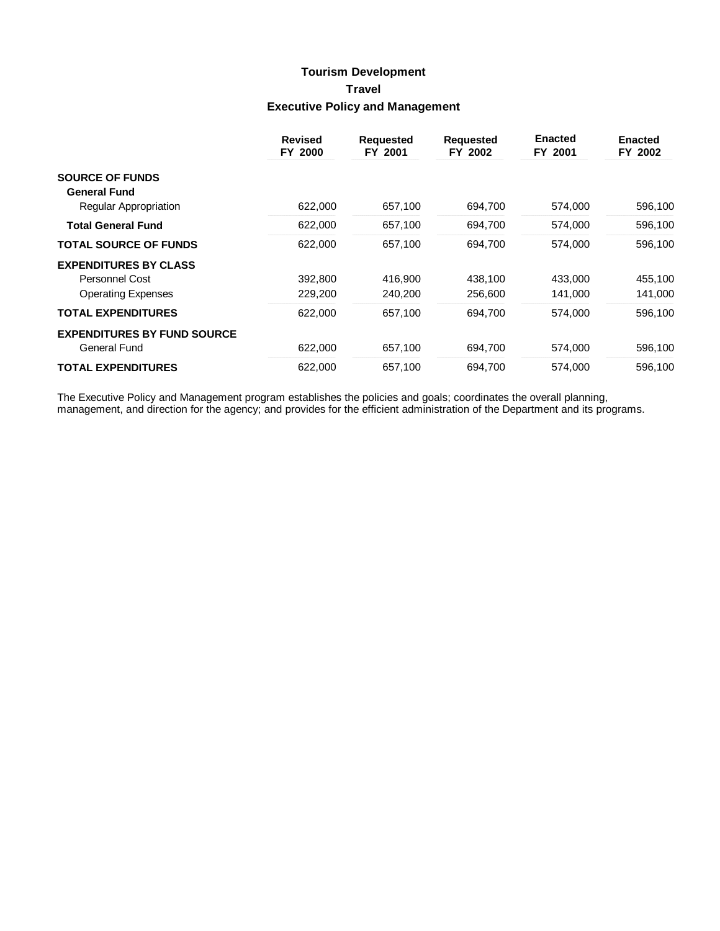# **Tourism Development Travel Executive Policy and Management**

|                                                     | <b>Revised</b><br>FY 2000 | <b>Requested</b><br>FY 2001 | <b>Requested</b><br>FY 2002 | <b>Enacted</b><br>FY 2001 | <b>Enacted</b><br>FY 2002 |
|-----------------------------------------------------|---------------------------|-----------------------------|-----------------------------|---------------------------|---------------------------|
| <b>SOURCE OF FUNDS</b>                              |                           |                             |                             |                           |                           |
| <b>General Fund</b><br><b>Regular Appropriation</b> | 622,000                   | 657,100                     | 694,700                     | 574,000                   | 596,100                   |
| <b>Total General Fund</b>                           | 622,000                   | 657,100                     | 694,700                     | 574,000                   | 596,100                   |
| <b>TOTAL SOURCE OF FUNDS</b>                        | 622,000                   | 657,100                     | 694,700                     | 574,000                   | 596,100                   |
| <b>EXPENDITURES BY CLASS</b>                        |                           |                             |                             |                           |                           |
| Personnel Cost                                      | 392,800                   | 416,900                     | 438,100                     | 433,000                   | 455,100                   |
| <b>Operating Expenses</b>                           | 229,200                   | 240,200                     | 256,600                     | 141,000                   | 141,000                   |
| <b>TOTAL EXPENDITURES</b>                           | 622,000                   | 657,100                     | 694,700                     | 574,000                   | 596,100                   |
| <b>EXPENDITURES BY FUND SOURCE</b>                  |                           |                             |                             |                           |                           |
| <b>General Fund</b>                                 | 622,000                   | 657,100                     | 694,700                     | 574,000                   | 596,100                   |
| <b>TOTAL EXPENDITURES</b>                           | 622,000                   | 657,100                     | 694.700                     | 574,000                   | 596,100                   |

The Executive Policy and Management program establishes the policies and goals; coordinates the overall planning,<br>management, and direction for the agency; and provides for the efficient administration of the Department an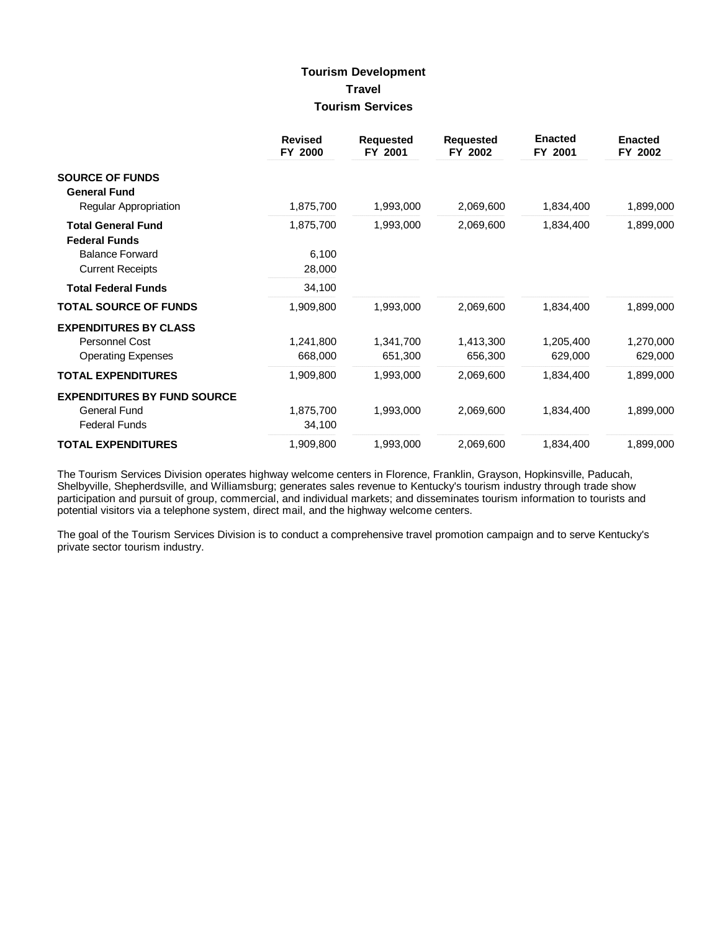## **Tourism Development Travel Tourism Services**

|                                                                                   | <b>Revised</b><br>FY 2000 | <b>Requested</b><br>FY 2001 | <b>Requested</b><br>FY 2002 | <b>Enacted</b><br>FY 2001 | <b>Enacted</b><br>FY 2002 |
|-----------------------------------------------------------------------------------|---------------------------|-----------------------------|-----------------------------|---------------------------|---------------------------|
| <b>SOURCE OF FUNDS</b><br><b>General Fund</b>                                     |                           |                             |                             |                           |                           |
| Regular Appropriation                                                             | 1,875,700                 | 1,993,000                   | 2,069,600                   | 1,834,400                 | 1,899,000                 |
| <b>Total General Fund</b><br><b>Federal Funds</b>                                 | 1,875,700                 | 1,993,000                   | 2,069,600                   | 1,834,400                 | 1,899,000                 |
| <b>Balance Forward</b><br><b>Current Receipts</b>                                 | 6,100<br>28,000           |                             |                             |                           |                           |
| <b>Total Federal Funds</b>                                                        | 34,100                    |                             |                             |                           |                           |
| <b>TOTAL SOURCE OF FUNDS</b>                                                      | 1,909,800                 | 1,993,000                   | 2,069,600                   | 1,834,400                 | 1,899,000                 |
| <b>EXPENDITURES BY CLASS</b><br>Personnel Cost<br><b>Operating Expenses</b>       | 1,241,800<br>668,000      | 1,341,700<br>651,300        | 1,413,300<br>656,300        | 1,205,400<br>629,000      | 1,270,000<br>629,000      |
| <b>TOTAL EXPENDITURES</b>                                                         | 1,909,800                 | 1,993,000                   | 2,069,600                   | 1,834,400                 | 1,899,000                 |
| <b>EXPENDITURES BY FUND SOURCE</b><br><b>General Fund</b><br><b>Federal Funds</b> | 1,875,700<br>34,100       | 1,993,000                   | 2,069,600                   | 1,834,400                 | 1,899,000                 |
| <b>TOTAL EXPENDITURES</b>                                                         | 1,909,800                 | 1,993,000                   | 2,069,600                   | 1,834,400                 | 1,899,000                 |

The Tourism Services Division operates highway welcome centers in Florence, Franklin, Grayson, Hopkinsville, Paducah, Shelbyville, Shepherdsville, and Williamsburg; generates sales revenue to Kentucky's tourism industry through trade show participation and pursuit of group, commercial, and individual markets; and disseminates tourism information to tourists and potential visitors via a telephone system, direct mail, and the highway welcome centers.

The goal of the Tourism Services Division is to conduct a comprehensive travel promotion campaign and to serve Kentucky's private sector tourism industry.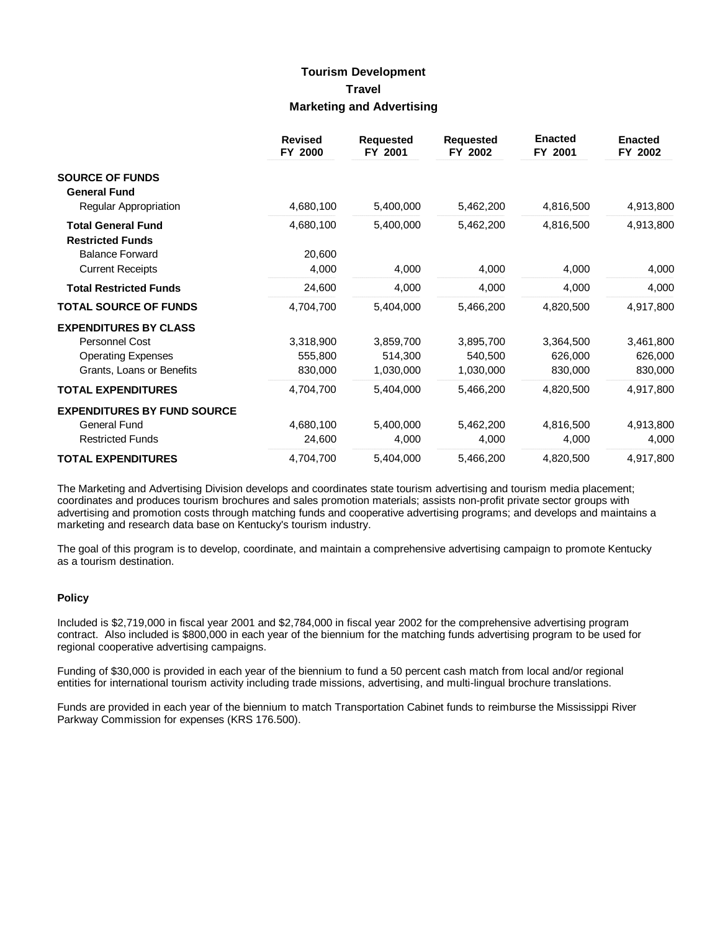## **Tourism Development Travel Marketing and Advertising**

|                                    | <b>Revised</b><br>FY 2000 | <b>Requested</b><br>FY 2001 | <b>Requested</b><br>FY 2002 | <b>Enacted</b><br>FY 2001 | <b>Enacted</b><br>FY 2002 |
|------------------------------------|---------------------------|-----------------------------|-----------------------------|---------------------------|---------------------------|
| <b>SOURCE OF FUNDS</b>             |                           |                             |                             |                           |                           |
| <b>General Fund</b>                |                           |                             |                             |                           |                           |
| Regular Appropriation              | 4,680,100                 | 5,400,000                   | 5,462,200                   | 4,816,500                 | 4,913,800                 |
| <b>Total General Fund</b>          | 4,680,100                 | 5,400,000                   | 5,462,200                   | 4,816,500                 | 4,913,800                 |
| <b>Restricted Funds</b>            |                           |                             |                             |                           |                           |
| <b>Balance Forward</b>             | 20,600                    |                             |                             |                           |                           |
| <b>Current Receipts</b>            | 4,000                     | 4,000                       | 4,000                       | 4,000                     | 4,000                     |
| <b>Total Restricted Funds</b>      | 24,600                    | 4,000                       | 4,000                       | 4,000                     | 4,000                     |
| <b>TOTAL SOURCE OF FUNDS</b>       | 4,704,700                 | 5,404,000                   | 5,466,200                   | 4,820,500                 | 4,917,800                 |
| <b>EXPENDITURES BY CLASS</b>       |                           |                             |                             |                           |                           |
| Personnel Cost                     | 3,318,900                 | 3,859,700                   | 3,895,700                   | 3,364,500                 | 3,461,800                 |
| <b>Operating Expenses</b>          | 555,800                   | 514,300                     | 540,500                     | 626,000                   | 626,000                   |
| Grants, Loans or Benefits          | 830,000                   | 1,030,000                   | 1,030,000                   | 830,000                   | 830,000                   |
| <b>TOTAL EXPENDITURES</b>          | 4,704,700                 | 5,404,000                   | 5,466,200                   | 4,820,500                 | 4,917,800                 |
| <b>EXPENDITURES BY FUND SOURCE</b> |                           |                             |                             |                           |                           |
| General Fund                       | 4,680,100                 | 5,400,000                   | 5,462,200                   | 4,816,500                 | 4,913,800                 |
| <b>Restricted Funds</b>            | 24,600                    | 4,000                       | 4,000                       | 4,000                     | 4,000                     |
| <b>TOTAL EXPENDITURES</b>          | 4,704,700                 | 5,404,000                   | 5,466,200                   | 4,820,500                 | 4,917,800                 |

The Marketing and Advertising Division develops and coordinates state tourism advertising and tourism media placement; coordinates and produces tourism brochures and sales promotion materials; assists non-profit private sector groups with advertising and promotion costs through matching funds and cooperative advertising programs; and develops and maintains a marketing and research data base on Kentucky's tourism industry.

The goal of this program is to develop, coordinate, and maintain a comprehensive advertising campaign to promote Kentucky as a tourism destination.

### **Policy**

Included is \$2,719,000 in fiscal year 2001 and \$2,784,000 in fiscal year 2002 for the comprehensive advertising program contract. Also included is \$800,000 in each year of the biennium for the matching funds advertising program to be used for regional cooperative advertising campaigns.

Funding of \$30,000 is provided in each year of the biennium to fund a 50 percent cash match from local and/or regional entities for international tourism activity including trade missions, advertising, and multi-lingual brochure translations.

Funds are provided in each year of the biennium to match Transportation Cabinet funds to reimburse the Mississippi River Parkway Commission for expenses (KRS 176.500).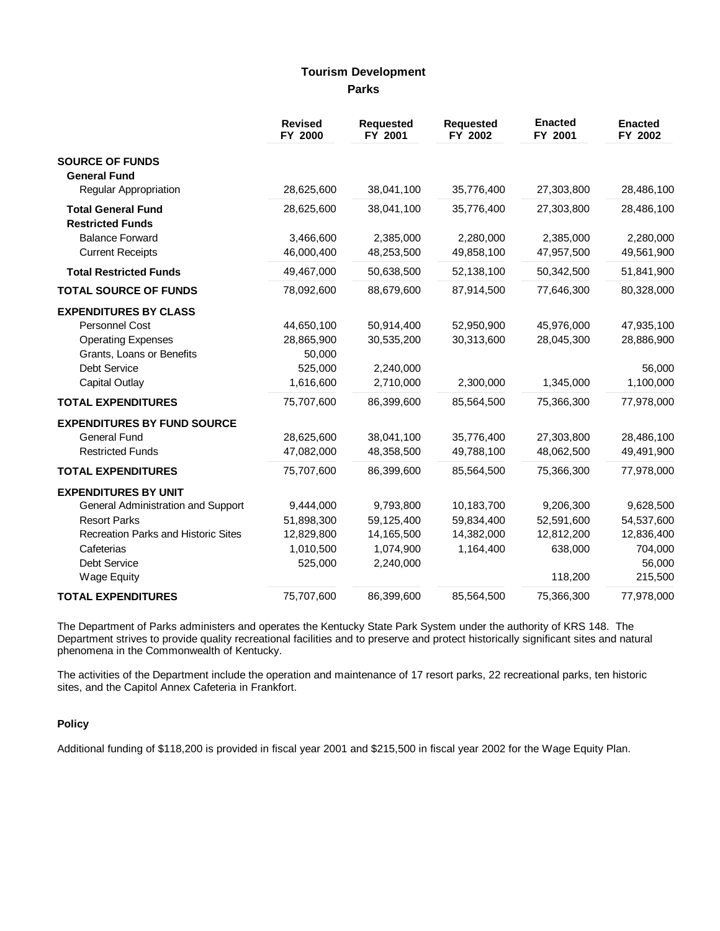## **Tourism Development Parks**

|                                                                                                                 | <b>Revised</b><br>FY 2000          | <b>Requested</b><br>FY 2001          | Requested<br>FY 2002     | <b>Enacted</b><br>FY 2001 | <b>Enacted</b><br>FY 2002       |
|-----------------------------------------------------------------------------------------------------------------|------------------------------------|--------------------------------------|--------------------------|---------------------------|---------------------------------|
| <b>SOURCE OF FUNDS</b><br><b>General Fund</b>                                                                   |                                    |                                      |                          |                           |                                 |
| <b>Regular Appropriation</b>                                                                                    | 28,625,600                         | 38,041,100                           | 35,776,400               | 27,303,800                | 28,486,100                      |
| <b>Total General Fund</b><br><b>Restricted Funds</b>                                                            | 28,625,600                         | 38,041,100                           | 35,776,400               | 27,303,800                | 28,486,100                      |
| <b>Balance Forward</b><br><b>Current Receipts</b>                                                               | 3,466,600<br>46,000,400            | 2,385,000<br>48,253,500              | 2,280,000<br>49,858,100  | 2,385,000<br>47,957,500   | 2,280,000<br>49,561,900         |
| <b>Total Restricted Funds</b>                                                                                   | 49,467,000                         | 50,638,500                           | 52,138,100               | 50,342,500                | 51,841,900                      |
| <b>TOTAL SOURCE OF FUNDS</b>                                                                                    | 78,092,600                         | 88,679,600                           | 87,914,500               | 77,646,300                | 80,328,000                      |
| <b>EXPENDITURES BY CLASS</b><br><b>Personnel Cost</b><br><b>Operating Expenses</b><br>Grants, Loans or Benefits | 44,650,100<br>28,865,900<br>50,000 | 50,914,400<br>30,535,200             | 52,950,900<br>30,313,600 | 45,976,000<br>28,045,300  | 47,935,100<br>28,886,900        |
| Debt Service<br><b>Capital Outlay</b>                                                                           | 525,000<br>1,616,600               | 2,240,000<br>2,710,000               | 2,300,000                | 1,345,000                 | 56,000<br>1,100,000             |
| <b>TOTAL EXPENDITURES</b>                                                                                       | 75,707,600                         | 86,399,600                           | 85,564,500               | 75,366,300                | 77,978,000                      |
| <b>EXPENDITURES BY FUND SOURCE</b><br><b>General Fund</b><br><b>Restricted Funds</b>                            | 28,625,600<br>47,082,000           | 38,041,100<br>48,358,500             | 35,776,400<br>49,788,100 | 27,303,800<br>48,062,500  | 28,486,100<br>49,491,900        |
| <b>TOTAL EXPENDITURES</b>                                                                                       | 75,707,600                         | 86,399,600                           | 85,564,500               | 75,366,300                | 77,978,000                      |
| <b>EXPENDITURES BY UNIT</b>                                                                                     |                                    |                                      |                          |                           |                                 |
| General Administration and Support<br><b>Resort Parks</b>                                                       | 9,444,000<br>51,898,300            | 9,793,800<br>59,125,400              | 10,183,700<br>59,834,400 | 9,206,300<br>52,591,600   | 9,628,500<br>54,537,600         |
| <b>Recreation Parks and Historic Sites</b><br>Cafeterias<br>Debt Service                                        | 12,829,800<br>1,010,500<br>525,000 | 14,165,500<br>1,074,900<br>2,240,000 | 14,382,000<br>1,164,400  | 12,812,200<br>638,000     | 12,836,400<br>704,000<br>56,000 |
| <b>Wage Equity</b>                                                                                              |                                    |                                      |                          | 118,200                   | 215,500                         |
| <b>TOTAL EXPENDITURES</b>                                                                                       | 75,707,600                         | 86,399,600                           | 85,564,500               | 75,366,300                | 77,978,000                      |

The Department of Parks administers and operates the Kentucky State Park System under the authority of KRS 148. The Department strives to provide quality recreational facilities and to preserve and protect historically significant sites and natural phenomena in the Commonwealth of Kentucky.

The activities of the Department include the operation and maintenance of 17 resort parks, 22 recreational parks, ten historic sites, and the Capitol Annex Cafeteria in Frankfort.

## **Policy**

Additional funding of \$118,200 is provided in fiscal year 2001 and \$215,500 in fiscal year 2002 for the Wage Equity Plan.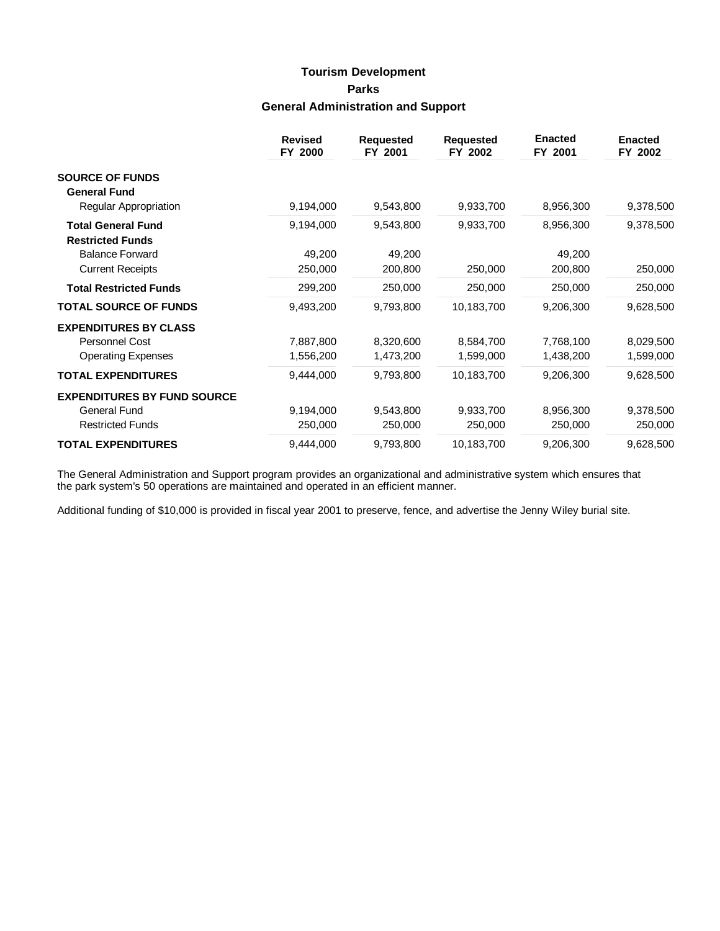# **Tourism Development Parks General Administration and Support**

|                                    | <b>Revised</b><br>FY 2000 | <b>Requested</b><br>FY 2001 | <b>Requested</b><br>FY 2002 | <b>Enacted</b><br>FY 2001 | <b>Enacted</b><br>FY 2002 |
|------------------------------------|---------------------------|-----------------------------|-----------------------------|---------------------------|---------------------------|
| <b>SOURCE OF FUNDS</b>             |                           |                             |                             |                           |                           |
| <b>General Fund</b>                |                           |                             |                             |                           |                           |
| Regular Appropriation              | 9,194,000                 | 9,543,800                   | 9,933,700                   | 8,956,300                 | 9,378,500                 |
| <b>Total General Fund</b>          | 9,194,000                 | 9,543,800                   | 9,933,700                   | 8,956,300                 | 9,378,500                 |
| <b>Restricted Funds</b>            |                           |                             |                             |                           |                           |
| <b>Balance Forward</b>             | 49,200                    | 49,200                      |                             | 49,200                    |                           |
| <b>Current Receipts</b>            | 250,000                   | 200,800                     | 250,000                     | 200,800                   | 250,000                   |
| <b>Total Restricted Funds</b>      | 299,200                   | 250,000                     | 250,000                     | 250,000                   | 250,000                   |
| <b>TOTAL SOURCE OF FUNDS</b>       | 9,493,200                 | 9,793,800                   | 10,183,700                  | 9,206,300                 | 9,628,500                 |
| <b>EXPENDITURES BY CLASS</b>       |                           |                             |                             |                           |                           |
| Personnel Cost                     | 7,887,800                 | 8,320,600                   | 8,584,700                   | 7,768,100                 | 8,029,500                 |
| <b>Operating Expenses</b>          | 1,556,200                 | 1,473,200                   | 1,599,000                   | 1,438,200                 | 1,599,000                 |
| <b>TOTAL EXPENDITURES</b>          | 9,444,000                 | 9,793,800                   | 10,183,700                  | 9,206,300                 | 9,628,500                 |
| <b>EXPENDITURES BY FUND SOURCE</b> |                           |                             |                             |                           |                           |
| <b>General Fund</b>                | 9,194,000                 | 9,543,800                   | 9,933,700                   | 8,956,300                 | 9,378,500                 |
| <b>Restricted Funds</b>            | 250,000                   | 250,000                     | 250,000                     | 250,000                   | 250,000                   |
| <b>TOTAL EXPENDITURES</b>          | 9,444,000                 | 9,793,800                   | 10,183,700                  | 9,206,300                 | 9,628,500                 |

The General Administration and Support program provides an organizational and administrative system which ensures that the park system's 50 operations are maintained and operated in an efficient manner.

Additional funding of \$10,000 is provided in fiscal year 2001 to preserve, fence, and advertise the Jenny Wiley burial site.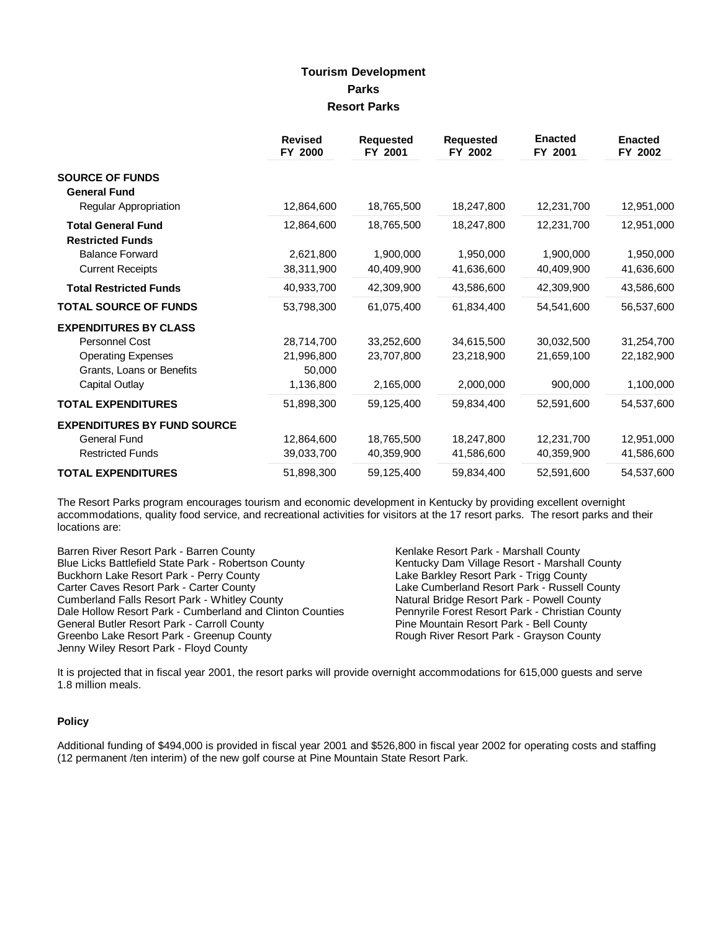## **Tourism Development Parks Resort Parks**

|                                    | <b>Revised</b><br>FY 2000 | <b>Requested</b><br>FY 2001 | <b>Requested</b><br>FY 2002 | <b>Enacted</b><br>FY 2001 | <b>Enacted</b><br>FY 2002 |
|------------------------------------|---------------------------|-----------------------------|-----------------------------|---------------------------|---------------------------|
| <b>SOURCE OF FUNDS</b>             |                           |                             |                             |                           |                           |
| <b>General Fund</b>                |                           |                             |                             |                           |                           |
| Regular Appropriation              | 12,864,600                | 18,765,500                  | 18,247,800                  | 12,231,700                | 12,951,000                |
| <b>Total General Fund</b>          | 12,864,600                | 18,765,500                  | 18,247,800                  | 12,231,700                | 12,951,000                |
| <b>Restricted Funds</b>            |                           |                             |                             |                           |                           |
| <b>Balance Forward</b>             | 2,621,800                 | 1,900,000                   | 1,950,000                   | 1,900,000                 | 1,950,000                 |
| <b>Current Receipts</b>            | 38,311,900                | 40,409,900                  | 41,636,600                  | 40,409,900                | 41,636,600                |
| <b>Total Restricted Funds</b>      | 40,933,700                | 42,309,900                  | 43,586,600                  | 42,309,900                | 43,586,600                |
| <b>TOTAL SOURCE OF FUNDS</b>       | 53,798,300                | 61,075,400                  | 61,834,400                  | 54,541,600                | 56,537,600                |
| <b>EXPENDITURES BY CLASS</b>       |                           |                             |                             |                           |                           |
| Personnel Cost                     | 28,714,700                | 33,252,600                  | 34,615,500                  | 30,032,500                | 31,254,700                |
| <b>Operating Expenses</b>          | 21,996,800                | 23,707,800                  | 23,218,900                  | 21,659,100                | 22,182,900                |
| Grants, Loans or Benefits          | 50,000                    |                             |                             |                           |                           |
| Capital Outlay                     | 1,136,800                 | 2,165,000                   | 2,000,000                   | 900,000                   | 1,100,000                 |
| <b>TOTAL EXPENDITURES</b>          | 51,898,300                | 59,125,400                  | 59,834,400                  | 52,591,600                | 54,537,600                |
| <b>EXPENDITURES BY FUND SOURCE</b> |                           |                             |                             |                           |                           |
| <b>General Fund</b>                | 12,864,600                | 18,765,500                  | 18,247,800                  | 12,231,700                | 12,951,000                |
| <b>Restricted Funds</b>            | 39,033,700                | 40,359,900                  | 41,586,600                  | 40,359,900                | 41,586,600                |
| <b>TOTAL EXPENDITURES</b>          | 51,898,300                | 59,125,400                  | 59,834,400                  | 52,591,600                | 54,537,600                |

The Resort Parks program encourages tourism and economic development in Kentucky by providing excellent overnight accommodations, quality food service, and recreational activities for visitors at the 17 resort parks. The resort parks and their locations are:

Barren River Resort Park - Barren County<br>
Blue Licks Battlefield State Park - Robertson County **Kentucky Dam Village Resort - Marshall County** Blue Licks Battlefield State Park - Robertson County **Kentucky Dam Village Resort - Marshall** County<br>Buckhorn Lake Resort Park - Perry County **County** Lake Barkley Resort Park - Trigg County Buckhorn Lake Resort Park - Perry County<br>Carter Caves Resort Park - Carter County Cumberland Falls Resort Park - Whitley County Dale Hollow Resort Park - Cumberland and Clinton Counties Pennyrile Forest Resort Park - Christian County General Butler Resort Park - Carroll County **Pine Mountain Resort Park - Bell County** Greenbo Lake Resort Park - Greenup County **Rough River Resort Park - Grayson County** Jenny Wiley Resort Park - Floyd County

Lake Cumberland Resort Park - Russell County<br>Natural Bridge Resort Park - Powell County

It is projected that in fiscal year 2001, the resort parks will provide overnight accommodations for 615,000 guests and serve 1.8 million meals.

## **Policy**

Additional funding of \$494,000 is provided in fiscal year 2001 and \$526,800 in fiscal year 2002 for operating costs and staffing (12 permanent /ten interim) of the new golf course at Pine Mountain State Resort Park.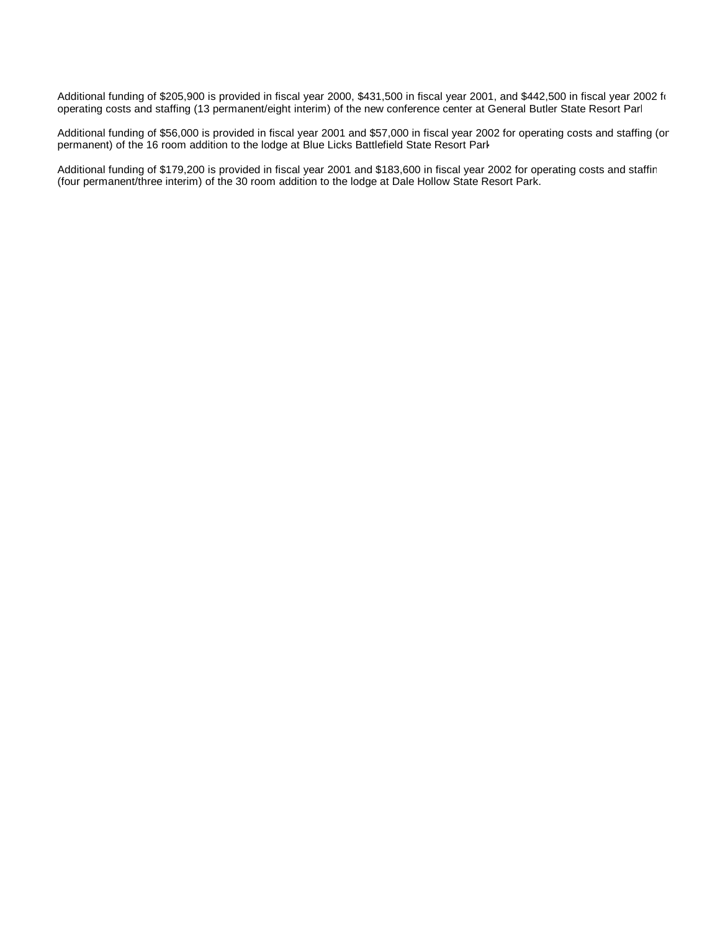Additional funding of \$205,900 is provided in fiscal year 2000, \$431,500 in fiscal year 2001, and \$442,500 in fiscal year 2002 for operating costs and staffing (13 permanent/eight interim) of the new conference center at General Butler State Resort Park.

Additional funding of \$56,000 is provided in fiscal year 2001 and \$57,000 in fiscal year 2002 for operating costs and staffing (or permanent) of the 16 room addition to the lodge at Blue Licks Battlefield State Resort Park.

Additional funding of \$179,200 is provided in fiscal year 2001 and \$183,600 in fiscal year 2002 for operating costs and staffing (four permanent/three interim) of the 30 room addition to the lodge at Dale Hollow State Resort Park.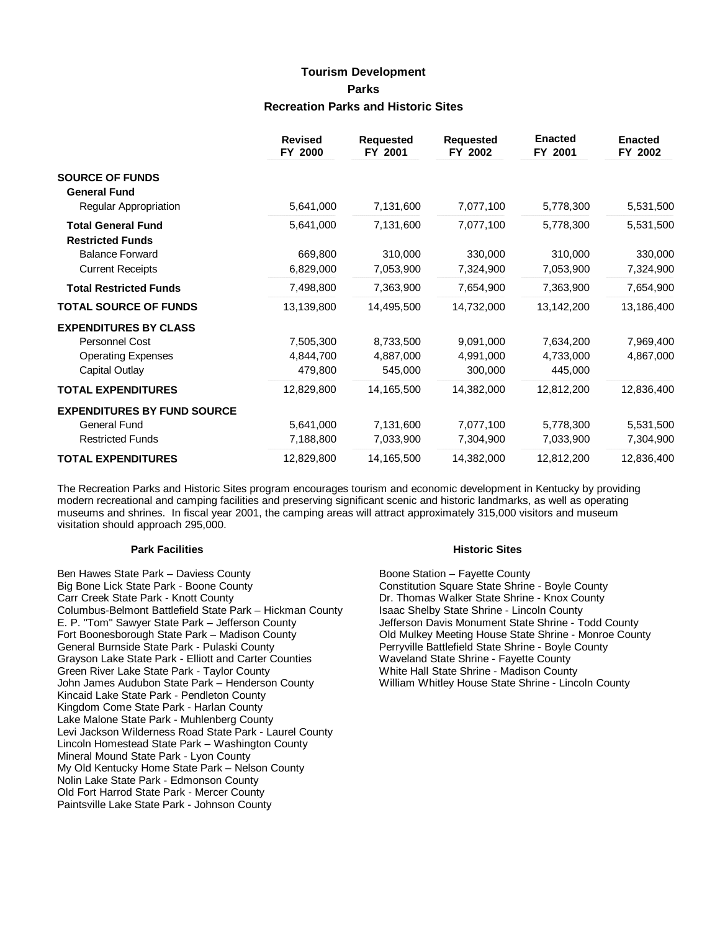# **Tourism Development Parks Recreation Parks and Historic Sites**

|                                    | <b>Revised</b><br>FY 2000 | <b>Requested</b><br>FY 2001 | <b>Requested</b><br>FY 2002 | <b>Enacted</b><br>FY 2001 | <b>Enacted</b><br>FY 2002 |
|------------------------------------|---------------------------|-----------------------------|-----------------------------|---------------------------|---------------------------|
| <b>SOURCE OF FUNDS</b>             |                           |                             |                             |                           |                           |
| <b>General Fund</b>                |                           |                             |                             |                           |                           |
| <b>Regular Appropriation</b>       | 5,641,000                 | 7,131,600                   | 7,077,100                   | 5,778,300                 | 5,531,500                 |
| <b>Total General Fund</b>          | 5,641,000                 | 7,131,600                   | 7,077,100                   | 5,778,300                 | 5,531,500                 |
| <b>Restricted Funds</b>            |                           |                             |                             |                           |                           |
| <b>Balance Forward</b>             | 669,800                   | 310,000                     | 330,000                     | 310,000                   | 330,000                   |
| <b>Current Receipts</b>            | 6,829,000                 | 7,053,900                   | 7,324,900                   | 7,053,900                 | 7,324,900                 |
| <b>Total Restricted Funds</b>      | 7,498,800                 | 7,363,900                   | 7,654,900                   | 7,363,900                 | 7,654,900                 |
| <b>TOTAL SOURCE OF FUNDS</b>       | 13,139,800                | 14,495,500                  | 14,732,000                  | 13,142,200                | 13,186,400                |
| <b>EXPENDITURES BY CLASS</b>       |                           |                             |                             |                           |                           |
| <b>Personnel Cost</b>              | 7,505,300                 | 8,733,500                   | 9,091,000                   | 7,634,200                 | 7,969,400                 |
| <b>Operating Expenses</b>          | 4,844,700                 | 4,887,000                   | 4,991,000                   | 4,733,000                 | 4,867,000                 |
| Capital Outlay                     | 479,800                   | 545,000                     | 300,000                     | 445,000                   |                           |
| <b>TOTAL EXPENDITURES</b>          | 12,829,800                | 14,165,500                  | 14,382,000                  | 12,812,200                | 12,836,400                |
| <b>EXPENDITURES BY FUND SOURCE</b> |                           |                             |                             |                           |                           |
| General Fund                       | 5,641,000                 | 7,131,600                   | 7,077,100                   | 5,778,300                 | 5,531,500                 |
| <b>Restricted Funds</b>            | 7,188,800                 | 7,033,900                   | 7,304,900                   | 7,033,900                 | 7,304,900                 |
| <b>TOTAL EXPENDITURES</b>          | 12,829,800                | 14,165,500                  | 14,382,000                  | 12,812,200                | 12,836,400                |

The Recreation Parks and Historic Sites program encourages tourism and economic development in Kentucky by providing modern recreational and camping facilities and preserving significant scenic and historic landmarks, as well as operating museums and shrines. In fiscal year 2001, the camping areas will attract approximately 315,000 visitors and museum visitation should approach 295,000.

#### **Park Facilities Historic Sites**

Ben Hawes State Park – Daviess County **Boone Station – Fayette County** Boone Station – Fayette County Big Bone Lick State Park - Boone County **Constitution Square State Shrine - Boyle County** Carr Creek State Park - Knott County **Dr. Thomas Walker State Shrine - Knox County** Columbus-Belmont Battlefield State Park – Hickman County Isaac Shelby State Shrine - Lincoln County Columbus-Belmont Battlefield State Park – Hickman County Isaac Shelby State Shrine - Lincoln County<br>E. P. "Tom" Sawyer State Park – Jefferson County Isaac Shelby State Shrine - Todd County E. P. "Tom" Sawyer State Park – Jefferson County<br>Fort Boonesborough State Park – Madison County Fort Boonesborough State Park – Madison County Old Mulkey Meeting House State Shrine - Monroe County Grayson Lake State Park - Elliott and Carter Counties Green River Lake State Park - Taylor County White Hall State Shrine - Madison County John James Audubon State Park – Henderson County William Whitley House State Shrine - Lincoln County Kincaid Lake State Park - Pendleton County Kingdom Come State Park - Harlan County Lake Malone State Park - Muhlenberg County Levi Jackson Wilderness Road State Park - Laurel County Lincoln Homestead State Park – Washington County Mineral Mound State Park - Lyon County My Old Kentucky Home State Park – Nelson County Nolin Lake State Park - Edmonson County Old Fort Harrod State Park - Mercer County Paintsville Lake State Park - Johnson County

Perryville Battlefield State Shrine - Boyle County<br>Waveland State Shrine - Fayette County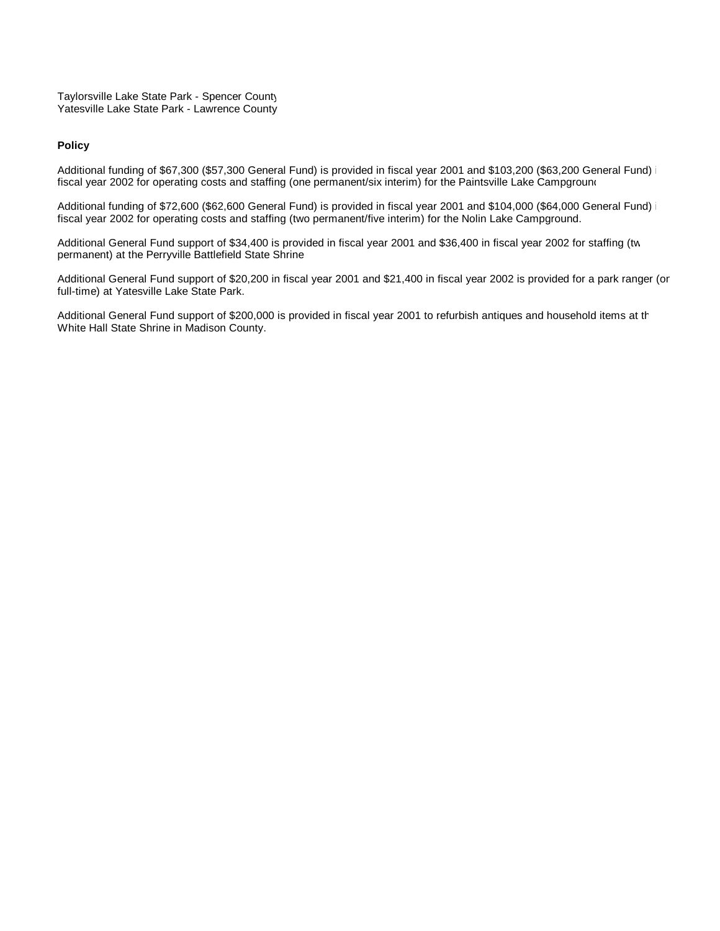Taylorsville Lake State Park - Spencer County Yatesville Lake State Park - Lawrence County

#### **Policy**

Additional funding of \$67,300 (\$57,300 General Fund) is provided in fiscal year 2001 and \$103,200 (\$63,200 General Fund) fiscal year 2002 for operating costs and staffing (one permanent/six interim) for the Paintsville Lake Campground

Additional funding of \$72,600 (\$62,600 General Fund) is provided in fiscal year 2001 and \$104,000 (\$64,000 General Fund) fiscal year 2002 for operating costs and staffing (two permanent/five interim) for the Nolin Lake Campground.

Additional General Fund support of \$34,400 is provided in fiscal year 2001 and \$36,400 in fiscal year 2002 for staffing (tw permanent) at the Perryville Battlefield State Shrine.

Additional General Fund support of \$20,200 in fiscal year 2001 and \$21,400 in fiscal year 2002 is provided for a park ranger (or full-time) at Yatesville Lake State Park.

Additional General Fund support of \$200,000 is provided in fiscal year 2001 to refurbish antiques and household items at the White Hall State Shrine in Madison County.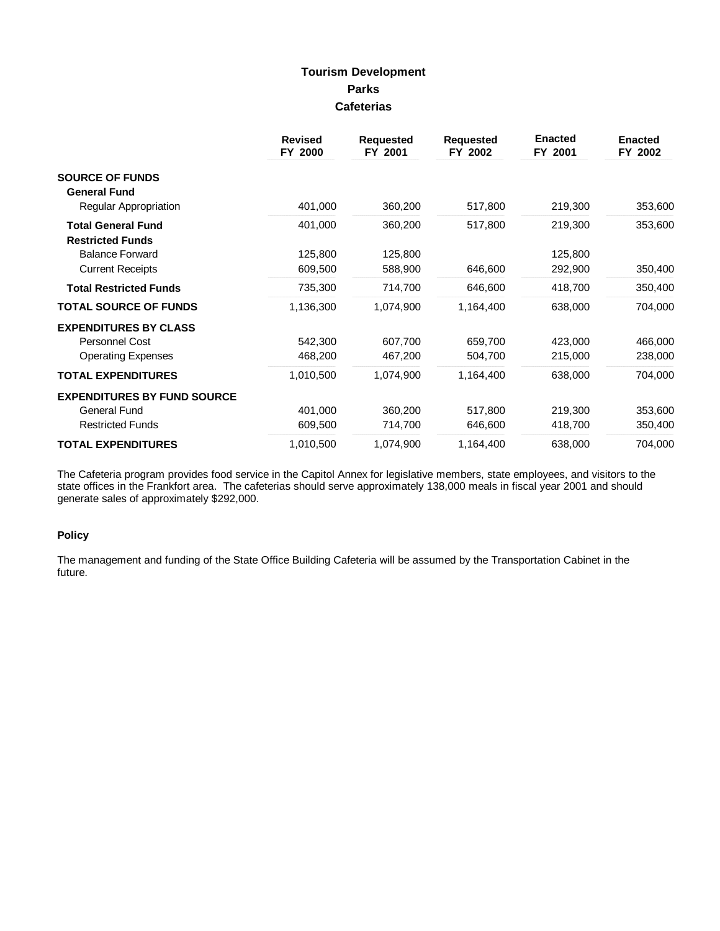## **Tourism Development Parks Cafeterias**

|                                                      | <b>Revised</b><br>FY 2000 | <b>Requested</b><br>FY 2001 | <b>Requested</b><br>FY 2002 | <b>Enacted</b><br>FY 2001 | <b>Enacted</b><br>FY 2002 |
|------------------------------------------------------|---------------------------|-----------------------------|-----------------------------|---------------------------|---------------------------|
| <b>SOURCE OF FUNDS</b>                               |                           |                             |                             |                           |                           |
| <b>General Fund</b>                                  |                           |                             |                             |                           |                           |
| Regular Appropriation                                | 401,000                   | 360,200                     | 517,800                     | 219,300                   | 353,600                   |
| <b>Total General Fund</b><br><b>Restricted Funds</b> | 401,000                   | 360,200                     | 517,800                     | 219,300                   | 353,600                   |
| <b>Balance Forward</b>                               | 125,800                   | 125,800                     |                             | 125,800                   |                           |
| <b>Current Receipts</b>                              | 609,500                   | 588,900                     | 646,600                     | 292,900                   | 350,400                   |
| <b>Total Restricted Funds</b>                        | 735,300                   | 714,700                     | 646,600                     | 418,700                   | 350,400                   |
| <b>TOTAL SOURCE OF FUNDS</b>                         | 1,136,300                 | 1,074,900                   | 1,164,400                   | 638,000                   | 704,000                   |
| <b>EXPENDITURES BY CLASS</b>                         |                           |                             |                             |                           |                           |
| Personnel Cost                                       | 542,300                   | 607,700                     | 659,700                     | 423,000                   | 466,000                   |
| <b>Operating Expenses</b>                            | 468,200                   | 467,200                     | 504,700                     | 215,000                   | 238,000                   |
| <b>TOTAL EXPENDITURES</b>                            | 1,010,500                 | 1,074,900                   | 1,164,400                   | 638,000                   | 704,000                   |
| <b>EXPENDITURES BY FUND SOURCE</b>                   |                           |                             |                             |                           |                           |
| General Fund                                         | 401,000                   | 360,200                     | 517,800                     | 219,300                   | 353,600                   |
| <b>Restricted Funds</b>                              | 609,500                   | 714,700                     | 646,600                     | 418,700                   | 350,400                   |
| <b>TOTAL EXPENDITURES</b>                            | 1,010,500                 | 1,074,900                   | 1,164,400                   | 638,000                   | 704,000                   |

The Cafeteria program provides food service in the Capitol Annex for legislative members, state employees, and visitors to the state offices in the Frankfort area. The cafeterias should serve approximately 138,000 meals in fiscal year 2001 and should generate sales of approximately \$292,000.

## **Policy**

The management and funding of the State Office Building Cafeteria will be assumed by the Transportation Cabinet in the future.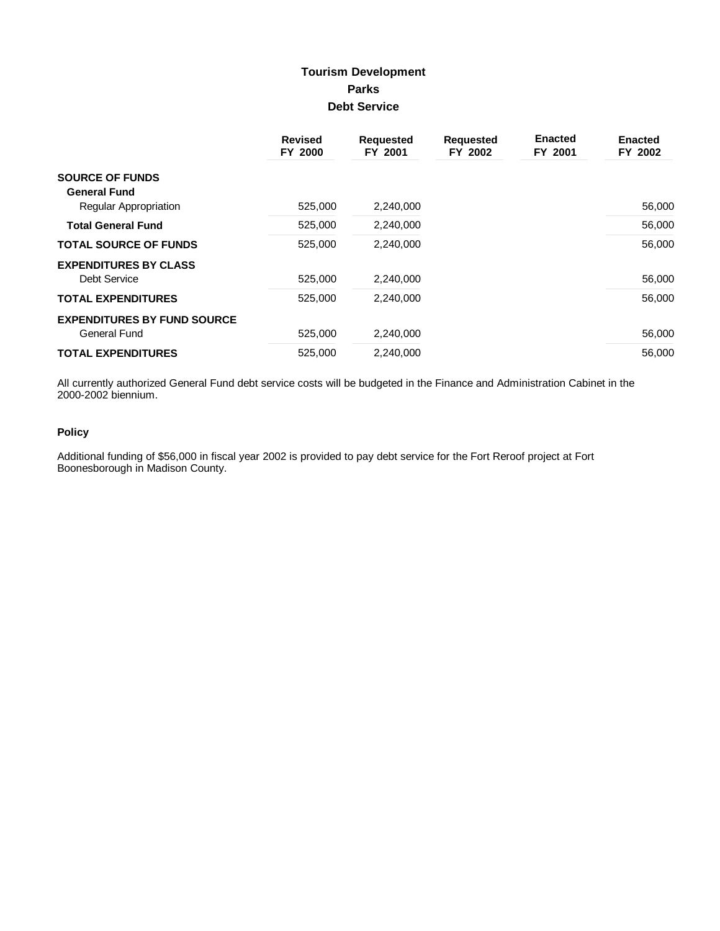## **Tourism Development Parks Debt Service**

|                                    | <b>Revised</b><br>FY 2000 | <b>Requested</b><br>FY 2001 | <b>Requested</b><br>FY 2002 | <b>Enacted</b><br>FY 2001 | <b>Enacted</b><br>FY 2002 |
|------------------------------------|---------------------------|-----------------------------|-----------------------------|---------------------------|---------------------------|
| <b>SOURCE OF FUNDS</b>             |                           |                             |                             |                           |                           |
| <b>General Fund</b>                |                           |                             |                             |                           |                           |
| <b>Regular Appropriation</b>       | 525,000                   | 2,240,000                   |                             |                           | 56,000                    |
| <b>Total General Fund</b>          | 525,000                   | 2,240,000                   |                             |                           | 56,000                    |
| <b>TOTAL SOURCE OF FUNDS</b>       | 525.000                   | 2,240,000                   |                             |                           | 56,000                    |
| <b>EXPENDITURES BY CLASS</b>       |                           |                             |                             |                           |                           |
| <b>Debt Service</b>                | 525,000                   | 2,240,000                   |                             |                           | 56,000                    |
| <b>TOTAL EXPENDITURES</b>          | 525.000                   | 2.240.000                   |                             |                           | 56,000                    |
| <b>EXPENDITURES BY FUND SOURCE</b> |                           |                             |                             |                           |                           |
| <b>General Fund</b>                | 525,000                   | 2,240,000                   |                             |                           | 56,000                    |
| <b>TOTAL EXPENDITURES</b>          | 525,000                   | 2,240,000                   |                             |                           | 56,000                    |

All currently authorized General Fund debt service costs will be budgeted in the Finance and Administration Cabinet in the 2000-2002 biennium.

## **Policy**

Additional funding of \$56,000 in fiscal year 2002 is provided to pay debt service for the Fort Reroof project at Fort<br>Boonesborough in Madison County.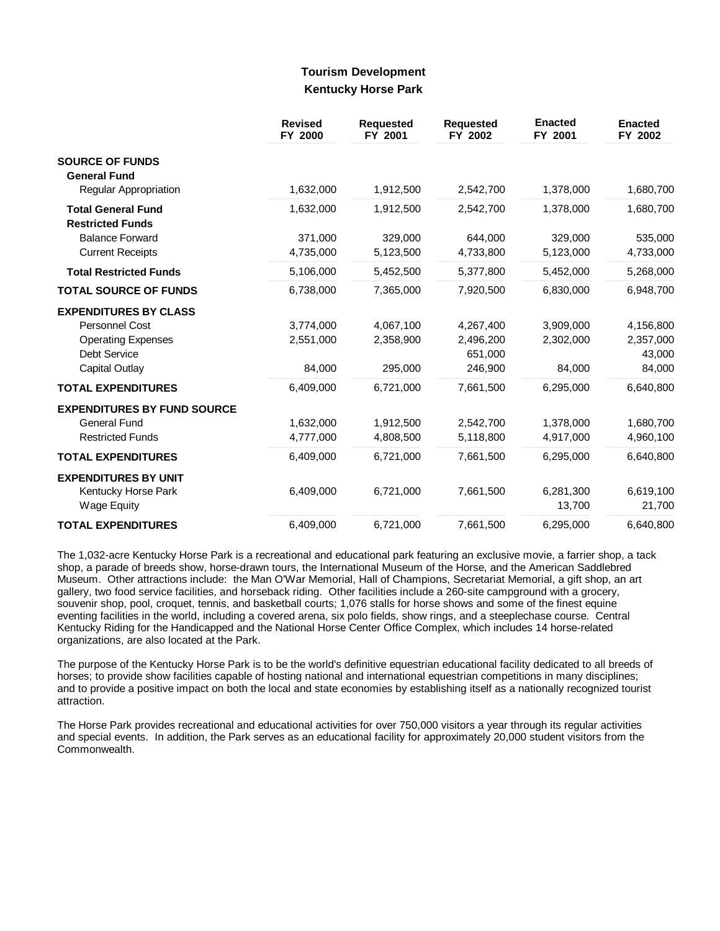## **Tourism Development Kentucky Horse Park**

|                                                      | <b>Revised</b><br>FY 2000 | <b>Requested</b><br>FY 2001 | <b>Requested</b><br>FY 2002 | <b>Enacted</b><br>FY 2001 | <b>Enacted</b><br>FY 2002 |
|------------------------------------------------------|---------------------------|-----------------------------|-----------------------------|---------------------------|---------------------------|
| <b>SOURCE OF FUNDS</b><br><b>General Fund</b>        |                           |                             |                             |                           |                           |
| Regular Appropriation                                | 1,632,000                 | 1,912,500                   | 2,542,700                   | 1,378,000                 | 1,680,700                 |
| <b>Total General Fund</b><br><b>Restricted Funds</b> | 1,632,000                 | 1,912,500                   | 2,542,700                   | 1,378,000                 | 1,680,700                 |
| <b>Balance Forward</b>                               | 371,000                   | 329,000                     | 644,000                     | 329,000                   | 535,000                   |
| <b>Current Receipts</b>                              | 4,735,000                 | 5,123,500                   | 4,733,800                   | 5,123,000                 | 4,733,000                 |
| <b>Total Restricted Funds</b>                        | 5,106,000                 | 5,452,500                   | 5,377,800                   | 5,452,000                 | 5,268,000                 |
| <b>TOTAL SOURCE OF FUNDS</b>                         | 6,738,000                 | 7,365,000                   | 7,920,500                   | 6,830,000                 | 6,948,700                 |
| <b>EXPENDITURES BY CLASS</b>                         |                           |                             |                             |                           |                           |
| <b>Personnel Cost</b>                                | 3,774,000                 | 4,067,100                   | 4,267,400                   | 3,909,000                 | 4,156,800                 |
| <b>Operating Expenses</b>                            | 2,551,000                 | 2,358,900                   | 2,496,200                   | 2,302,000                 | 2,357,000                 |
| <b>Debt Service</b>                                  |                           |                             | 651,000                     |                           | 43,000                    |
| Capital Outlay                                       | 84,000                    | 295,000                     | 246,900                     | 84,000                    | 84,000                    |
| <b>TOTAL EXPENDITURES</b>                            | 6,409,000                 | 6,721,000                   | 7,661,500                   | 6,295,000                 | 6,640,800                 |
| <b>EXPENDITURES BY FUND SOURCE</b>                   |                           |                             |                             |                           |                           |
| General Fund                                         | 1,632,000                 | 1,912,500                   | 2,542,700                   | 1,378,000                 | 1,680,700                 |
| <b>Restricted Funds</b>                              | 4,777,000                 | 4,808,500                   | 5,118,800                   | 4,917,000                 | 4,960,100                 |
| <b>TOTAL EXPENDITURES</b>                            | 6,409,000                 | 6,721,000                   | 7,661,500                   | 6,295,000                 | 6,640,800                 |
| <b>EXPENDITURES BY UNIT</b>                          |                           |                             |                             |                           |                           |
| Kentucky Horse Park                                  | 6.409.000                 | 6,721,000                   | 7,661,500                   | 6,281,300                 | 6,619,100                 |
| Wage Equity                                          |                           |                             |                             | 13,700                    | 21,700                    |
| <b>TOTAL EXPENDITURES</b>                            | 6,409,000                 | 6,721,000                   | 7,661,500                   | 6,295,000                 | 6,640,800                 |

The 1,032-acre Kentucky Horse Park is a recreational and educational park featuring an exclusive movie, a farrier shop, a tack shop, a parade of breeds show, horse-drawn tours, the International Museum of the Horse, and the American Saddlebred Museum. Other attractions include: the Man O'War Memorial, Hall of Champions, Secretariat Memorial, a gift shop, an art gallery, two food service facilities, and horseback riding. Other facilities include a 260-site campground with a grocery, souvenir shop, pool, croquet, tennis, and basketball courts; 1,076 stalls for horse shows and some of the finest equine eventing facilities in the world, including a covered arena, six polo fields, show rings, and a steeplechase course. Central Kentucky Riding for the Handicapped and the National Horse Center Office Complex, which includes 14 horse-related organizations, are also located at the Park.

The purpose of the Kentucky Horse Park is to be the world's definitive equestrian educational facility dedicated to all breeds of horses; to provide show facilities capable of hosting national and international equestrian competitions in many disciplines; and to provide a positive impact on both the local and state economies by establishing itself as a nationally recognized tourist attraction.

The Horse Park provides recreational and educational activities for over 750,000 visitors a year through its regular activities and special events. In addition, the Park serves as an educational facility for approximately 20,000 student visitors from the Commonwealth.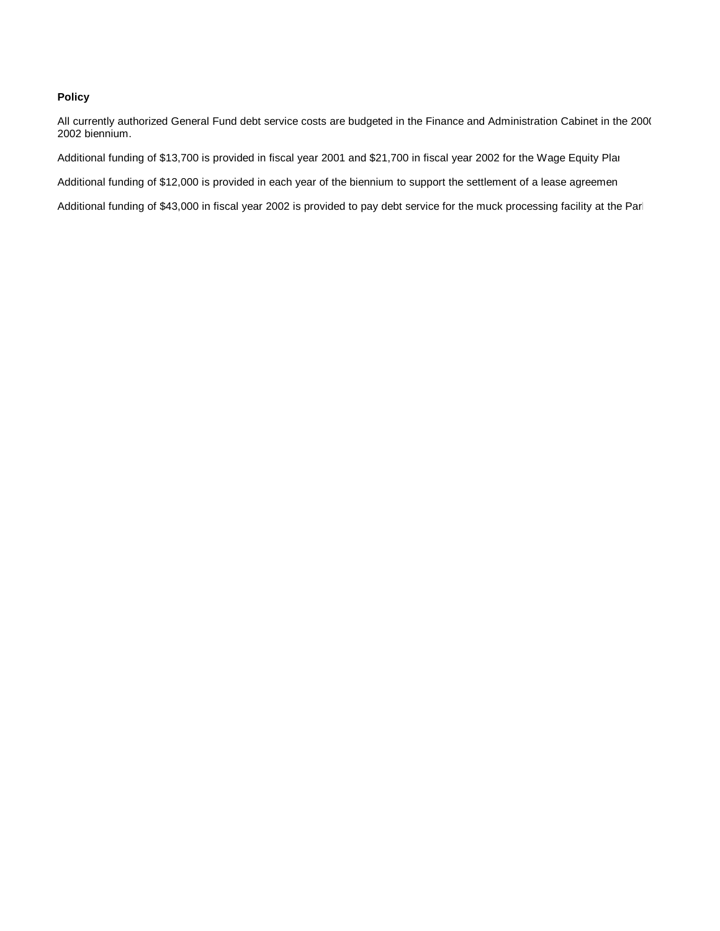## **Policy**

All currently authorized General Fund debt service costs are budgeted in the Finance and Administration Cabinet in the 2000 2002 biennium.

Additional funding of \$13,700 is provided in fiscal year 2001 and \$21,700 in fiscal year 2002 for the Wage Equity Plan.

Additional funding of \$12,000 is provided in each year of the biennium to support the settlement of a lease agreemen

Additional funding of \$43,000 in fiscal year 2002 is provided to pay debt service for the muck processing facility at the Parl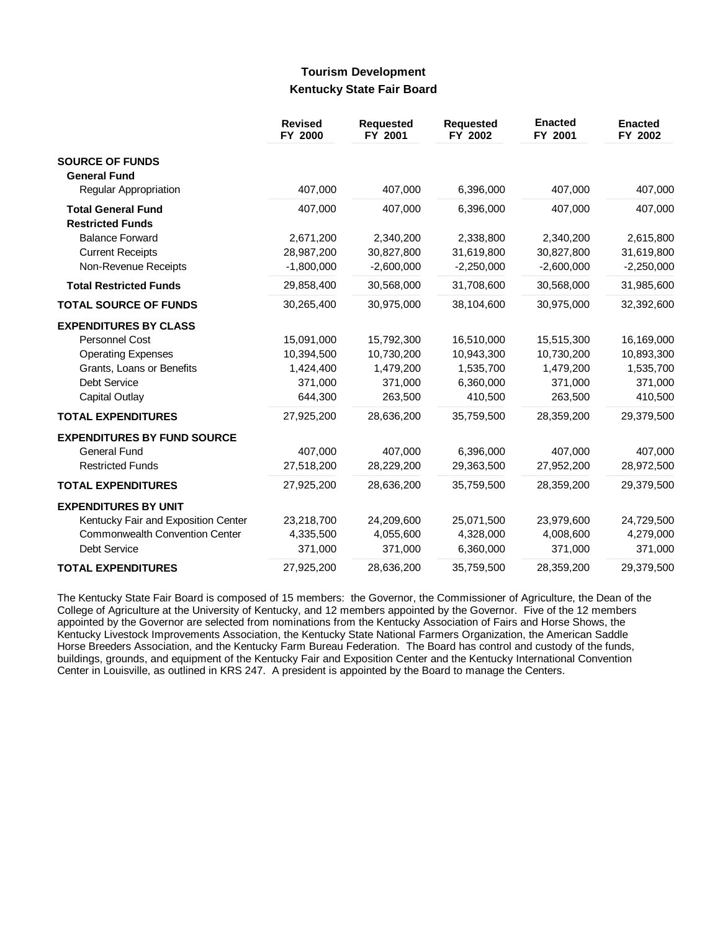## **Tourism Development Kentucky State Fair Board**

|                                               | <b>Revised</b><br>FY 2000 | <b>Requested</b><br>FY 2001 | <b>Requested</b><br>FY 2002 | <b>Enacted</b><br>FY 2001 | <b>Enacted</b><br>FY 2002 |
|-----------------------------------------------|---------------------------|-----------------------------|-----------------------------|---------------------------|---------------------------|
| <b>SOURCE OF FUNDS</b><br><b>General Fund</b> |                           |                             |                             |                           |                           |
| Regular Appropriation                         | 407,000                   | 407,000                     | 6,396,000                   | 407,000                   | 407,000                   |
| <b>Total General Fund</b>                     | 407,000                   | 407,000                     | 6,396,000                   | 407,000                   | 407,000                   |
| <b>Restricted Funds</b>                       |                           |                             |                             |                           |                           |
| <b>Balance Forward</b>                        | 2,671,200                 | 2,340,200                   | 2,338,800                   | 2,340,200                 | 2,615,800                 |
| <b>Current Receipts</b>                       | 28,987,200                | 30,827,800                  | 31,619,800                  | 30,827,800                | 31,619,800                |
| Non-Revenue Receipts                          | $-1,800,000$              | $-2,600,000$                | $-2,250,000$                | $-2,600,000$              | $-2,250,000$              |
| <b>Total Restricted Funds</b>                 | 29,858,400                | 30,568,000                  | 31,708,600                  | 30,568,000                | 31,985,600                |
| <b>TOTAL SOURCE OF FUNDS</b>                  | 30,265,400                | 30,975,000                  | 38,104,600                  | 30,975,000                | 32,392,600                |
| <b>EXPENDITURES BY CLASS</b>                  |                           |                             |                             |                           |                           |
| Personnel Cost                                | 15,091,000                | 15,792,300                  | 16,510,000                  | 15,515,300                | 16,169,000                |
| <b>Operating Expenses</b>                     | 10,394,500                | 10,730,200                  | 10,943,300                  | 10,730,200                | 10,893,300                |
| Grants, Loans or Benefits                     | 1,424,400                 | 1,479,200                   | 1,535,700                   | 1,479,200                 | 1,535,700                 |
| Debt Service                                  | 371,000                   | 371,000                     | 6,360,000                   | 371,000                   | 371,000                   |
| Capital Outlay                                | 644,300                   | 263,500                     | 410,500                     | 263,500                   | 410,500                   |
| <b>TOTAL EXPENDITURES</b>                     | 27,925,200                | 28,636,200                  | 35,759,500                  | 28,359,200                | 29,379,500                |
| <b>EXPENDITURES BY FUND SOURCE</b>            |                           |                             |                             |                           |                           |
| General Fund                                  | 407,000                   | 407,000                     | 6,396,000                   | 407,000                   | 407,000                   |
| <b>Restricted Funds</b>                       | 27,518,200                | 28,229,200                  | 29,363,500                  | 27,952,200                | 28,972,500                |
| <b>TOTAL EXPENDITURES</b>                     | 27,925,200                | 28,636,200                  | 35,759,500                  | 28,359,200                | 29,379,500                |
| <b>EXPENDITURES BY UNIT</b>                   |                           |                             |                             |                           |                           |
| Kentucky Fair and Exposition Center           | 23,218,700                | 24,209,600                  | 25,071,500                  | 23,979,600                | 24,729,500                |
| <b>Commonwealth Convention Center</b>         | 4,335,500                 | 4,055,600                   | 4,328,000                   | 4,008,600                 | 4,279,000                 |
| Debt Service                                  | 371,000                   | 371,000                     | 6,360,000                   | 371,000                   | 371,000                   |
| <b>TOTAL EXPENDITURES</b>                     | 27,925,200                | 28,636,200                  | 35,759,500                  | 28,359,200                | 29,379,500                |

The Kentucky State Fair Board is composed of 15 members: the Governor, the Commissioner of Agriculture, the Dean of the College of Agriculture at the University of Kentucky, and 12 members appointed by the Governor. Five of the 12 members appointed by the Governor are selected from nominations from the Kentucky Association of Fairs and Horse Shows, the Kentucky Livestock Improvements Association, the Kentucky State National Farmers Organization, the American Saddle Horse Breeders Association, and the Kentucky Farm Bureau Federation. The Board has control and custody of the funds, buildings, grounds, and equipment of the Kentucky Fair and Exposition Center and the Kentucky International Convention Center in Louisville, as outlined in KRS 247. A president is appointed by the Board to manage the Centers.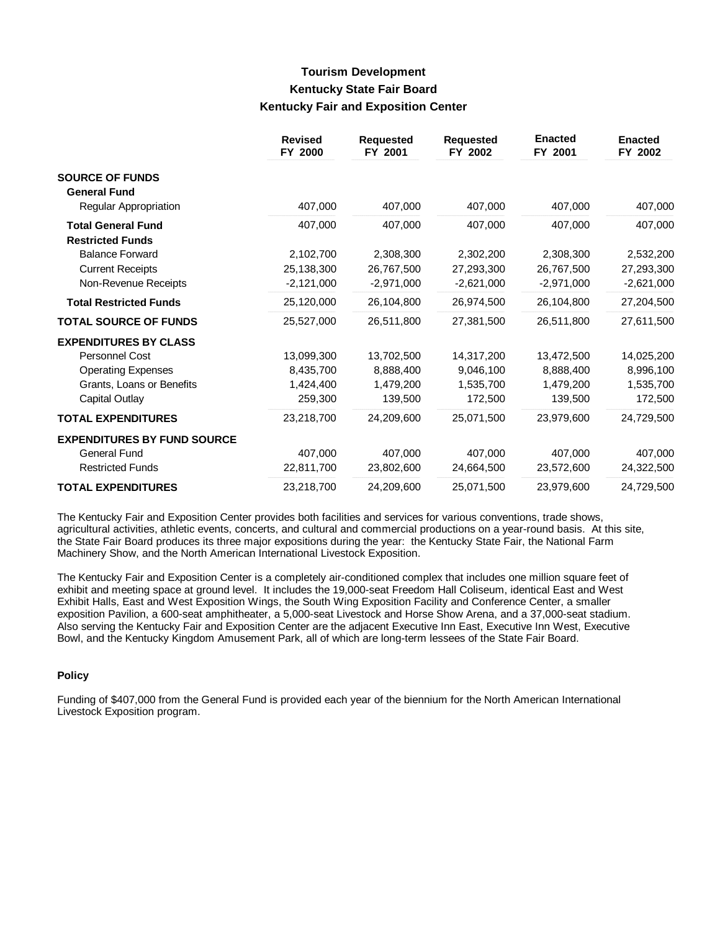# **Tourism Development Kentucky State Fair Board Kentucky Fair and Exposition Center**

|                                                      | <b>Revised</b><br>FY 2000 | <b>Requested</b><br>FY 2001 | <b>Requested</b><br>FY 2002 | <b>Enacted</b><br>FY 2001 | <b>Enacted</b><br>FY 2002 |
|------------------------------------------------------|---------------------------|-----------------------------|-----------------------------|---------------------------|---------------------------|
| <b>SOURCE OF FUNDS</b><br><b>General Fund</b>        |                           |                             |                             |                           |                           |
| Regular Appropriation                                | 407,000                   | 407,000                     | 407,000                     | 407,000                   | 407,000                   |
| <b>Total General Fund</b><br><b>Restricted Funds</b> | 407,000                   | 407,000                     | 407,000                     | 407,000                   | 407,000                   |
| <b>Balance Forward</b>                               | 2,102,700                 | 2,308,300                   | 2,302,200                   | 2,308,300                 | 2,532,200                 |
| <b>Current Receipts</b>                              | 25,138,300                | 26,767,500                  | 27,293,300                  | 26,767,500                | 27,293,300                |
| Non-Revenue Receipts                                 | $-2,121,000$              | $-2,971,000$                | $-2,621,000$                | $-2,971,000$              | $-2,621,000$              |
| <b>Total Restricted Funds</b>                        | 25,120,000                | 26,104,800                  | 26,974,500                  | 26,104,800                | 27,204,500                |
| <b>TOTAL SOURCE OF FUNDS</b>                         | 25,527,000                | 26,511,800                  | 27.381.500                  | 26,511,800                | 27,611,500                |
| <b>EXPENDITURES BY CLASS</b>                         |                           |                             |                             |                           |                           |
| <b>Personnel Cost</b>                                | 13,099,300                | 13,702,500                  | 14,317,200                  | 13,472,500                | 14,025,200                |
| <b>Operating Expenses</b>                            | 8,435,700                 | 8,888,400                   | 9,046,100                   | 8,888,400                 | 8,996,100                 |
| Grants, Loans or Benefits                            | 1,424,400                 | 1,479,200                   | 1,535,700                   | 1,479,200                 | 1,535,700                 |
| Capital Outlay                                       | 259,300                   | 139,500                     | 172,500                     | 139,500                   | 172,500                   |
| <b>TOTAL EXPENDITURES</b>                            | 23,218,700                | 24,209,600                  | 25,071,500                  | 23,979,600                | 24,729,500                |
| <b>EXPENDITURES BY FUND SOURCE</b>                   |                           |                             |                             |                           |                           |
| General Fund                                         | 407,000                   | 407,000                     | 407,000                     | 407,000                   | 407,000                   |
| <b>Restricted Funds</b>                              | 22,811,700                | 23,802,600                  | 24,664,500                  | 23,572,600                | 24,322,500                |
| <b>TOTAL EXPENDITURES</b>                            | 23,218,700                | 24,209,600                  | 25,071,500                  | 23,979,600                | 24,729,500                |

The Kentucky Fair and Exposition Center provides both facilities and services for various conventions, trade shows, agricultural activities, athletic events, concerts, and cultural and commercial productions on a year-round basis. At this site, the State Fair Board produces its three major expositions during the year: the Kentucky State Fair, the National Farm Machinery Show, and the North American International Livestock Exposition.

The Kentucky Fair and Exposition Center is a completely air-conditioned complex that includes one million square feet of exhibit and meeting space at ground level. It includes the 19,000-seat Freedom Hall Coliseum, identical East and West Exhibit Halls, East and West Exposition Wings, the South Wing Exposition Facility and Conference Center, a smaller exposition Pavilion, a 600-seat amphitheater, a 5,000-seat Livestock and Horse Show Arena, and a 37,000-seat stadium. Also serving the Kentucky Fair and Exposition Center are the adjacent Executive Inn East, Executive Inn West, Executive Bowl, and the Kentucky Kingdom Amusement Park, all of which are long-term lessees of the State Fair Board.

### **Policy**

Funding of \$407,000 from the General Fund is provided each year of the biennium for the North American International Livestock Exposition program.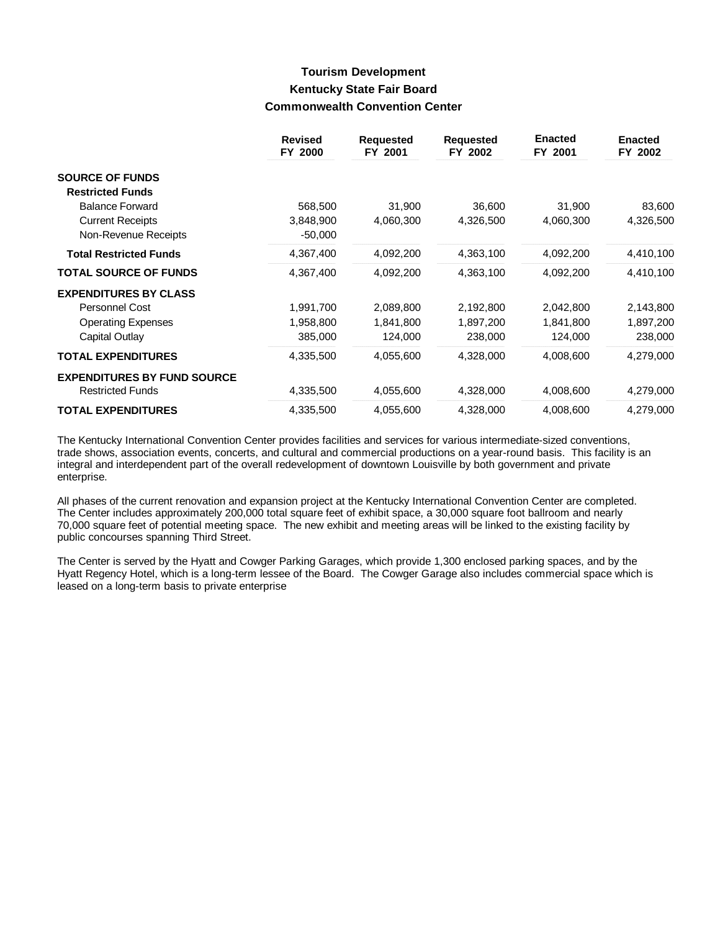# **Tourism Development Kentucky State Fair Board Commonwealth Convention Center**

|                                    | <b>Revised</b><br>FY 2000 | <b>Requested</b><br>FY 2001 | <b>Requested</b><br>FY 2002 | <b>Enacted</b><br>FY 2001 | <b>Enacted</b><br>FY 2002 |
|------------------------------------|---------------------------|-----------------------------|-----------------------------|---------------------------|---------------------------|
| <b>SOURCE OF FUNDS</b>             |                           |                             |                             |                           |                           |
| <b>Restricted Funds</b>            |                           |                             |                             |                           |                           |
| <b>Balance Forward</b>             | 568,500                   | 31,900                      | 36,600                      | 31,900                    | 83,600                    |
| <b>Current Receipts</b>            | 3,848,900                 | 4,060,300                   | 4,326,500                   | 4,060,300                 | 4,326,500                 |
| Non-Revenue Receipts               | $-50,000$                 |                             |                             |                           |                           |
| <b>Total Restricted Funds</b>      | 4,367,400                 | 4,092,200                   | 4,363,100                   | 4,092,200                 | 4,410,100                 |
| <b>TOTAL SOURCE OF FUNDS</b>       | 4,367,400                 | 4,092,200                   | 4,363,100                   | 4,092,200                 | 4,410,100                 |
| <b>EXPENDITURES BY CLASS</b>       |                           |                             |                             |                           |                           |
| Personnel Cost                     | 1,991,700                 | 2,089,800                   | 2,192,800                   | 2,042,800                 | 2,143,800                 |
| <b>Operating Expenses</b>          | 1,958,800                 | 1,841,800                   | 1,897,200                   | 1,841,800                 | 1,897,200                 |
| Capital Outlay                     | 385,000                   | 124,000                     | 238,000                     | 124,000                   | 238,000                   |
| <b>TOTAL EXPENDITURES</b>          | 4,335,500                 | 4,055,600                   | 4,328,000                   | 4,008,600                 | 4,279,000                 |
| <b>EXPENDITURES BY FUND SOURCE</b> |                           |                             |                             |                           |                           |
| <b>Restricted Funds</b>            | 4,335,500                 | 4,055,600                   | 4,328,000                   | 4,008,600                 | 4,279,000                 |
| <b>TOTAL EXPENDITURES</b>          | 4,335,500                 | 4,055,600                   | 4,328,000                   | 4,008,600                 | 4,279,000                 |

The Kentucky International Convention Center provides facilities and services for various intermediate-sized conventions, trade shows, association events, concerts, and cultural and commercial productions on a year-round basis. This facility is an integral and interdependent part of the overall redevelopment of downtown Louisville by both government and private enterprise.

All phases of the current renovation and expansion project at the Kentucky International Convention Center are completed. The Center includes approximately 200,000 total square feet of exhibit space, a 30,000 square foot ballroom and nearly 70,000 square feet of potential meeting space. The new exhibit and meeting areas will be linked to the existing facility by public concourses spanning Third Street.

The Center is served by the Hyatt and Cowger Parking Garages, which provide 1,300 enclosed parking spaces, and by the Hyatt Regency Hotel, which is a long-term lessee of the Board. The Cowger Garage also includes commercial space which is leased on a long-term basis to private enterprise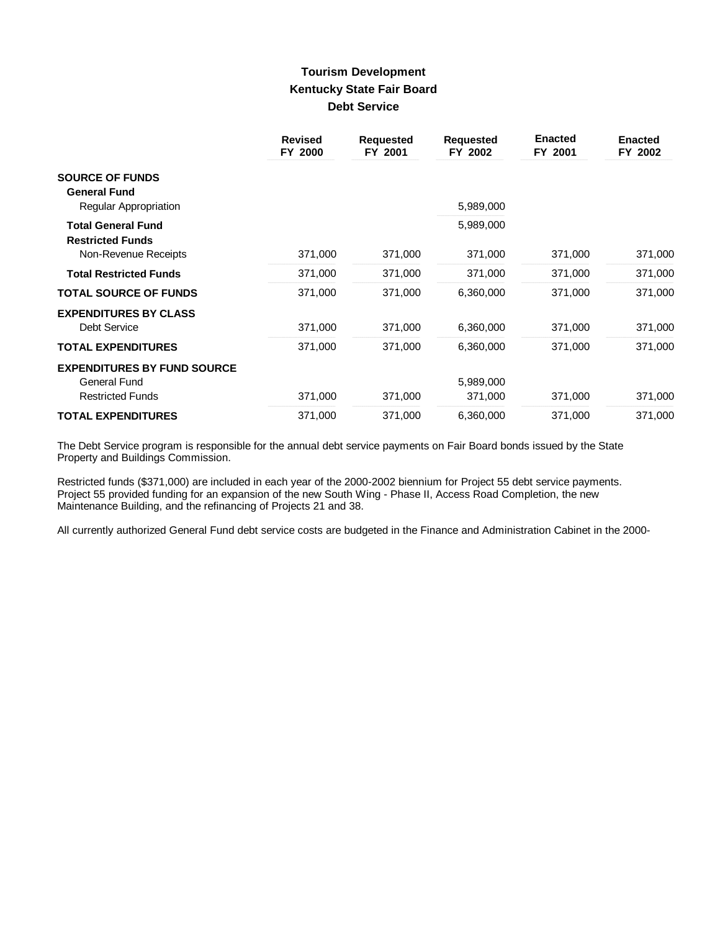# **Tourism Development Kentucky State Fair Board Debt Service**

|                                                      | <b>Revised</b><br>FY 2000 | <b>Requested</b><br>FY 2001 | <b>Requested</b><br>FY 2002 | <b>Enacted</b><br>FY 2001 | <b>Enacted</b><br>FY 2002 |
|------------------------------------------------------|---------------------------|-----------------------------|-----------------------------|---------------------------|---------------------------|
| <b>SOURCE OF FUNDS</b><br><b>General Fund</b>        |                           |                             |                             |                           |                           |
| Regular Appropriation                                |                           |                             | 5,989,000                   |                           |                           |
| <b>Total General Fund</b><br><b>Restricted Funds</b> |                           |                             | 5,989,000                   |                           |                           |
| Non-Revenue Receipts                                 | 371,000                   | 371,000                     | 371,000                     | 371,000                   | 371,000                   |
| <b>Total Restricted Funds</b>                        | 371,000                   | 371,000                     | 371,000                     | 371,000                   | 371,000                   |
| <b>TOTAL SOURCE OF FUNDS</b>                         | 371,000                   | 371,000                     | 6,360,000                   | 371,000                   | 371,000                   |
| <b>EXPENDITURES BY CLASS</b><br><b>Debt Service</b>  | 371,000                   | 371,000                     | 6,360,000                   | 371,000                   | 371,000                   |
| <b>TOTAL EXPENDITURES</b>                            | 371,000                   | 371,000                     | 6,360,000                   | 371,000                   | 371,000                   |
| <b>EXPENDITURES BY FUND SOURCE</b><br>General Fund   |                           |                             | 5,989,000                   |                           |                           |
| <b>Restricted Funds</b>                              | 371,000                   | 371,000                     | 371,000                     | 371,000                   | 371,000                   |
| <b>TOTAL EXPENDITURES</b>                            | 371,000                   | 371,000                     | 6,360,000                   | 371,000                   | 371,000                   |

The Debt Service program is responsible for the annual debt service payments on Fair Board bonds issued by the State Property and Buildings Commission.

Restricted funds (\$371,000) are included in each year of the 2000-2002 biennium for Project 55 debt service payments. Project 55 provided funding for an expansion of the new South Wing - Phase II, Access Road Completion, the new Maintenance Building, and the refinancing of Projects 21 and 38.

All currently authorized General Fund debt service costs are budgeted in the Finance and Administration Cabinet in the 2000-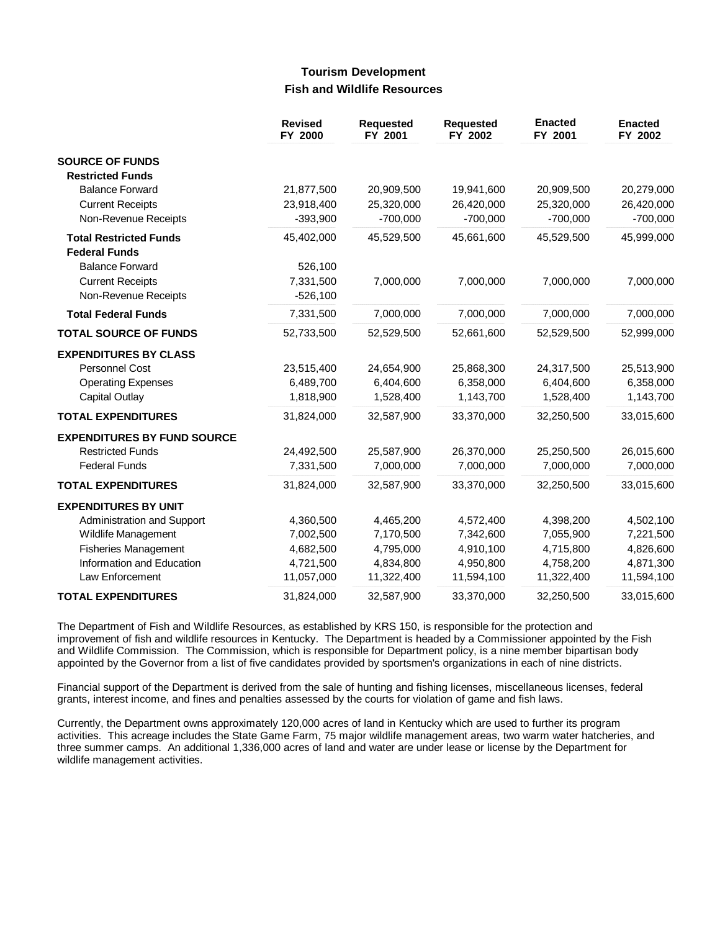## **Tourism Development Fish and Wildlife Resources**

|                                    | <b>Revised</b><br>FY 2000 | <b>Requested</b><br>FY 2001 | <b>Requested</b><br>FY 2002 | <b>Enacted</b><br>FY 2001 | <b>Enacted</b><br>FY 2002 |
|------------------------------------|---------------------------|-----------------------------|-----------------------------|---------------------------|---------------------------|
| <b>SOURCE OF FUNDS</b>             |                           |                             |                             |                           |                           |
| <b>Restricted Funds</b>            |                           |                             |                             |                           |                           |
| <b>Balance Forward</b>             | 21,877,500                | 20,909,500                  | 19,941,600                  | 20,909,500                | 20,279,000                |
| <b>Current Receipts</b>            | 23,918,400                | 25,320,000                  | 26,420,000                  | 25,320,000                | 26,420,000                |
| Non-Revenue Receipts               | $-393,900$                | $-700,000$                  | $-700,000$                  | $-700,000$                | $-700,000$                |
| <b>Total Restricted Funds</b>      | 45,402,000                | 45,529,500                  | 45,661,600                  | 45,529,500                | 45,999,000                |
| <b>Federal Funds</b>               |                           |                             |                             |                           |                           |
| <b>Balance Forward</b>             | 526,100                   |                             |                             |                           |                           |
| <b>Current Receipts</b>            | 7,331,500                 | 7,000,000                   | 7,000,000                   | 7,000,000                 | 7,000,000                 |
| Non-Revenue Receipts               | $-526,100$                |                             |                             |                           |                           |
| <b>Total Federal Funds</b>         | 7,331,500                 | 7,000,000                   | 7,000,000                   | 7,000,000                 | 7,000,000                 |
| <b>TOTAL SOURCE OF FUNDS</b>       | 52,733,500                | 52,529,500                  | 52,661,600                  | 52,529,500                | 52,999,000                |
| <b>EXPENDITURES BY CLASS</b>       |                           |                             |                             |                           |                           |
| Personnel Cost                     | 23,515,400                | 24,654,900                  | 25,868,300                  | 24,317,500                | 25,513,900                |
| <b>Operating Expenses</b>          | 6,489,700                 | 6,404,600                   | 6,358,000                   | 6,404,600                 | 6,358,000                 |
| <b>Capital Outlay</b>              | 1,818,900                 | 1,528,400                   | 1,143,700                   | 1,528,400                 | 1,143,700                 |
| <b>TOTAL EXPENDITURES</b>          | 31,824,000                | 32,587,900                  | 33,370,000                  | 32,250,500                | 33,015,600                |
| <b>EXPENDITURES BY FUND SOURCE</b> |                           |                             |                             |                           |                           |
| <b>Restricted Funds</b>            | 24,492,500                | 25,587,900                  | 26,370,000                  | 25,250,500                | 26,015,600                |
| <b>Federal Funds</b>               | 7,331,500                 | 7,000,000                   | 7,000,000                   | 7,000,000                 | 7,000,000                 |
| <b>TOTAL EXPENDITURES</b>          | 31,824,000                | 32,587,900                  | 33,370,000                  | 32,250,500                | 33,015,600                |
| <b>EXPENDITURES BY UNIT</b>        |                           |                             |                             |                           |                           |
| Administration and Support         | 4,360,500                 | 4,465,200                   | 4,572,400                   | 4,398,200                 | 4,502,100                 |
| Wildlife Management                | 7,002,500                 | 7,170,500                   | 7,342,600                   | 7,055,900                 | 7,221,500                 |
| <b>Fisheries Management</b>        | 4,682,500                 | 4,795,000                   | 4,910,100                   | 4,715,800                 | 4,826,600                 |
| Information and Education          | 4,721,500                 | 4,834,800                   | 4,950,800                   | 4,758,200                 | 4,871,300                 |
| Law Enforcement                    | 11,057,000                | 11,322,400                  | 11,594,100                  | 11,322,400                | 11,594,100                |
| <b>TOTAL EXPENDITURES</b>          | 31,824,000                | 32,587,900                  | 33,370,000                  | 32,250,500                | 33,015,600                |

The Department of Fish and Wildlife Resources, as established by KRS 150, is responsible for the protection and improvement of fish and wildlife resources in Kentucky. The Department is headed by a Commissioner appointed by the Fish and Wildlife Commission. The Commission, which is responsible for Department policy, is a nine member bipartisan body appointed by the Governor from a list of five candidates provided by sportsmen's organizations in each of nine districts.

Financial support of the Department is derived from the sale of hunting and fishing licenses, miscellaneous licenses, federal grants, interest income, and fines and penalties assessed by the courts for violation of game and fish laws.

Currently, the Department owns approximately 120,000 acres of land in Kentucky which are used to further its program activities. This acreage includes the State Game Farm, 75 major wildlife management areas, two warm water hatcheries, and three summer camps. An additional 1,336,000 acres of land and water are under lease or license by the Department for wildlife management activities.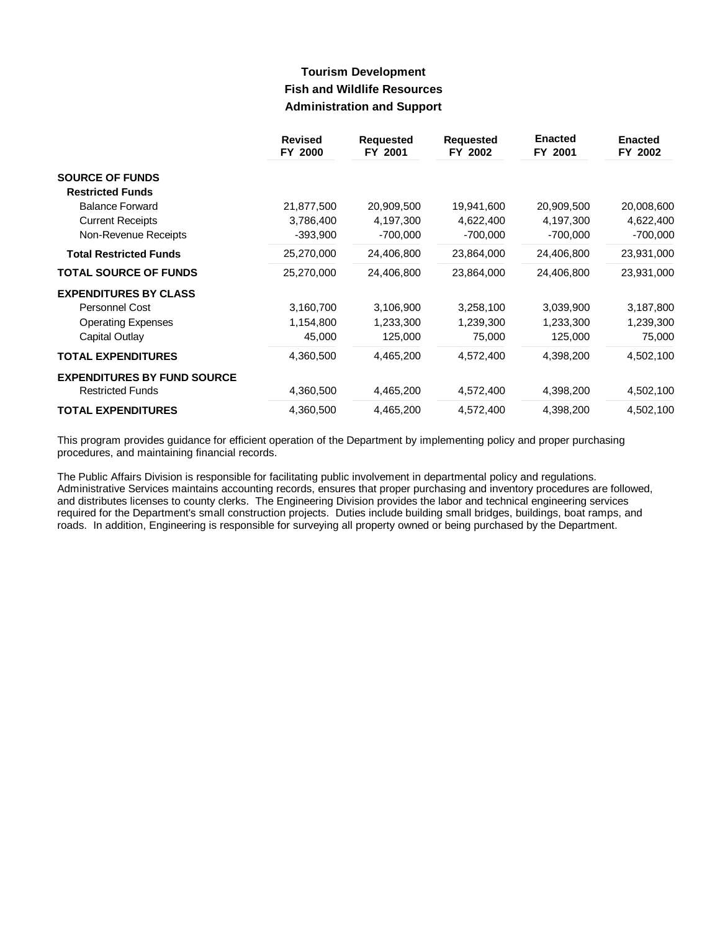# **Tourism Development Fish and Wildlife Resources Administration and Support**

|                                    | <b>Revised</b><br>FY 2000 | <b>Requested</b><br>FY 2001 | <b>Requested</b><br>FY 2002 | <b>Enacted</b><br>FY 2001 | <b>Enacted</b><br>FY 2002 |
|------------------------------------|---------------------------|-----------------------------|-----------------------------|---------------------------|---------------------------|
| <b>SOURCE OF FUNDS</b>             |                           |                             |                             |                           |                           |
| <b>Restricted Funds</b>            |                           |                             |                             |                           |                           |
| <b>Balance Forward</b>             | 21,877,500                | 20,909,500                  | 19,941,600                  | 20,909,500                | 20,008,600                |
| <b>Current Receipts</b>            | 3,786,400                 | 4,197,300                   | 4,622,400                   | 4,197,300                 | 4,622,400                 |
| Non-Revenue Receipts               | $-393,900$                | -700,000                    | $-700,000$                  | $-700,000$                | $-700,000$                |
| <b>Total Restricted Funds</b>      | 25,270,000                | 24,406,800                  | 23,864,000                  | 24,406,800                | 23,931,000                |
| <b>TOTAL SOURCE OF FUNDS</b>       | 25,270,000                | 24,406,800                  | 23,864,000                  | 24,406,800                | 23,931,000                |
| <b>EXPENDITURES BY CLASS</b>       |                           |                             |                             |                           |                           |
| Personnel Cost                     | 3,160,700                 | 3,106,900                   | 3,258,100                   | 3,039,900                 | 3,187,800                 |
| <b>Operating Expenses</b>          | 1,154,800                 | 1,233,300                   | 1,239,300                   | 1,233,300                 | 1,239,300                 |
| Capital Outlay                     | 45,000                    | 125,000                     | 75,000                      | 125,000                   | 75,000                    |
| <b>TOTAL EXPENDITURES</b>          | 4,360,500                 | 4,465,200                   | 4,572,400                   | 4,398,200                 | 4,502,100                 |
| <b>EXPENDITURES BY FUND SOURCE</b> |                           |                             |                             |                           |                           |
| <b>Restricted Funds</b>            | 4,360,500                 | 4,465,200                   | 4,572,400                   | 4,398,200                 | 4,502,100                 |
| <b>TOTAL EXPENDITURES</b>          | 4,360,500                 | 4,465,200                   | 4,572,400                   | 4,398,200                 | 4,502,100                 |

This program provides guidance for efficient operation of the Department by implementing policy and proper purchasing procedures, and maintaining financial records.

The Public Affairs Division is responsible for facilitating public involvement in departmental policy and regulations. Administrative Services maintains accounting records, ensures that proper purchasing and inventory procedures are followed, and distributes licenses to county clerks. The Engineering Division provides the labor and technical engineering services required for the Department's small construction projects. Duties include building small bridges, buildings, boat ramps, and roads. In addition, Engineering is responsible for surveying all property owned or being purchased by the Department.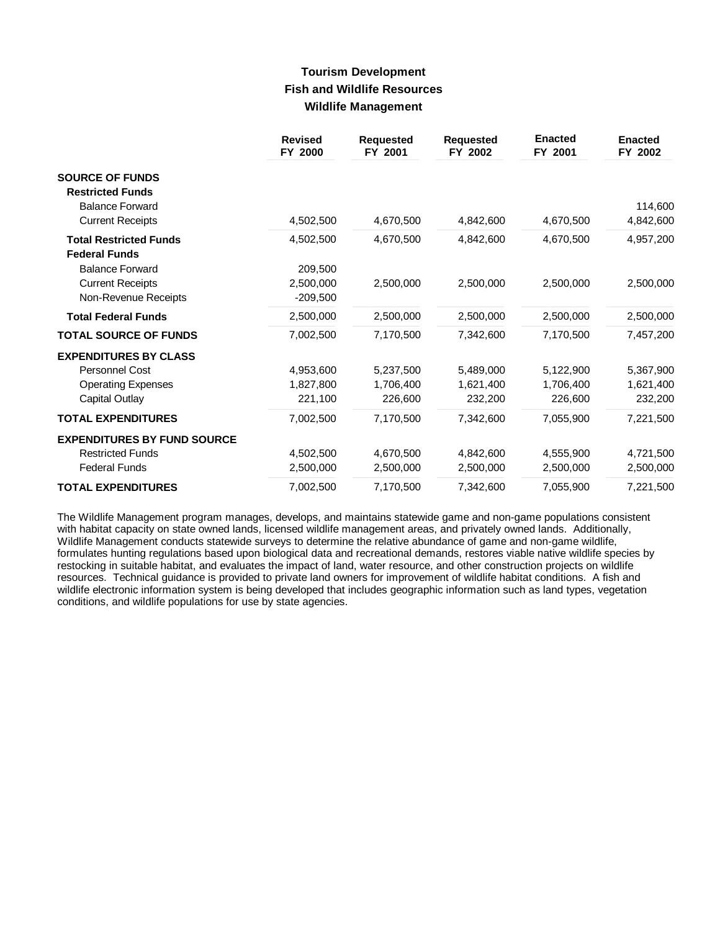## **Tourism Development Fish and Wildlife Resources Wildlife Management**

|                                    | <b>Revised</b><br>FY 2000 | <b>Requested</b><br>FY 2001 | <b>Requested</b><br>FY 2002 | <b>Enacted</b><br>FY 2001 | <b>Enacted</b><br>FY 2002 |
|------------------------------------|---------------------------|-----------------------------|-----------------------------|---------------------------|---------------------------|
| <b>SOURCE OF FUNDS</b>             |                           |                             |                             |                           |                           |
| <b>Restricted Funds</b>            |                           |                             |                             |                           |                           |
| <b>Balance Forward</b>             |                           |                             |                             |                           | 114,600                   |
| <b>Current Receipts</b>            | 4,502,500                 | 4,670,500                   | 4,842,600                   | 4,670,500                 | 4,842,600                 |
| <b>Total Restricted Funds</b>      | 4,502,500                 | 4,670,500                   | 4,842,600                   | 4,670,500                 | 4,957,200                 |
| <b>Federal Funds</b>               |                           |                             |                             |                           |                           |
| <b>Balance Forward</b>             | 209,500                   |                             |                             |                           |                           |
| <b>Current Receipts</b>            | 2,500,000                 | 2,500,000                   | 2,500,000                   | 2,500,000                 | 2,500,000                 |
| Non-Revenue Receipts               | $-209,500$                |                             |                             |                           |                           |
| <b>Total Federal Funds</b>         | 2,500,000                 | 2,500,000                   | 2,500,000                   | 2,500,000                 | 2,500,000                 |
| <b>TOTAL SOURCE OF FUNDS</b>       | 7,002,500                 | 7,170,500                   | 7,342,600                   | 7,170,500                 | 7,457,200                 |
| <b>EXPENDITURES BY CLASS</b>       |                           |                             |                             |                           |                           |
| <b>Personnel Cost</b>              | 4,953,600                 | 5,237,500                   | 5,489,000                   | 5,122,900                 | 5,367,900                 |
| <b>Operating Expenses</b>          | 1,827,800                 | 1,706,400                   | 1,621,400                   | 1,706,400                 | 1,621,400                 |
| Capital Outlay                     | 221,100                   | 226,600                     | 232,200                     | 226,600                   | 232,200                   |
| <b>TOTAL EXPENDITURES</b>          | 7,002,500                 | 7,170,500                   | 7,342,600                   | 7,055,900                 | 7,221,500                 |
| <b>EXPENDITURES BY FUND SOURCE</b> |                           |                             |                             |                           |                           |
| <b>Restricted Funds</b>            | 4,502,500                 | 4,670,500                   | 4,842,600                   | 4,555,900                 | 4,721,500                 |
| <b>Federal Funds</b>               | 2,500,000                 | 2,500,000                   | 2,500,000                   | 2,500,000                 | 2,500,000                 |
| <b>TOTAL EXPENDITURES</b>          | 7,002,500                 | 7,170,500                   | 7,342,600                   | 7,055,900                 | 7,221,500                 |

The Wildlife Management program manages, develops, and maintains statewide game and non-game populations consistent with habitat capacity on state owned lands, licensed wildlife management areas, and privately owned lands. Additionally, Wildlife Management conducts statewide surveys to determine the relative abundance of game and non-game wildlife, formulates hunting regulations based upon biological data and recreational demands, restores viable native wildlife species by restocking in suitable habitat, and evaluates the impact of land, water resource, and other construction projects on wildlife resources. Technical guidance is provided to private land owners for improvement of wildlife habitat conditions. A fish and wildlife electronic information system is being developed that includes geographic information such as land types, vegetation conditions, and wildlife populations for use by state agencies.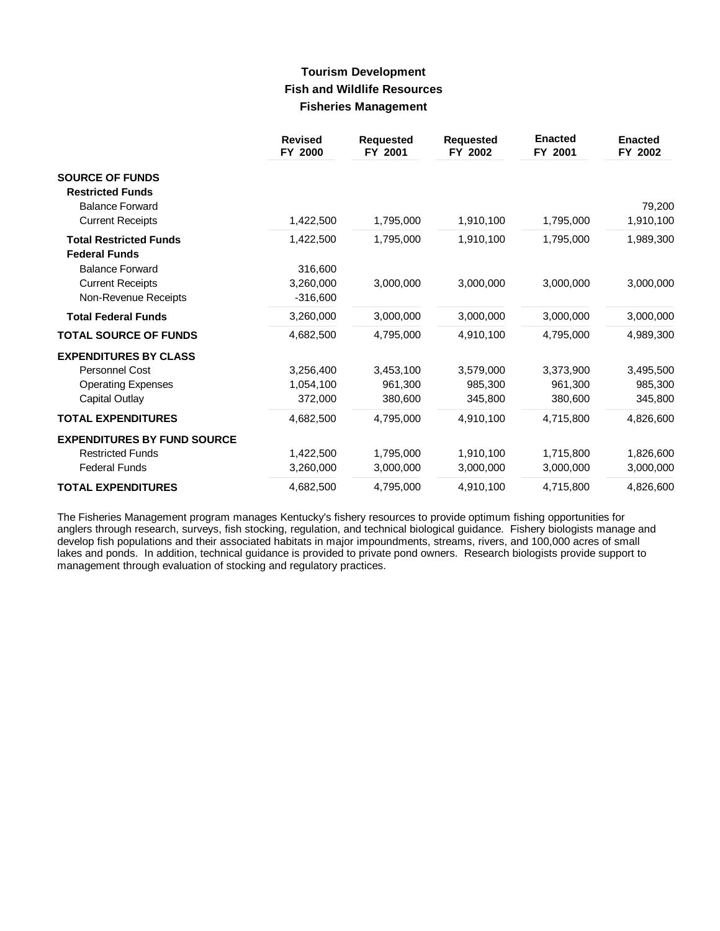## **Tourism Development Fish and Wildlife Resources Fisheries Management**

|                                                   | <b>Revised</b><br>FY 2000 | <b>Requested</b><br>FY 2001 | <b>Requested</b><br>FY 2002 | <b>Enacted</b><br>FY 2001 | <b>Enacted</b><br>FY 2002 |
|---------------------------------------------------|---------------------------|-----------------------------|-----------------------------|---------------------------|---------------------------|
| <b>SOURCE OF FUNDS</b><br><b>Restricted Funds</b> |                           |                             |                             |                           |                           |
| <b>Balance Forward</b>                            |                           |                             |                             |                           | 79,200                    |
| <b>Current Receipts</b>                           | 1,422,500                 | 1,795,000                   | 1,910,100                   | 1,795,000                 | 1,910,100                 |
| <b>Total Restricted Funds</b>                     | 1,422,500                 | 1,795,000                   | 1,910,100                   | 1,795,000                 | 1,989,300                 |
| <b>Federal Funds</b>                              |                           |                             |                             |                           |                           |
| <b>Balance Forward</b>                            | 316,600                   |                             |                             |                           |                           |
| <b>Current Receipts</b>                           | 3,260,000                 | 3,000,000                   | 3,000,000                   | 3,000,000                 | 3,000,000                 |
| Non-Revenue Receipts                              | $-316,600$                |                             |                             |                           |                           |
| <b>Total Federal Funds</b>                        | 3,260,000                 | 3,000,000                   | 3,000,000                   | 3,000,000                 | 3,000,000                 |
| <b>TOTAL SOURCE OF FUNDS</b>                      | 4,682,500                 | 4,795,000                   | 4,910,100                   | 4,795,000                 | 4,989,300                 |
| <b>EXPENDITURES BY CLASS</b>                      |                           |                             |                             |                           |                           |
| <b>Personnel Cost</b>                             | 3,256,400                 | 3,453,100                   | 3,579,000                   | 3,373,900                 | 3,495,500                 |
| <b>Operating Expenses</b>                         | 1,054,100                 | 961,300                     | 985,300                     | 961,300                   | 985,300                   |
| <b>Capital Outlay</b>                             | 372,000                   | 380,600                     | 345,800                     | 380,600                   | 345,800                   |
| <b>TOTAL EXPENDITURES</b>                         | 4,682,500                 | 4,795,000                   | 4,910,100                   | 4,715,800                 | 4,826,600                 |
| <b>EXPENDITURES BY FUND SOURCE</b>                |                           |                             |                             |                           |                           |
| <b>Restricted Funds</b>                           | 1,422,500                 | 1,795,000                   | 1,910,100                   | 1,715,800                 | 1,826,600                 |
| <b>Federal Funds</b>                              | 3,260,000                 | 3,000,000                   | 3,000,000                   | 3,000,000                 | 3,000,000                 |
| <b>TOTAL EXPENDITURES</b>                         | 4,682,500                 | 4,795,000                   | 4,910,100                   | 4,715,800                 | 4,826,600                 |

The Fisheries Management program manages Kentucky's fishery resources to provide optimum fishing opportunities for anglers through research, surveys, fish stocking, regulation, and technical biological guidance. Fishery biologists manage and develop fish populations and their associated habitats in major impoundments, streams, rivers, and 100,000 acres of small lakes and ponds. In addition, technical guidance is provided to private pond owners. Research biologists provide support to management through evaluation of stocking and regulatory practices.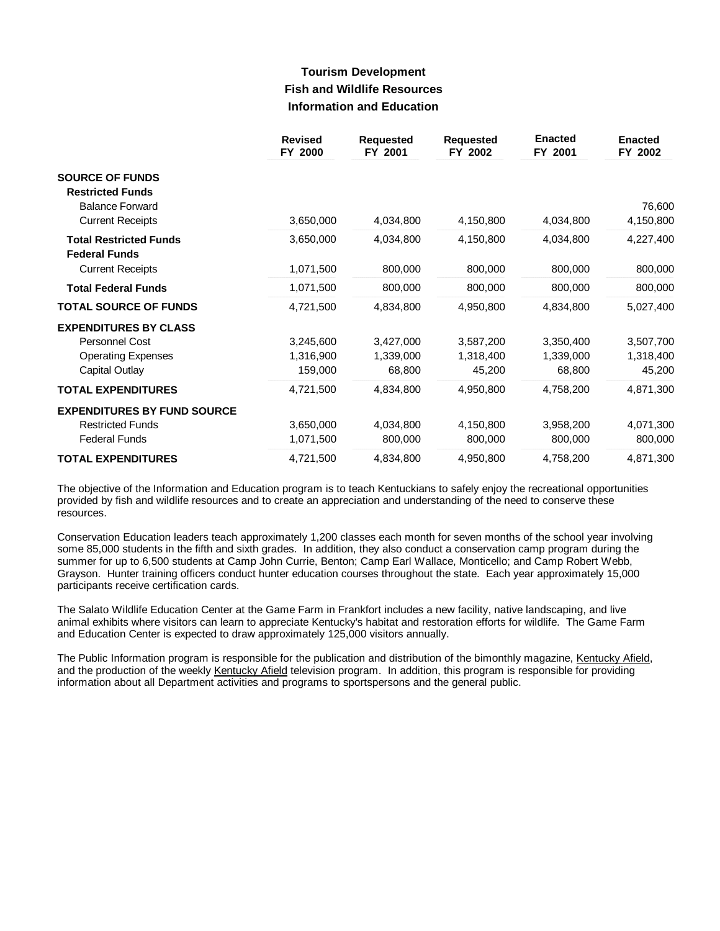# **Tourism Development Fish and Wildlife Resources Information and Education**

|                                    | <b>Revised</b><br>FY 2000 | <b>Requested</b><br>FY 2001 | <b>Requested</b><br>FY 2002 | <b>Enacted</b><br>FY 2001 | <b>Enacted</b><br>FY 2002 |
|------------------------------------|---------------------------|-----------------------------|-----------------------------|---------------------------|---------------------------|
| <b>SOURCE OF FUNDS</b>             |                           |                             |                             |                           |                           |
| <b>Restricted Funds</b>            |                           |                             |                             |                           |                           |
| <b>Balance Forward</b>             |                           |                             |                             |                           | 76,600                    |
| <b>Current Receipts</b>            | 3,650,000                 | 4,034,800                   | 4,150,800                   | 4,034,800                 | 4,150,800                 |
| <b>Total Restricted Funds</b>      | 3,650,000                 | 4,034,800                   | 4,150,800                   | 4,034,800                 | 4,227,400                 |
| <b>Federal Funds</b>               |                           |                             |                             |                           |                           |
| <b>Current Receipts</b>            | 1,071,500                 | 800,000                     | 800,000                     | 800,000                   | 800,000                   |
| <b>Total Federal Funds</b>         | 1,071,500                 | 800,000                     | 800,000                     | 800,000                   | 800,000                   |
| <b>TOTAL SOURCE OF FUNDS</b>       | 4,721,500                 | 4,834,800                   | 4,950,800                   | 4,834,800                 | 5,027,400                 |
| <b>EXPENDITURES BY CLASS</b>       |                           |                             |                             |                           |                           |
| Personnel Cost                     | 3,245,600                 | 3,427,000                   | 3,587,200                   | 3,350,400                 | 3,507,700                 |
| <b>Operating Expenses</b>          | 1,316,900                 | 1,339,000                   | 1,318,400                   | 1,339,000                 | 1,318,400                 |
| Capital Outlay                     | 159,000                   | 68,800                      | 45,200                      | 68,800                    | 45,200                    |
| <b>TOTAL EXPENDITURES</b>          | 4,721,500                 | 4,834,800                   | 4,950,800                   | 4,758,200                 | 4,871,300                 |
| <b>EXPENDITURES BY FUND SOURCE</b> |                           |                             |                             |                           |                           |
| <b>Restricted Funds</b>            | 3,650,000                 | 4,034,800                   | 4,150,800                   | 3,958,200                 | 4,071,300                 |
| <b>Federal Funds</b>               | 1,071,500                 | 800,000                     | 800,000                     | 800,000                   | 800,000                   |
| <b>TOTAL EXPENDITURES</b>          | 4,721,500                 | 4,834,800                   | 4,950,800                   | 4,758,200                 | 4,871,300                 |

The objective of the Information and Education program is to teach Kentuckians to safely enjoy the recreational opportunities provided by fish and wildlife resources and to create an appreciation and understanding of the need to conserve these resources.

Conservation Education leaders teach approximately 1,200 classes each month for seven months of the school year involving some 85,000 students in the fifth and sixth grades. In addition, they also conduct a conservation camp program during the summer for up to 6,500 students at Camp John Currie, Benton; Camp Earl Wallace, Monticello; and Camp Robert Webb, Grayson. Hunter training officers conduct hunter education courses throughout the state. Each year approximately 15,000 participants receive certification cards.

The Salato Wildlife Education Center at the Game Farm in Frankfort includes a new facility, native landscaping, and live animal exhibits where visitors can learn to appreciate Kentucky's habitat and restoration efforts for wildlife. The Game Farm and Education Center is expected to draw approximately 125,000 visitors annually.

The Public Information program is responsible for the publication and distribution of the bimonthly magazine, Kentucky Afield, and the production of the weekly Kentucky Afield television program. In addition, this program is responsible for providing information about all Department activities and programs to sportspersons and the general public.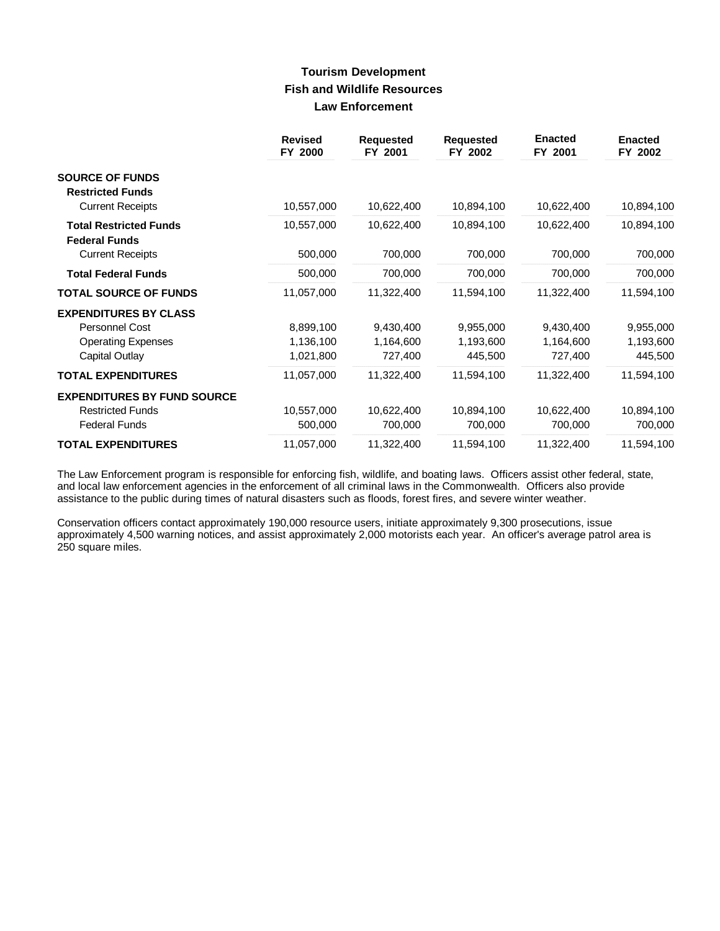# **Tourism Development Fish and Wildlife Resources Law Enforcement**

|                                                       | <b>Revised</b><br>FY 2000 | <b>Requested</b><br>FY 2001 | <b>Requested</b><br>FY 2002 | <b>Enacted</b><br>FY 2001 | <b>Enacted</b><br>FY 2002 |
|-------------------------------------------------------|---------------------------|-----------------------------|-----------------------------|---------------------------|---------------------------|
| <b>SOURCE OF FUNDS</b><br><b>Restricted Funds</b>     |                           |                             |                             |                           |                           |
| <b>Current Receipts</b>                               | 10,557,000                | 10,622,400                  | 10,894,100                  | 10,622,400                | 10,894,100                |
| <b>Total Restricted Funds</b><br><b>Federal Funds</b> | 10,557,000                | 10,622,400                  | 10,894,100                  | 10,622,400                | 10,894,100                |
| <b>Current Receipts</b>                               | 500,000                   | 700,000                     | 700,000                     | 700,000                   | 700,000                   |
| <b>Total Federal Funds</b>                            | 500,000                   | 700,000                     | 700,000                     | 700,000                   | 700,000                   |
| <b>TOTAL SOURCE OF FUNDS</b>                          | 11,057,000                | 11,322,400                  | 11,594,100                  | 11,322,400                | 11,594,100                |
| <b>EXPENDITURES BY CLASS</b>                          |                           |                             |                             |                           |                           |
| Personnel Cost                                        | 8,899,100                 | 9,430,400                   | 9,955,000                   | 9,430,400                 | 9,955,000                 |
| <b>Operating Expenses</b>                             | 1,136,100                 | 1,164,600                   | 1,193,600                   | 1,164,600                 | 1,193,600                 |
| Capital Outlay                                        | 1,021,800                 | 727,400                     | 445,500                     | 727,400                   | 445,500                   |
| <b>TOTAL EXPENDITURES</b>                             | 11,057,000                | 11,322,400                  | 11,594,100                  | 11,322,400                | 11,594,100                |
| <b>EXPENDITURES BY FUND SOURCE</b>                    |                           |                             |                             |                           |                           |
| <b>Restricted Funds</b>                               | 10,557,000                | 10,622,400                  | 10,894,100                  | 10,622,400                | 10,894,100                |
| <b>Federal Funds</b>                                  | 500,000                   | 700,000                     | 700,000                     | 700,000                   | 700,000                   |
| <b>TOTAL EXPENDITURES</b>                             | 11,057,000                | 11,322,400                  | 11,594,100                  | 11,322,400                | 11,594,100                |

The Law Enforcement program is responsible for enforcing fish, wildlife, and boating laws. Officers assist other federal, state, and local law enforcement agencies in the enforcement of all criminal laws in the Commonwealth. Officers also provide assistance to the public during times of natural disasters such as floods, forest fires, and severe winter weather.

Conservation officers contact approximately 190,000 resource users, initiate approximately 9,300 prosecutions, issue approximately 4,500 warning notices, and assist approximately 2,000 motorists each year. An officer's average patrol area is 250 square miles.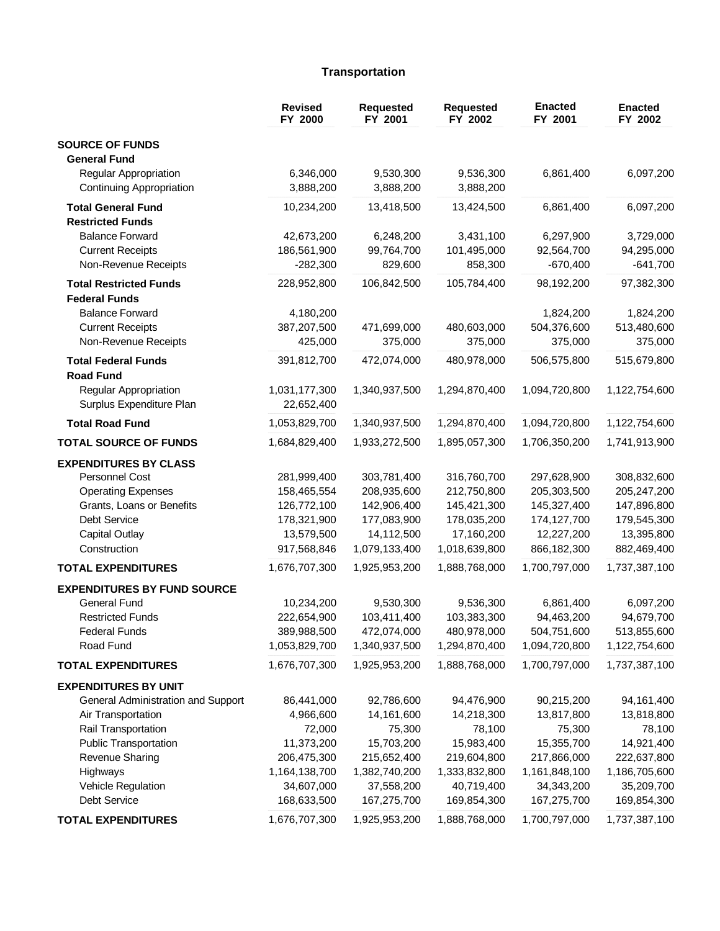## Transportation

|                                                       | <b>Revised</b><br>FY 2000    | <b>Requested</b><br>FY 2001  | Requested<br>FY 2002         | <b>Enacted</b><br>FY 2001    | <b>Enacted</b><br>FY 2002    |
|-------------------------------------------------------|------------------------------|------------------------------|------------------------------|------------------------------|------------------------------|
| <b>SOURCE OF FUNDS</b><br><b>General Fund</b>         |                              |                              |                              |                              |                              |
| Regular Appropriation<br>Continuing Appropriation     | 6,346,000<br>3,888,200       | 9,530,300<br>3,888,200       | 9,536,300<br>3,888,200       | 6,861,400                    | 6,097,200                    |
| <b>Total General Fund</b><br><b>Restricted Funds</b>  | 10,234,200                   | 13,418,500                   | 13,424,500                   | 6,861,400                    | 6,097,200                    |
| <b>Balance Forward</b>                                | 42,673,200                   | 6,248,200                    | 3,431,100                    | 6,297,900                    | 3,729,000                    |
| <b>Current Receipts</b>                               | 186,561,900                  | 99,764,700                   | 101,495,000                  | 92,564,700                   | 94,295,000                   |
| Non-Revenue Receipts                                  | $-282,300$                   | 829,600                      | 858,300                      | $-670,400$                   | $-641,700$                   |
| <b>Total Restricted Funds</b><br><b>Federal Funds</b> | 228,952,800                  | 106,842,500                  | 105,784,400                  | 98,192,200                   | 97,382,300                   |
| <b>Balance Forward</b>                                | 4,180,200                    |                              |                              | 1,824,200                    | 1,824,200                    |
| <b>Current Receipts</b>                               | 387,207,500                  | 471,699,000                  | 480,603,000                  | 504,376,600                  | 513,480,600                  |
| Non-Revenue Receipts                                  | 425,000                      | 375,000                      | 375,000                      | 375,000                      | 375,000                      |
| <b>Total Federal Funds</b><br><b>Road Fund</b>        | 391,812,700                  | 472,074,000                  | 480,978,000                  | 506,575,800                  | 515,679,800                  |
| Regular Appropriation<br>Surplus Expenditure Plan     | 1,031,177,300<br>22,652,400  | 1,340,937,500                | 1,294,870,400                | 1,094,720,800                | 1,122,754,600                |
| <b>Total Road Fund</b>                                | 1,053,829,700                | 1,340,937,500                | 1,294,870,400                | 1,094,720,800                | 1,122,754,600                |
| <b>TOTAL SOURCE OF FUNDS</b>                          | 1,684,829,400                | 1,933,272,500                | 1,895,057,300                | 1,706,350,200                | 1,741,913,900                |
| <b>EXPENDITURES BY CLASS</b>                          |                              |                              |                              |                              |                              |
| Personnel Cost                                        | 281,999,400                  | 303,781,400                  | 316,760,700                  | 297,628,900                  | 308,832,600                  |
| <b>Operating Expenses</b>                             | 158,465,554                  | 208,935,600                  | 212,750,800                  | 205,303,500                  | 205,247,200                  |
| Grants, Loans or Benefits                             | 126,772,100                  | 142,906,400                  | 145,421,300                  | 145,327,400                  | 147,896,800                  |
| Debt Service                                          | 178,321,900                  | 177,083,900                  | 178,035,200                  | 174,127,700                  | 179,545,300                  |
| <b>Capital Outlay</b>                                 | 13,579,500                   | 14,112,500                   | 17,160,200                   | 12,227,200                   | 13,395,800                   |
| Construction                                          | 917,568,846                  | 1,079,133,400                | 1,018,639,800                | 866,182,300                  | 882,469,400                  |
| <b>TOTAL EXPENDITURES</b>                             | 1,676,707,300                | 1,925,953,200                | 1,888,768,000                | 1,700,797,000                | 1,737,387,100                |
| <b>EXPENDITURES BY FUND SOURCE</b>                    |                              |                              |                              |                              |                              |
| <b>General Fund</b>                                   | 10,234,200                   | 9,530,300                    | 9,536,300                    | 6,861,400                    | 6,097,200                    |
| <b>Restricted Funds</b>                               | 222,654,900                  | 103,411,400                  | 103,383,300                  | 94,463,200                   | 94,679,700                   |
| <b>Federal Funds</b>                                  | 389,988,500                  | 472,074,000                  | 480,978,000                  | 504,751,600                  | 513,855,600                  |
| Road Fund                                             | 1,053,829,700                | 1,340,937,500                | 1,294,870,400                | 1,094,720,800                | 1,122,754,600                |
| <b>TOTAL EXPENDITURES</b>                             | 1,676,707,300                | 1,925,953,200                | 1,888,768,000                | 1,700,797,000                | 1,737,387,100                |
| <b>EXPENDITURES BY UNIT</b>                           |                              |                              |                              |                              |                              |
| General Administration and Support                    | 86,441,000                   | 92,786,600                   | 94,476,900                   | 90,215,200                   | 94, 161, 400                 |
| Air Transportation                                    | 4,966,600                    | 14,161,600                   | 14,218,300                   | 13,817,800                   | 13,818,800                   |
| Rail Transportation                                   | 72,000                       | 75,300                       | 78,100                       | 75,300                       | 78,100                       |
| <b>Public Transportation</b>                          | 11,373,200                   | 15,703,200                   | 15,983,400                   | 15,355,700                   | 14,921,400                   |
| Revenue Sharing<br>Highways                           | 206,475,300<br>1,164,138,700 | 215,652,400<br>1,382,740,200 | 219,604,800<br>1,333,832,800 | 217,866,000<br>1,161,848,100 | 222,637,800<br>1,186,705,600 |
| Vehicle Regulation                                    | 34,607,000                   | 37,558,200                   | 40,719,400                   | 34, 343, 200                 | 35,209,700                   |
| Debt Service                                          | 168,633,500                  | 167,275,700                  | 169,854,300                  | 167,275,700                  | 169,854,300                  |
|                                                       |                              |                              |                              |                              |                              |
| <b>TOTAL EXPENDITURES</b>                             | 1,676,707,300                | 1,925,953,200                | 1,888,768,000                | 1,700,797,000                | 1,737,387,100                |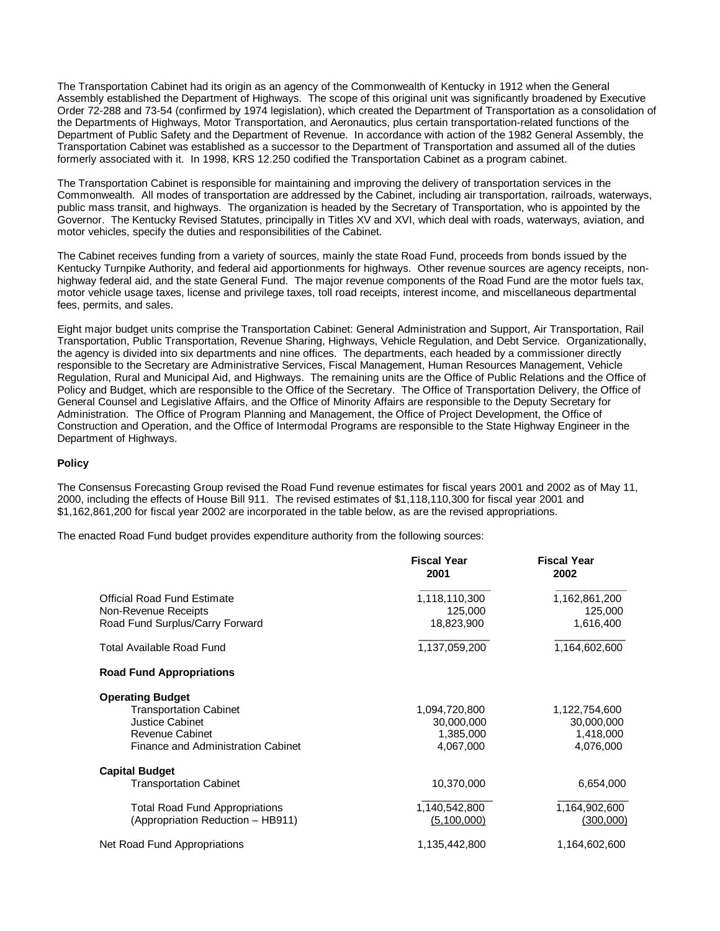The Transportation Cabinet had its origin as an agency of the Commonwealth of Kentucky in 1912 when the General Assembly established the Department of Highways. The scope of this original unit was significantly broadened by Executive Order 72-288 and 73-54 (confirmed by 1974 legislation), which created the Department of Transportation as a consolidation of the Departments of Highways, Motor Transportation, and Aeronautics, plus certain transportation-related functions of the Department of Public Safety and the Department of Revenue. In accordance with action of the 1982 General Assembly, the Transportation Cabinet was established as a successor to the Department of Transportation and assumed all of the duties formerly associated with it. In 1998, KRS 12.250 codified the Transportation Cabinet as a program cabinet.

The Transportation Cabinet is responsible for maintaining and improving the delivery of transportation services in the Commonwealth. All modes of transportation are addressed by the Cabinet, including air transportation, railroads, waterways, public mass transit, and highways. The organization is headed by the Secretary of Transportation, who is appointed by the Governor. The Kentucky Revised Statutes, principally in Titles XV and XVI, which deal with roads, waterways, aviation, and motor vehicles, specify the duties and responsibilities of the Cabinet.

The Cabinet receives funding from a variety of sources, mainly the state Road Fund, proceeds from bonds issued by the Kentucky Turnpike Authority, and federal aid apportionments for highways. Other revenue sources are agency receipts, nonhighway federal aid, and the state General Fund. The major revenue components of the Road Fund are the motor fuels tax, motor vehicle usage taxes, license and privilege taxes, toll road receipts, interest income, and miscellaneous departmental fees, permits, and sales.

Eight major budget units comprise the Transportation Cabinet: General Administration and Support, Air Transportation, Rail Transportation, Public Transportation, Revenue Sharing, Highways, Vehicle Regulation, and Debt Service. Organizationally, the agency is divided into six departments and nine offices. The departments, each headed by a commissioner directly responsible to the Secretary are Administrative Services, Fiscal Management, Human Resources Management, Vehicle Regulation, Rural and Municipal Aid, and Highways. The remaining units are the Office of Public Relations and the Office of Policy and Budget, which are responsible to the Office of the Secretary. The Office of Transportation Delivery, the Office of General Counsel and Legislative Affairs, and the Office of Minority Affairs are responsible to the Deputy Secretary for Administration. The Office of Program Planning and Management, the Office of Project Development, the Office of Construction and Operation, and the Office of Intermodal Programs are responsible to the State Highway Engineer in the Department of Highways.

### **Policy**

The Consensus Forecasting Group revised the Road Fund revenue estimates for fiscal years 2001 and 2002 as of May 11, 2000, including the effects of House Bill 911. The revised estimates of \$1,118,110,300 for fiscal year 2001 and \$1,162,861,200 for fiscal year 2002 are incorporated in the table below, as are the revised appropriations.

The enacted Road Fund budget provides expenditure authority from the following sources:

|                                       | <b>Fiscal Year</b><br>2001 | <b>Fiscal Year</b><br>2002 |
|---------------------------------------|----------------------------|----------------------------|
| <b>Official Road Fund Estimate</b>    | 1,118,110,300              | 1,162,861,200              |
| Non-Revenue Receipts                  | 125,000                    | 125,000                    |
| Road Fund Surplus/Carry Forward       | 18,823,900                 | 1,616,400                  |
| <b>Total Available Road Fund</b>      | 1,137,059,200              | 1,164,602,600              |
| <b>Road Fund Appropriations</b>       |                            |                            |
| <b>Operating Budget</b>               |                            |                            |
| <b>Transportation Cabinet</b>         | 1,094,720,800              | 1,122,754,600              |
| <b>Justice Cabinet</b>                | 30,000,000                 | 30,000,000                 |
| <b>Revenue Cabinet</b>                | 1,385,000                  | 1,418,000                  |
| Finance and Administration Cabinet    | 4,067,000                  | 4,076,000                  |
| <b>Capital Budget</b>                 |                            |                            |
| <b>Transportation Cabinet</b>         | 10,370,000                 | 6,654,000                  |
| <b>Total Road Fund Appropriations</b> | 1,140,542,800              | 1,164,902,600              |
| (Appropriation Reduction - HB911)     | (5,100,000)                | (300,000)                  |
| Net Road Fund Appropriations          | 1,135,442,800              | 1,164,602,600              |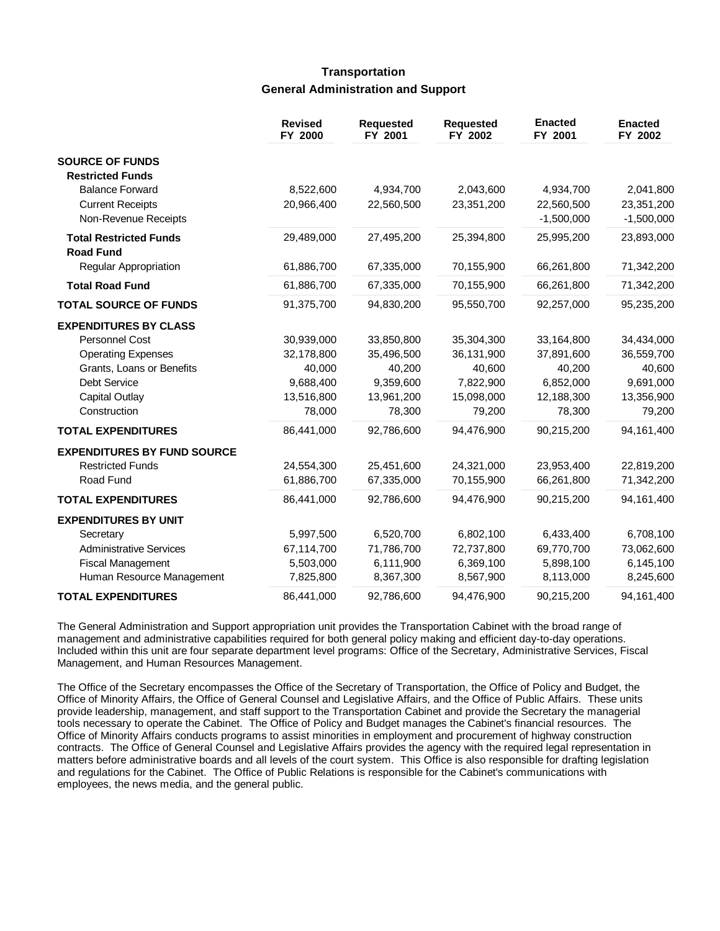# **Transportation General Administration and Support**

|                                                   | <b>Revised</b><br>FY 2000 | <b>Requested</b><br>FY 2001 | <b>Requested</b><br>FY 2002 | <b>Enacted</b><br>FY 2001  | <b>Enacted</b><br>FY 2002  |
|---------------------------------------------------|---------------------------|-----------------------------|-----------------------------|----------------------------|----------------------------|
| <b>SOURCE OF FUNDS</b><br><b>Restricted Funds</b> |                           |                             |                             |                            |                            |
| <b>Balance Forward</b>                            | 8,522,600                 | 4,934,700                   | 2,043,600                   | 4,934,700                  | 2,041,800                  |
| <b>Current Receipts</b><br>Non-Revenue Receipts   | 20,966,400                | 22,560,500                  | 23,351,200                  | 22,560,500<br>$-1,500,000$ | 23,351,200<br>$-1,500,000$ |
| <b>Total Restricted Funds</b><br><b>Road Fund</b> | 29,489,000                | 27,495,200                  | 25,394,800                  | 25,995,200                 | 23,893,000                 |
| Regular Appropriation                             | 61,886,700                | 67,335,000                  | 70,155,900                  | 66,261,800                 | 71,342,200                 |
| <b>Total Road Fund</b>                            | 61,886,700                | 67,335,000                  | 70,155,900                  | 66,261,800                 | 71,342,200                 |
| <b>TOTAL SOURCE OF FUNDS</b>                      | 91,375,700                | 94,830,200                  | 95,550,700                  | 92,257,000                 | 95,235,200                 |
| <b>EXPENDITURES BY CLASS</b>                      |                           |                             |                             |                            |                            |
| Personnel Cost                                    | 30,939,000                | 33,850,800                  | 35,304,300                  | 33,164,800                 | 34,434,000                 |
| <b>Operating Expenses</b>                         | 32,178,800                | 35,496,500                  | 36,131,900                  | 37,891,600                 | 36,559,700                 |
| Grants, Loans or Benefits                         | 40,000                    | 40,200                      | 40,600                      | 40,200                     | 40,600                     |
| <b>Debt Service</b>                               | 9,688,400                 | 9,359,600                   | 7,822,900                   | 6,852,000                  | 9,691,000                  |
| <b>Capital Outlay</b><br>Construction             | 13,516,800<br>78,000      | 13,961,200<br>78,300        | 15,098,000<br>79,200        | 12,188,300<br>78,300       | 13,356,900<br>79,200       |
| <b>TOTAL EXPENDITURES</b>                         | 86,441,000                | 92,786,600                  | 94,476,900                  | 90,215,200                 | 94,161,400                 |
| <b>EXPENDITURES BY FUND SOURCE</b>                |                           |                             |                             |                            |                            |
| <b>Restricted Funds</b>                           | 24,554,300                | 25,451,600                  | 24,321,000                  | 23,953,400                 | 22,819,200                 |
| Road Fund                                         | 61,886,700                | 67,335,000                  | 70,155,900                  | 66,261,800                 | 71,342,200                 |
| <b>TOTAL EXPENDITURES</b>                         | 86,441,000                | 92,786,600                  | 94,476,900                  | 90,215,200                 | 94,161,400                 |
| <b>EXPENDITURES BY UNIT</b>                       |                           |                             |                             |                            |                            |
| Secretary                                         | 5,997,500                 | 6,520,700                   | 6,802,100                   | 6,433,400                  | 6,708,100                  |
| <b>Administrative Services</b>                    | 67,114,700                | 71,786,700                  | 72,737,800                  | 69,770,700                 | 73,062,600                 |
| <b>Fiscal Management</b>                          | 5,503,000                 | 6,111,900                   | 6,369,100                   | 5,898,100                  | 6,145,100                  |
| Human Resource Management                         | 7,825,800                 | 8,367,300                   | 8,567,900                   | 8,113,000                  | 8,245,600                  |
| <b>TOTAL EXPENDITURES</b>                         | 86,441,000                | 92,786,600                  | 94,476,900                  | 90,215,200                 | 94,161,400                 |

The General Administration and Support appropriation unit provides the Transportation Cabinet with the broad range of management and administrative capabilities required for both general policy making and efficient day-to-day operations. Included within this unit are four separate department level programs: Office of the Secretary, Administrative Services, Fiscal Management, and Human Resources Management.

The Office of the Secretary encompasses the Office of the Secretary of Transportation, the Office of Policy and Budget, the Office of Minority Affairs, the Office of General Counsel and Legislative Affairs, and the Office of Public Affairs. These units provide leadership, management, and staff support to the Transportation Cabinet and provide the Secretary the managerial tools necessary to operate the Cabinet. The Office of Policy and Budget manages the Cabinet's financial resources. The Office of Minority Affairs conducts programs to assist minorities in employment and procurement of highway construction contracts. The Office of General Counsel and Legislative Affairs provides the agency with the required legal representation in matters before administrative boards and all levels of the court system. This Office is also responsible for drafting legislation and regulations for the Cabinet. The Office of Public Relations is responsible for the Cabinet's communications with employees, the news media, and the general public.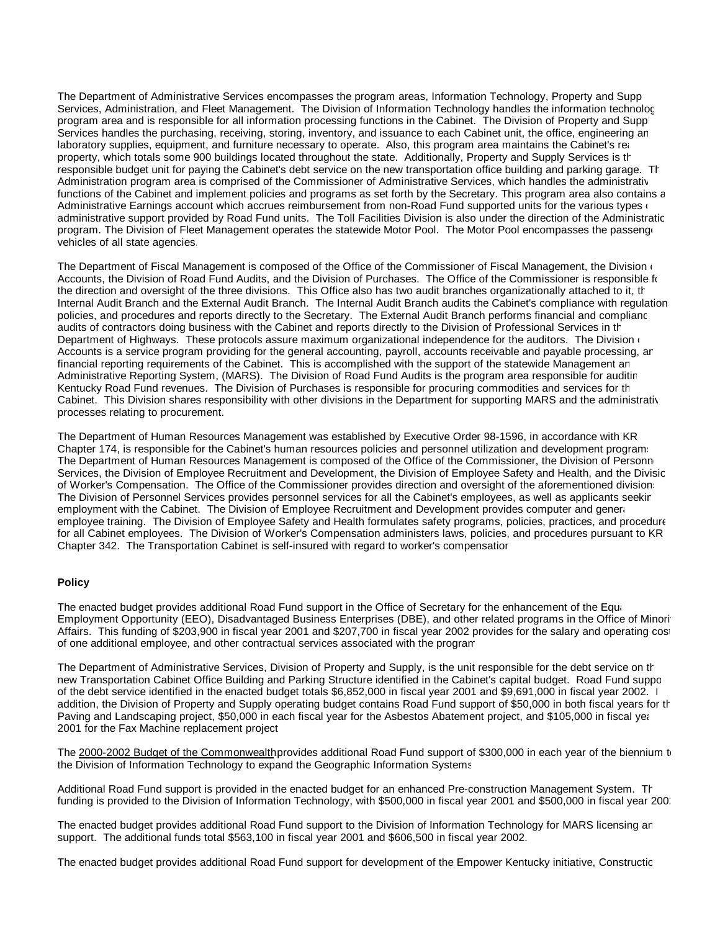The Department of Administrative Services encompasses the program areas, Information Technology, Property and Supp Services, Administration, and Fleet Management. The Division of Information Technology handles the information technology program area and is responsible for all information processing functions in the Cabinet. The Division of Property and Supp Services handles the purchasing, receiving, storing, inventory, and issuance to each Cabinet unit, the office, engineering ar laboratory supplies, equipment, and furniture necessary to operate. Also, this program area maintains the Cabinet's real property, which totals some 900 buildings located throughout the state. Additionally, Property and Supply Services is the responsible budget unit for paying the Cabinet's debt service on the new transportation office building and parking garage. The Administration program area is comprised of the Commissioner of Administrative Services, which handles the administrative functions of the Cabinet and implement policies and programs as set forth by the Secretary. This program area also contains a Administrative Earnings account which accrues reimbursement from non-Road Fund supported units for the various types of administrative support provided by Road Fund units. The Toll Facilities Division is also under the direction of the Administratic program. The Division of Fleet Management operates the statewide Motor Pool. The Motor Pool encompasses the passenge vehicles of all state agencies.

The Department of Fiscal Management is composed of the Office of the Commissioner of Fiscal Management, the Division of Accounts, the Division of Road Fund Audits, and the Division of Purchases. The Office of the Commissioner is responsible for the direction and oversight of the three divisions. This Office also has two audit branches organizationally attached to it, th Internal Audit Branch and the External Audit Branch. The Internal Audit Branch audits the Cabinet's compliance with regulation policies, and procedures and reports directly to the Secretary. The External Audit Branch performs financial and complianc audits of contractors doing business with the Cabinet and reports directly to the Division of Professional Services in the Department of Highways. These protocols assure maximum organizational independence for the auditors. The Division of Accounts is a service program providing for the general accounting, payroll, accounts receivable and payable processing, ar financial reporting requirements of the Cabinet. This is accomplished with the support of the statewide Management and Administrative Reporting System, (MARS). The Division of Road Fund Audits is the program area responsible for auditing Kentucky Road Fund revenues. The Division of Purchases is responsible for procuring commodities and services for th Cabinet. This Division shares responsibility with other divisions in the Department for supporting MARS and the administrative processes relating to procurement.

The Department of Human Resources Management was established by Executive Order 98-1596, in accordance with KR Chapter 174, is responsible for the Cabinet's human resources policies and personnel utilization and development programs. The Department of Human Resources Management is composed of the Office of the Commissioner, the Division of Personn Services, the Division of Employee Recruitment and Development, the Division of Employee Safety and Health, and the Divisic of Worker's Compensation. The Office of the Commissioner provides direction and oversight of the aforementioned divisions. The Division of Personnel Services provides personnel services for all the Cabinet's employees, as well as applicants seeking employment with the Cabinet. The Division of Employee Recruitment and Development provides computer and general employee training. The Division of Employee Safety and Health formulates safety programs, policies, practices, and procedure for all Cabinet employees. The Division of Worker's Compensation administers laws, policies, and procedures pursuant to KR Chapter 342. The Transportation Cabinet is self-insured with regard to worker's compensation.

### **Policy**

The enacted budget provides additional Road Fund support in the Office of Secretary for the enhancement of the Equal Employment Opportunity (EEO), Disadvantaged Business Enterprises (DBE), and other related programs in the Office of Minority Affairs. This funding of \$203,900 in fiscal year 2001 and \$207,700 in fiscal year 2002 provides for the salary and operating costs of one additional employee, and other contractual services associated with the program.

The Department of Administrative Services, Division of Property and Supply, is the unit responsible for the debt service on the new Transportation Cabinet Office Building and Parking Structure identified in the Cabinet's capital budget. Road Fund support of the debt service identified in the enacted budget totals \$6,852,000 in fiscal year 2001 and \$9,691,000 in fiscal year 2002. addition, the Division of Property and Supply operating budget contains Road Fund support of \$50,000 in both fiscal years for the Paving and Landscaping project, \$50,000 in each fiscal year for the Asbestos Abatement project, and \$105,000 in fiscal year 2001 for the Fax Machine replacement project.

The 2000-2002 Budget of the Commonwealth provides additional Road Fund support of \$300,000 in each year of the biennium  $t_1$ the Division of Information Technology to expand the Geographic Information Systems.

Additional Road Fund support is provided in the enacted budget for an enhanced Pre-construction Management System. Th funding is provided to the Division of Information Technology, with \$500,000 in fiscal year 2001 and \$500,000 in fiscal year 2002.

The enacted budget provides additional Road Fund support to the Division of Information Technology for MARS licensing and support. The additional funds total \$563,100 in fiscal year 2001 and \$606,500 in fiscal year 2002.

The enacted budget provides additional Road Fund support for development of the Empower Kentucky initiative, Constructic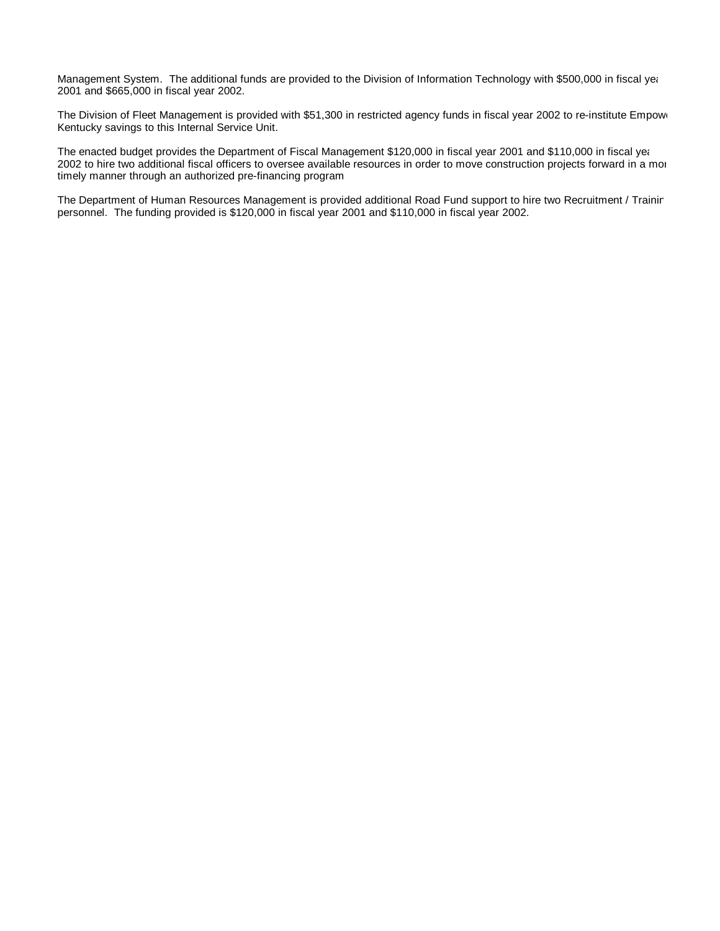Management System. The additional funds are provided to the Division of Information Technology with \$500,000 in fiscal year 2001 and \$665,000 in fiscal year 2002.

The Division of Fleet Management is provided with \$51,300 in restricted agency funds in fiscal year 2002 to re-institute Empower Kentucky savings to this Internal Service Unit.

The enacted budget provides the Department of Fiscal Management \$120,000 in fiscal year 2001 and \$110,000 in fiscal year 2002 to hire two additional fiscal officers to oversee available resources in order to move construction projects forward in a more timely manner through an authorized pre-financing program.

The Department of Human Resources Management is provided additional Road Fund support to hire two Recruitment / Trainin personnel. The funding provided is \$120,000 in fiscal year 2001 and \$110,000 in fiscal year 2002.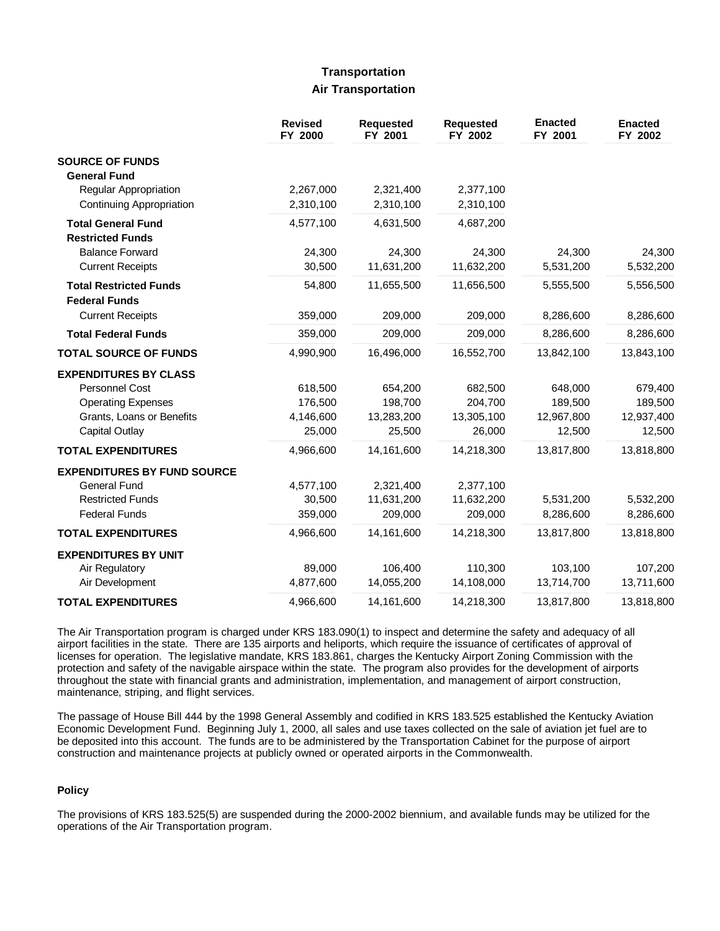## **Transportation Air Transportation**

|                                                       | <b>Revised</b><br>FY 2000 | <b>Requested</b><br>FY 2001 | <b>Requested</b><br>FY 2002 | <b>Enacted</b><br>FY 2001 | <b>Enacted</b><br>FY 2002 |
|-------------------------------------------------------|---------------------------|-----------------------------|-----------------------------|---------------------------|---------------------------|
| <b>SOURCE OF FUNDS</b>                                |                           |                             |                             |                           |                           |
| <b>General Fund</b>                                   |                           |                             |                             |                           |                           |
| Regular Appropriation<br>Continuing Appropriation     | 2,267,000<br>2,310,100    | 2,321,400<br>2,310,100      | 2,377,100<br>2,310,100      |                           |                           |
|                                                       |                           |                             |                             |                           |                           |
| <b>Total General Fund</b><br><b>Restricted Funds</b>  | 4,577,100                 | 4,631,500                   | 4,687,200                   |                           |                           |
| <b>Balance Forward</b>                                | 24,300                    | 24,300                      | 24,300                      | 24,300                    | 24,300                    |
| <b>Current Receipts</b>                               | 30,500                    | 11,631,200                  | 11,632,200                  | 5,531,200                 | 5,532,200                 |
| <b>Total Restricted Funds</b><br><b>Federal Funds</b> | 54,800                    | 11,655,500                  | 11,656,500                  | 5,555,500                 | 5,556,500                 |
| <b>Current Receipts</b>                               | 359,000                   | 209,000                     | 209,000                     | 8,286,600                 | 8,286,600                 |
| <b>Total Federal Funds</b>                            | 359,000                   | 209,000                     | 209,000                     | 8,286,600                 | 8,286,600                 |
| <b>TOTAL SOURCE OF FUNDS</b>                          | 4,990,900                 | 16,496,000                  | 16,552,700                  | 13,842,100                | 13,843,100                |
| <b>EXPENDITURES BY CLASS</b>                          |                           |                             |                             |                           |                           |
| <b>Personnel Cost</b>                                 | 618,500                   | 654,200                     | 682,500                     | 648,000                   | 679,400                   |
| <b>Operating Expenses</b>                             | 176,500                   | 198,700                     | 204,700                     | 189,500                   | 189,500                   |
| Grants, Loans or Benefits                             | 4,146,600                 | 13,283,200                  | 13,305,100                  | 12,967,800                | 12,937,400                |
| <b>Capital Outlay</b>                                 | 25,000                    | 25,500                      | 26,000                      | 12,500                    | 12,500                    |
| <b>TOTAL EXPENDITURES</b>                             | 4,966,600                 | 14,161,600                  | 14,218,300                  | 13,817,800                | 13,818,800                |
| <b>EXPENDITURES BY FUND SOURCE</b>                    |                           |                             |                             |                           |                           |
| <b>General Fund</b>                                   | 4,577,100                 | 2,321,400                   | 2,377,100                   |                           |                           |
| <b>Restricted Funds</b>                               | 30,500                    | 11,631,200                  | 11,632,200                  | 5,531,200                 | 5,532,200                 |
| <b>Federal Funds</b>                                  | 359,000                   | 209,000                     | 209,000                     | 8,286,600                 | 8,286,600                 |
| <b>TOTAL EXPENDITURES</b>                             | 4,966,600                 | 14,161,600                  | 14,218,300                  | 13,817,800                | 13,818,800                |
| <b>EXPENDITURES BY UNIT</b>                           |                           |                             |                             |                           |                           |
| Air Regulatory                                        | 89,000                    | 106,400                     | 110,300                     | 103,100                   | 107,200                   |
| Air Development                                       | 4,877,600                 | 14,055,200                  | 14,108,000                  | 13,714,700                | 13,711,600                |
| <b>TOTAL EXPENDITURES</b>                             | 4,966,600                 | 14,161,600                  | 14,218,300                  | 13,817,800                | 13,818,800                |

The Air Transportation program is charged under KRS 183.090(1) to inspect and determine the safety and adequacy of all airport facilities in the state. There are 135 airports and heliports, which require the issuance of certificates of approval of licenses for operation. The legislative mandate, KRS 183.861, charges the Kentucky Airport Zoning Commission with the protection and safety of the navigable airspace within the state. The program also provides for the development of airports throughout the state with financial grants and administration, implementation, and management of airport construction, maintenance, striping, and flight services.

The passage of House Bill 444 by the 1998 General Assembly and codified in KRS 183.525 established the Kentucky Aviation Economic Development Fund. Beginning July 1, 2000, all sales and use taxes collected on the sale of aviation jet fuel are to be deposited into this account. The funds are to be administered by the Transportation Cabinet for the purpose of airport construction and maintenance projects at publicly owned or operated airports in the Commonwealth.

## **Policy**

The provisions of KRS 183.525(5) are suspended during the 2000-2002 biennium, and available funds may be utilized for the operations of the Air Transportation program.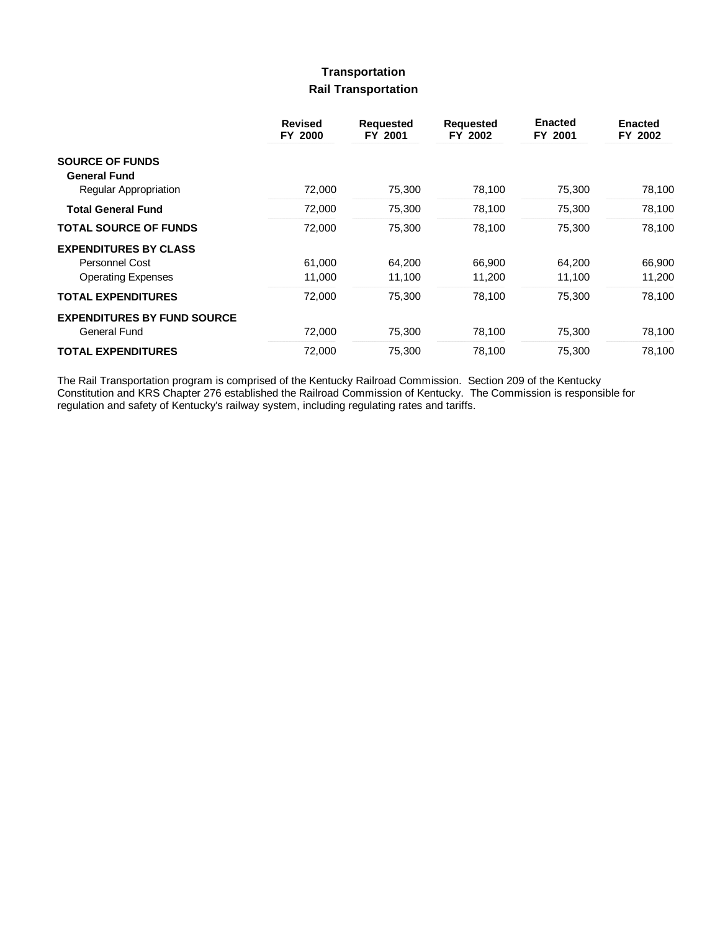# **Transportation Rail Transportation**

|                                    | <b>Revised</b><br>FY 2000 | <b>Requested</b><br>FY 2001 | <b>Requested</b><br>FY 2002 | <b>Enacted</b><br>FY 2001 | <b>Enacted</b><br>FY 2002 |
|------------------------------------|---------------------------|-----------------------------|-----------------------------|---------------------------|---------------------------|
| <b>SOURCE OF FUNDS</b>             |                           |                             |                             |                           |                           |
| <b>General Fund</b>                |                           |                             |                             |                           |                           |
| <b>Regular Appropriation</b>       | 72,000                    | 75,300                      | 78,100                      | 75,300                    | 78,100                    |
| <b>Total General Fund</b>          | 72,000                    | 75,300                      | 78,100                      | 75,300                    | 78,100                    |
| <b>TOTAL SOURCE OF FUNDS</b>       | 72,000                    | 75,300                      | 78,100                      | 75.300                    | 78.100                    |
| <b>EXPENDITURES BY CLASS</b>       |                           |                             |                             |                           |                           |
| <b>Personnel Cost</b>              | 61.000                    | 64.200                      | 66,900                      | 64.200                    | 66.900                    |
| <b>Operating Expenses</b>          | 11,000                    | 11,100                      | 11,200                      | 11,100                    | 11,200                    |
| <b>TOTAL EXPENDITURES</b>          | 72,000                    | 75,300                      | 78,100                      | 75,300                    | 78,100                    |
| <b>EXPENDITURES BY FUND SOURCE</b> |                           |                             |                             |                           |                           |
| <b>General Fund</b>                | 72,000                    | 75,300                      | 78,100                      | 75,300                    | 78,100                    |
| <b>TOTAL EXPENDITURES</b>          | 72,000                    | 75,300                      | 78,100                      | 75,300                    | 78,100                    |

The Rail Transportation program is comprised of the Kentucky Railroad Commission. Section 209 of the Kentucky Constitution and KRS Chapter 276 established the Railroad Commission of Kentucky. The Commission is responsible for regulation and safety of Kentucky's railway system, including regulating rates and tariffs.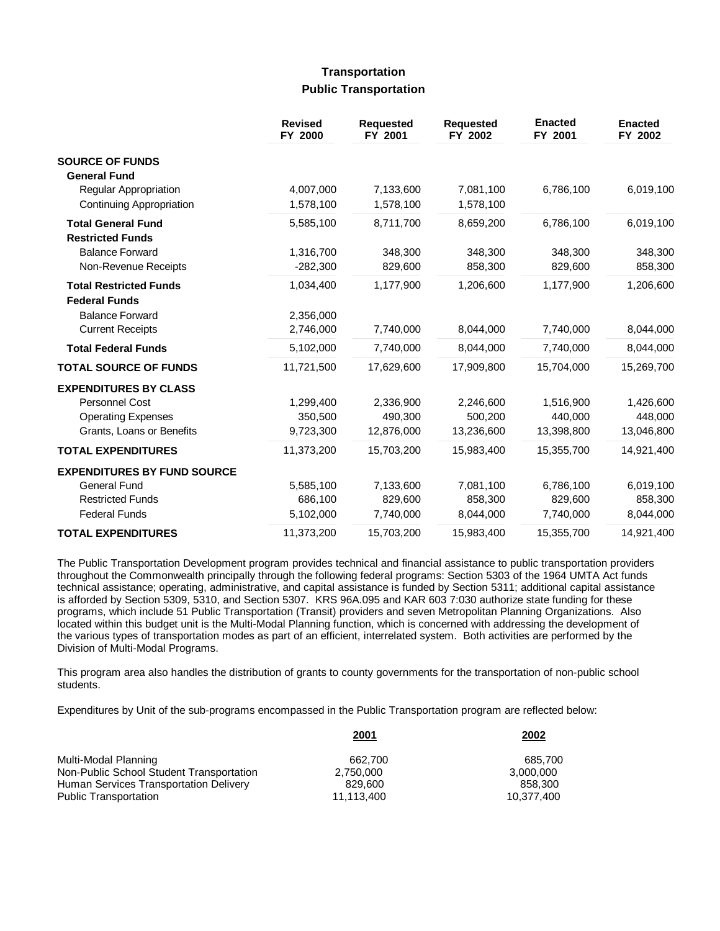## **Transportation Public Transportation**

|                                                      | <b>Revised</b><br>FY 2000 | <b>Requested</b><br>FY 2001 | <b>Requested</b><br>FY 2002 | <b>Enacted</b><br>FY 2001 | <b>Enacted</b><br>FY 2002 |
|------------------------------------------------------|---------------------------|-----------------------------|-----------------------------|---------------------------|---------------------------|
| <b>SOURCE OF FUNDS</b>                               |                           |                             |                             |                           |                           |
| <b>General Fund</b>                                  |                           |                             |                             |                           |                           |
| Regular Appropriation                                | 4,007,000                 | 7,133,600                   | 7,081,100                   | 6,786,100                 | 6,019,100                 |
| <b>Continuing Appropriation</b>                      | 1,578,100                 | 1,578,100                   | 1,578,100                   |                           |                           |
| <b>Total General Fund</b><br><b>Restricted Funds</b> | 5,585,100                 | 8,711,700                   | 8,659,200                   | 6,786,100                 | 6,019,100                 |
| <b>Balance Forward</b>                               | 1,316,700                 | 348,300                     | 348,300                     | 348,300                   | 348,300                   |
| Non-Revenue Receipts                                 | $-282,300$                | 829,600                     | 858,300                     | 829,600                   | 858,300                   |
|                                                      |                           |                             |                             |                           |                           |
| <b>Total Restricted Funds</b>                        | 1,034,400                 | 1,177,900                   | 1,206,600                   | 1,177,900                 | 1,206,600                 |
| <b>Federal Funds</b>                                 |                           |                             |                             |                           |                           |
| <b>Balance Forward</b>                               | 2,356,000                 |                             |                             |                           |                           |
| <b>Current Receipts</b>                              | 2,746,000                 | 7,740,000                   | 8,044,000                   | 7,740,000                 | 8,044,000                 |
| <b>Total Federal Funds</b>                           | 5,102,000                 | 7,740,000                   | 8,044,000                   | 7,740,000                 | 8,044,000                 |
| <b>TOTAL SOURCE OF FUNDS</b>                         | 11,721,500                | 17,629,600                  | 17,909,800                  | 15,704,000                | 15,269,700                |
| <b>EXPENDITURES BY CLASS</b>                         |                           |                             |                             |                           |                           |
| <b>Personnel Cost</b>                                | 1,299,400                 | 2,336,900                   | 2,246,600                   | 1,516,900                 | 1,426,600                 |
| <b>Operating Expenses</b>                            | 350,500                   | 490.300                     | 500,200                     | 440.000                   | 448,000                   |
| Grants, Loans or Benefits                            | 9,723,300                 | 12,876,000                  | 13,236,600                  | 13,398,800                | 13,046,800                |
| <b>TOTAL EXPENDITURES</b>                            | 11,373,200                | 15,703,200                  | 15,983,400                  | 15,355,700                | 14,921,400                |
| <b>EXPENDITURES BY FUND SOURCE</b>                   |                           |                             |                             |                           |                           |
| <b>General Fund</b>                                  | 5,585,100                 | 7,133,600                   | 7,081,100                   | 6,786,100                 | 6,019,100                 |
| <b>Restricted Funds</b>                              | 686,100                   | 829,600                     | 858,300                     | 829,600                   | 858,300                   |
| <b>Federal Funds</b>                                 | 5,102,000                 | 7,740,000                   | 8,044,000                   | 7,740,000                 | 8,044,000                 |
| <b>TOTAL EXPENDITURES</b>                            | 11,373,200                | 15,703,200                  | 15,983,400                  | 15,355,700                | 14,921,400                |

The Public Transportation Development program provides technical and financial assistance to public transportation providers throughout the Commonwealth principally through the following federal programs: Section 5303 of the 1964 UMTA Act funds technical assistance; operating, administrative, and capital assistance is funded by Section 5311; additional capital assistance is afforded by Section 5309, 5310, and Section 5307. KRS 96A.095 and KAR 603 7:030 authorize state funding for these programs, which include 51 Public Transportation (Transit) providers and seven Metropolitan Planning Organizations. Also located within this budget unit is the Multi-Modal Planning function, which is concerned with addressing the development of the various types of transportation modes as part of an efficient, interrelated system. Both activities are performed by the Division of Multi-Modal Programs.

This program area also handles the distribution of grants to county governments for the transportation of non-public school students.

Expenditures by Unit of the sub-programs encompassed in the Public Transportation program are reflected below:

|                                          | 2001       | 2002       |
|------------------------------------------|------------|------------|
| Multi-Modal Planning                     | 662.700    | 685.700    |
| Non-Public School Student Transportation | 2.750.000  | 3.000.000  |
| Human Services Transportation Delivery   | 829.600    | 858.300    |
| <b>Public Transportation</b>             | 11.113.400 | 10.377.400 |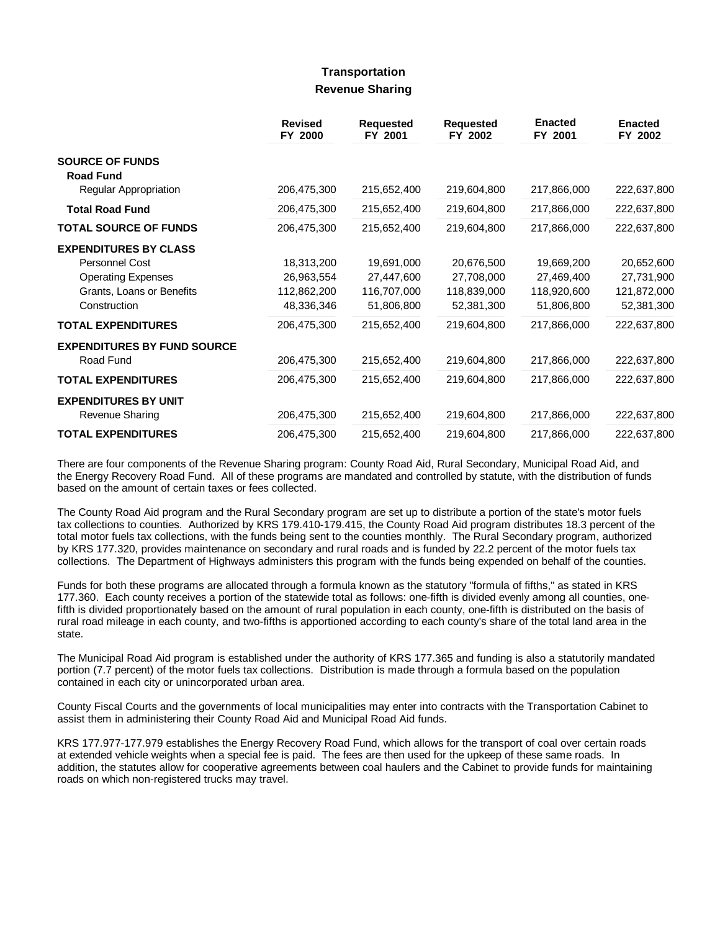# **Transportation Revenue Sharing**

|                                    | <b>Revised</b><br>FY 2000 | <b>Requested</b><br>FY 2001 | <b>Requested</b><br>FY 2002 | <b>Enacted</b><br>FY 2001 | <b>Enacted</b><br>FY 2002 |
|------------------------------------|---------------------------|-----------------------------|-----------------------------|---------------------------|---------------------------|
| <b>SOURCE OF FUNDS</b>             |                           |                             |                             |                           |                           |
| <b>Road Fund</b>                   |                           |                             |                             |                           |                           |
| Regular Appropriation              | 206,475,300               | 215,652,400                 | 219,604,800                 | 217,866,000               | 222,637,800               |
| <b>Total Road Fund</b>             | 206,475,300               | 215,652,400                 | 219,604,800                 | 217,866,000               | 222,637,800               |
| <b>TOTAL SOURCE OF FUNDS</b>       | 206,475,300               | 215,652,400                 | 219,604,800                 | 217,866,000               | 222,637,800               |
| <b>EXPENDITURES BY CLASS</b>       |                           |                             |                             |                           |                           |
| Personnel Cost                     | 18,313,200                | 19,691,000                  | 20,676,500                  | 19,669,200                | 20,652,600                |
| <b>Operating Expenses</b>          | 26,963,554                | 27,447,600                  | 27,708,000                  | 27,469,400                | 27,731,900                |
| Grants, Loans or Benefits          | 112,862,200               | 116,707,000                 | 118,839,000                 | 118,920,600               | 121,872,000               |
| Construction                       | 48,336,346                | 51,806,800                  | 52,381,300                  | 51,806,800                | 52,381,300                |
| <b>TOTAL EXPENDITURES</b>          | 206,475,300               | 215,652,400                 | 219,604,800                 | 217,866,000               | 222,637,800               |
| <b>EXPENDITURES BY FUND SOURCE</b> |                           |                             |                             |                           |                           |
| Road Fund                          | 206,475,300               | 215,652,400                 | 219,604,800                 | 217,866,000               | 222,637,800               |
| <b>TOTAL EXPENDITURES</b>          | 206,475,300               | 215,652,400                 | 219,604,800                 | 217,866,000               | 222,637,800               |
| <b>EXPENDITURES BY UNIT</b>        |                           |                             |                             |                           |                           |
| Revenue Sharing                    | 206,475,300               | 215,652,400                 | 219,604,800                 | 217,866,000               | 222,637,800               |
| <b>TOTAL EXPENDITURES</b>          | 206,475,300               | 215,652,400                 | 219,604,800                 | 217,866,000               | 222,637,800               |

There are four components of the Revenue Sharing program: County Road Aid, Rural Secondary, Municipal Road Aid, and the Energy Recovery Road Fund. All of these programs are mandated and controlled by statute, with the distribution of funds based on the amount of certain taxes or fees collected.

The County Road Aid program and the Rural Secondary program are set up to distribute a portion of the state's motor fuels tax collections to counties. Authorized by KRS 179.410-179.415, the County Road Aid program distributes 18.3 percent of the total motor fuels tax collections, with the funds being sent to the counties monthly. The Rural Secondary program, authorized by KRS 177.320, provides maintenance on secondary and rural roads and is funded by 22.2 percent of the motor fuels tax collections. The Department of Highways administers this program with the funds being expended on behalf of the counties.

Funds for both these programs are allocated through a formula known as the statutory "formula of fifths," as stated in KRS 177.360. Each county receives a portion of the statewide total as follows: one-fifth is divided evenly among all counties, onefifth is divided proportionately based on the amount of rural population in each county, one-fifth is distributed on the basis of rural road mileage in each county, and two-fifths is apportioned according to each county's share of the total land area in the state.

The Municipal Road Aid program is established under the authority of KRS 177.365 and funding is also a statutorily mandated portion (7.7 percent) of the motor fuels tax collections. Distribution is made through a formula based on the population contained in each city or unincorporated urban area.

County Fiscal Courts and the governments of local municipalities may enter into contracts with the Transportation Cabinet to assist them in administering their County Road Aid and Municipal Road Aid funds.

KRS 177.977-177.979 establishes the Energy Recovery Road Fund, which allows for the transport of coal over certain roads at extended vehicle weights when a special fee is paid. The fees are then used for the upkeep of these same roads. In addition, the statutes allow for cooperative agreements between coal haulers and the Cabinet to provide funds for maintaining roads on which non-registered trucks may travel.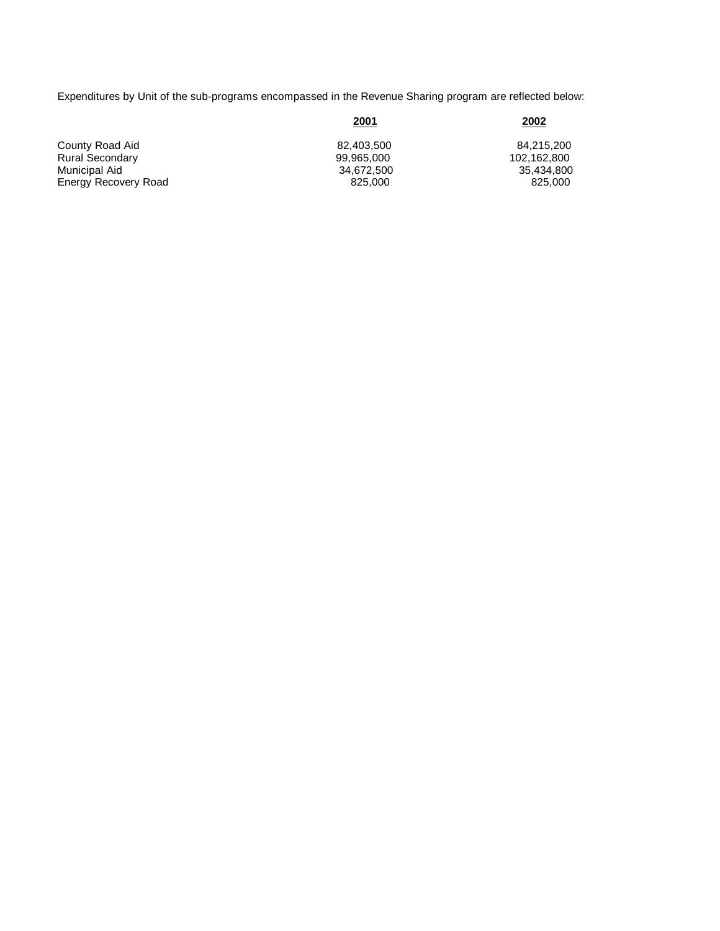Expenditures by Unit of the sub-programs encompassed in the Revenue Sharing program are reflected below:

|                        | <u> 2001</u> | <u>2002</u> |
|------------------------|--------------|-------------|
| County Road Aid        | 82.403.500   | 84.215.200  |
| <b>Rural Secondary</b> | 99.965.000   | 102.162.800 |
| Municipal Aid          | 34.672.500   | 35.434.800  |
| Energy Recovery Road   | 825,000      | 825,000     |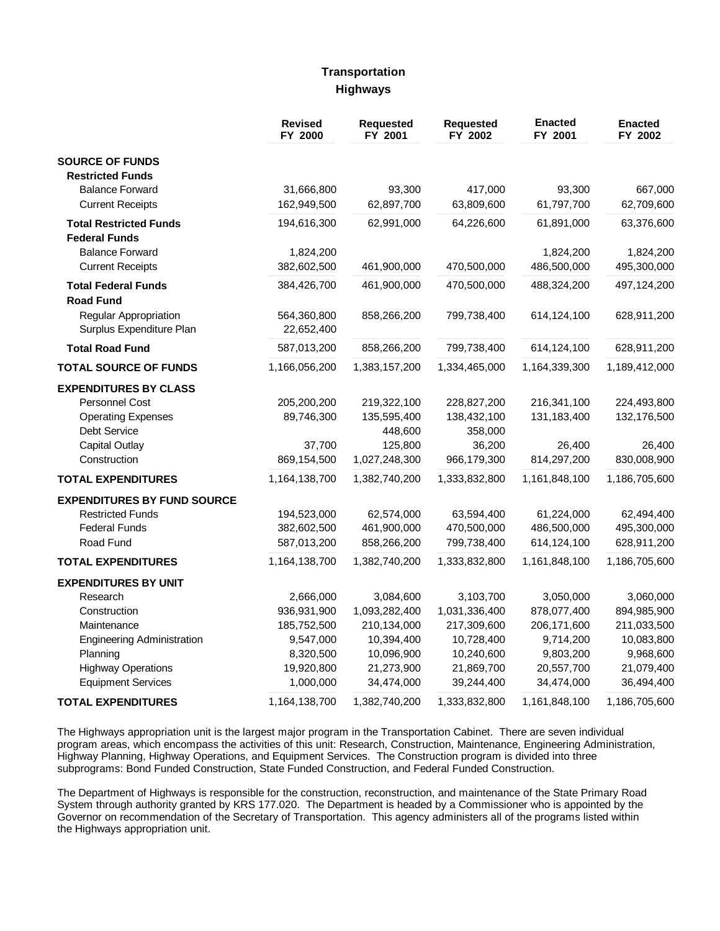### **Transportation Highways**

|                                                       | <b>Revised</b><br>FY 2000 | <b>Requested</b><br>FY 2001 | Requested<br>FY 2002 | <b>Enacted</b><br>FY 2001 | <b>Enacted</b><br>FY 2002 |
|-------------------------------------------------------|---------------------------|-----------------------------|----------------------|---------------------------|---------------------------|
| <b>SOURCE OF FUNDS</b>                                |                           |                             |                      |                           |                           |
| <b>Restricted Funds</b>                               |                           |                             |                      |                           |                           |
| <b>Balance Forward</b>                                | 31,666,800                | 93,300                      | 417,000              | 93,300                    | 667,000                   |
| <b>Current Receipts</b>                               | 162,949,500               | 62,897,700                  | 63,809,600           | 61,797,700                | 62,709,600                |
| <b>Total Restricted Funds</b><br><b>Federal Funds</b> | 194,616,300               | 62,991,000                  | 64,226,600           | 61,891,000                | 63,376,600                |
| <b>Balance Forward</b>                                | 1,824,200                 |                             |                      | 1,824,200                 | 1,824,200                 |
| <b>Current Receipts</b>                               | 382,602,500               | 461,900,000                 | 470,500,000          | 486,500,000               | 495,300,000               |
| <b>Total Federal Funds</b><br><b>Road Fund</b>        | 384,426,700               | 461,900,000                 | 470,500,000          | 488,324,200               | 497,124,200               |
| Regular Appropriation<br>Surplus Expenditure Plan     | 564,360,800<br>22,652,400 | 858,266,200                 | 799,738,400          | 614,124,100               | 628,911,200               |
| <b>Total Road Fund</b>                                | 587,013,200               | 858,266,200                 | 799,738,400          | 614,124,100               | 628,911,200               |
| <b>TOTAL SOURCE OF FUNDS</b>                          | 1,166,056,200             | 1,383,157,200               | 1,334,465,000        | 1,164,339,300             | 1,189,412,000             |
| <b>EXPENDITURES BY CLASS</b>                          |                           |                             |                      |                           |                           |
| Personnel Cost                                        | 205,200,200               | 219,322,100                 | 228,827,200          | 216,341,100               | 224,493,800               |
| <b>Operating Expenses</b>                             | 89,746,300                | 135,595,400                 | 138,432,100          | 131,183,400               | 132,176,500               |
| Debt Service                                          |                           | 448,600                     | 358,000              |                           |                           |
| <b>Capital Outlay</b>                                 | 37,700                    | 125,800                     | 36,200               | 26,400                    | 26,400                    |
| Construction                                          | 869,154,500               | 1,027,248,300               | 966,179,300          | 814,297,200               | 830,008,900               |
| <b>TOTAL EXPENDITURES</b>                             | 1,164,138,700             | 1,382,740,200               | 1,333,832,800        | 1,161,848,100             | 1,186,705,600             |
| <b>EXPENDITURES BY FUND SOURCE</b>                    |                           |                             |                      |                           |                           |
| <b>Restricted Funds</b>                               | 194,523,000               | 62,574,000                  | 63,594,400           | 61,224,000                | 62,494,400                |
| <b>Federal Funds</b>                                  | 382,602,500               | 461,900,000                 | 470,500,000          | 486,500,000               | 495,300,000               |
| Road Fund                                             | 587,013,200               | 858,266,200                 | 799,738,400          | 614,124,100               | 628,911,200               |
| <b>TOTAL EXPENDITURES</b>                             | 1,164,138,700             | 1,382,740,200               | 1,333,832,800        | 1,161,848,100             | 1,186,705,600             |
| <b>EXPENDITURES BY UNIT</b>                           |                           |                             |                      |                           |                           |
| Research                                              | 2,666,000                 | 3,084,600                   | 3,103,700            | 3,050,000                 | 3,060,000                 |
| Construction                                          | 936,931,900               | 1,093,282,400               | 1,031,336,400        | 878,077,400               | 894,985,900               |
| Maintenance                                           | 185,752,500               | 210,134,000                 | 217,309,600          | 206,171,600               | 211,033,500               |
| <b>Engineering Administration</b>                     | 9,547,000                 | 10,394,400                  | 10,728,400           | 9,714,200                 | 10,083,800                |
| Planning                                              | 8,320,500                 | 10,096,900                  | 10,240,600           | 9,803,200                 | 9,968,600                 |
| <b>Highway Operations</b>                             | 19,920,800                | 21,273,900                  | 21,869,700           | 20,557,700                | 21,079,400                |
| <b>Equipment Services</b>                             | 1,000,000                 | 34,474,000                  | 39,244,400           | 34,474,000                | 36,494,400                |
| <b>TOTAL EXPENDITURES</b>                             | 1,164,138,700             | 1,382,740,200               | 1,333,832,800        | 1,161,848,100             | 1,186,705,600             |

The Highways appropriation unit is the largest major program in the Transportation Cabinet. There are seven individual program areas, which encompass the activities of this unit: Research, Construction, Maintenance, Engineering Administration, Highway Planning, Highway Operations, and Equipment Services. The Construction program is divided into three subprograms: Bond Funded Construction, State Funded Construction, and Federal Funded Construction.

The Department of Highways is responsible for the construction, reconstruction, and maintenance of the State Primary Road System through authority granted by KRS 177.020. The Department is headed by a Commissioner who is appointed by the Governor on recommendation of the Secretary of Transportation. This agency administers all of the programs listed within the Highways appropriation unit.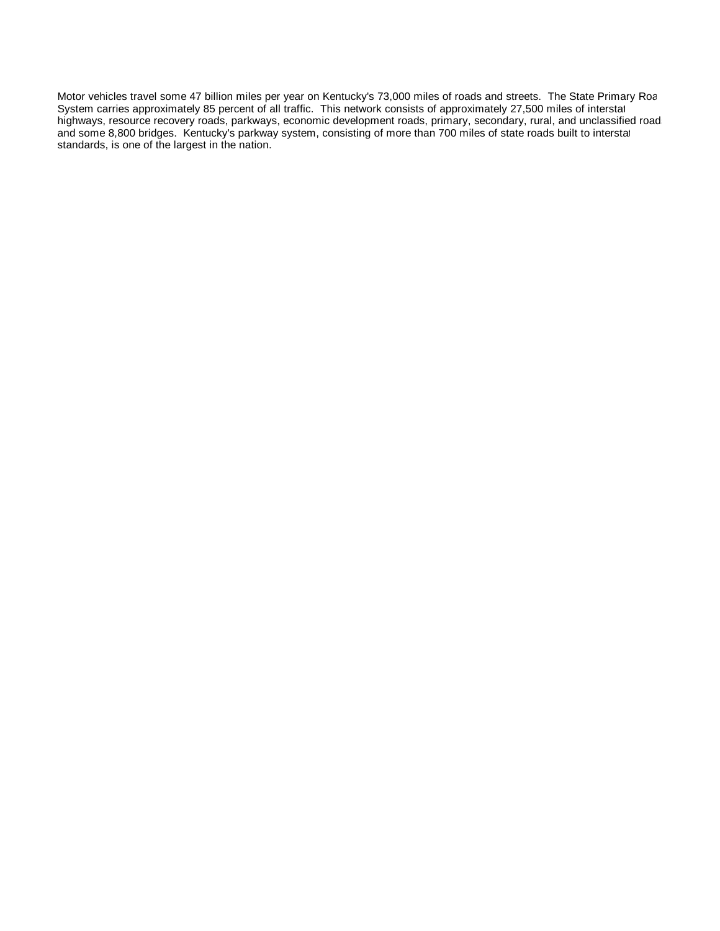Motor vehicles travel some 47 billion miles per year on Kentucky's 73,000 miles of roads and streets. The State Primary Roa System carries approximately 85 percent of all traffic. This network consists of approximately 27,500 miles of interstat highways, resource recovery roads, parkways, economic development roads, primary, secondary, rural, and unclassified road and some 8,800 bridges. Kentucky's parkway system, consisting of more than 700 miles of state roads built to interstat standards, is one of the largest in the nation.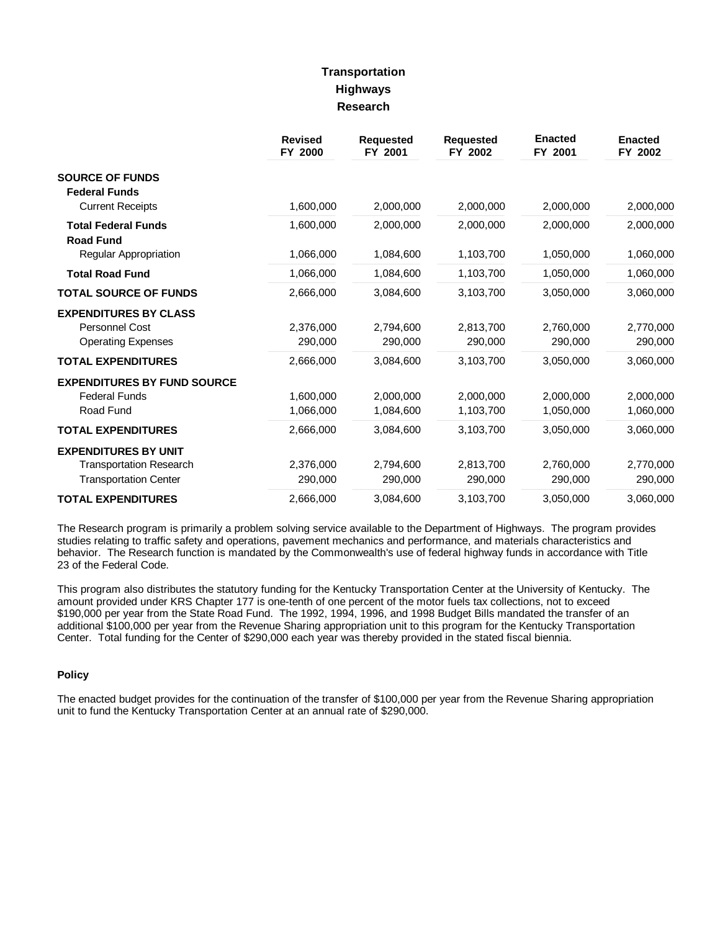# **Transportation Highways Research**

|                                                                                               | <b>Revised</b><br>FY 2000 | <b>Requested</b><br>FY 2001 | <b>Requested</b><br>FY 2002 | <b>Enacted</b><br>FY 2001 | <b>Enacted</b><br>FY 2002 |
|-----------------------------------------------------------------------------------------------|---------------------------|-----------------------------|-----------------------------|---------------------------|---------------------------|
| <b>SOURCE OF FUNDS</b><br><b>Federal Funds</b><br><b>Current Receipts</b>                     | 1,600,000                 | 2,000,000                   | 2,000,000                   | 2,000,000                 | 2,000,000                 |
| <b>Total Federal Funds</b>                                                                    | 1,600,000                 | 2,000,000                   | 2,000,000                   | 2,000,000                 | 2,000,000                 |
| <b>Road Fund</b><br>Regular Appropriation                                                     | 1,066,000                 | 1,084,600                   | 1,103,700                   | 1,050,000                 | 1,060,000                 |
| <b>Total Road Fund</b>                                                                        | 1,066,000                 | 1,084,600                   | 1,103,700                   | 1,050,000                 | 1,060,000                 |
| <b>TOTAL SOURCE OF FUNDS</b>                                                                  | 2,666,000                 | 3,084,600                   | 3,103,700                   | 3,050,000                 | 3,060,000                 |
| <b>EXPENDITURES BY CLASS</b><br><b>Personnel Cost</b><br><b>Operating Expenses</b>            | 2,376,000<br>290,000      | 2,794,600<br>290,000        | 2,813,700<br>290,000        | 2,760,000<br>290,000      | 2,770,000<br>290,000      |
| <b>TOTAL EXPENDITURES</b>                                                                     | 2,666,000                 | 3,084,600                   | 3,103,700                   | 3,050,000                 | 3,060,000                 |
| <b>EXPENDITURES BY FUND SOURCE</b><br><b>Federal Funds</b><br>Road Fund                       | 1,600,000<br>1,066,000    | 2,000,000<br>1,084,600      | 2,000,000<br>1,103,700      | 2,000,000<br>1,050,000    | 2,000,000<br>1,060,000    |
| <b>TOTAL EXPENDITURES</b>                                                                     | 2,666,000                 | 3,084,600                   | 3,103,700                   | 3,050,000                 | 3,060,000                 |
| <b>EXPENDITURES BY UNIT</b><br><b>Transportation Research</b><br><b>Transportation Center</b> | 2,376,000<br>290,000      | 2,794,600<br>290,000        | 2,813,700<br>290,000        | 2,760,000<br>290,000      | 2,770,000<br>290,000      |
| <b>TOTAL EXPENDITURES</b>                                                                     | 2,666,000                 | 3,084,600                   | 3,103,700                   | 3,050,000                 | 3,060,000                 |

The Research program is primarily a problem solving service available to the Department of Highways. The program provides studies relating to traffic safety and operations, pavement mechanics and performance, and materials characteristics and behavior. The Research function is mandated by the Commonwealth's use of federal highway funds in accordance with Title 23 of the Federal Code.

This program also distributes the statutory funding for the Kentucky Transportation Center at the University of Kentucky. The amount provided under KRS Chapter 177 is one-tenth of one percent of the motor fuels tax collections, not to exceed \$190,000 per year from the State Road Fund. The 1992, 1994, 1996, and 1998 Budget Bills mandated the transfer of an additional \$100,000 per year from the Revenue Sharing appropriation unit to this program for the Kentucky Transportation Center. Total funding for the Center of \$290,000 each year was thereby provided in the stated fiscal biennia.

### **Policy**

The enacted budget provides for the continuation of the transfer of \$100,000 per year from the Revenue Sharing appropriation unit to fund the Kentucky Transportation Center at an annual rate of \$290,000.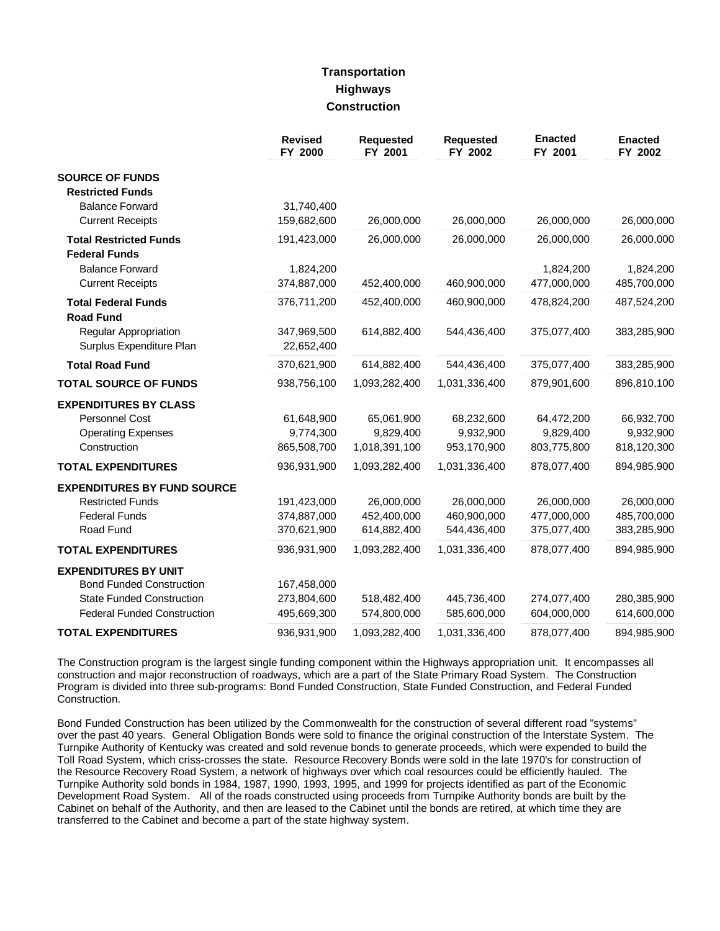### **Transportation Highways Construction**

|                                                   | <b>Revised</b><br>FY 2000 | <b>Requested</b><br>FY 2001 | Requested<br>FY 2002 | <b>Enacted</b><br>FY 2001 | <b>Enacted</b><br>FY 2002 |
|---------------------------------------------------|---------------------------|-----------------------------|----------------------|---------------------------|---------------------------|
| <b>SOURCE OF FUNDS</b>                            |                           |                             |                      |                           |                           |
| <b>Restricted Funds</b><br><b>Balance Forward</b> | 31,740,400                |                             |                      |                           |                           |
| <b>Current Receipts</b>                           | 159,682,600               | 26,000,000                  | 26,000,000           | 26,000,000                | 26,000,000                |
| <b>Total Restricted Funds</b>                     | 191,423,000               | 26,000,000                  | 26,000,000           | 26,000,000                | 26,000,000                |
| <b>Federal Funds</b>                              |                           |                             |                      |                           |                           |
| <b>Balance Forward</b>                            | 1,824,200                 |                             |                      | 1,824,200                 | 1,824,200                 |
| <b>Current Receipts</b>                           | 374,887,000               | 452,400,000                 | 460,900,000          | 477,000,000               | 485,700,000               |
| <b>Total Federal Funds</b><br><b>Road Fund</b>    | 376,711,200               | 452,400,000                 | 460,900,000          | 478,824,200               | 487,524,200               |
| Regular Appropriation<br>Surplus Expenditure Plan | 347,969,500<br>22,652,400 | 614,882,400                 | 544,436,400          | 375,077,400               | 383,285,900               |
| <b>Total Road Fund</b>                            | 370,621,900               | 614,882,400                 | 544,436,400          | 375,077,400               | 383,285,900               |
| <b>TOTAL SOURCE OF FUNDS</b>                      | 938,756,100               | 1,093,282,400               | 1,031,336,400        | 879,901,600               | 896,810,100               |
| <b>EXPENDITURES BY CLASS</b>                      |                           |                             |                      |                           |                           |
| Personnel Cost                                    | 61,648,900                | 65,061,900                  | 68,232,600           | 64,472,200                | 66,932,700                |
| <b>Operating Expenses</b>                         | 9,774,300                 | 9,829,400                   | 9,932,900            | 9,829,400                 | 9,932,900                 |
| Construction                                      | 865,508,700               | 1,018,391,100               | 953,170,900          | 803,775,800               | 818,120,300               |
| <b>TOTAL EXPENDITURES</b>                         | 936,931,900               | 1,093,282,400               | 1,031,336,400        | 878,077,400               | 894,985,900               |
| <b>EXPENDITURES BY FUND SOURCE</b>                |                           |                             |                      |                           |                           |
| <b>Restricted Funds</b>                           | 191,423,000               | 26,000,000                  | 26,000,000           | 26,000,000                | 26,000,000                |
| <b>Federal Funds</b>                              | 374,887,000               | 452,400,000                 | 460,900,000          | 477,000,000               | 485,700,000               |
| Road Fund                                         | 370,621,900               | 614,882,400                 | 544,436,400          | 375,077,400               | 383,285,900               |
| <b>TOTAL EXPENDITURES</b>                         | 936,931,900               | 1,093,282,400               | 1,031,336,400        | 878,077,400               | 894,985,900               |
| <b>EXPENDITURES BY UNIT</b>                       |                           |                             |                      |                           |                           |
| <b>Bond Funded Construction</b>                   | 167,458,000               |                             |                      |                           |                           |
| <b>State Funded Construction</b>                  | 273,804,600               | 518,482,400                 | 445,736,400          | 274,077,400               | 280,385,900               |
| <b>Federal Funded Construction</b>                | 495,669,300               | 574,800,000                 | 585,600,000          | 604,000,000               | 614,600,000               |
| <b>TOTAL EXPENDITURES</b>                         | 936,931,900               | 1,093,282,400               | 1,031,336,400        | 878,077,400               | 894,985,900               |

The Construction program is the largest single funding component within the Highways appropriation unit. It encompasses all construction and major reconstruction of roadways, which are a part of the State Primary Road System. The Construction Program is divided into three sub-programs: Bond Funded Construction, State Funded Construction, and Federal Funded Construction.

Bond Funded Construction has been utilized by the Commonwealth for the construction of several different road "systems" over the past 40 years. General Obligation Bonds were sold to finance the original construction of the Interstate System. The Turnpike Authority of Kentucky was created and sold revenue bonds to generate proceeds, which were expended to build the Toll Road System, which criss-crosses the state. Resource Recovery Bonds were sold in the late 1970's for construction of the Resource Recovery Road System, a network of highways over which coal resources could be efficiently hauled. The Turnpike Authority sold bonds in 1984, 1987, 1990, 1993, 1995, and 1999 for projects identified as part of the Economic Development Road System. All of the roads constructed using proceeds from Turnpike Authority bonds are built by the Cabinet on behalf of the Authority, and then are leased to the Cabinet until the bonds are retired, at which time they are transferred to the Cabinet and become a part of the state highway system.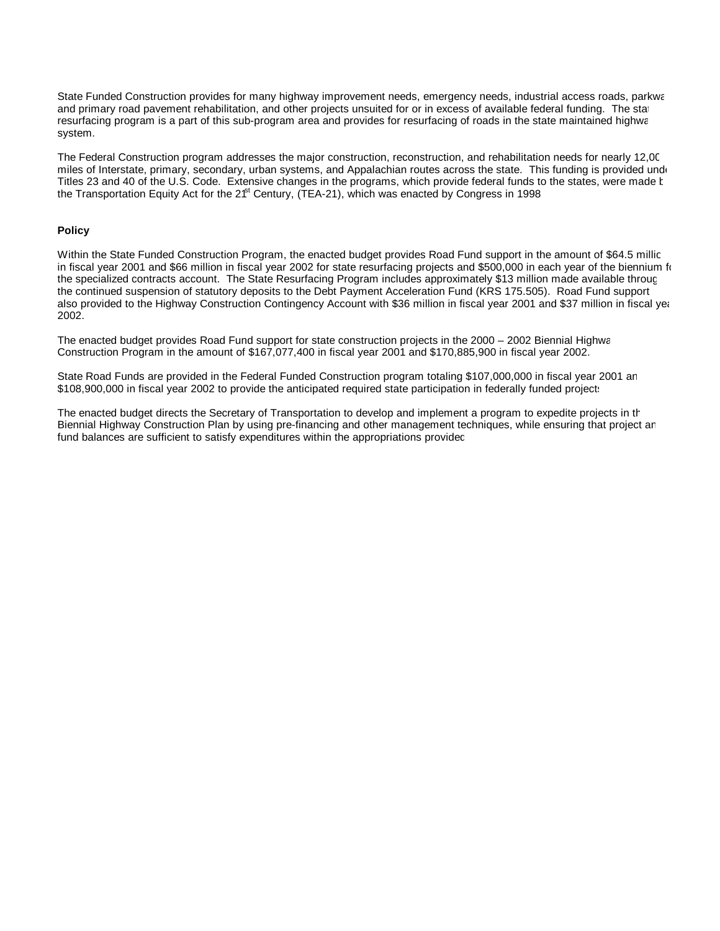State Funded Construction provides for many highway improvement needs, emergency needs, industrial access roads, parkwa and primary road pavement rehabilitation, and other projects unsuited for or in excess of available federal funding. The stat resurfacing program is a part of this sub-program area and provides for resurfacing of roads in the state maintained highwa system.

The Federal Construction program addresses the major construction, reconstruction, and rehabilitation needs for nearly 12,000 miles of Interstate, primary, secondary, urban systems, and Appalachian routes across the state. This funding is provided under Titles 23 and 40 of the U.S. Code. Extensive changes in the programs, which provide federal funds to the states, were made t the Transportation Equity Act for the 2<sup>ft</sup> Century, (TEA-21), which was enacted by Congress in 1998

#### **Policy**

Within the State Funded Construction Program, the enacted budget provides Road Fund support in the amount of \$64.5 millic in fiscal year 2001 and \$66 million in fiscal year 2002 for state resurfacing projects and \$500,000 in each year of the biennium for the specialized contracts account. The State Resurfacing Program includes approximately \$13 million made available through the continued suspension of statutory deposits to the Debt Payment Acceleration Fund (KRS 175.505). Road Fund support also provided to the Highway Construction Contingency Account with \$36 million in fiscal year 2001 and \$37 million in fiscal year 2002.

The enacted budget provides Road Fund support for state construction projects in the 2000 – 2002 Biennial Highwa Construction Program in the amount of \$167,077,400 in fiscal year 2001 and \$170,885,900 in fiscal year 2002.

State Road Funds are provided in the Federal Funded Construction program totaling \$107,000,000 in fiscal year 2001 an \$108,900,000 in fiscal year 2002 to provide the anticipated required state participation in federally funded projects.

The enacted budget directs the Secretary of Transportation to develop and implement a program to expedite projects in the Biennial Highway Construction Plan by using pre-financing and other management techniques, while ensuring that project and fund balances are sufficient to satisfy expenditures within the appropriations provided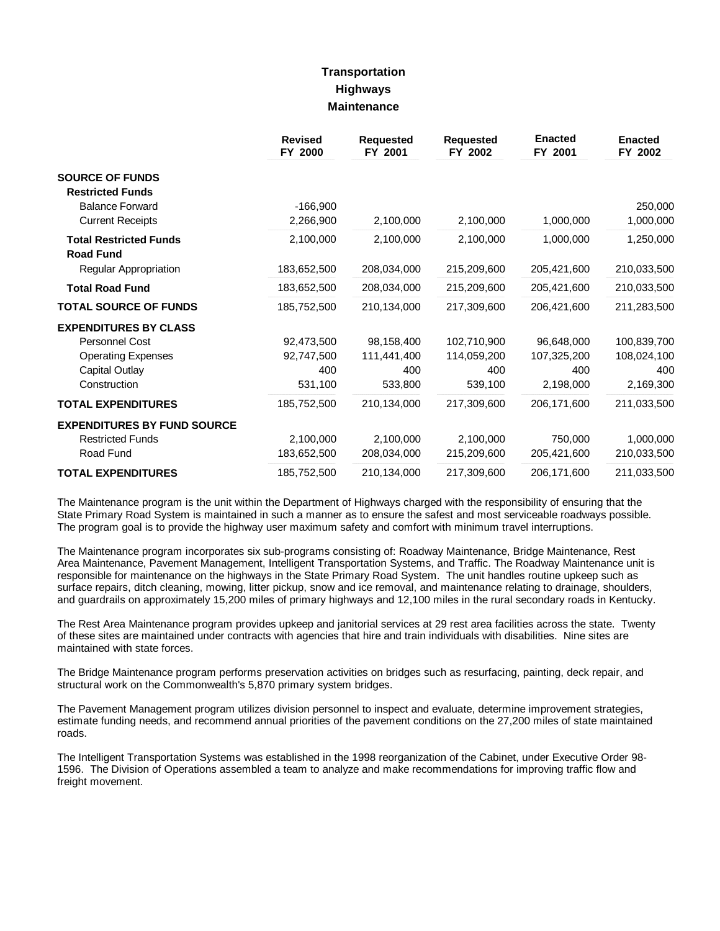## **Transportation Highways Maintenance**

|                                    | <b>Revised</b><br>FY 2000 | <b>Requested</b><br>FY 2001 | <b>Requested</b><br>FY 2002 | <b>Enacted</b><br>FY 2001 | <b>Enacted</b><br>FY 2002 |
|------------------------------------|---------------------------|-----------------------------|-----------------------------|---------------------------|---------------------------|
| <b>SOURCE OF FUNDS</b>             |                           |                             |                             |                           |                           |
| <b>Restricted Funds</b>            |                           |                             |                             |                           |                           |
| <b>Balance Forward</b>             | $-166,900$                |                             |                             |                           | 250,000                   |
| <b>Current Receipts</b>            | 2,266,900                 | 2,100,000                   | 2,100,000                   | 1,000,000                 | 1,000,000                 |
| <b>Total Restricted Funds</b>      | 2,100,000                 | 2,100,000                   | 2,100,000                   | 1,000,000                 | 1,250,000                 |
| <b>Road Fund</b>                   |                           |                             |                             |                           |                           |
| Regular Appropriation              | 183,652,500               | 208,034,000                 | 215,209,600                 | 205,421,600               | 210,033,500               |
| <b>Total Road Fund</b>             | 183,652,500               | 208,034,000                 | 215,209,600                 | 205,421,600               | 210,033,500               |
| <b>TOTAL SOURCE OF FUNDS</b>       | 185,752,500               | 210,134,000                 | 217,309,600                 | 206,421,600               | 211,283,500               |
| <b>EXPENDITURES BY CLASS</b>       |                           |                             |                             |                           |                           |
| <b>Personnel Cost</b>              | 92,473,500                | 98,158,400                  | 102,710,900                 | 96,648,000                | 100,839,700               |
| <b>Operating Expenses</b>          | 92,747,500                | 111,441,400                 | 114,059,200                 | 107,325,200               | 108,024,100               |
| Capital Outlay                     | 400                       | 400                         | 400                         | 400                       | 400                       |
| Construction                       | 531,100                   | 533,800                     | 539,100                     | 2,198,000                 | 2,169,300                 |
| <b>TOTAL EXPENDITURES</b>          | 185,752,500               | 210,134,000                 | 217,309,600                 | 206,171,600               | 211,033,500               |
| <b>EXPENDITURES BY FUND SOURCE</b> |                           |                             |                             |                           |                           |
| <b>Restricted Funds</b>            | 2,100,000                 | 2,100,000                   | 2,100,000                   | 750,000                   | 1,000,000                 |
| Road Fund                          | 183,652,500               | 208,034,000                 | 215,209,600                 | 205,421,600               | 210,033,500               |
| <b>TOTAL EXPENDITURES</b>          | 185,752,500               | 210,134,000                 | 217,309,600                 | 206,171,600               | 211,033,500               |

The Maintenance program is the unit within the Department of Highways charged with the responsibility of ensuring that the State Primary Road System is maintained in such a manner as to ensure the safest and most serviceable roadways possible. The program goal is to provide the highway user maximum safety and comfort with minimum travel interruptions.

The Maintenance program incorporates six sub-programs consisting of: Roadway Maintenance, Bridge Maintenance, Rest Area Maintenance, Pavement Management, Intelligent Transportation Systems, and Traffic. The Roadway Maintenance unit is responsible for maintenance on the highways in the State Primary Road System. The unit handles routine upkeep such as surface repairs, ditch cleaning, mowing, litter pickup, snow and ice removal, and maintenance relating to drainage, shoulders, and guardrails on approximately 15,200 miles of primary highways and 12,100 miles in the rural secondary roads in Kentucky.

The Rest Area Maintenance program provides upkeep and janitorial services at 29 rest area facilities across the state. Twenty of these sites are maintained under contracts with agencies that hire and train individuals with disabilities. Nine sites are maintained with state forces.

The Bridge Maintenance program performs preservation activities on bridges such as resurfacing, painting, deck repair, and structural work on the Commonwealth's 5,870 primary system bridges.

The Pavement Management program utilizes division personnel to inspect and evaluate, determine improvement strategies, estimate funding needs, and recommend annual priorities of the pavement conditions on the 27,200 miles of state maintained roads.

The Intelligent Transportation Systems was established in the 1998 reorganization of the Cabinet, under Executive Order 98- 1596. The Division of Operations assembled a team to analyze and make recommendations for improving traffic flow and freight movement.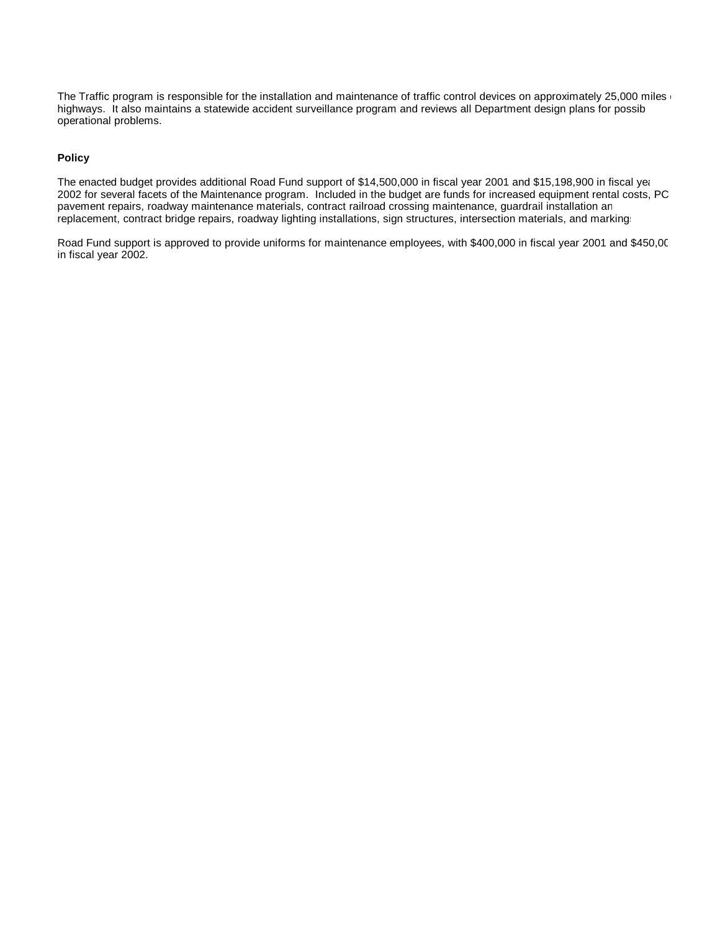The Traffic program is responsible for the installation and maintenance of traffic control devices on approximately 25,000 miles of highways. It also maintains a statewide accident surveillance program and reviews all Department design plans for possible operational problems.

#### **Policy**

The enacted budget provides additional Road Fund support of \$14,500,000 in fiscal year 2001 and \$15,198,900 in fiscal year 2002 for several facets of the Maintenance program. Included in the budget are funds for increased equipment rental costs, PCC pavement repairs, roadway maintenance materials, contract railroad crossing maintenance, guardrail installation an replacement, contract bridge repairs, roadway lighting installations, sign structures, intersection materials, and markings.

Road Fund support is approved to provide uniforms for maintenance employees, with \$400,000 in fiscal year 2001 and \$450,000 in fiscal year 2002.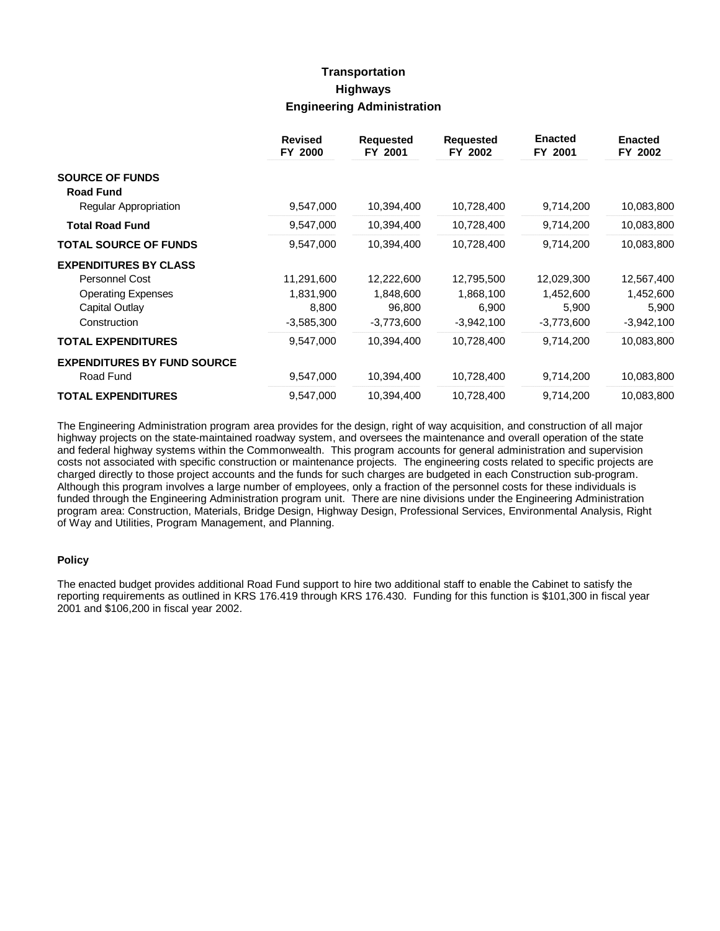## **Transportation Highways Engineering Administration**

|                                            | <b>Revised</b><br>FY 2000 | <b>Requested</b><br>FY 2001 | <b>Requested</b><br>FY 2002 | <b>Enacted</b><br>FY 2001 | <b>Enacted</b><br>FY 2002 |
|--------------------------------------------|---------------------------|-----------------------------|-----------------------------|---------------------------|---------------------------|
| <b>SOURCE OF FUNDS</b><br><b>Road Fund</b> |                           |                             |                             |                           |                           |
| Regular Appropriation                      | 9,547,000                 | 10,394,400                  | 10,728,400                  | 9,714,200                 | 10,083,800                |
| <b>Total Road Fund</b>                     | 9,547,000                 | 10,394,400                  | 10,728,400                  | 9,714,200                 | 10,083,800                |
| <b>TOTAL SOURCE OF FUNDS</b>               | 9,547,000                 | 10,394,400                  | 10,728,400                  | 9,714,200                 | 10,083,800                |
| <b>EXPENDITURES BY CLASS</b>               |                           |                             |                             |                           |                           |
| <b>Personnel Cost</b>                      | 11,291,600                | 12,222,600                  | 12,795,500                  | 12,029,300                | 12,567,400                |
| <b>Operating Expenses</b>                  | 1,831,900                 | 1,848,600                   | 1,868,100                   | 1,452,600                 | 1,452,600                 |
| Capital Outlay                             | 8,800                     | 96,800                      | 6,900                       | 5,900                     | 5,900                     |
| Construction                               | $-3,585,300$              | -3,773,600                  | $-3,942,100$                | $-3,773,600$              | $-3,942,100$              |
| <b>TOTAL EXPENDITURES</b>                  | 9,547,000                 | 10,394,400                  | 10,728,400                  | 9,714,200                 | 10,083,800                |
| <b>EXPENDITURES BY FUND SOURCE</b>         |                           |                             |                             |                           |                           |
| Road Fund                                  | 9,547,000                 | 10,394,400                  | 10,728,400                  | 9,714,200                 | 10,083,800                |
| <b>TOTAL EXPENDITURES</b>                  | 9,547,000                 | 10,394,400                  | 10,728,400                  | 9,714,200                 | 10,083,800                |

The Engineering Administration program area provides for the design, right of way acquisition, and construction of all major highway projects on the state-maintained roadway system, and oversees the maintenance and overall operation of the state and federal highway systems within the Commonwealth. This program accounts for general administration and supervision costs not associated with specific construction or maintenance projects. The engineering costs related to specific projects are charged directly to those project accounts and the funds for such charges are budgeted in each Construction sub-program. Although this program involves a large number of employees, only a fraction of the personnel costs for these individuals is funded through the Engineering Administration program unit. There are nine divisions under the Engineering Administration program area: Construction, Materials, Bridge Design, Highway Design, Professional Services, Environmental Analysis, Right of Way and Utilities, Program Management, and Planning.

#### **Policy**

The enacted budget provides additional Road Fund support to hire two additional staff to enable the Cabinet to satisfy the reporting requirements as outlined in KRS 176.419 through KRS 176.430. Funding for this function is \$101,300 in fiscal year 2001 and \$106,200 in fiscal year 2002.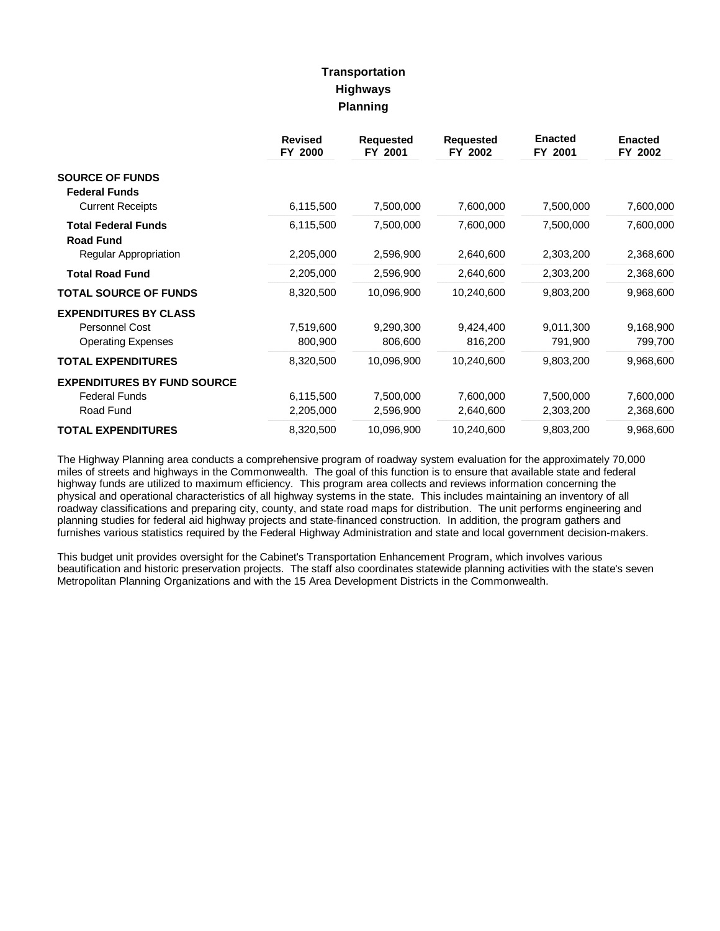# **Transportation Highways Planning**

|                                                | <b>Revised</b><br>FY 2000 | <b>Requested</b><br>FY 2001 | <b>Requested</b><br>FY 2002 | <b>Enacted</b><br>FY 2001 | <b>Enacted</b><br>FY 2002 |
|------------------------------------------------|---------------------------|-----------------------------|-----------------------------|---------------------------|---------------------------|
| <b>SOURCE OF FUNDS</b><br><b>Federal Funds</b> |                           |                             |                             |                           |                           |
| <b>Current Receipts</b>                        | 6,115,500                 | 7,500,000                   | 7,600,000                   | 7,500,000                 | 7,600,000                 |
| <b>Total Federal Funds</b><br><b>Road Fund</b> | 6,115,500                 | 7,500,000                   | 7,600,000                   | 7,500,000                 | 7,600,000                 |
| Regular Appropriation                          | 2,205,000                 | 2,596,900                   | 2,640,600                   | 2,303,200                 | 2,368,600                 |
| <b>Total Road Fund</b>                         | 2,205,000                 | 2,596,900                   | 2,640,600                   | 2,303,200                 | 2,368,600                 |
| <b>TOTAL SOURCE OF FUNDS</b>                   | 8,320,500                 | 10,096,900                  | 10,240,600                  | 9,803,200                 | 9,968,600                 |
| <b>EXPENDITURES BY CLASS</b>                   |                           |                             |                             |                           |                           |
| <b>Personnel Cost</b>                          | 7,519,600                 | 9,290,300                   | 9,424,400                   | 9,011,300                 | 9,168,900                 |
| <b>Operating Expenses</b>                      | 800,900                   | 806,600                     | 816,200                     | 791,900                   | 799,700                   |
| <b>TOTAL EXPENDITURES</b>                      | 8,320,500                 | 10,096,900                  | 10,240,600                  | 9,803,200                 | 9,968,600                 |
| <b>EXPENDITURES BY FUND SOURCE</b>             |                           |                             |                             |                           |                           |
| <b>Federal Funds</b>                           | 6,115,500                 | 7,500,000                   | 7,600,000                   | 7,500,000                 | 7,600,000                 |
| Road Fund                                      | 2,205,000                 | 2,596,900                   | 2,640,600                   | 2,303,200                 | 2,368,600                 |
| <b>TOTAL EXPENDITURES</b>                      | 8,320,500                 | 10,096,900                  | 10,240,600                  | 9,803,200                 | 9,968,600                 |

The Highway Planning area conducts a comprehensive program of roadway system evaluation for the approximately 70,000 miles of streets and highways in the Commonwealth. The goal of this function is to ensure that available state and federal highway funds are utilized to maximum efficiency. This program area collects and reviews information concerning the physical and operational characteristics of all highway systems in the state. This includes maintaining an inventory of all roadway classifications and preparing city, county, and state road maps for distribution. The unit performs engineering and planning studies for federal aid highway projects and state-financed construction. In addition, the program gathers and furnishes various statistics required by the Federal Highway Administration and state and local government decision-makers.

This budget unit provides oversight for the Cabinet's Transportation Enhancement Program, which involves various beautification and historic preservation projects. The staff also coordinates statewide planning activities with the state's seven Metropolitan Planning Organizations and with the 15 Area Development Districts in the Commonwealth.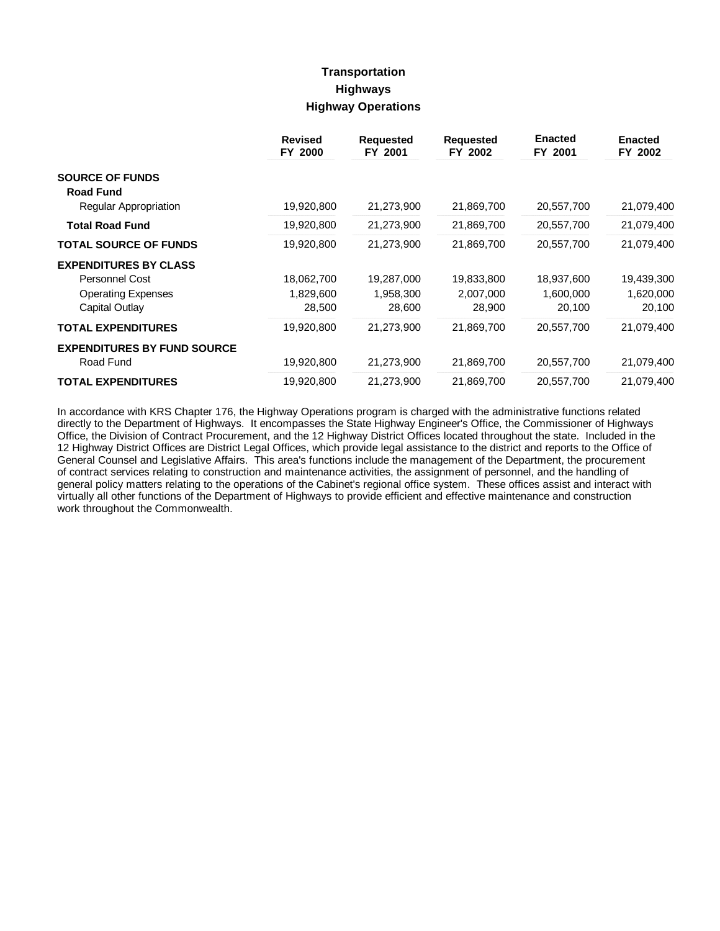## **Transportation Highways Highway Operations**

|                                                 | <b>Revised</b><br>FY 2000 | <b>Requested</b><br>FY 2001 | <b>Requested</b><br>FY 2002 | <b>Enacted</b><br>FY 2001 | <b>Enacted</b><br>FY 2002 |
|-------------------------------------------------|---------------------------|-----------------------------|-----------------------------|---------------------------|---------------------------|
| <b>SOURCE OF FUNDS</b><br><b>Road Fund</b>      |                           |                             |                             |                           |                           |
| <b>Regular Appropriation</b>                    | 19,920,800                | 21,273,900                  | 21,869,700                  | 20,557,700                | 21,079,400                |
| <b>Total Road Fund</b>                          | 19,920,800                | 21,273,900                  | 21,869,700                  | 20,557,700                | 21,079,400                |
| <b>TOTAL SOURCE OF FUNDS</b>                    | 19,920,800                | 21,273,900                  | 21,869,700                  | 20,557,700                | 21,079,400                |
| <b>EXPENDITURES BY CLASS</b>                    |                           |                             |                             |                           |                           |
| Personnel Cost                                  | 18,062,700                | 19,287,000                  | 19,833,800                  | 18,937,600                | 19,439,300                |
| <b>Operating Expenses</b>                       | 1,829,600                 | 1,958,300                   | 2,007,000                   | 1,600,000                 | 1,620,000                 |
| Capital Outlay                                  | 28,500                    | 28,600                      | 28,900                      | 20,100                    | 20,100                    |
| <b>TOTAL EXPENDITURES</b>                       | 19,920,800                | 21,273,900                  | 21,869,700                  | 20,557,700                | 21,079,400                |
| <b>EXPENDITURES BY FUND SOURCE</b><br>Road Fund | 19,920,800                | 21,273,900                  | 21,869,700                  | 20,557,700                | 21,079,400                |
| <b>TOTAL EXPENDITURES</b>                       | 19,920,800                | 21,273,900                  | 21,869,700                  | 20,557,700                | 21,079,400                |

In accordance with KRS Chapter 176, the Highway Operations program is charged with the administrative functions related directly to the Department of Highways. It encompasses the State Highway Engineer's Office, the Commissioner of Highways Office, the Division of Contract Procurement, and the 12 Highway District Offices located throughout the state. Included in the 12 Highway District Offices are District Legal Offices, which provide legal assistance to the district and reports to the Office of General Counsel and Legislative Affairs. This area's functions include the management of the Department, the procurement of contract services relating to construction and maintenance activities, the assignment of personnel, and the handling of general policy matters relating to the operations of the Cabinet's regional office system. These offices assist and interact with virtually all other functions of the Department of Highways to provide efficient and effective maintenance and construction work throughout the Commonwealth.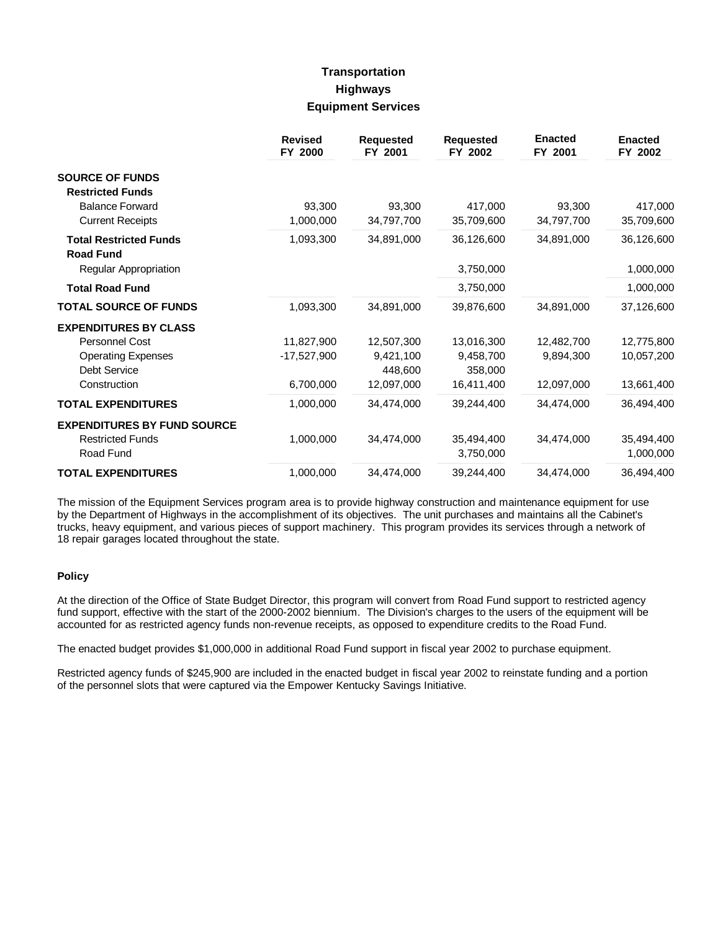# **Transportation Highways Equipment Services**

|                                                   | <b>Revised</b><br>FY 2000 | <b>Requested</b><br>FY 2001 | <b>Requested</b><br>FY 2002 | <b>Enacted</b><br>FY 2001 | <b>Enacted</b><br>FY 2002 |
|---------------------------------------------------|---------------------------|-----------------------------|-----------------------------|---------------------------|---------------------------|
| <b>SOURCE OF FUNDS</b><br><b>Restricted Funds</b> |                           |                             |                             |                           |                           |
| <b>Balance Forward</b>                            | 93,300                    | 93,300                      | 417,000                     | 93,300                    | 417,000                   |
| <b>Current Receipts</b>                           | 1,000,000                 | 34,797,700                  | 35,709,600                  | 34,797,700                | 35,709,600                |
| <b>Total Restricted Funds</b><br><b>Road Fund</b> | 1,093,300                 | 34,891,000                  | 36,126,600                  | 34,891,000                | 36,126,600                |
| Regular Appropriation                             |                           |                             | 3,750,000                   |                           | 1,000,000                 |
| <b>Total Road Fund</b>                            |                           |                             | 3,750,000                   |                           | 1,000,000                 |
| <b>TOTAL SOURCE OF FUNDS</b>                      | 1,093,300                 | 34,891,000                  | 39,876,600                  | 34,891,000                | 37,126,600                |
| <b>EXPENDITURES BY CLASS</b>                      |                           |                             |                             |                           |                           |
| <b>Personnel Cost</b>                             | 11,827,900                | 12,507,300                  | 13,016,300                  | 12,482,700                | 12,775,800                |
| <b>Operating Expenses</b>                         | $-17,527,900$             | 9,421,100                   | 9,458,700                   | 9.894.300                 | 10,057,200                |
| <b>Debt Service</b>                               |                           | 448.600                     | 358,000                     |                           |                           |
| Construction                                      | 6,700,000                 | 12,097,000                  | 16,411,400                  | 12,097,000                | 13,661,400                |
| <b>TOTAL EXPENDITURES</b>                         | 1,000,000                 | 34,474,000                  | 39,244,400                  | 34,474,000                | 36,494,400                |
| <b>EXPENDITURES BY FUND SOURCE</b>                |                           |                             |                             |                           |                           |
| <b>Restricted Funds</b>                           | 1,000,000                 | 34,474,000                  | 35,494,400                  | 34,474,000                | 35,494,400                |
| Road Fund                                         |                           |                             | 3,750,000                   |                           | 1,000,000                 |
| <b>TOTAL EXPENDITURES</b>                         | 1,000,000                 | 34.474.000                  | 39.244.400                  | 34.474.000                | 36,494,400                |

The mission of the Equipment Services program area is to provide highway construction and maintenance equipment for use by the Department of Highways in the accomplishment of its objectives. The unit purchases and maintains all the Cabinet's trucks, heavy equipment, and various pieces of support machinery. This program provides its services through a network of 18 repair garages located throughout the state.

#### **Policy**

At the direction of the Office of State Budget Director, this program will convert from Road Fund support to restricted agency fund support, effective with the start of the 2000-2002 biennium. The Division's charges to the users of the equipment will be accounted for as restricted agency funds non-revenue receipts, as opposed to expenditure credits to the Road Fund.

The enacted budget provides \$1,000,000 in additional Road Fund support in fiscal year 2002 to purchase equipment.

Restricted agency funds of \$245,900 are included in the enacted budget in fiscal year 2002 to reinstate funding and a portion of the personnel slots that were captured via the Empower Kentucky Savings Initiative.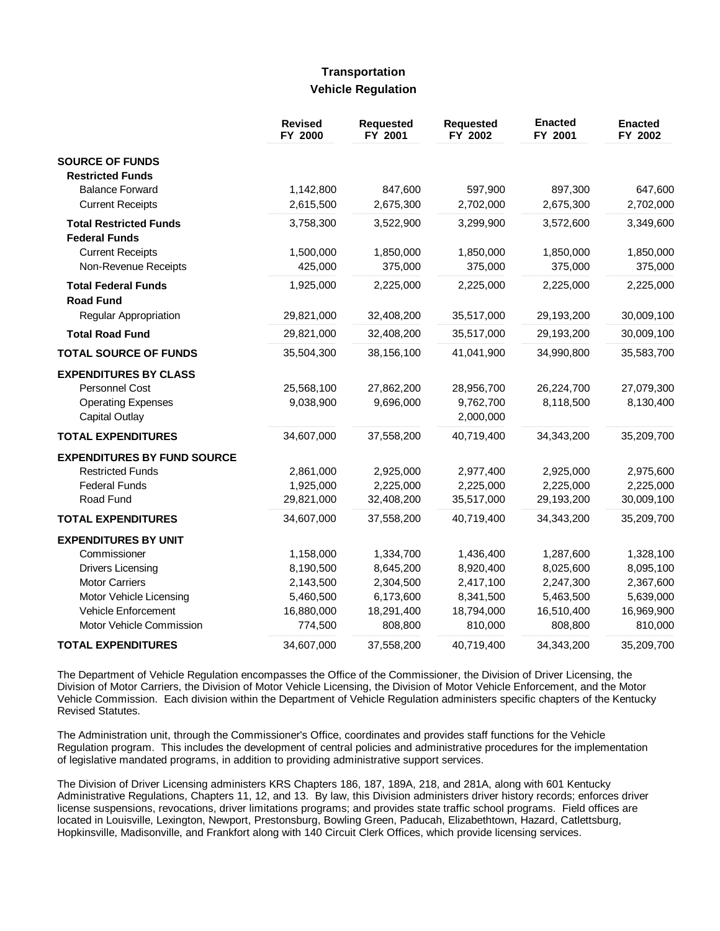## **Transportation Vehicle Regulation**

|                                    | <b>Revised</b><br>FY 2000 | <b>Requested</b><br>FY 2001 | <b>Requested</b><br>FY 2002 | <b>Enacted</b><br>FY 2001 | <b>Enacted</b><br>FY 2002 |
|------------------------------------|---------------------------|-----------------------------|-----------------------------|---------------------------|---------------------------|
| <b>SOURCE OF FUNDS</b>             |                           |                             |                             |                           |                           |
| <b>Restricted Funds</b>            |                           |                             |                             |                           |                           |
| <b>Balance Forward</b>             | 1,142,800                 | 847,600                     | 597,900                     | 897,300                   | 647,600                   |
| <b>Current Receipts</b>            | 2,615,500                 | 2,675,300                   | 2,702,000                   | 2,675,300                 | 2,702,000                 |
| <b>Total Restricted Funds</b>      | 3,758,300                 | 3,522,900                   | 3,299,900                   | 3,572,600                 | 3,349,600                 |
| <b>Federal Funds</b>               |                           |                             |                             |                           |                           |
| <b>Current Receipts</b>            | 1,500,000                 | 1,850,000                   | 1,850,000                   | 1,850,000                 | 1,850,000                 |
| Non-Revenue Receipts               | 425,000                   | 375,000                     | 375,000                     | 375,000                   | 375,000                   |
| <b>Total Federal Funds</b>         | 1,925,000                 | 2,225,000                   | 2,225,000                   | 2,225,000                 | 2,225,000                 |
| <b>Road Fund</b>                   |                           |                             |                             |                           |                           |
| Regular Appropriation              | 29,821,000                | 32,408,200                  | 35,517,000                  | 29,193,200                | 30,009,100                |
| <b>Total Road Fund</b>             | 29,821,000                | 32,408,200                  | 35,517,000                  | 29,193,200                | 30,009,100                |
| <b>TOTAL SOURCE OF FUNDS</b>       | 35,504,300                | 38,156,100                  | 41,041,900                  | 34,990,800                | 35,583,700                |
| <b>EXPENDITURES BY CLASS</b>       |                           |                             |                             |                           |                           |
| <b>Personnel Cost</b>              | 25,568,100                | 27,862,200                  | 28,956,700                  | 26,224,700                | 27,079,300                |
| <b>Operating Expenses</b>          | 9,038,900                 | 9,696,000                   | 9,762,700                   | 8,118,500                 | 8,130,400                 |
| Capital Outlay                     |                           |                             | 2,000,000                   |                           |                           |
| <b>TOTAL EXPENDITURES</b>          | 34,607,000                | 37,558,200                  | 40,719,400                  | 34,343,200                | 35,209,700                |
| <b>EXPENDITURES BY FUND SOURCE</b> |                           |                             |                             |                           |                           |
| <b>Restricted Funds</b>            | 2,861,000                 | 2,925,000                   | 2,977,400                   | 2,925,000                 | 2,975,600                 |
| <b>Federal Funds</b>               | 1,925,000                 | 2,225,000                   | 2,225,000                   | 2,225,000                 | 2,225,000                 |
| Road Fund                          | 29,821,000                | 32,408,200                  | 35,517,000                  | 29,193,200                | 30,009,100                |
| <b>TOTAL EXPENDITURES</b>          | 34,607,000                | 37,558,200                  | 40,719,400                  | 34,343,200                | 35,209,700                |
| <b>EXPENDITURES BY UNIT</b>        |                           |                             |                             |                           |                           |
| Commissioner                       | 1,158,000                 | 1,334,700                   | 1,436,400                   | 1,287,600                 | 1,328,100                 |
| <b>Drivers Licensing</b>           | 8,190,500                 | 8,645,200                   | 8,920,400                   | 8,025,600                 | 8,095,100                 |
| <b>Motor Carriers</b>              | 2,143,500                 | 2,304,500                   | 2,417,100                   | 2,247,300                 | 2,367,600                 |
| Motor Vehicle Licensing            | 5,460,500                 | 6,173,600                   | 8,341,500                   | 5,463,500                 | 5,639,000                 |
| <b>Vehicle Enforcement</b>         | 16,880,000                | 18,291,400                  | 18,794,000                  | 16,510,400                | 16,969,900                |
| Motor Vehicle Commission           | 774,500                   | 808,800                     | 810,000                     | 808,800                   | 810,000                   |
| <b>TOTAL EXPENDITURES</b>          | 34,607,000                | 37,558,200                  | 40,719,400                  | 34,343,200                | 35,209,700                |

The Department of Vehicle Regulation encompasses the Office of the Commissioner, the Division of Driver Licensing, the Division of Motor Carriers, the Division of Motor Vehicle Licensing, the Division of Motor Vehicle Enforcement, and the Motor Vehicle Commission. Each division within the Department of Vehicle Regulation administers specific chapters of the Kentucky Revised Statutes.

The Administration unit, through the Commissioner's Office, coordinates and provides staff functions for the Vehicle Regulation program. This includes the development of central policies and administrative procedures for the implementation of legislative mandated programs, in addition to providing administrative support services.

The Division of Driver Licensing administers KRS Chapters 186, 187, 189A, 218, and 281A, along with 601 Kentucky Administrative Regulations, Chapters 11, 12, and 13. By law, this Division administers driver history records; enforces driver license suspensions, revocations, driver limitations programs; and provides state traffic school programs. Field offices are located in Louisville, Lexington, Newport, Prestonsburg, Bowling Green, Paducah, Elizabethtown, Hazard, Catlettsburg, Hopkinsville, Madisonville, and Frankfort along with 140 Circuit Clerk Offices, which provide licensing services.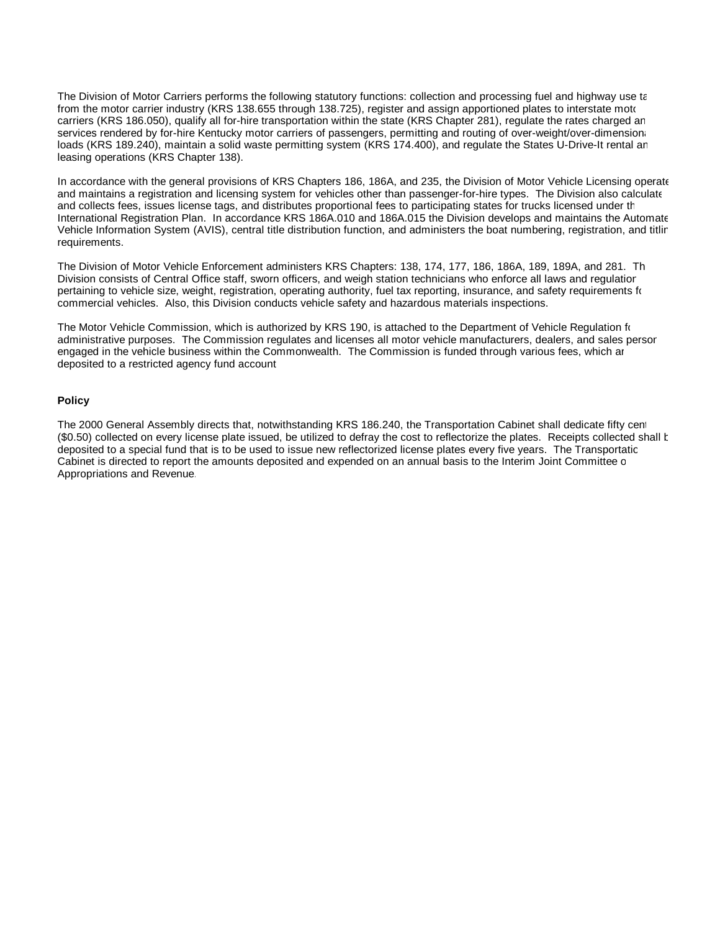The Division of Motor Carriers performs the following statutory functions: collection and processing fuel and highway use tax from the motor carrier industry (KRS 138.655 through 138.725), register and assign apportioned plates to interstate motor carriers (KRS 186.050), qualify all for-hire transportation within the state (KRS Chapter 281), regulate the rates charged an services rendered by for-hire Kentucky motor carriers of passengers, permitting and routing of over-weight/over-dimensionally loads (KRS 189.240), maintain a solid waste permitting system (KRS 174.400), and regulate the States U-Drive-It rental an leasing operations (KRS Chapter 138).

In accordance with the general provisions of KRS Chapters 186, 186A, and 235, the Division of Motor Vehicle Licensing operate and maintains a registration and licensing system for vehicles other than passenger-for-hire types. The Division also calculate and collects fees, issues license tags, and distributes proportional fees to participating states for trucks licensed under th International Registration Plan. In accordance KRS 186A.010 and 186A.015 the Division develops and maintains the Automate Vehicle Information System (AVIS), central title distribution function, and administers the boat numbering, registration, and titling requirements.

The Division of Motor Vehicle Enforcement administers KRS Chapters: 138, 174, 177, 186, 186A, 189, 189A, and 281. Th Division consists of Central Office staff, sworn officers, and weigh station technicians who enforce all laws and regulatior pertaining to vehicle size, weight, registration, operating authority, fuel tax reporting, insurance, and safety requirements for commercial vehicles. Also, this Division conducts vehicle safety and hazardous materials inspections.

The Motor Vehicle Commission, which is authorized by KRS 190, is attached to the Department of Vehicle Regulation for administrative purposes. The Commission regulates and licenses all motor vehicle manufacturers, dealers, and sales persor engaged in the vehicle business within the Commonwealth. The Commission is funded through various fees, which ar deposited to a restricted agency fund account.

#### **Policy**

The 2000 General Assembly directs that, notwithstanding KRS 186.240, the Transportation Cabinet shall dedicate fifty cent (\$0.50) collected on every license plate issued, be utilized to defray the cost to reflectorize the plates. Receipts collected shall k deposited to a special fund that is to be used to issue new reflectorized license plates every five years. The Transportatic Cabinet is directed to report the amounts deposited and expended on an annual basis to the Interim Joint Committee o Appropriations and Revenue.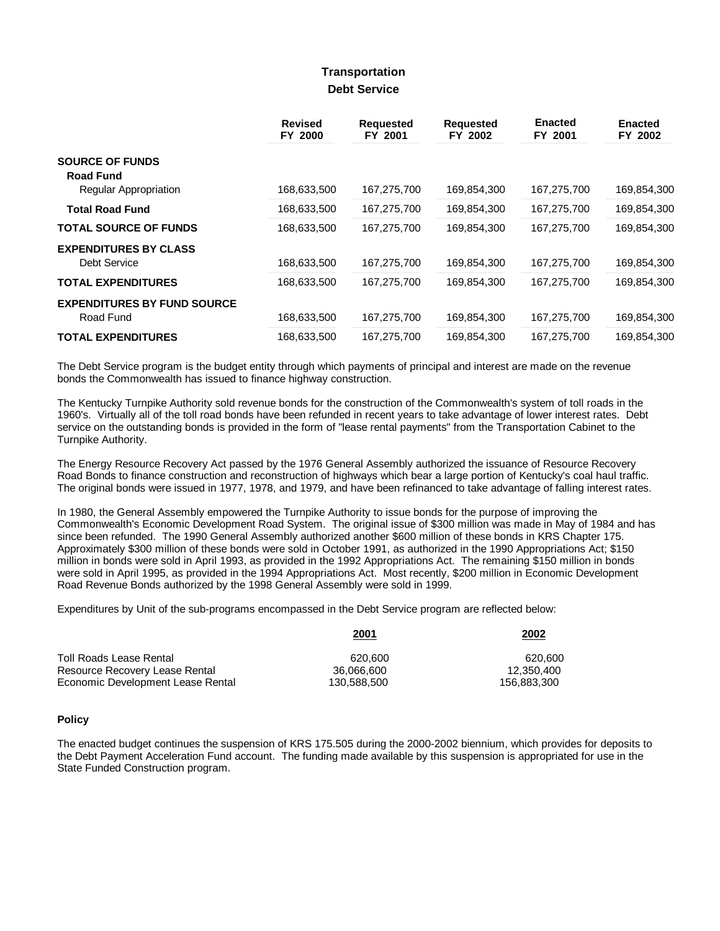### **Transportation Debt Service**

|                                           | <b>Revised</b><br>FY 2000 | <b>Requested</b><br>FY 2001 | <b>Requested</b><br>FY 2002 | <b>Enacted</b><br>FY 2001 | <b>Enacted</b><br>FY 2002 |
|-------------------------------------------|---------------------------|-----------------------------|-----------------------------|---------------------------|---------------------------|
| <b>SOURCE OF FUNDS</b>                    |                           |                             |                             |                           |                           |
| <b>Road Fund</b><br>Regular Appropriation | 168,633,500               | 167,275,700                 | 169,854,300                 | 167,275,700               | 169,854,300               |
| <b>Total Road Fund</b>                    | 168,633,500               | 167,275,700                 | 169,854,300                 | 167,275,700               | 169,854,300               |
| <b>TOTAL SOURCE OF FUNDS</b>              | 168,633,500               | 167,275,700                 | 169,854,300                 | 167,275,700               | 169,854,300               |
| <b>EXPENDITURES BY CLASS</b>              |                           |                             |                             |                           |                           |
| Debt Service                              | 168,633,500               | 167,275,700                 | 169,854,300                 | 167,275,700               | 169,854,300               |
| <b>TOTAL EXPENDITURES</b>                 | 168,633,500               | 167,275,700                 | 169,854,300                 | 167,275,700               | 169,854,300               |
| <b>EXPENDITURES BY FUND SOURCE</b>        |                           |                             |                             |                           |                           |
| Road Fund                                 | 168,633,500               | 167,275,700                 | 169,854,300                 | 167,275,700               | 169,854,300               |
| <b>TOTAL EXPENDITURES</b>                 | 168,633,500               | 167,275,700                 | 169,854,300                 | 167,275,700               | 169,854,300               |

The Debt Service program is the budget entity through which payments of principal and interest are made on the revenue bonds the Commonwealth has issued to finance highway construction.

The Kentucky Turnpike Authority sold revenue bonds for the construction of the Commonwealth's system of toll roads in the 1960's. Virtually all of the toll road bonds have been refunded in recent years to take advantage of lower interest rates. Debt service on the outstanding bonds is provided in the form of "lease rental payments" from the Transportation Cabinet to the Turnpike Authority.

The Energy Resource Recovery Act passed by the 1976 General Assembly authorized the issuance of Resource Recovery Road Bonds to finance construction and reconstruction of highways which bear a large portion of Kentucky's coal haul traffic. The original bonds were issued in 1977, 1978, and 1979, and have been refinanced to take advantage of falling interest rates.

In 1980, the General Assembly empowered the Turnpike Authority to issue bonds for the purpose of improving the Commonwealth's Economic Development Road System. The original issue of \$300 million was made in May of 1984 and has since been refunded. The 1990 General Assembly authorized another \$600 million of these bonds in KRS Chapter 175. Approximately \$300 million of these bonds were sold in October 1991, as authorized in the 1990 Appropriations Act; \$150 million in bonds were sold in April 1993, as provided in the 1992 Appropriations Act. The remaining \$150 million in bonds were sold in April 1995, as provided in the 1994 Appropriations Act. Most recently, \$200 million in Economic Development Road Revenue Bonds authorized by the 1998 General Assembly were sold in 1999.

Expenditures by Unit of the sub-programs encompassed in the Debt Service program are reflected below:

| 2001        | <u>2002</u> |
|-------------|-------------|
| 620.600     | 620.600     |
| 36.066.600  | 12.350.400  |
| 130.588.500 | 156.883.300 |
|             |             |

#### **Policy**

The enacted budget continues the suspension of KRS 175.505 during the 2000-2002 biennium, which provides for deposits to the Debt Payment Acceleration Fund account. The funding made available by this suspension is appropriated for use in the State Funded Construction program.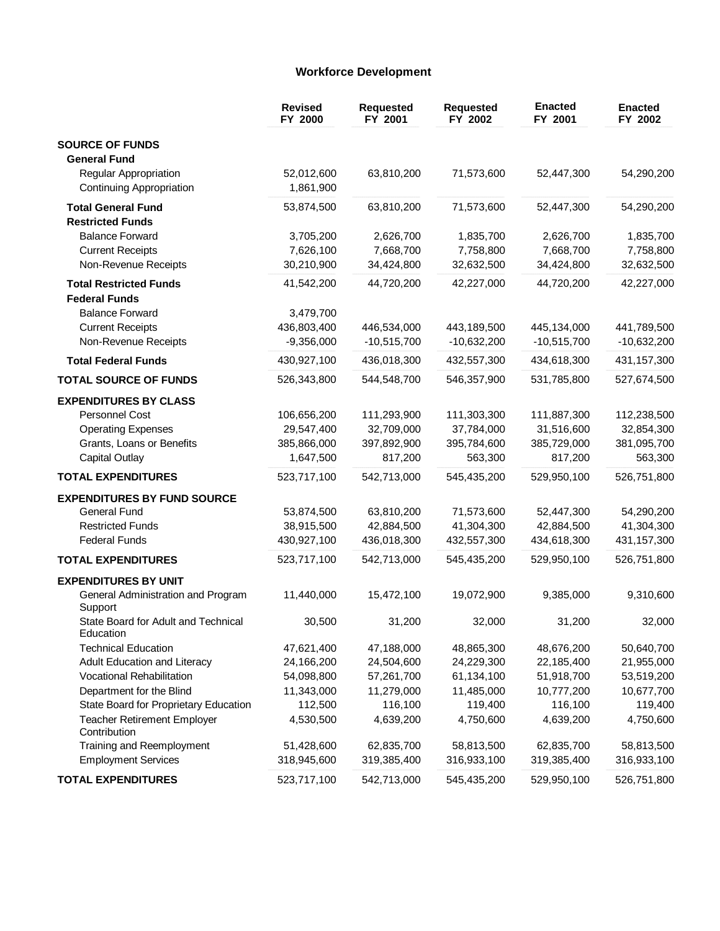### **Workforce Development**

|                                                          | <b>Revised</b><br>FY 2000 | <b>Requested</b><br>FY 2001 | <b>Requested</b><br>FY 2002 | <b>Enacted</b><br>FY 2001 | <b>Enacted</b><br>FY 2002 |
|----------------------------------------------------------|---------------------------|-----------------------------|-----------------------------|---------------------------|---------------------------|
| <b>SOURCE OF FUNDS</b>                                   |                           |                             |                             |                           |                           |
| <b>General Fund</b>                                      |                           |                             |                             |                           |                           |
| Regular Appropriation<br><b>Continuing Appropriation</b> | 52,012,600<br>1,861,900   | 63,810,200                  | 71,573,600                  | 52,447,300                | 54,290,200                |
| <b>Total General Fund</b>                                | 53,874,500                | 63,810,200                  | 71,573,600                  | 52,447,300                | 54,290,200                |
| <b>Restricted Funds</b>                                  |                           |                             |                             |                           |                           |
| <b>Balance Forward</b>                                   | 3,705,200                 | 2,626,700                   | 1,835,700                   | 2,626,700                 | 1,835,700                 |
| <b>Current Receipts</b>                                  | 7,626,100                 | 7,668,700                   | 7,758,800                   | 7,668,700                 | 7,758,800                 |
| Non-Revenue Receipts                                     | 30,210,900                | 34,424,800                  | 32,632,500                  | 34,424,800                | 32,632,500                |
| <b>Total Restricted Funds</b><br><b>Federal Funds</b>    | 41,542,200                | 44,720,200                  | 42,227,000                  | 44,720,200                | 42,227,000                |
| <b>Balance Forward</b>                                   | 3,479,700                 |                             |                             |                           |                           |
| <b>Current Receipts</b>                                  | 436,803,400               | 446,534,000                 | 443,189,500                 | 445,134,000               | 441,789,500               |
| Non-Revenue Receipts                                     | $-9,356,000$              | $-10,515,700$               | $-10,632,200$               | $-10,515,700$             | $-10,632,200$             |
| <b>Total Federal Funds</b>                               | 430,927,100               | 436,018,300                 | 432,557,300                 | 434,618,300               | 431,157,300               |
| <b>TOTAL SOURCE OF FUNDS</b>                             | 526,343,800               | 544,548,700                 | 546,357,900                 | 531,785,800               | 527,674,500               |
| <b>EXPENDITURES BY CLASS</b>                             |                           |                             |                             |                           |                           |
| Personnel Cost                                           | 106,656,200               | 111,293,900                 | 111,303,300                 | 111,887,300               | 112,238,500               |
| <b>Operating Expenses</b>                                | 29,547,400                | 32,709,000                  | 37,784,000                  | 31,516,600                | 32,854,300                |
| Grants, Loans or Benefits                                | 385,866,000               | 397,892,900                 | 395,784,600                 | 385,729,000               | 381,095,700               |
| <b>Capital Outlay</b>                                    | 1,647,500                 | 817,200                     | 563,300                     | 817,200                   | 563,300                   |
| <b>TOTAL EXPENDITURES</b>                                | 523,717,100               | 542,713,000                 | 545,435,200                 | 529,950,100               | 526,751,800               |
| <b>EXPENDITURES BY FUND SOURCE</b>                       |                           |                             |                             |                           |                           |
| General Fund                                             | 53,874,500                | 63,810,200                  | 71,573,600                  | 52,447,300                | 54,290,200                |
| <b>Restricted Funds</b>                                  | 38,915,500                | 42,884,500                  | 41,304,300                  | 42,884,500                | 41,304,300                |
| <b>Federal Funds</b>                                     | 430,927,100               | 436,018,300                 | 432,557,300                 | 434,618,300               | 431, 157, 300             |
| <b>TOTAL EXPENDITURES</b>                                | 523,717,100               | 542,713,000                 | 545,435,200                 | 529,950,100               | 526,751,800               |
| <b>EXPENDITURES BY UNIT</b>                              |                           |                             |                             |                           |                           |
| General Administration and Program<br>Support            | 11,440,000                | 15,472,100                  | 19,072,900                  | 9,385,000                 | 9,310,600                 |
| State Board for Adult and Technical<br>Education         | 30,500                    | 31,200                      | 32,000                      | 31,200                    | 32,000                    |
| <b>Technical Education</b>                               | 47,621,400                | 47,188,000                  | 48,865,300                  | 48,676,200                | 50,640,700                |
| Adult Education and Literacy                             | 24,166,200                | 24,504,600                  | 24,229,300                  | 22,185,400                | 21,955,000                |
| Vocational Rehabilitation                                | 54,098,800                | 57,261,700                  | 61,134,100                  | 51,918,700                | 53,519,200                |
| Department for the Blind                                 | 11,343,000                | 11,279,000                  | 11,485,000                  | 10,777,200                | 10,677,700                |
| State Board for Proprietary Education                    | 112,500                   | 116,100                     | 119,400                     | 116,100                   | 119,400                   |
| <b>Teacher Retirement Employer</b><br>Contribution       | 4,530,500                 | 4,639,200                   | 4,750,600                   | 4,639,200                 | 4,750,600                 |
| Training and Reemployment                                | 51,428,600                | 62,835,700                  | 58,813,500                  | 62,835,700                | 58,813,500                |
| <b>Employment Services</b>                               | 318,945,600               | 319,385,400                 | 316,933,100                 | 319,385,400               | 316,933,100               |
| <b>TOTAL EXPENDITURES</b>                                | 523,717,100               | 542,713,000                 | 545,435,200                 | 529,950,100               | 526,751,800               |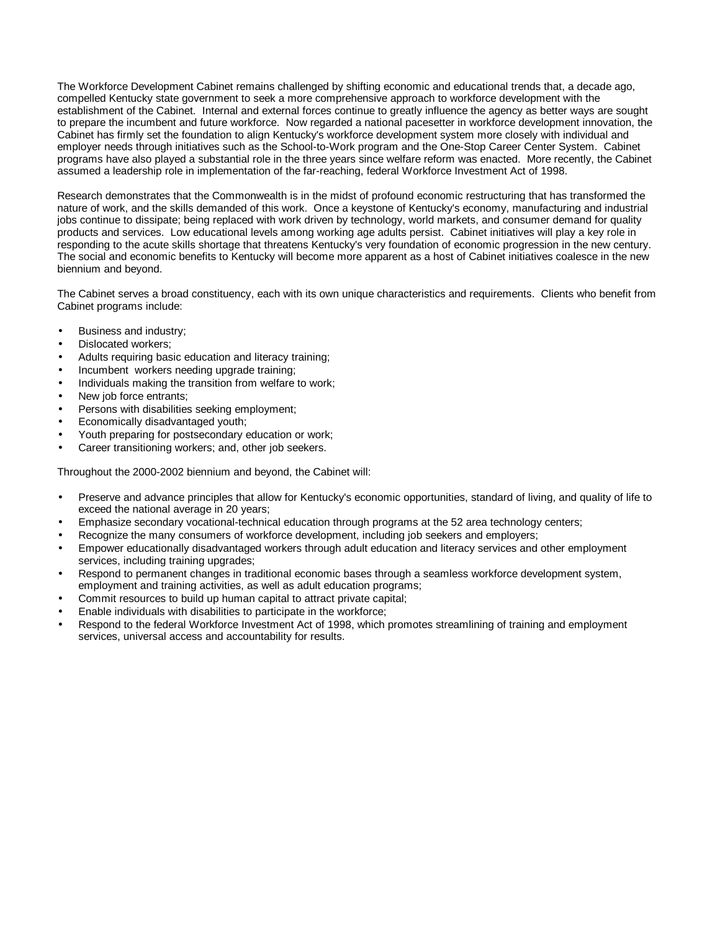The Workforce Development Cabinet remains challenged by shifting economic and educational trends that, a decade ago, compelled Kentucky state government to seek a more comprehensive approach to workforce development with the establishment of the Cabinet. Internal and external forces continue to greatly influence the agency as better ways are sought to prepare the incumbent and future workforce. Now regarded a national pacesetter in workforce development innovation, the Cabinet has firmly set the foundation to align Kentucky's workforce development system more closely with individual and employer needs through initiatives such as the School-to-Work program and the One-Stop Career Center System. Cabinet programs have also played a substantial role in the three years since welfare reform was enacted. More recently, the Cabinet assumed a leadership role in implementation of the far-reaching, federal Workforce Investment Act of 1998.

Research demonstrates that the Commonwealth is in the midst of profound economic restructuring that has transformed the nature of work, and the skills demanded of this work. Once a keystone of Kentucky's economy, manufacturing and industrial jobs continue to dissipate; being replaced with work driven by technology, world markets, and consumer demand for quality products and services. Low educational levels among working age adults persist. Cabinet initiatives will play a key role in responding to the acute skills shortage that threatens Kentucky's very foundation of economic progression in the new century. The social and economic benefits to Kentucky will become more apparent as a host of Cabinet initiatives coalesce in the new biennium and beyond.

The Cabinet serves a broad constituency, each with its own unique characteristics and requirements. Clients who benefit from Cabinet programs include:

- Business and industry;
- Dislocated workers;
- Adults requiring basic education and literacy training;
- Incumbent workers needing upgrade training;
- Individuals making the transition from welfare to work;
- New job force entrants;
- Persons with disabilities seeking employment;
- Economically disadvantaged youth;
- Youth preparing for postsecondary education or work;
- Career transitioning workers; and, other job seekers.

Throughout the 2000-2002 biennium and beyond, the Cabinet will:

- Preserve and advance principles that allow for Kentucky's economic opportunities, standard of living, and quality of life to exceed the national average in 20 years;
- Emphasize secondary vocational-technical education through programs at the 52 area technology centers;
- Recognize the many consumers of workforce development, including job seekers and employers;
- Empower educationally disadvantaged workers through adult education and literacy services and other employment services, including training upgrades;
- Respond to permanent changes in traditional economic bases through a seamless workforce development system, employment and training activities, as well as adult education programs;
- Commit resources to build up human capital to attract private capital;
- Enable individuals with disabilities to participate in the workforce;
- Respond to the federal Workforce Investment Act of 1998, which promotes streamlining of training and employment services, universal access and accountability for results.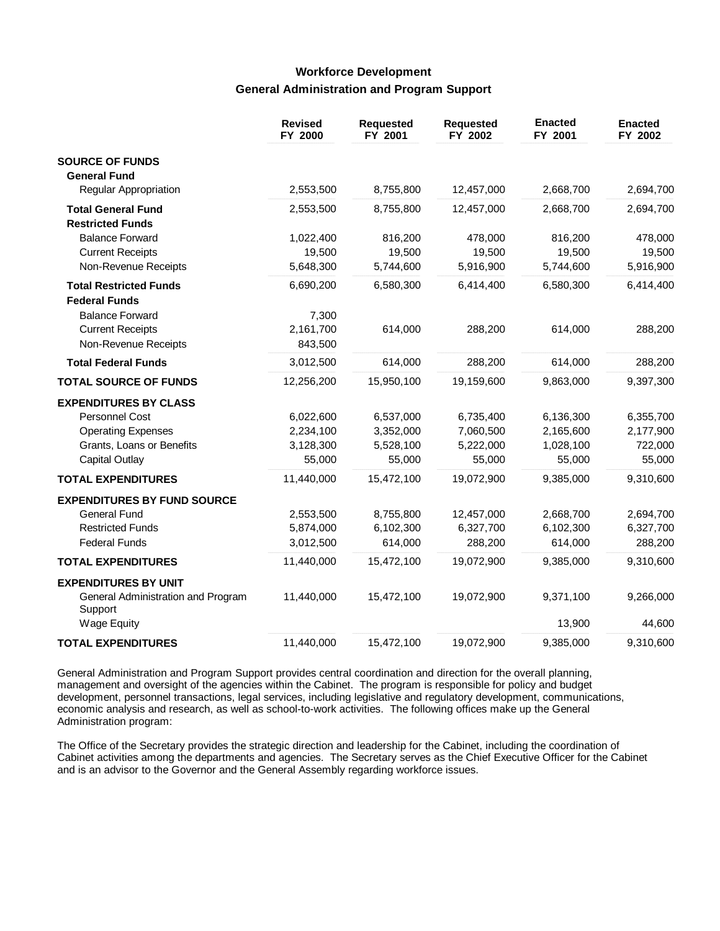## **Workforce Development General Administration and Program Support**

|                                                                           | <b>Revised</b><br>FY 2000     | <b>Requested</b><br>FY 2001 | <b>Requested</b><br>FY 2002 | <b>Enacted</b><br>FY 2001 | <b>Enacted</b><br>FY 2002 |
|---------------------------------------------------------------------------|-------------------------------|-----------------------------|-----------------------------|---------------------------|---------------------------|
| <b>SOURCE OF FUNDS</b><br><b>General Fund</b>                             |                               |                             |                             |                           |                           |
| Regular Appropriation                                                     | 2,553,500                     | 8,755,800                   | 12,457,000                  | 2,668,700                 | 2,694,700                 |
| <b>Total General Fund</b><br><b>Restricted Funds</b>                      | 2,553,500                     | 8,755,800                   | 12,457,000                  | 2,668,700                 | 2,694,700                 |
| <b>Balance Forward</b>                                                    | 1,022,400                     | 816,200                     | 478,000                     | 816,200                   | 478,000                   |
| <b>Current Receipts</b>                                                   | 19,500                        | 19,500                      | 19,500                      | 19,500                    | 19,500                    |
| Non-Revenue Receipts                                                      | 5,648,300                     | 5,744,600                   | 5,916,900                   | 5,744,600                 | 5,916,900                 |
| <b>Total Restricted Funds</b>                                             | 6,690,200                     | 6,580,300                   | 6,414,400                   | 6,580,300                 | 6,414,400                 |
| <b>Federal Funds</b>                                                      |                               |                             |                             |                           |                           |
| <b>Balance Forward</b><br><b>Current Receipts</b><br>Non-Revenue Receipts | 7,300<br>2,161,700<br>843,500 | 614,000                     | 288,200                     | 614,000                   | 288,200                   |
| <b>Total Federal Funds</b>                                                | 3,012,500                     | 614,000                     | 288,200                     | 614,000                   | 288,200                   |
| <b>TOTAL SOURCE OF FUNDS</b>                                              | 12,256,200                    | 15,950,100                  | 19,159,600                  | 9,863,000                 | 9,397,300                 |
| <b>EXPENDITURES BY CLASS</b>                                              |                               |                             |                             |                           |                           |
| <b>Personnel Cost</b>                                                     | 6,022,600                     | 6,537,000                   | 6,735,400                   | 6,136,300                 | 6,355,700                 |
| <b>Operating Expenses</b>                                                 | 2,234,100                     | 3,352,000                   | 7,060,500                   | 2,165,600                 | 2,177,900                 |
| Grants, Loans or Benefits                                                 | 3,128,300                     | 5,528,100                   | 5,222,000                   | 1,028,100                 | 722,000                   |
| <b>Capital Outlay</b>                                                     | 55,000                        | 55,000                      | 55,000                      | 55,000                    | 55,000                    |
| <b>TOTAL EXPENDITURES</b>                                                 | 11,440,000                    | 15,472,100                  | 19,072,900                  | 9,385,000                 | 9,310,600                 |
| <b>EXPENDITURES BY FUND SOURCE</b>                                        |                               |                             |                             |                           |                           |
| <b>General Fund</b>                                                       | 2,553,500                     | 8,755,800                   | 12,457,000                  | 2,668,700                 | 2,694,700                 |
| <b>Restricted Funds</b>                                                   | 5,874,000                     | 6,102,300                   | 6,327,700                   | 6,102,300                 | 6,327,700                 |
| <b>Federal Funds</b>                                                      | 3,012,500                     | 614,000                     | 288,200                     | 614,000                   | 288,200                   |
| <b>TOTAL EXPENDITURES</b>                                                 | 11,440,000                    | 15,472,100                  | 19,072,900                  | 9,385,000                 | 9,310,600                 |
| <b>EXPENDITURES BY UNIT</b>                                               |                               |                             |                             |                           |                           |
| General Administration and Program<br>Support                             | 11,440,000                    | 15,472,100                  | 19,072,900                  | 9,371,100                 | 9,266,000                 |
| <b>Wage Equity</b>                                                        |                               |                             |                             | 13,900                    | 44,600                    |
| <b>TOTAL EXPENDITURES</b>                                                 | 11,440,000                    | 15,472,100                  | 19,072,900                  | 9,385,000                 | 9,310,600                 |

General Administration and Program Support provides central coordination and direction for the overall planning, management and oversight of the agencies within the Cabinet. The program is responsible for policy and budget development, personnel transactions, legal services, including legislative and regulatory development, communications, economic analysis and research, as well as school-to-work activities. The following offices make up the General Administration program:

The Office of the Secretary provides the strategic direction and leadership for the Cabinet, including the coordination of Cabinet activities among the departments and agencies. The Secretary serves as the Chief Executive Officer for the Cabinet and is an advisor to the Governor and the General Assembly regarding workforce issues.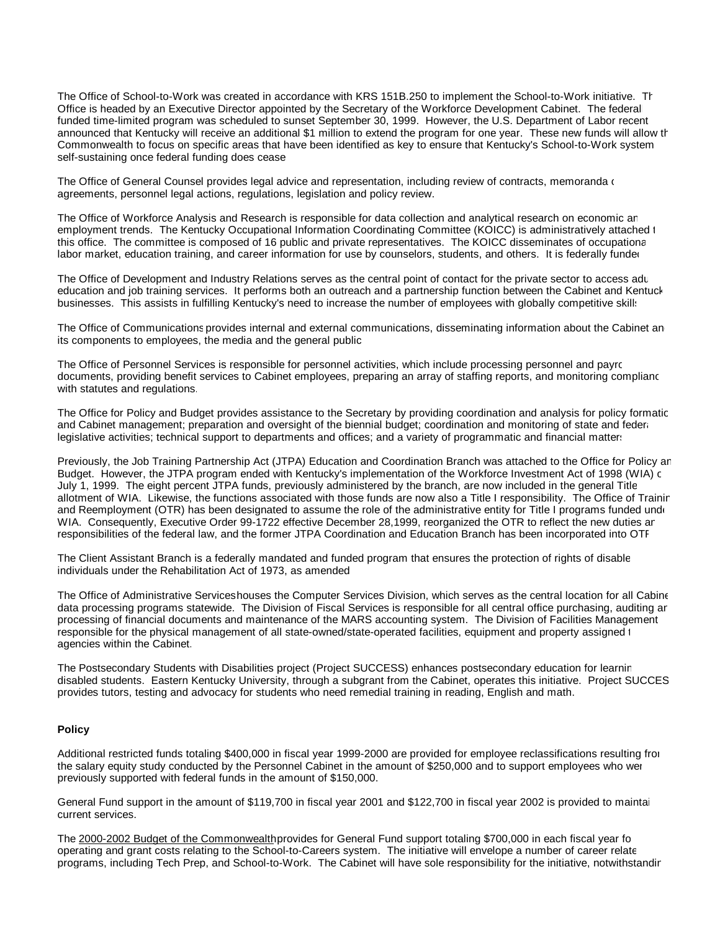The Office of School-to-Work was created in accordance with KRS 151B.250 to implement the School-to-Work initiative. The Office is headed by an Executive Director appointed by the Secretary of the Workforce Development Cabinet. The federal funded time-limited program was scheduled to sunset September 30, 1999. However, the U.S. Department of Labor recent announced that Kentucky will receive an additional \$1 million to extend the program for one year. These new funds will allow the Commonwealth to focus on specific areas that have been identified as key to ensure that Kentucky's School-to-Work system self-sustaining once federal funding does cease.

The Office of General Counsel provides legal advice and representation, including review of contracts, memoranda of agreements, personnel legal actions, regulations, legislation and policy review.

The Office of Workforce Analysis and Research is responsible for data collection and analytical research on economic and employment trends. The Kentucky Occupational Information Coordinating Committee (KOICC) is administratively attached t this office. The committee is composed of 16 public and private representatives. The KOICC disseminates of occupational labor market, education training, and career information for use by counselors, students, and others. It is federally funded

The Office of Development and Industry Relations serves as the central point of contact for the private sector to access adu education and job training services. It performs both an outreach and a partnership function between the Cabinet and Kentuck businesses. This assists in fulfilling Kentucky's need to increase the number of employees with globally competitive skill:

The Office of Communications provides internal and external communications, disseminating information about the Cabinet an its components to employees, the media and the general public.

The Office of Personnel Services is responsible for personnel activities, which include processing personnel and payroll documents, providing benefit services to Cabinet employees, preparing an array of staffing reports, and monitoring compliance with statutes and regulations.

The Office for Policy and Budget provides assistance to the Secretary by providing coordination and analysis for policy formatic and Cabinet management; preparation and oversight of the biennial budget; coordination and monitoring of state and federal legislative activities; technical support to departments and offices; and a variety of programmatic and financial matters

Previously, the Job Training Partnership Act (JTPA) Education and Coordination Branch was attached to the Office for Policy ar Budget. However, the JTPA program ended with Kentucky's implementation of the Workforce Investment Act of 1998 (WIA) c July 1, 1999. The eight percent JTPA funds, previously administered by the branch, are now included in the general Title allotment of WIA. Likewise, the functions associated with those funds are now also a Title I responsibility. The Office of Training and Reemployment (OTR) has been designated to assume the role of the administrative entity for Title I programs funded under WIA. Consequently, Executive Order 99-1722 effective December 28,1999, reorganized the OTR to reflect the new duties an responsibilities of the federal law, and the former JTPA Coordination and Education Branch has been incorporated into OTR.

The Client Assistant Branch is a federally mandated and funded program that ensures the protection of rights of disable individuals under the Rehabilitation Act of 1973, as amended.

The Office of Administrative Serviceshouses the Computer Services Division, which serves as the central location for all Cabine data processing programs statewide. The Division of Fiscal Services is responsible for all central office purchasing, auditing ar processing of financial documents and maintenance of the MARS accounting system. The Division of Facilities Management responsible for the physical management of all state-owned/state-operated facilities, equipment and property assigned t agencies within the Cabinet.

The Postsecondary Students with Disabilities project (Project SUCCESS) enhances postsecondary education for learning disabled students. Eastern Kentucky University, through a subgrant from the Cabinet, operates this initiative. Project SUCCESS provides tutors, testing and advocacy for students who need remedial training in reading, English and math.

#### **Policy**

Additional restricted funds totaling \$400,000 in fiscal year 1999-2000 are provided for employee reclassifications resulting from the salary equity study conducted by the Personnel Cabinet in the amount of \$250,000 and to support employees who were previously supported with federal funds in the amount of \$150,000.

General Fund support in the amount of \$119,700 in fiscal year 2001 and \$122,700 in fiscal year 2002 is provided to maintai current services.

The 2000-2002 Budget of the Commonwealth provides for General Fund support totaling \$700,000 in each fiscal year fo operating and grant costs relating to the School-to-Careers system. The initiative will envelope a number of career relate programs, including Tech Prep, and School-to-Work. The Cabinet will have sole responsibility for the initiative, notwithstanding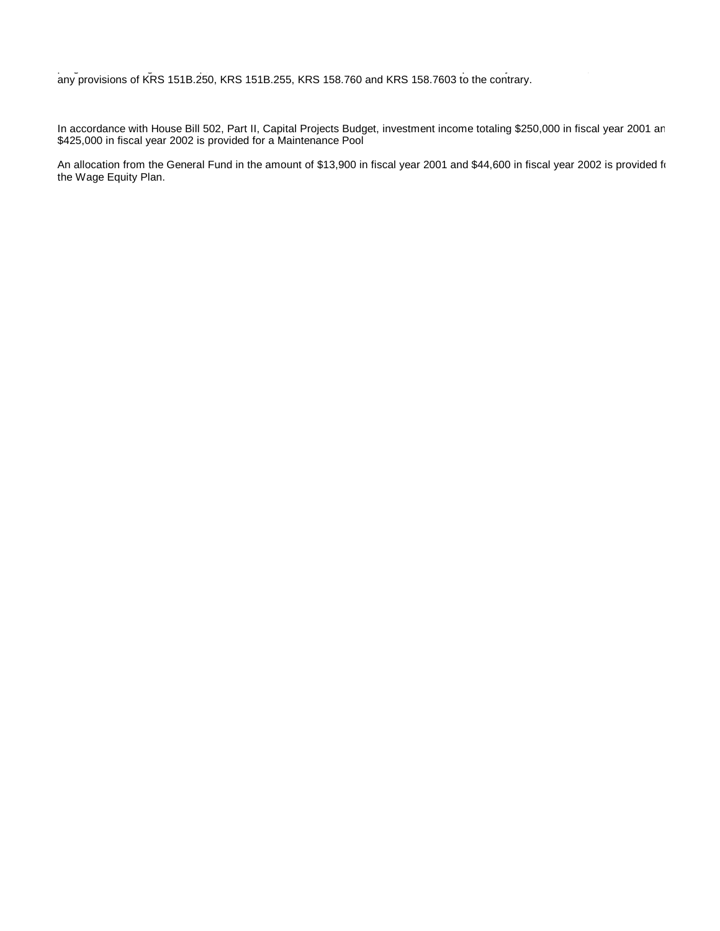programs, including Tech Prep, and School-to-Work. The Cabinet will have sole responsibility for the initiative, notwithstanding any provisions of KRS 151B.250, KRS 151B.255, KRS 158.760 and KRS 158.7603 to the contrary.

In accordance with House Bill 502, Part II, Capital Projects Budget, investment income totaling \$250,000 in fiscal year 2001 an \$425,000 in fiscal year 2002 is provided for a Maintenance Pool

An allocation from the General Fund in the amount of \$13,900 in fiscal year 2001 and \$44,600 in fiscal year 2002 is provided for the Wage Equity Plan.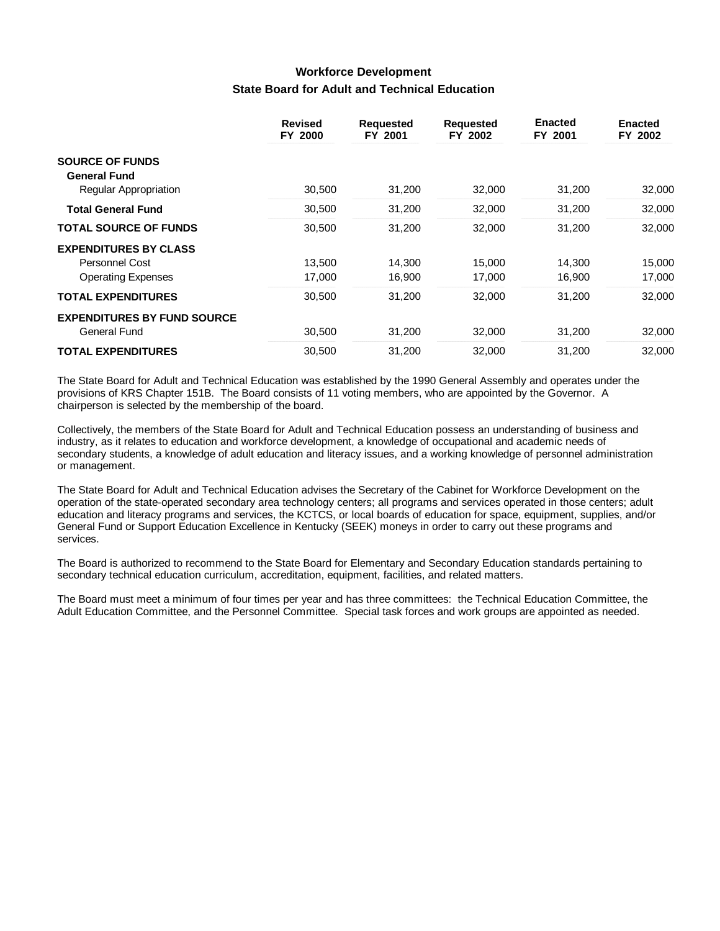# **Workforce Development State Board for Adult and Technical Education**

|                                    | <b>Revised</b><br>FY 2000 | <b>Requested</b><br>FY 2001 | <b>Requested</b><br>FY 2002 | <b>Enacted</b><br>FY 2001 | <b>Enacted</b><br>FY 2002 |
|------------------------------------|---------------------------|-----------------------------|-----------------------------|---------------------------|---------------------------|
| <b>SOURCE OF FUNDS</b>             |                           |                             |                             |                           |                           |
| <b>General Fund</b>                |                           |                             |                             |                           |                           |
| <b>Regular Appropriation</b>       | 30,500                    | 31,200                      | 32,000                      | 31,200                    | 32,000                    |
| <b>Total General Fund</b>          | 30,500                    | 31,200                      | 32,000                      | 31,200                    | 32,000                    |
| <b>TOTAL SOURCE OF FUNDS</b>       | 30,500                    | 31,200                      | 32,000                      | 31,200                    | 32,000                    |
| <b>EXPENDITURES BY CLASS</b>       |                           |                             |                             |                           |                           |
| Personnel Cost                     | 13,500                    | 14,300                      | 15,000                      | 14,300                    | 15,000                    |
| <b>Operating Expenses</b>          | 17,000                    | 16,900                      | 17,000                      | 16,900                    | 17,000                    |
| <b>TOTAL EXPENDITURES</b>          | 30,500                    | 31,200                      | 32,000                      | 31,200                    | 32,000                    |
| <b>EXPENDITURES BY FUND SOURCE</b> |                           |                             |                             |                           |                           |
| General Fund                       | 30,500                    | 31,200                      | 32,000                      | 31,200                    | 32,000                    |
| <b>TOTAL EXPENDITURES</b>          | 30,500                    | 31,200                      | 32,000                      | 31,200                    | 32,000                    |

The State Board for Adult and Technical Education was established by the 1990 General Assembly and operates under the provisions of KRS Chapter 151B. The Board consists of 11 voting members, who are appointed by the Governor. A chairperson is selected by the membership of the board.

Collectively, the members of the State Board for Adult and Technical Education possess an understanding of business and industry, as it relates to education and workforce development, a knowledge of occupational and academic needs of secondary students, a knowledge of adult education and literacy issues, and a working knowledge of personnel administration or management.

The State Board for Adult and Technical Education advises the Secretary of the Cabinet for Workforce Development on the operation of the state-operated secondary area technology centers; all programs and services operated in those centers; adult education and literacy programs and services, the KCTCS, or local boards of education for space, equipment, supplies, and/or General Fund or Support Education Excellence in Kentucky (SEEK) moneys in order to carry out these programs and services.

The Board is authorized to recommend to the State Board for Elementary and Secondary Education standards pertaining to secondary technical education curriculum, accreditation, equipment, facilities, and related matters.

The Board must meet a minimum of four times per year and has three committees: the Technical Education Committee, the Adult Education Committee, and the Personnel Committee. Special task forces and work groups are appointed as needed.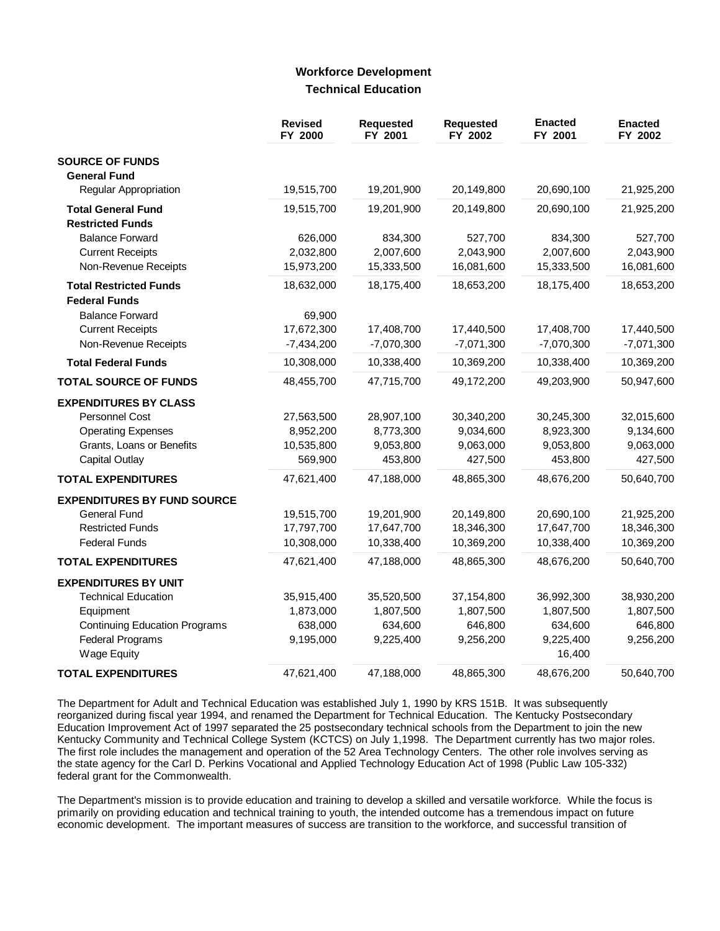### **Workforce Development Technical Education**

|                                               | <b>Revised</b><br>FY 2000 | <b>Requested</b><br>FY 2001 | <b>Requested</b><br>FY 2002 | <b>Enacted</b><br>FY 2001 | <b>Enacted</b><br>FY 2002 |
|-----------------------------------------------|---------------------------|-----------------------------|-----------------------------|---------------------------|---------------------------|
| <b>SOURCE OF FUNDS</b>                        |                           |                             |                             |                           |                           |
| <b>General Fund</b>                           |                           |                             |                             |                           |                           |
| Regular Appropriation                         | 19,515,700                | 19,201,900                  | 20,149,800                  | 20,690,100                | 21,925,200                |
| <b>Total General Fund</b>                     | 19,515,700                | 19,201,900                  | 20,149,800                  | 20,690,100                | 21,925,200                |
| <b>Restricted Funds</b>                       |                           |                             |                             |                           |                           |
| <b>Balance Forward</b>                        | 626,000                   | 834,300                     | 527,700                     | 834,300                   | 527,700                   |
| <b>Current Receipts</b>                       | 2,032,800                 | 2,007,600                   | 2,043,900                   | 2,007,600                 | 2,043,900                 |
| Non-Revenue Receipts                          | 15,973,200                | 15,333,500                  | 16,081,600                  | 15,333,500                | 16,081,600                |
| <b>Total Restricted Funds</b>                 | 18,632,000                | 18,175,400                  | 18,653,200                  | 18,175,400                | 18,653,200                |
| <b>Federal Funds</b>                          |                           |                             |                             |                           |                           |
| <b>Balance Forward</b>                        | 69,900                    |                             |                             |                           |                           |
| <b>Current Receipts</b>                       | 17,672,300                | 17,408,700                  | 17,440,500                  | 17,408,700                | 17,440,500                |
| Non-Revenue Receipts                          | $-7,434,200$              | $-7,070,300$                | $-7,071,300$                | $-7,070,300$              | $-7,071,300$              |
| <b>Total Federal Funds</b>                    | 10,308,000                | 10,338,400                  | 10,369,200                  | 10,338,400                | 10,369,200                |
| <b>TOTAL SOURCE OF FUNDS</b>                  | 48,455,700                | 47,715,700                  | 49,172,200                  | 49,203,900                | 50,947,600                |
| <b>EXPENDITURES BY CLASS</b>                  |                           |                             |                             |                           |                           |
| Personnel Cost                                | 27,563,500                | 28,907,100                  | 30,340,200                  | 30,245,300                | 32,015,600                |
| <b>Operating Expenses</b>                     | 8,952,200                 | 8,773,300                   | 9,034,600                   | 8,923,300                 | 9,134,600                 |
| Grants, Loans or Benefits                     | 10,535,800                | 9,053,800                   | 9,063,000                   | 9,053,800                 | 9,063,000                 |
| <b>Capital Outlay</b>                         | 569,900                   | 453,800                     | 427,500                     | 453,800                   | 427,500                   |
| <b>TOTAL EXPENDITURES</b>                     | 47,621,400                | 47,188,000                  | 48,865,300                  | 48,676,200                | 50,640,700                |
| <b>EXPENDITURES BY FUND SOURCE</b>            |                           |                             |                             |                           |                           |
| <b>General Fund</b>                           | 19,515,700                | 19,201,900                  | 20,149,800                  | 20,690,100                | 21,925,200                |
| <b>Restricted Funds</b>                       | 17,797,700                | 17,647,700                  | 18,346,300                  | 17,647,700                | 18,346,300                |
| <b>Federal Funds</b>                          | 10,308,000                | 10,338,400                  | 10,369,200                  | 10,338,400                | 10,369,200                |
| <b>TOTAL EXPENDITURES</b>                     | 47,621,400                | 47,188,000                  | 48,865,300                  | 48,676,200                | 50,640,700                |
| <b>EXPENDITURES BY UNIT</b>                   |                           |                             |                             |                           |                           |
| <b>Technical Education</b>                    | 35,915,400                | 35,520,500                  | 37,154,800                  | 36,992,300                | 38,930,200                |
| Equipment                                     | 1,873,000                 | 1,807,500                   | 1,807,500                   | 1,807,500                 | 1,807,500                 |
| <b>Continuing Education Programs</b>          | 638,000                   | 634,600                     | 646,800                     | 634,600                   | 646,800                   |
| <b>Federal Programs</b><br><b>Wage Equity</b> | 9,195,000                 | 9,225,400                   | 9,256,200                   | 9,225,400<br>16,400       | 9,256,200                 |
| <b>TOTAL EXPENDITURES</b>                     | 47,621,400                | 47,188,000                  | 48,865,300                  | 48,676,200                | 50,640,700                |

The Department for Adult and Technical Education was established July 1, 1990 by KRS 151B. It was subsequently reorganized during fiscal year 1994, and renamed the Department for Technical Education. The Kentucky Postsecondary Education Improvement Act of 1997 separated the 25 postsecondary technical schools from the Department to join the new Kentucky Community and Technical College System (KCTCS) on July 1,1998. The Department currently has two major roles. The first role includes the management and operation of the 52 Area Technology Centers. The other role involves serving as the state agency for the Carl D. Perkins Vocational and Applied Technology Education Act of 1998 (Public Law 105-332) federal grant for the Commonwealth.

The Department's mission is to provide education and training to develop a skilled and versatile workforce. While the focus is primarily on providing education and technical training to youth, the intended outcome has a tremendous impact on future economic development. The important measures of success are transition to the workforce, and successful transition of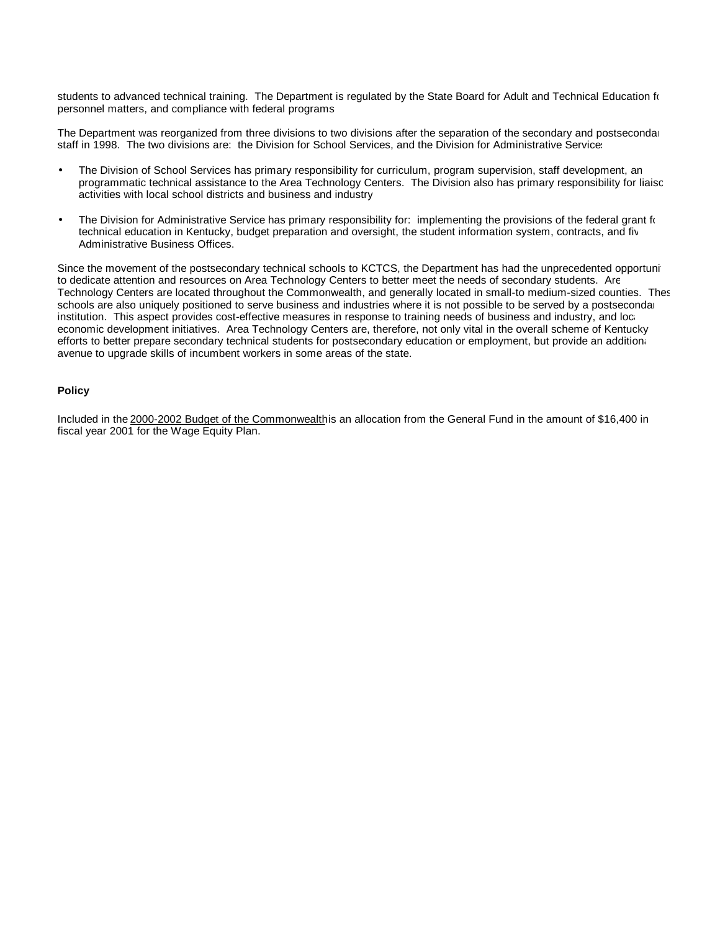students to advanced technical training. The Department is regulated by the State Board for Adult and Technical Education for personnel matters, and compliance with federal programs.

The Department was reorganized from three divisions to two divisions after the separation of the secondary and postsecondary staff in 1998. The two divisions are: the Division for School Services, and the Division for Administrative Services.

- The Division of School Services has primary responsibility for curriculum, program supervision, staff development, an programmatic technical assistance to the Area Technology Centers. The Division also has primary responsibility for liaisc activities with local school districts and business and industry.
- The Division for Administrative Service has primary responsibility for: implementing the provisions of the federal grant for technical education in Kentucky, budget preparation and oversight, the student information system, contracts, and five Administrative Business Offices.

Since the movement of the postsecondary technical schools to KCTCS, the Department has had the unprecedented opportunity to dedicate attention and resources on Area Technology Centers to better meet the needs of secondary students. Are Technology Centers are located throughout the Commonwealth, and generally located in small-to medium-sized counties. Thes schools are also uniquely positioned to serve business and industries where it is not possible to be served by a postsecondar institution. This aspect provides cost-effective measures in response to training needs of business and industry, and loceconomic development initiatives. Area Technology Centers are, therefore, not only vital in the overall scheme of Kentucky efforts to better prepare secondary technical students for postsecondary education or employment, but provide an additional avenue to upgrade skills of incumbent workers in some areas of the state.

#### **Policy**

Included in the 2000-2002 Budget of the Commonwealthis an allocation from the General Fund in the amount of \$16,400 in fiscal year 2001 for the Wage Equity Plan.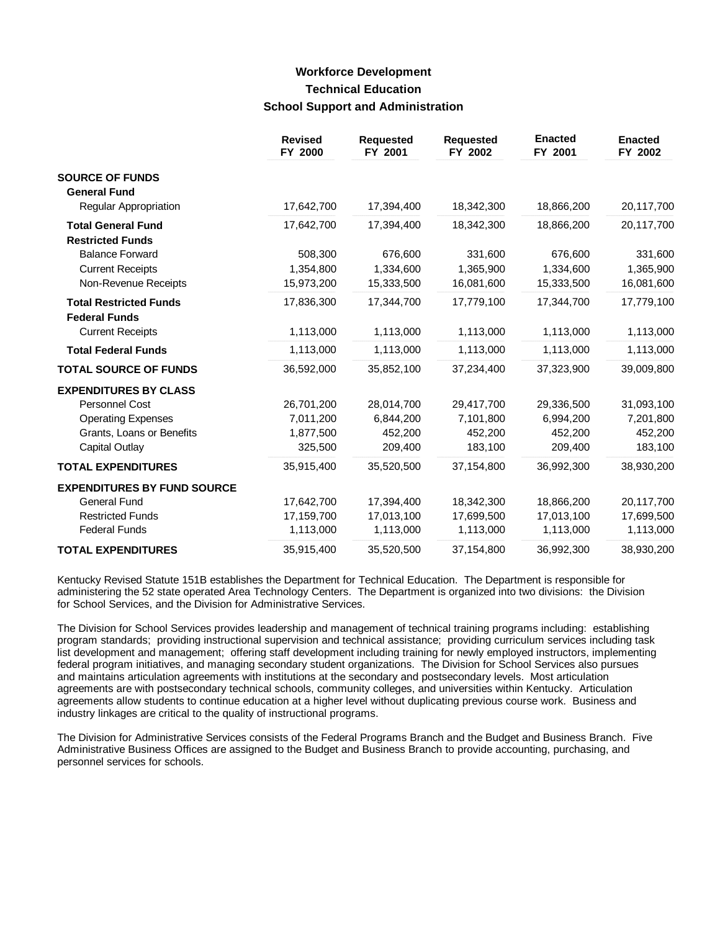## **Workforce Development Technical Education School Support and Administration**

|                                                      | <b>Revised</b><br>FY 2000 | <b>Requested</b><br>FY 2001 | <b>Requested</b><br>FY 2002 | <b>Enacted</b><br>FY 2001 | <b>Enacted</b><br>FY 2002 |
|------------------------------------------------------|---------------------------|-----------------------------|-----------------------------|---------------------------|---------------------------|
| <b>SOURCE OF FUNDS</b>                               |                           |                             |                             |                           |                           |
| <b>General Fund</b>                                  |                           |                             |                             |                           |                           |
| Regular Appropriation                                | 17,642,700                | 17,394,400                  | 18,342,300                  | 18,866,200                | 20,117,700                |
| <b>Total General Fund</b><br><b>Restricted Funds</b> | 17,642,700                | 17,394,400                  | 18,342,300                  | 18,866,200                | 20,117,700                |
| <b>Balance Forward</b>                               | 508,300                   | 676,600                     | 331,600                     | 676,600                   | 331,600                   |
| <b>Current Receipts</b>                              | 1,354,800                 | 1,334,600                   | 1,365,900                   | 1,334,600                 | 1,365,900                 |
| Non-Revenue Receipts                                 | 15,973,200                | 15,333,500                  | 16,081,600                  | 15,333,500                | 16,081,600                |
| <b>Total Restricted Funds</b>                        | 17,836,300                | 17,344,700                  | 17,779,100                  | 17,344,700                | 17,779,100                |
| <b>Federal Funds</b>                                 |                           |                             |                             |                           |                           |
| <b>Current Receipts</b>                              | 1,113,000                 | 1,113,000                   | 1,113,000                   | 1,113,000                 | 1,113,000                 |
| <b>Total Federal Funds</b>                           | 1,113,000                 | 1,113,000                   | 1,113,000                   | 1,113,000                 | 1,113,000                 |
| <b>TOTAL SOURCE OF FUNDS</b>                         | 36,592,000                | 35,852,100                  | 37,234,400                  | 37,323,900                | 39,009,800                |
| <b>EXPENDITURES BY CLASS</b>                         |                           |                             |                             |                           |                           |
| Personnel Cost                                       | 26,701,200                | 28,014,700                  | 29,417,700                  | 29,336,500                | 31,093,100                |
| <b>Operating Expenses</b>                            | 7,011,200                 | 6,844,200                   | 7,101,800                   | 6,994,200                 | 7,201,800                 |
| Grants, Loans or Benefits                            | 1,877,500                 | 452,200                     | 452,200                     | 452,200                   | 452,200                   |
| Capital Outlay                                       | 325,500                   | 209,400                     | 183,100                     | 209,400                   | 183,100                   |
| <b>TOTAL EXPENDITURES</b>                            | 35,915,400                | 35,520,500                  | 37,154,800                  | 36,992,300                | 38,930,200                |
| <b>EXPENDITURES BY FUND SOURCE</b>                   |                           |                             |                             |                           |                           |
| General Fund                                         | 17,642,700                | 17,394,400                  | 18,342,300                  | 18,866,200                | 20,117,700                |
| <b>Restricted Funds</b>                              | 17,159,700                | 17,013,100                  | 17,699,500                  | 17,013,100                | 17,699,500                |
| <b>Federal Funds</b>                                 | 1,113,000                 | 1,113,000                   | 1,113,000                   | 1,113,000                 | 1,113,000                 |
| <b>TOTAL EXPENDITURES</b>                            | 35,915,400                | 35,520,500                  | 37,154,800                  | 36,992,300                | 38,930,200                |

Kentucky Revised Statute 151B establishes the Department for Technical Education. The Department is responsible for administering the 52 state operated Area Technology Centers. The Department is organized into two divisions: the Division for School Services, and the Division for Administrative Services.

The Division for School Services provides leadership and management of technical training programs including: establishing program standards; providing instructional supervision and technical assistance; providing curriculum services including task list development and management; offering staff development including training for newly employed instructors, implementing federal program initiatives, and managing secondary student organizations. The Division for School Services also pursues and maintains articulation agreements with institutions at the secondary and postsecondary levels. Most articulation agreements are with postsecondary technical schools, community colleges, and universities within Kentucky. Articulation agreements allow students to continue education at a higher level without duplicating previous course work. Business and industry linkages are critical to the quality of instructional programs.

The Division for Administrative Services consists of the Federal Programs Branch and the Budget and Business Branch. Five Administrative Business Offices are assigned to the Budget and Business Branch to provide accounting, purchasing, and personnel services for schools.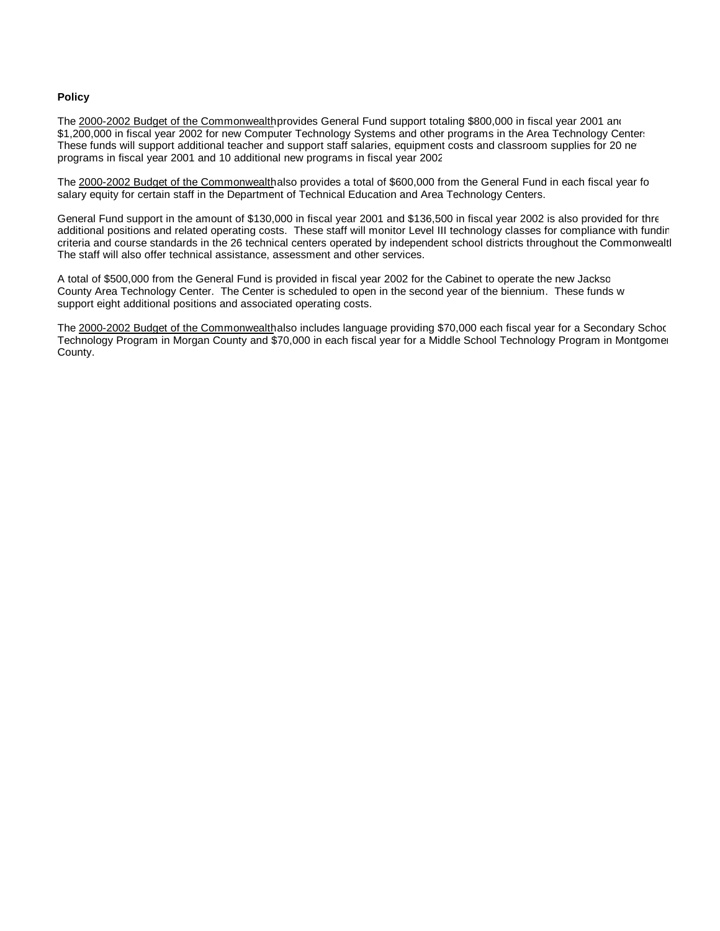#### **Policy**

The 2000-2002 Budget of the Commonwealth provides General Fund support totaling \$800,000 in fiscal year 2001 and \$1,200,000 in fiscal year 2002 for new Computer Technology Systems and other programs in the Area Technology Center: These funds will support additional teacher and support staff salaries, equipment costs and classroom supplies for 20 new programs in fiscal year 2001 and 10 additional new programs in fiscal year 2002.

The 2000-2002 Budget of the Commonwealthalso provides a total of \$600,000 from the General Fund in each fiscal year for salary equity for certain staff in the Department of Technical Education and Area Technology Centers.

General Fund support in the amount of \$130,000 in fiscal year 2001 and \$136,500 in fiscal year 2002 is also provided for three additional positions and related operating costs. These staff will monitor Level III technology classes for compliance with fundir criteria and course standards in the 26 technical centers operated by independent school districts throughout the Commonwealth The staff will also offer technical assistance, assessment and other services.

A total of \$500,000 from the General Fund is provided in fiscal year 2002 for the Cabinet to operate the new Jackso County Area Technology Center. The Center is scheduled to open in the second year of the biennium. These funds w support eight additional positions and associated operating costs.

The 2000-2002 Budget of the Commonwealthalso includes language providing \$70,000 each fiscal year for a Secondary School Technology Program in Morgan County and \$70,000 in each fiscal year for a Middle School Technology Program in Montgomer County.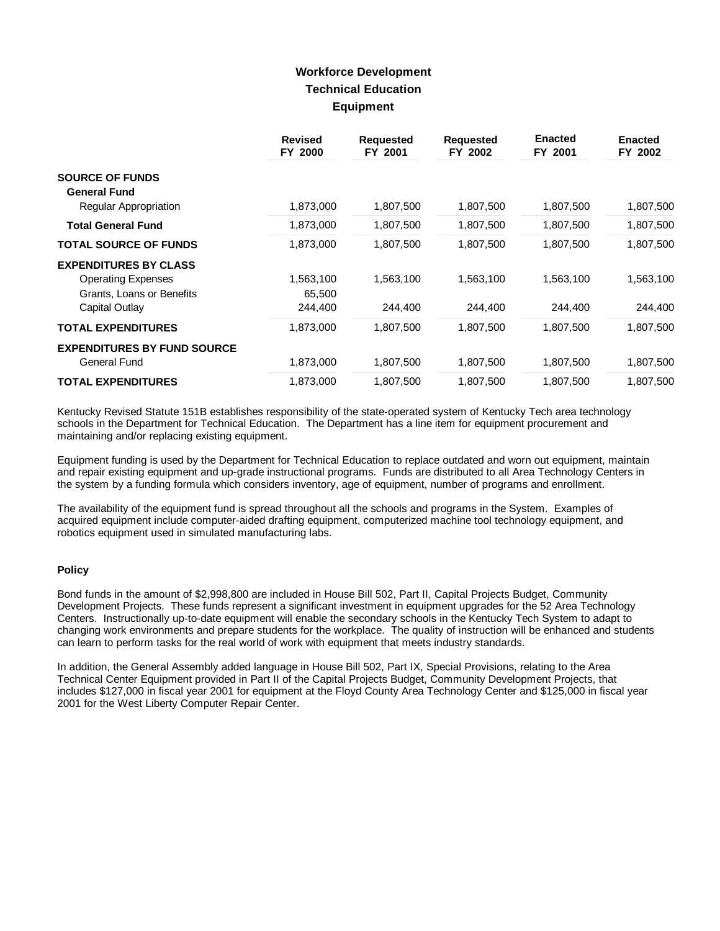## **Workforce Development Technical Education Equipment**

|                                                        | <b>Revised</b><br>FY 2000 | <b>Requested</b><br>FY 2001 | <b>Requested</b><br>FY 2002 | <b>Enacted</b><br>FY 2001 | <b>Enacted</b><br>FY 2002 |
|--------------------------------------------------------|---------------------------|-----------------------------|-----------------------------|---------------------------|---------------------------|
| <b>SOURCE OF FUNDS</b><br><b>General Fund</b>          |                           |                             |                             |                           |                           |
| <b>Regular Appropriation</b>                           | 1,873,000                 | 1,807,500                   | 1,807,500                   | 1,807,500                 | 1,807,500                 |
| <b>Total General Fund</b>                              | 1,873,000                 | 1,807,500                   | 1,807,500                   | 1,807,500                 | 1,807,500                 |
| <b>TOTAL SOURCE OF FUNDS</b>                           | 1,873,000                 | 1,807,500                   | 1,807,500                   | 1,807,500                 | 1,807,500                 |
| <b>EXPENDITURES BY CLASS</b>                           |                           |                             |                             |                           |                           |
| <b>Operating Expenses</b><br>Grants, Loans or Benefits | 1,563,100<br>65,500       | 1,563,100                   | 1,563,100                   | 1,563,100                 | 1,563,100                 |
| Capital Outlay                                         | 244,400                   | 244,400                     | 244,400                     | 244,400                   | 244,400                   |
| <b>TOTAL EXPENDITURES</b>                              | 1,873,000                 | 1,807,500                   | 1,807,500                   | 1,807,500                 | 1,807,500                 |
| <b>EXPENDITURES BY FUND SOURCE</b><br>General Fund     | 1,873,000                 | 1,807,500                   | 1,807,500                   | 1,807,500                 | 1,807,500                 |
| <b>TOTAL EXPENDITURES</b>                              | 1,873,000                 | 1,807,500                   | 1,807,500                   | 1,807,500                 | 1,807,500                 |

Kentucky Revised Statute 151B establishes responsibility of the state-operated system of Kentucky Tech area technology schools in the Department for Technical Education. The Department has a line item for equipment procurement and maintaining and/or replacing existing equipment.

Equipment funding is used by the Department for Technical Education to replace outdated and worn out equipment, maintain and repair existing equipment and up-grade instructional programs. Funds are distributed to all Area Technology Centers in the system by a funding formula which considers inventory, age of equipment, number of programs and enrollment.

The availability of the equipment fund is spread throughout all the schools and programs in the System. Examples of acquired equipment include computer-aided drafting equipment, computerized machine tool technology equipment, and robotics equipment used in simulated manufacturing labs.

#### **Policy**

Bond funds in the amount of \$2,998,800 are included in House Bill 502, Part II, Capital Projects Budget, Community Development Projects. These funds represent a significant investment in equipment upgrades for the 52 Area Technology Centers. Instructionally up-to-date equipment will enable the secondary schools in the Kentucky Tech System to adapt to changing work environments and prepare students for the workplace. The quality of instruction will be enhanced and students can learn to perform tasks for the real world of work with equipment that meets industry standards.

In addition, the General Assembly added language in House Bill 502, Part IX, Special Provisions, relating to the Area Technical Center Equipment provided in Part II of the Capital Projects Budget, Community Development Projects, that includes \$127,000 in fiscal year 2001 for equipment at the Floyd County Area Technology Center and \$125,000 in fiscal year 2001 for the West Liberty Computer Repair Center.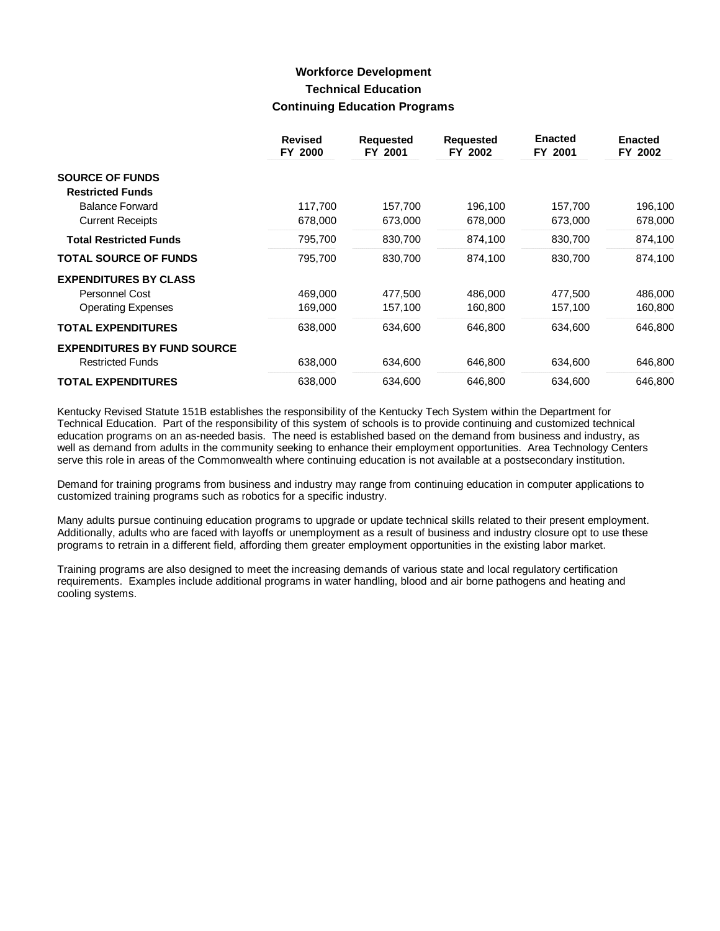## **Workforce Development Technical Education Continuing Education Programs**

|                                    | <b>Revised</b><br>FY 2000 | <b>Requested</b><br>FY 2001 | <b>Requested</b><br>FY 2002 | <b>Enacted</b><br>FY 2001 | <b>Enacted</b><br>FY 2002 |
|------------------------------------|---------------------------|-----------------------------|-----------------------------|---------------------------|---------------------------|
| <b>SOURCE OF FUNDS</b>             |                           |                             |                             |                           |                           |
| <b>Restricted Funds</b>            |                           |                             |                             |                           |                           |
| <b>Balance Forward</b>             | 117,700                   | 157,700                     | 196,100                     | 157,700                   | 196,100                   |
| <b>Current Receipts</b>            | 678,000                   | 673,000                     | 678,000                     | 673,000                   | 678,000                   |
| <b>Total Restricted Funds</b>      | 795,700                   | 830,700                     | 874,100                     | 830,700                   | 874,100                   |
| <b>TOTAL SOURCE OF FUNDS</b>       | 795,700                   | 830,700                     | 874,100                     | 830,700                   | 874,100                   |
| <b>EXPENDITURES BY CLASS</b>       |                           |                             |                             |                           |                           |
| <b>Personnel Cost</b>              | 469,000                   | 477,500                     | 486,000                     | 477,500                   | 486,000                   |
| <b>Operating Expenses</b>          | 169,000                   | 157,100                     | 160,800                     | 157,100                   | 160,800                   |
| <b>TOTAL EXPENDITURES</b>          | 638,000                   | 634,600                     | 646,800                     | 634,600                   | 646,800                   |
| <b>EXPENDITURES BY FUND SOURCE</b> |                           |                             |                             |                           |                           |
| <b>Restricted Funds</b>            | 638,000                   | 634,600                     | 646,800                     | 634,600                   | 646,800                   |
| <b>TOTAL EXPENDITURES</b>          | 638,000                   | 634,600                     | 646,800                     | 634,600                   | 646,800                   |

Kentucky Revised Statute 151B establishes the responsibility of the Kentucky Tech System within the Department for Technical Education. Part of the responsibility of this system of schools is to provide continuing and customized technical education programs on an as-needed basis. The need is established based on the demand from business and industry, as well as demand from adults in the community seeking to enhance their employment opportunities. Area Technology Centers serve this role in areas of the Commonwealth where continuing education is not available at a postsecondary institution.

Demand for training programs from business and industry may range from continuing education in computer applications to customized training programs such as robotics for a specific industry.

Many adults pursue continuing education programs to upgrade or update technical skills related to their present employment. Additionally, adults who are faced with layoffs or unemployment as a result of business and industry closure opt to use these programs to retrain in a different field, affording them greater employment opportunities in the existing labor market.

Training programs are also designed to meet the increasing demands of various state and local regulatory certification requirements. Examples include additional programs in water handling, blood and air borne pathogens and heating and cooling systems.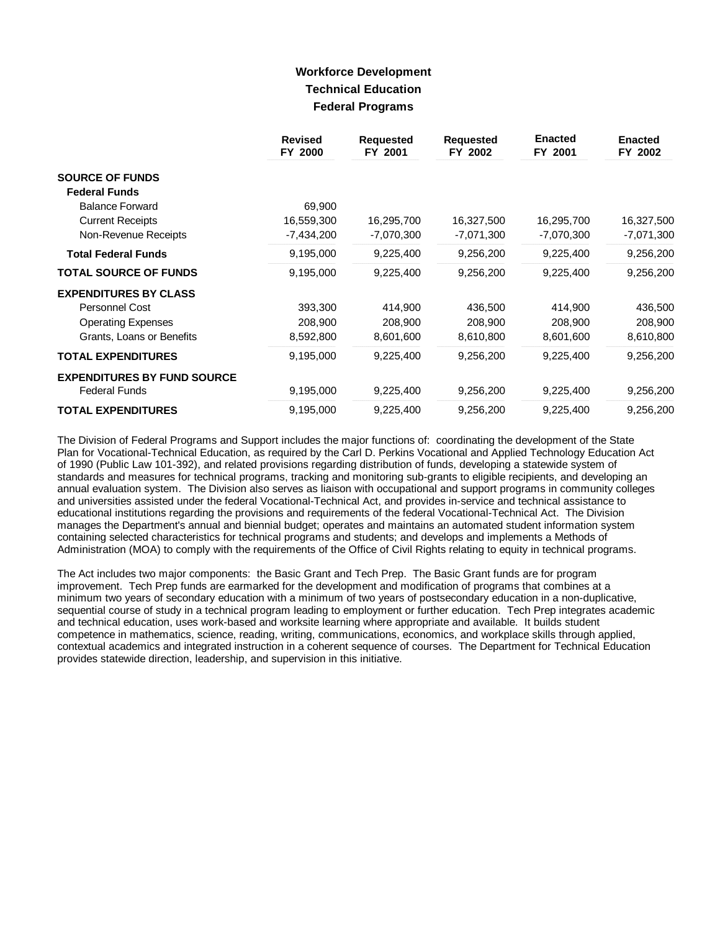# **Workforce Development Technical Education Federal Programs**

|                                    | <b>Revised</b><br>FY 2000 | <b>Requested</b><br>FY 2001 | <b>Requested</b><br>FY 2002 | <b>Enacted</b><br>FY 2001 | <b>Enacted</b><br>FY 2002 |
|------------------------------------|---------------------------|-----------------------------|-----------------------------|---------------------------|---------------------------|
| <b>SOURCE OF FUNDS</b>             |                           |                             |                             |                           |                           |
| <b>Federal Funds</b>               |                           |                             |                             |                           |                           |
| <b>Balance Forward</b>             | 69,900                    |                             |                             |                           |                           |
| <b>Current Receipts</b>            | 16,559,300                | 16,295,700                  | 16,327,500                  | 16,295,700                | 16,327,500                |
| Non-Revenue Receipts               | $-7,434,200$              | $-7,070,300$                | $-7,071,300$                | -7,070,300                | $-7,071,300$              |
| <b>Total Federal Funds</b>         | 9,195,000                 | 9,225,400                   | 9,256,200                   | 9,225,400                 | 9,256,200                 |
| <b>TOTAL SOURCE OF FUNDS</b>       | 9,195,000                 | 9,225,400                   | 9,256,200                   | 9,225,400                 | 9,256,200                 |
| <b>EXPENDITURES BY CLASS</b>       |                           |                             |                             |                           |                           |
| Personnel Cost                     | 393,300                   | 414,900                     | 436,500                     | 414,900                   | 436,500                   |
| <b>Operating Expenses</b>          | 208,900                   | 208,900                     | 208,900                     | 208,900                   | 208,900                   |
| Grants, Loans or Benefits          | 8,592,800                 | 8,601,600                   | 8,610,800                   | 8,601,600                 | 8,610,800                 |
| <b>TOTAL EXPENDITURES</b>          | 9,195,000                 | 9,225,400                   | 9,256,200                   | 9,225,400                 | 9,256,200                 |
| <b>EXPENDITURES BY FUND SOURCE</b> |                           |                             |                             |                           |                           |
| <b>Federal Funds</b>               | 9,195,000                 | 9,225,400                   | 9,256,200                   | 9,225,400                 | 9,256,200                 |
| <b>TOTAL EXPENDITURES</b>          | 9,195,000                 | 9,225,400                   | 9,256,200                   | 9,225,400                 | 9,256,200                 |

The Division of Federal Programs and Support includes the major functions of: coordinating the development of the State Plan for Vocational-Technical Education, as required by the Carl D. Perkins Vocational and Applied Technology Education Act of 1990 (Public Law 101-392), and related provisions regarding distribution of funds, developing a statewide system of standards and measures for technical programs, tracking and monitoring sub-grants to eligible recipients, and developing an annual evaluation system. The Division also serves as liaison with occupational and support programs in community colleges and universities assisted under the federal Vocational-Technical Act, and provides in-service and technical assistance to educational institutions regarding the provisions and requirements of the federal Vocational-Technical Act. The Division manages the Department's annual and biennial budget; operates and maintains an automated student information system containing selected characteristics for technical programs and students; and develops and implements a Methods of Administration (MOA) to comply with the requirements of the Office of Civil Rights relating to equity in technical programs.

The Act includes two major components: the Basic Grant and Tech Prep. The Basic Grant funds are for program improvement. Tech Prep funds are earmarked for the development and modification of programs that combines at a minimum two years of secondary education with a minimum of two years of postsecondary education in a non-duplicative, sequential course of study in a technical program leading to employment or further education. Tech Prep integrates academic and technical education, uses work-based and worksite learning where appropriate and available. It builds student competence in mathematics, science, reading, writing, communications, economics, and workplace skills through applied, contextual academics and integrated instruction in a coherent sequence of courses. The Department for Technical Education provides statewide direction, leadership, and supervision in this initiative.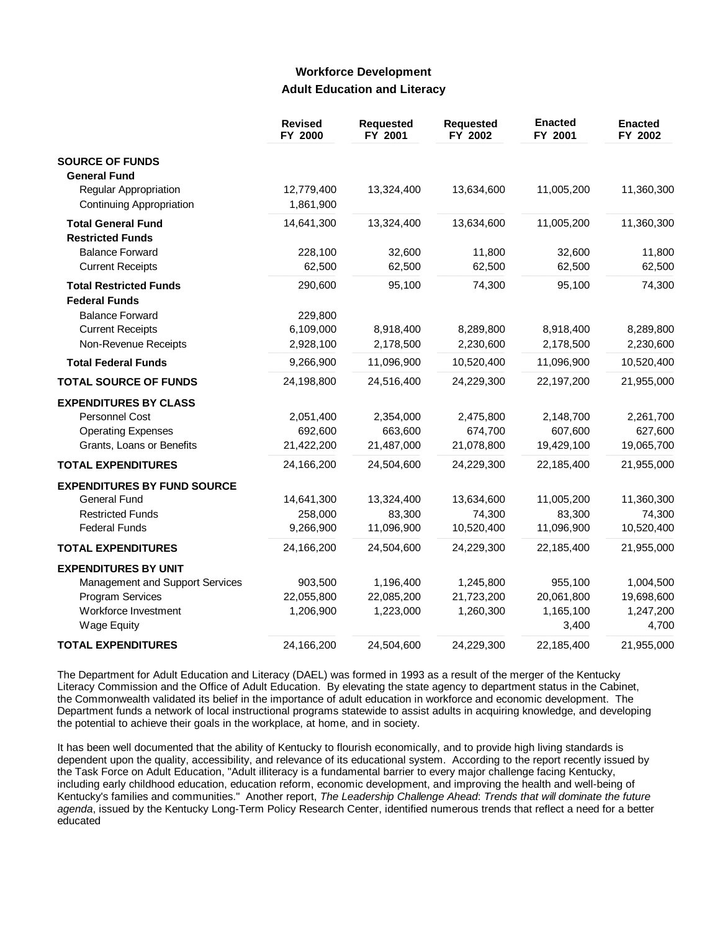### **Workforce Development Adult Education and Literacy**

|                                                          | <b>Revised</b><br>FY 2000 | <b>Requested</b><br>FY 2001 | <b>Requested</b><br>FY 2002 | <b>Enacted</b><br>FY 2001 | <b>Enacted</b><br>FY 2002 |
|----------------------------------------------------------|---------------------------|-----------------------------|-----------------------------|---------------------------|---------------------------|
| <b>SOURCE OF FUNDS</b>                                   |                           |                             |                             |                           |                           |
| <b>General Fund</b>                                      |                           |                             |                             |                           |                           |
| Regular Appropriation<br><b>Continuing Appropriation</b> | 12,779,400<br>1,861,900   | 13,324,400                  | 13,634,600                  | 11,005,200                | 11,360,300                |
| <b>Total General Fund</b><br><b>Restricted Funds</b>     | 14,641,300                | 13,324,400                  | 13,634,600                  | 11,005,200                | 11,360,300                |
| <b>Balance Forward</b>                                   | 228,100                   | 32,600                      | 11,800                      | 32,600                    | 11,800                    |
| <b>Current Receipts</b>                                  | 62,500                    | 62,500                      | 62,500                      | 62,500                    | 62,500                    |
| <b>Total Restricted Funds</b>                            | 290,600                   | 95,100                      | 74,300                      | 95,100                    | 74,300                    |
| <b>Federal Funds</b>                                     |                           |                             |                             |                           |                           |
| <b>Balance Forward</b>                                   | 229,800                   |                             |                             |                           |                           |
| <b>Current Receipts</b>                                  | 6,109,000                 | 8,918,400                   | 8,289,800                   | 8,918,400                 | 8,289,800                 |
| Non-Revenue Receipts                                     | 2,928,100                 | 2,178,500                   | 2,230,600                   | 2,178,500                 | 2,230,600                 |
| <b>Total Federal Funds</b>                               | 9,266,900                 | 11,096,900                  | 10,520,400                  | 11,096,900                | 10,520,400                |
| <b>TOTAL SOURCE OF FUNDS</b>                             | 24,198,800                | 24,516,400                  | 24,229,300                  | 22,197,200                | 21,955,000                |
| <b>EXPENDITURES BY CLASS</b>                             |                           |                             |                             |                           |                           |
| <b>Personnel Cost</b>                                    | 2,051,400                 | 2,354,000                   | 2,475,800                   | 2,148,700                 | 2,261,700                 |
| <b>Operating Expenses</b>                                | 692,600                   | 663,600                     | 674,700                     | 607,600                   | 627,600                   |
| Grants, Loans or Benefits                                | 21,422,200                | 21,487,000                  | 21,078,800                  | 19,429,100                | 19,065,700                |
| <b>TOTAL EXPENDITURES</b>                                | 24,166,200                | 24,504,600                  | 24,229,300                  | 22,185,400                | 21,955,000                |
| <b>EXPENDITURES BY FUND SOURCE</b>                       |                           |                             |                             |                           |                           |
| General Fund                                             | 14,641,300                | 13,324,400                  | 13,634,600                  | 11,005,200                | 11,360,300                |
| <b>Restricted Funds</b>                                  | 258,000                   | 83,300                      | 74,300                      | 83,300                    | 74,300                    |
| <b>Federal Funds</b>                                     | 9,266,900                 | 11,096,900                  | 10,520,400                  | 11,096,900                | 10,520,400                |
| <b>TOTAL EXPENDITURES</b>                                | 24,166,200                | 24,504,600                  | 24,229,300                  | 22,185,400                | 21,955,000                |
| <b>EXPENDITURES BY UNIT</b>                              |                           |                             |                             |                           |                           |
| Management and Support Services                          | 903,500                   | 1,196,400                   | 1,245,800                   | 955,100                   | 1,004,500                 |
| Program Services                                         | 22,055,800                | 22,085,200                  | 21,723,200                  | 20,061,800                | 19,698,600                |
| Workforce Investment<br><b>Wage Equity</b>               | 1,206,900                 | 1,223,000                   | 1,260,300                   | 1,165,100<br>3,400        | 1,247,200<br>4,700        |
| <b>TOTAL EXPENDITURES</b>                                | 24,166,200                | 24,504,600                  | 24,229,300                  | 22,185,400                | 21,955,000                |

The Department for Adult Education and Literacy (DAEL) was formed in 1993 as a result of the merger of the Kentucky Literacy Commission and the Office of Adult Education. By elevating the state agency to department status in the Cabinet, the Commonwealth validated its belief in the importance of adult education in workforce and economic development. The Department funds a network of local instructional programs statewide to assist adults in acquiring knowledge, and developing the potential to achieve their goals in the workplace, at home, and in society.

It has been well documented that the ability of Kentucky to flourish economically, and to provide high living standards is dependent upon the quality, accessibility, and relevance of its educational system. According to the report recently issued by the Task Force on Adult Education, "Adult illiteracy is a fundamental barrier to every major challenge facing Kentucky, including early childhood education, education reform, economic development, and improving the health and well-being of Kentucky's families and communities." Another report, *The Leadership Challenge Ahead*: *Trends that will dominate the future agenda*, issued by the Kentucky Long-Term Policy Research Center, identified numerous trends that reflect a need for a better educated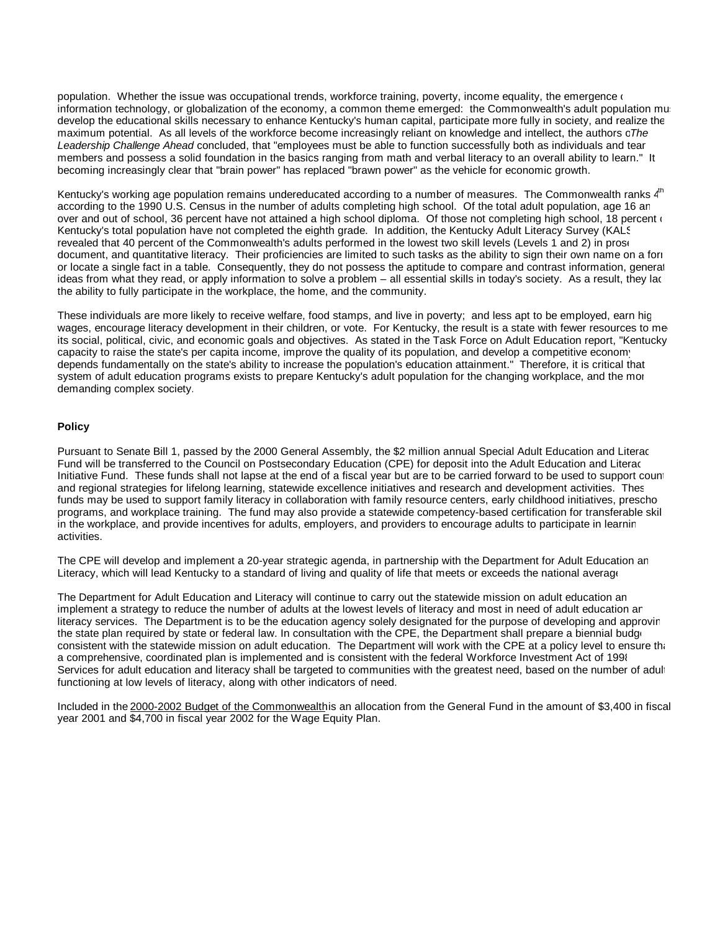population. Whether the issue was occupational trends, workforce training, poverty, income equality, the emergence  $($ information technology, or globalization of the economy, a common theme emerged: the Commonwealth's adult population must develop the educational skills necessary to enhance Kentucky's human capital, participate more fully in society, and realize the maximum potential. As all levels of the workforce become increasingly reliant on knowledge and intellect, the authors of *The Leadership Challenge Ahead* concluded, that "employees must be able to function successfully both as individuals and team members and possess a solid foundation in the basics ranging from math and verbal literacy to an overall ability to learn." It becoming increasingly clear that "brain power" has replaced "brawn power" as the vehicle for economic growth.

Kentucky's working age population remains undereducated according to a number of measures. The Commonwealth ranks 4<sup>th</sup> according to the 1990 U.S. Census in the number of adults completing high school. Of the total adult population, age 16 and over and out of school, 36 percent have not attained a high school diploma. Of those not completing high school, 18 percent  $($ Kentucky's total population have not completed the eighth grade. In addition, the Kentucky Adult Literacy Survey (KALS) revealed that 40 percent of the Commonwealth's adults performed in the lowest two skill levels (Levels 1 and 2) in prose, document, and quantitative literacy. Their proficiencies are limited to such tasks as the ability to sign their own name on a form or locate a single fact in a table. Consequently, they do not possess the aptitude to compare and contrast information, generate ideas from what they read, or apply information to solve a problem – all essential skills in today's society. As a result, they lack the ability to fully participate in the workplace, the home, and the community.

These individuals are more likely to receive welfare, food stamps, and live in poverty; and less apt to be employed, earn high wages, encourage literacy development in their children, or vote. For Kentucky, the result is a state with fewer resources to me its social, political, civic, and economic goals and objectives. As stated in the Task Force on Adult Education report, "Kentucky's capacity to raise the state's per capita income, improve the quality of its population, and develop a competitive economy depends fundamentally on the state's ability to increase the population's education attainment." Therefore, it is critical that system of adult education programs exists to prepare Kentucky's adult population for the changing workplace, and the more demanding complex society.

#### **Policy**

Pursuant to Senate Bill 1, passed by the 2000 General Assembly, the \$2 million annual Special Adult Education and Literacy Fund will be transferred to the Council on Postsecondary Education (CPE) for deposit into the Adult Education and Literacy Initiative Fund. These funds shall not lapse at the end of a fiscal year but are to be carried forward to be used to support county and regional strategies for lifelong learning, statewide excellence initiatives and research and development activities. Thes funds may be used to support family literacy in collaboration with family resource centers, early childhood initiatives, prescho programs, and workplace training. The fund may also provide a statewide competency-based certification for transferable skill in the workplace, and provide incentives for adults, employers, and providers to encourage adults to participate in learnin activities.

The CPE will develop and implement a 20-year strategic agenda, in partnership with the Department for Adult Education and Literacy, which will lead Kentucky to a standard of living and quality of life that meets or exceeds the national average

The Department for Adult Education and Literacy will continue to carry out the statewide mission on adult education an implement a strategy to reduce the number of adults at the lowest levels of literacy and most in need of adult education an literacy services. The Department is to be the education agency solely designated for the purpose of developing and approving the state plan required by state or federal law. In consultation with the CPE, the Department shall prepare a biennial budget consistent with the statewide mission on adult education. The Department will work with the CPE at a policy level to ensure that a comprehensive, coordinated plan is implemented and is consistent with the federal Workforce Investment Act of 1998. Services for adult education and literacy shall be targeted to communities with the greatest need, based on the number of adult functioning at low levels of literacy, along with other indicators of need.

Included in the 2000-2002 Budget of the Commonwealthis an allocation from the General Fund in the amount of \$3,400 in fiscal year 2001 and \$4,700 in fiscal year 2002 for the Wage Equity Plan.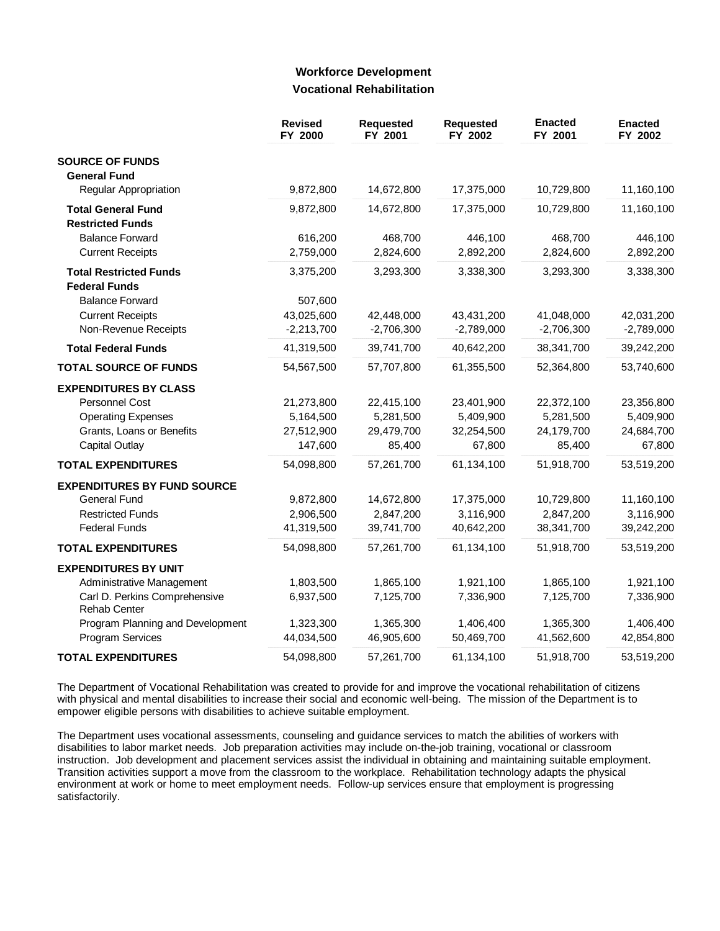### **Workforce Development Vocational Rehabilitation**

|                                                      | <b>Revised</b><br>FY 2000 | <b>Requested</b><br>FY 2001 | Requested<br>FY 2002 | <b>Enacted</b><br>FY 2001 | <b>Enacted</b><br>FY 2002 |
|------------------------------------------------------|---------------------------|-----------------------------|----------------------|---------------------------|---------------------------|
| <b>SOURCE OF FUNDS</b>                               |                           |                             |                      |                           |                           |
| <b>General Fund</b>                                  |                           |                             |                      |                           |                           |
| Regular Appropriation                                | 9,872,800                 | 14,672,800                  | 17,375,000           | 10,729,800                | 11,160,100                |
| <b>Total General Fund</b>                            | 9,872,800                 | 14,672,800                  | 17,375,000           | 10,729,800                | 11,160,100                |
| <b>Restricted Funds</b>                              |                           |                             |                      |                           |                           |
| <b>Balance Forward</b>                               | 616,200                   | 468,700                     | 446,100              | 468,700                   | 446,100                   |
| <b>Current Receipts</b>                              | 2,759,000                 | 2,824,600                   | 2,892,200            | 2,824,600                 | 2,892,200                 |
| <b>Total Restricted Funds</b>                        | 3,375,200                 | 3,293,300                   | 3,338,300            | 3,293,300                 | 3,338,300                 |
| <b>Federal Funds</b>                                 |                           |                             |                      |                           |                           |
| <b>Balance Forward</b>                               | 507,600                   |                             |                      |                           |                           |
| <b>Current Receipts</b>                              | 43,025,600                | 42,448,000                  | 43,431,200           | 41,048,000                | 42,031,200                |
| Non-Revenue Receipts                                 | $-2,213,700$              | $-2,706,300$                | $-2,789,000$         | $-2,706,300$              | $-2,789,000$              |
| <b>Total Federal Funds</b>                           | 41,319,500                | 39,741,700                  | 40,642,200           | 38,341,700                | 39,242,200                |
| <b>TOTAL SOURCE OF FUNDS</b>                         | 54,567,500                | 57,707,800                  | 61,355,500           | 52,364,800                | 53,740,600                |
| <b>EXPENDITURES BY CLASS</b>                         |                           |                             |                      |                           |                           |
| <b>Personnel Cost</b>                                | 21,273,800                | 22,415,100                  | 23,401,900           | 22,372,100                | 23,356,800                |
| <b>Operating Expenses</b>                            | 5,164,500                 | 5,281,500                   | 5,409,900            | 5,281,500                 | 5,409,900                 |
| Grants, Loans or Benefits                            | 27,512,900                | 29,479,700                  | 32,254,500           | 24,179,700                | 24,684,700                |
| <b>Capital Outlay</b>                                | 147,600                   | 85,400                      | 67,800               | 85,400                    | 67,800                    |
| <b>TOTAL EXPENDITURES</b>                            | 54,098,800                | 57,261,700                  | 61,134,100           | 51,918,700                | 53,519,200                |
| <b>EXPENDITURES BY FUND SOURCE</b>                   |                           |                             |                      |                           |                           |
| <b>General Fund</b>                                  | 9,872,800                 | 14,672,800                  | 17,375,000           | 10,729,800                | 11,160,100                |
| <b>Restricted Funds</b>                              | 2,906,500                 | 2,847,200                   | 3,116,900            | 2,847,200                 | 3,116,900                 |
| <b>Federal Funds</b>                                 | 41,319,500                | 39,741,700                  | 40,642,200           | 38,341,700                | 39,242,200                |
| <b>TOTAL EXPENDITURES</b>                            | 54,098,800                | 57,261,700                  | 61,134,100           | 51,918,700                | 53,519,200                |
| <b>EXPENDITURES BY UNIT</b>                          |                           |                             |                      |                           |                           |
| Administrative Management                            | 1,803,500                 | 1,865,100                   | 1,921,100            | 1,865,100                 | 1,921,100                 |
| Carl D. Perkins Comprehensive<br><b>Rehab Center</b> | 6,937,500                 | 7,125,700                   | 7,336,900            | 7,125,700                 | 7,336,900                 |
| Program Planning and Development                     | 1,323,300                 | 1,365,300                   | 1,406,400            | 1,365,300                 | 1,406,400                 |
| Program Services                                     | 44,034,500                | 46,905,600                  | 50,469,700           | 41,562,600                | 42,854,800                |
| <b>TOTAL EXPENDITURES</b>                            | 54,098,800                | 57,261,700                  | 61,134,100           | 51,918,700                | 53,519,200                |

The Department of Vocational Rehabilitation was created to provide for and improve the vocational rehabilitation of citizens with physical and mental disabilities to increase their social and economic well-being. The mission of the Department is to empower eligible persons with disabilities to achieve suitable employment.

The Department uses vocational assessments, counseling and guidance services to match the abilities of workers with disabilities to labor market needs. Job preparation activities may include on-the-job training, vocational or classroom instruction. Job development and placement services assist the individual in obtaining and maintaining suitable employment. Transition activities support a move from the classroom to the workplace. Rehabilitation technology adapts the physical environment at work or home to meet employment needs. Follow-up services ensure that employment is progressing satisfactorily.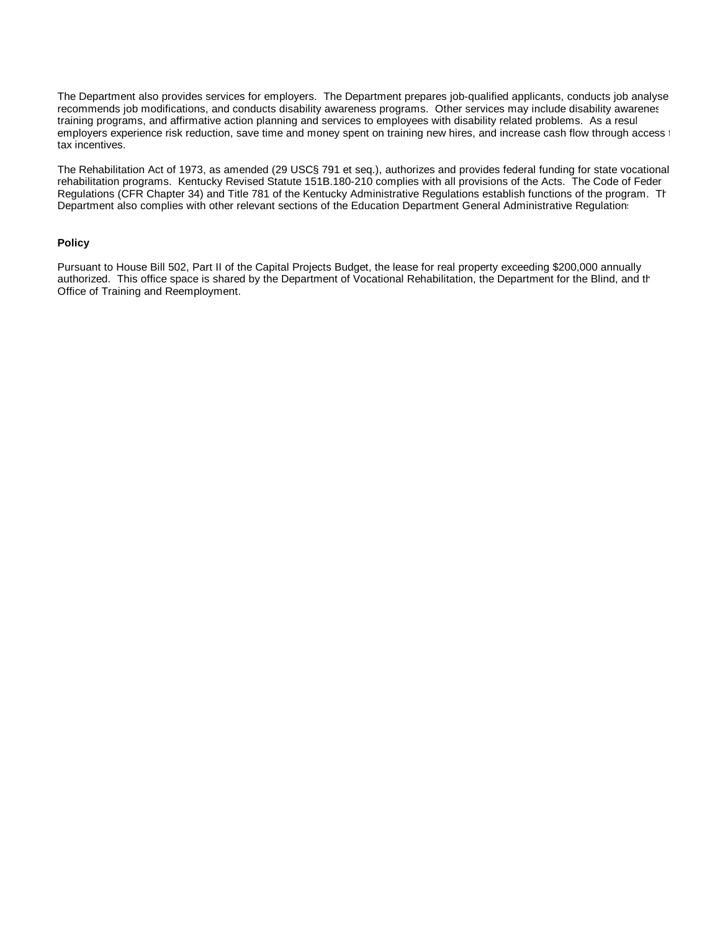The Department also provides services for employers. The Department prepares job-qualified applicants, conducts job analyse recommends job modifications, and conducts disability awareness programs. Other services may include disability awareness training programs, and affirmative action planning and services to employees with disability related problems. As a result employers experience risk reduction, save time and money spent on training new hires, and increase cash flow through access to tax incentives.

The Rehabilitation Act of 1973, as amended (29 USC§ 791 et seq.), authorizes and provides federal funding for state vocational rehabilitation programs. Kentucky Revised Statute 151B.180-210 complies with all provisions of the Acts. The Code of Federal Regulations (CFR Chapter 34) and Title 781 of the Kentucky Administrative Regulations establish functions of the program. The Department also complies with other relevant sections of the Education Department General Administrative Regulations.

#### **Policy**

Pursuant to House Bill 502, Part II of the Capital Projects Budget, the lease for real property exceeding \$200,000 annually authorized. This office space is shared by the Department of Vocational Rehabilitation, the Department for the Blind, and th Office of Training and Reemployment.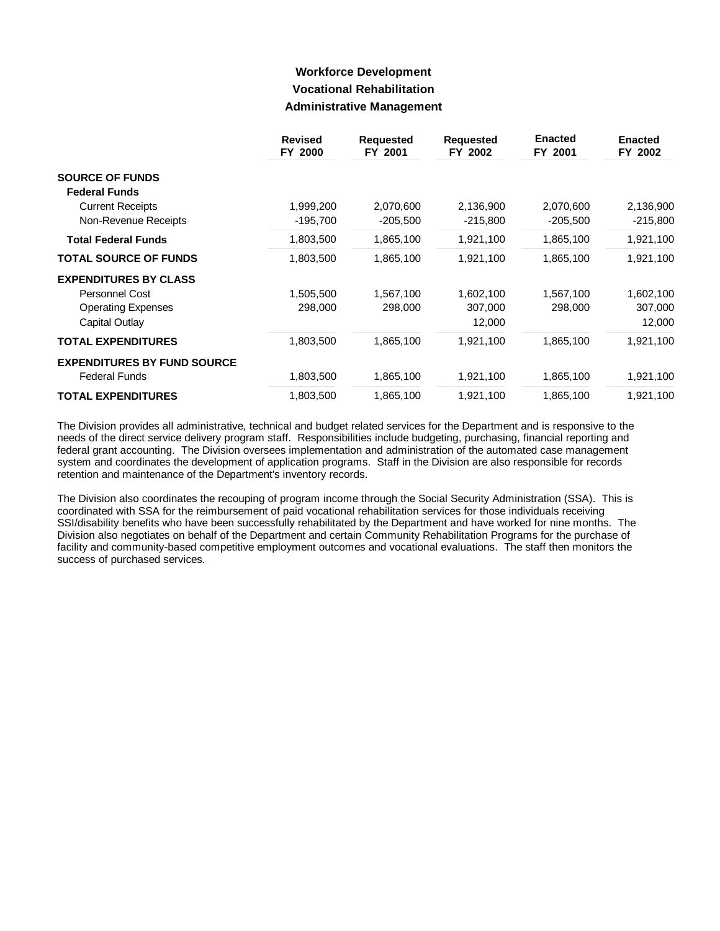## **Workforce Development Vocational Rehabilitation Administrative Management**

|                                    | <b>Revised</b><br>FY 2000 | <b>Requested</b><br>FY 2001 | <b>Requested</b><br>FY 2002 | <b>Enacted</b><br>FY 2001 | <b>Enacted</b><br>FY 2002 |
|------------------------------------|---------------------------|-----------------------------|-----------------------------|---------------------------|---------------------------|
| <b>SOURCE OF FUNDS</b>             |                           |                             |                             |                           |                           |
| <b>Federal Funds</b>               |                           |                             |                             |                           |                           |
| <b>Current Receipts</b>            | 1,999,200                 | 2,070,600                   | 2,136,900                   | 2,070,600                 | 2,136,900                 |
| Non-Revenue Receipts               | $-195,700$                | $-205,500$                  | $-215,800$                  | $-205,500$                | $-215,800$                |
| <b>Total Federal Funds</b>         | 1,803,500                 | 1,865,100                   | 1,921,100                   | 1,865,100                 | 1,921,100                 |
| <b>TOTAL SOURCE OF FUNDS</b>       | 1,803,500                 | 1,865,100                   | 1,921,100                   | 1,865,100                 | 1,921,100                 |
| <b>EXPENDITURES BY CLASS</b>       |                           |                             |                             |                           |                           |
| Personnel Cost                     | 1,505,500                 | 1,567,100                   | 1,602,100                   | 1,567,100                 | 1,602,100                 |
| <b>Operating Expenses</b>          | 298,000                   | 298,000                     | 307,000                     | 298,000                   | 307,000                   |
| Capital Outlay                     |                           |                             | 12,000                      |                           | 12,000                    |
| <b>TOTAL EXPENDITURES</b>          | 1,803,500                 | 1,865,100                   | 1,921,100                   | 1,865,100                 | 1,921,100                 |
| <b>EXPENDITURES BY FUND SOURCE</b> |                           |                             |                             |                           |                           |
| <b>Federal Funds</b>               | 1,803,500                 | 1,865,100                   | 1,921,100                   | 1,865,100                 | 1,921,100                 |
| <b>TOTAL EXPENDITURES</b>          | 1,803,500                 | 1,865,100                   | 1,921,100                   | 1,865,100                 | 1,921,100                 |

The Division provides all administrative, technical and budget related services for the Department and is responsive to the needs of the direct service delivery program staff. Responsibilities include budgeting, purchasing, financial reporting and federal grant accounting. The Division oversees implementation and administration of the automated case management system and coordinates the development of application programs. Staff in the Division are also responsible for records retention and maintenance of the Department's inventory records.

The Division also coordinates the recouping of program income through the Social Security Administration (SSA). This is coordinated with SSA for the reimbursement of paid vocational rehabilitation services for those individuals receiving SSI/disability benefits who have been successfully rehabilitated by the Department and have worked for nine months. The Division also negotiates on behalf of the Department and certain Community Rehabilitation Programs for the purchase of facility and community-based competitive employment outcomes and vocational evaluations. The staff then monitors the success of purchased services.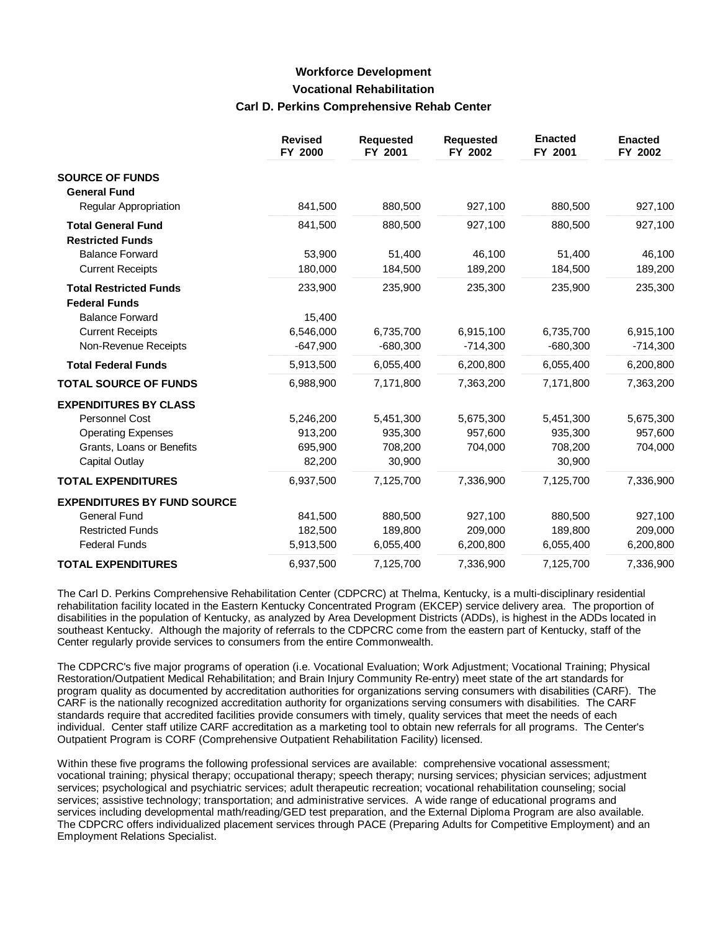# **Workforce Development Vocational Rehabilitation Carl D. Perkins Comprehensive Rehab Center**

|                                    | <b>Revised</b><br>FY 2000 | <b>Requested</b><br>FY 2001 | <b>Requested</b><br>FY 2002 | <b>Enacted</b><br>FY 2001 | <b>Enacted</b><br>FY 2002 |
|------------------------------------|---------------------------|-----------------------------|-----------------------------|---------------------------|---------------------------|
| <b>SOURCE OF FUNDS</b>             |                           |                             |                             |                           |                           |
| <b>General Fund</b>                |                           |                             |                             |                           |                           |
| Regular Appropriation              | 841,500                   | 880,500                     | 927,100                     | 880,500                   | 927,100                   |
| <b>Total General Fund</b>          | 841,500                   | 880,500                     | 927,100                     | 880,500                   | 927,100                   |
| <b>Restricted Funds</b>            |                           |                             |                             |                           |                           |
| <b>Balance Forward</b>             | 53,900                    | 51,400                      | 46,100                      | 51,400                    | 46,100                    |
| <b>Current Receipts</b>            | 180,000                   | 184,500                     | 189,200                     | 184,500                   | 189,200                   |
| <b>Total Restricted Funds</b>      | 233,900                   | 235,900                     | 235,300                     | 235,900                   | 235,300                   |
| <b>Federal Funds</b>               |                           |                             |                             |                           |                           |
| <b>Balance Forward</b>             | 15,400                    |                             |                             |                           |                           |
| <b>Current Receipts</b>            | 6,546,000                 | 6,735,700                   | 6,915,100                   | 6,735,700                 | 6,915,100                 |
| Non-Revenue Receipts               | $-647,900$                | $-680,300$                  | $-714,300$                  | $-680,300$                | $-714,300$                |
| <b>Total Federal Funds</b>         | 5,913,500                 | 6,055,400                   | 6,200,800                   | 6,055,400                 | 6,200,800                 |
| <b>TOTAL SOURCE OF FUNDS</b>       | 6,988,900                 | 7,171,800                   | 7,363,200                   | 7,171,800                 | 7,363,200                 |
| <b>EXPENDITURES BY CLASS</b>       |                           |                             |                             |                           |                           |
| <b>Personnel Cost</b>              | 5,246,200                 | 5,451,300                   | 5,675,300                   | 5,451,300                 | 5,675,300                 |
| <b>Operating Expenses</b>          | 913,200                   | 935,300                     | 957,600                     | 935,300                   | 957,600                   |
| Grants, Loans or Benefits          | 695,900                   | 708,200                     | 704,000                     | 708,200                   | 704,000                   |
| Capital Outlay                     | 82,200                    | 30,900                      |                             | 30,900                    |                           |
| <b>TOTAL EXPENDITURES</b>          | 6,937,500                 | 7,125,700                   | 7,336,900                   | 7,125,700                 | 7,336,900                 |
| <b>EXPENDITURES BY FUND SOURCE</b> |                           |                             |                             |                           |                           |
| <b>General Fund</b>                | 841,500                   | 880,500                     | 927,100                     | 880,500                   | 927,100                   |
| <b>Restricted Funds</b>            | 182,500                   | 189,800                     | 209,000                     | 189,800                   | 209,000                   |
| <b>Federal Funds</b>               | 5,913,500                 | 6,055,400                   | 6,200,800                   | 6,055,400                 | 6,200,800                 |
| <b>TOTAL EXPENDITURES</b>          | 6,937,500                 | 7,125,700                   | 7,336,900                   | 7,125,700                 | 7,336,900                 |

The Carl D. Perkins Comprehensive Rehabilitation Center (CDPCRC) at Thelma, Kentucky, is a multi-disciplinary residential rehabilitation facility located in the Eastern Kentucky Concentrated Program (EKCEP) service delivery area. The proportion of disabilities in the population of Kentucky, as analyzed by Area Development Districts (ADDs), is highest in the ADDs located in southeast Kentucky. Although the majority of referrals to the CDPCRC come from the eastern part of Kentucky, staff of the Center regularly provide services to consumers from the entire Commonwealth.

The CDPCRC's five major programs of operation (i.e. Vocational Evaluation; Work Adjustment; Vocational Training; Physical Restoration/Outpatient Medical Rehabilitation; and Brain Injury Community Re-entry) meet state of the art standards for program quality as documented by accreditation authorities for organizations serving consumers with disabilities (CARF). The CARF is the nationally recognized accreditation authority for organizations serving consumers with disabilities. The CARF standards require that accredited facilities provide consumers with timely, quality services that meet the needs of each individual. Center staff utilize CARF accreditation as a marketing tool to obtain new referrals for all programs. The Center's Outpatient Program is CORF (Comprehensive Outpatient Rehabilitation Facility) licensed.

Within these five programs the following professional services are available: comprehensive vocational assessment; vocational training; physical therapy; occupational therapy; speech therapy; nursing services; physician services; adjustment services; psychological and psychiatric services; adult therapeutic recreation; vocational rehabilitation counseling; social services; assistive technology; transportation; and administrative services. A wide range of educational programs and services including developmental math/reading/GED test preparation, and the External Diploma Program are also available. The CDPCRC offers individualized placement services through PACE (Preparing Adults for Competitive Employment) and an Employment Relations Specialist.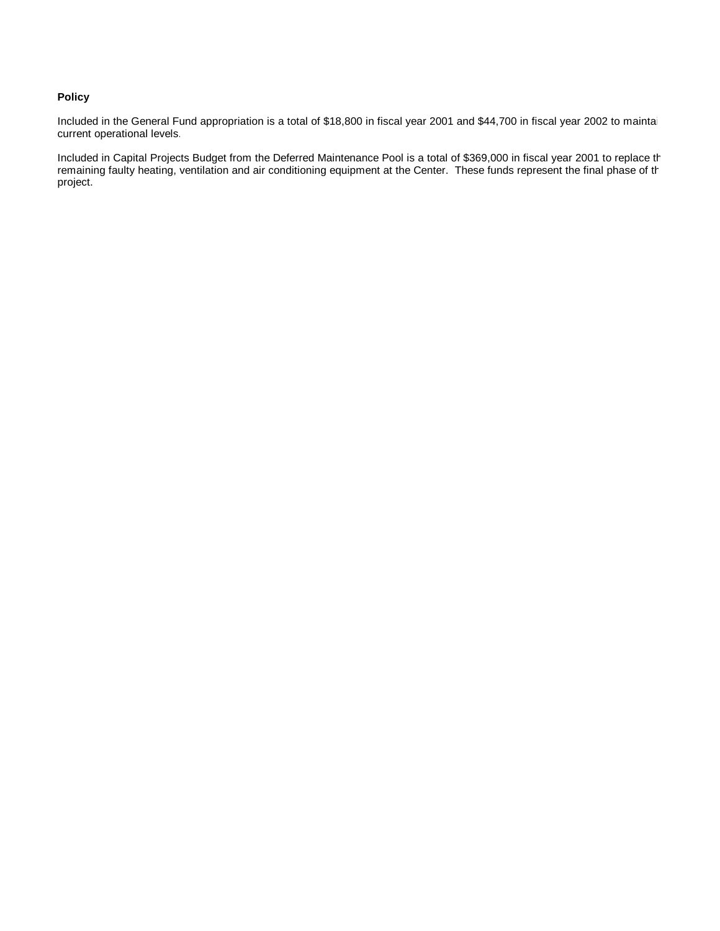### **Policy**

Included in the General Fund appropriation is a total of \$18,800 in fiscal year 2001 and \$44,700 in fiscal year 2002 to maintai current operational levels.

Included in Capital Projects Budget from the Deferred Maintenance Pool is a total of \$369,000 in fiscal year 2001 to replace the remaining faulty heating, ventilation and air conditioning equipment at the Center. These funds represent the final phase of the final phase of the final phase of the final phase of the final phase of the final phase of th project.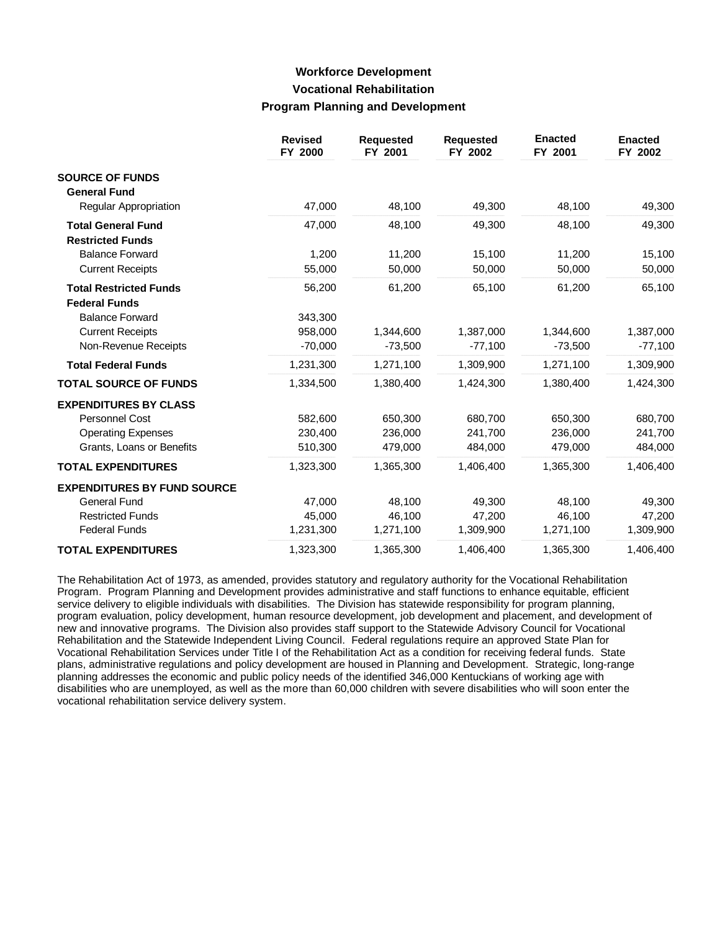## **Workforce Development Vocational Rehabilitation Program Planning and Development**

|                                    | <b>Revised</b><br>FY 2000 | <b>Requested</b><br>FY 2001 | <b>Requested</b><br>FY 2002 | <b>Enacted</b><br>FY 2001 | <b>Enacted</b><br>FY 2002 |
|------------------------------------|---------------------------|-----------------------------|-----------------------------|---------------------------|---------------------------|
| <b>SOURCE OF FUNDS</b>             |                           |                             |                             |                           |                           |
| <b>General Fund</b>                |                           |                             |                             |                           |                           |
| Regular Appropriation              | 47,000                    | 48,100                      | 49,300                      | 48,100                    | 49,300                    |
| <b>Total General Fund</b>          | 47,000                    | 48,100                      | 49,300                      | 48,100                    | 49,300                    |
| <b>Restricted Funds</b>            |                           |                             |                             |                           |                           |
| <b>Balance Forward</b>             | 1,200                     | 11,200                      | 15,100                      | 11,200                    | 15,100                    |
| <b>Current Receipts</b>            | 55,000                    | 50,000                      | 50,000                      | 50,000                    | 50,000                    |
| <b>Total Restricted Funds</b>      | 56,200                    | 61,200                      | 65,100                      | 61,200                    | 65,100                    |
| <b>Federal Funds</b>               |                           |                             |                             |                           |                           |
| <b>Balance Forward</b>             | 343,300                   |                             |                             |                           |                           |
| <b>Current Receipts</b>            | 958,000                   | 1,344,600                   | 1,387,000                   | 1,344,600                 | 1,387,000                 |
| Non-Revenue Receipts               | $-70,000$                 | $-73,500$                   | $-77,100$                   | $-73,500$                 | $-77,100$                 |
| <b>Total Federal Funds</b>         | 1,231,300                 | 1,271,100                   | 1,309,900                   | 1,271,100                 | 1,309,900                 |
| <b>TOTAL SOURCE OF FUNDS</b>       | 1,334,500                 | 1,380,400                   | 1,424,300                   | 1,380,400                 | 1,424,300                 |
| <b>EXPENDITURES BY CLASS</b>       |                           |                             |                             |                           |                           |
| Personnel Cost                     | 582,600                   | 650,300                     | 680,700                     | 650,300                   | 680,700                   |
| <b>Operating Expenses</b>          | 230,400                   | 236,000                     | 241,700                     | 236,000                   | 241,700                   |
| Grants, Loans or Benefits          | 510,300                   | 479,000                     | 484,000                     | 479,000                   | 484,000                   |
| <b>TOTAL EXPENDITURES</b>          | 1,323,300                 | 1,365,300                   | 1.406.400                   | 1,365,300                 | 1,406,400                 |
| <b>EXPENDITURES BY FUND SOURCE</b> |                           |                             |                             |                           |                           |
| <b>General Fund</b>                | 47,000                    | 48,100                      | 49,300                      | 48,100                    | 49,300                    |
| <b>Restricted Funds</b>            | 45,000                    | 46,100                      | 47,200                      | 46,100                    | 47,200                    |
| <b>Federal Funds</b>               | 1,231,300                 | 1,271,100                   | 1,309,900                   | 1,271,100                 | 1,309,900                 |
| <b>TOTAL EXPENDITURES</b>          | 1,323,300                 | 1,365,300                   | 1,406,400                   | 1,365,300                 | 1,406,400                 |

The Rehabilitation Act of 1973, as amended, provides statutory and regulatory authority for the Vocational Rehabilitation Program. Program Planning and Development provides administrative and staff functions to enhance equitable, efficient service delivery to eligible individuals with disabilities. The Division has statewide responsibility for program planning, program evaluation, policy development, human resource development, job development and placement, and development of new and innovative programs. The Division also provides staff support to the Statewide Advisory Council for Vocational Rehabilitation and the Statewide Independent Living Council. Federal regulations require an approved State Plan for Vocational Rehabilitation Services under Title I of the Rehabilitation Act as a condition for receiving federal funds. State plans, administrative regulations and policy development are housed in Planning and Development. Strategic, long-range planning addresses the economic and public policy needs of the identified 346,000 Kentuckians of working age with disabilities who are unemployed, as well as the more than 60,000 children with severe disabilities who will soon enter the vocational rehabilitation service delivery system.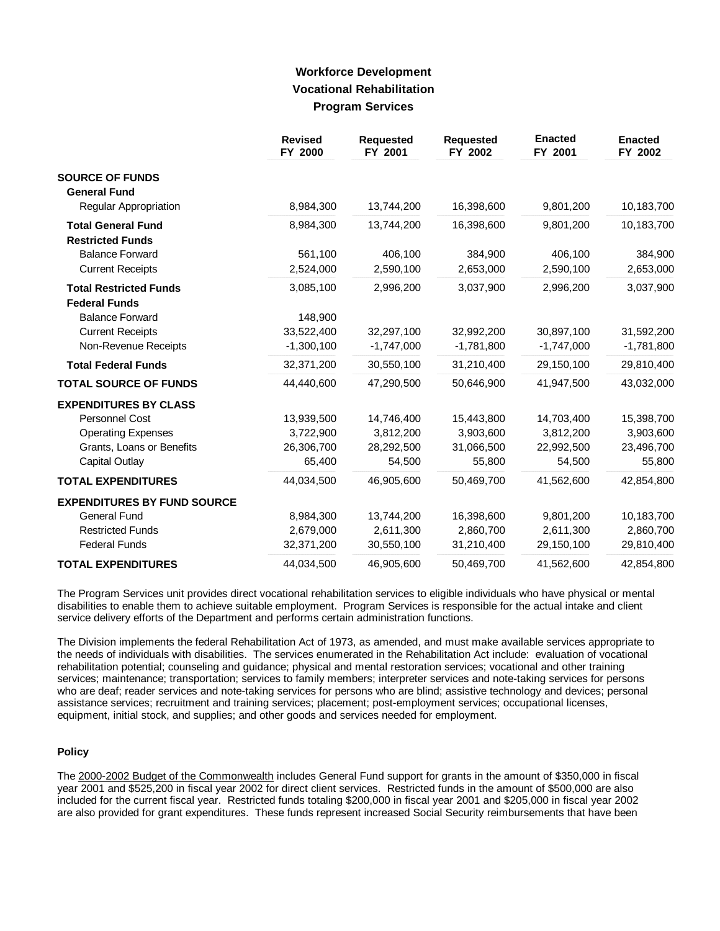## **Workforce Development Vocational Rehabilitation Program Services**

|                                    | <b>Revised</b><br>FY 2000 | <b>Requested</b><br>FY 2001 | <b>Requested</b><br>FY 2002 | <b>Enacted</b><br>FY 2001 | <b>Enacted</b><br>FY 2002 |
|------------------------------------|---------------------------|-----------------------------|-----------------------------|---------------------------|---------------------------|
| <b>SOURCE OF FUNDS</b>             |                           |                             |                             |                           |                           |
| <b>General Fund</b>                |                           |                             |                             |                           |                           |
| Regular Appropriation              | 8,984,300                 | 13,744,200                  | 16,398,600                  | 9,801,200                 | 10,183,700                |
| <b>Total General Fund</b>          | 8,984,300                 | 13,744,200                  | 16,398,600                  | 9,801,200                 | 10,183,700                |
| <b>Restricted Funds</b>            |                           |                             |                             |                           |                           |
| <b>Balance Forward</b>             | 561,100                   | 406,100                     | 384,900                     | 406,100                   | 384,900                   |
| <b>Current Receipts</b>            | 2,524,000                 | 2,590,100                   | 2,653,000                   | 2,590,100                 | 2,653,000                 |
| <b>Total Restricted Funds</b>      | 3,085,100                 | 2,996,200                   | 3,037,900                   | 2,996,200                 | 3,037,900                 |
| <b>Federal Funds</b>               |                           |                             |                             |                           |                           |
| <b>Balance Forward</b>             | 148,900                   |                             |                             |                           |                           |
| <b>Current Receipts</b>            | 33,522,400                | 32,297,100                  | 32,992,200                  | 30,897,100                | 31,592,200                |
| Non-Revenue Receipts               | $-1,300,100$              | $-1,747,000$                | $-1,781,800$                | $-1,747,000$              | $-1,781,800$              |
| <b>Total Federal Funds</b>         | 32,371,200                | 30,550,100                  | 31,210,400                  | 29,150,100                | 29,810,400                |
| <b>TOTAL SOURCE OF FUNDS</b>       | 44,440,600                | 47,290,500                  | 50,646,900                  | 41,947,500                | 43,032,000                |
| <b>EXPENDITURES BY CLASS</b>       |                           |                             |                             |                           |                           |
| <b>Personnel Cost</b>              | 13,939,500                | 14,746,400                  | 15,443,800                  | 14,703,400                | 15,398,700                |
| <b>Operating Expenses</b>          | 3,722,900                 | 3,812,200                   | 3,903,600                   | 3,812,200                 | 3,903,600                 |
| Grants, Loans or Benefits          | 26,306,700                | 28,292,500                  | 31,066,500                  | 22,992,500                | 23,496,700                |
| Capital Outlay                     | 65,400                    | 54,500                      | 55,800                      | 54,500                    | 55,800                    |
| <b>TOTAL EXPENDITURES</b>          | 44,034,500                | 46,905,600                  | 50,469,700                  | 41.562.600                | 42,854,800                |
| <b>EXPENDITURES BY FUND SOURCE</b> |                           |                             |                             |                           |                           |
| <b>General Fund</b>                | 8,984,300                 | 13,744,200                  | 16,398,600                  | 9,801,200                 | 10,183,700                |
| <b>Restricted Funds</b>            | 2,679,000                 | 2,611,300                   | 2,860,700                   | 2,611,300                 | 2,860,700                 |
| <b>Federal Funds</b>               | 32,371,200                | 30,550,100                  | 31,210,400                  | 29,150,100                | 29,810,400                |
| <b>TOTAL EXPENDITURES</b>          | 44,034,500                | 46,905,600                  | 50,469,700                  | 41,562,600                | 42,854,800                |

The Program Services unit provides direct vocational rehabilitation services to eligible individuals who have physical or mental disabilities to enable them to achieve suitable employment. Program Services is responsible for the actual intake and client service delivery efforts of the Department and performs certain administration functions.

The Division implements the federal Rehabilitation Act of 1973, as amended, and must make available services appropriate to the needs of individuals with disabilities. The services enumerated in the Rehabilitation Act include: evaluation of vocational rehabilitation potential; counseling and guidance; physical and mental restoration services; vocational and other training services; maintenance; transportation; services to family members; interpreter services and note-taking services for persons who are deaf; reader services and note-taking services for persons who are blind; assistive technology and devices; personal assistance services; recruitment and training services; placement; post-employment services; occupational licenses, equipment, initial stock, and supplies; and other goods and services needed for employment.

### **Policy**

The 2000-2002 Budget of the Commonwealth includes General Fund support for grants in the amount of \$350,000 in fiscal year 2001 and \$525,200 in fiscal year 2002 for direct client services. Restricted funds in the amount of \$500,000 are also included for the current fiscal year. Restricted funds totaling \$200,000 in fiscal year 2001 and \$205,000 in fiscal year 2002 are also provided for grant expenditures. These funds represent increased Social Security reimbursements that have been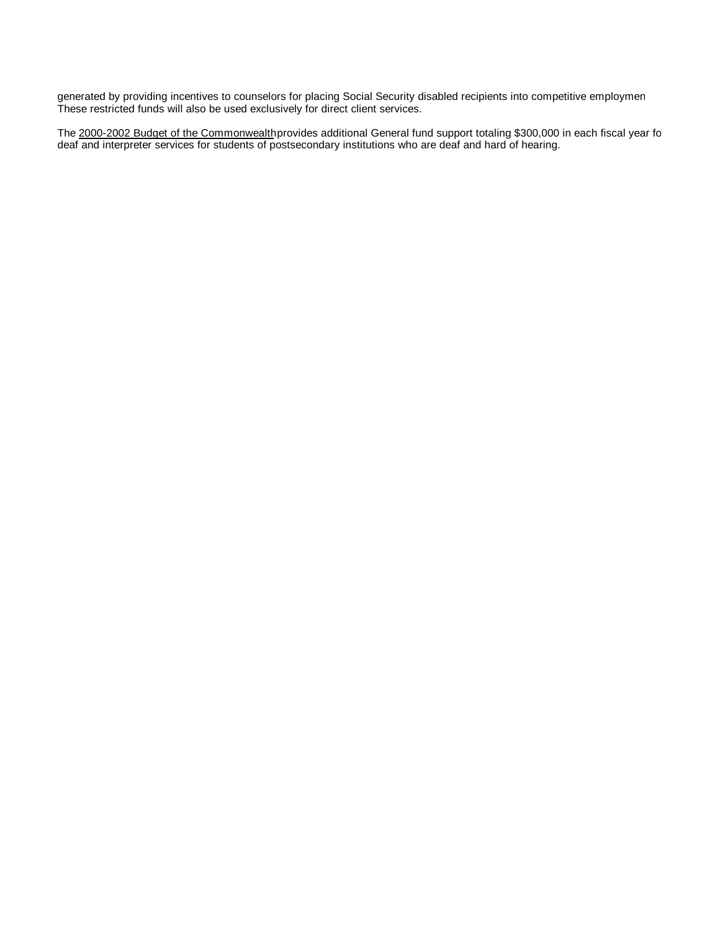generated by providing incentives to counselors for placing Social Security disabled recipients into competitive employmen These restricted funds will also be used exclusively for direct client services.

The 2000-2002 Budget of the Commonwealth provides additional General fund support totaling \$300,000 in each fiscal year fo deaf and interpreter services for students of postsecondary institutions who are deaf and hard of hearing.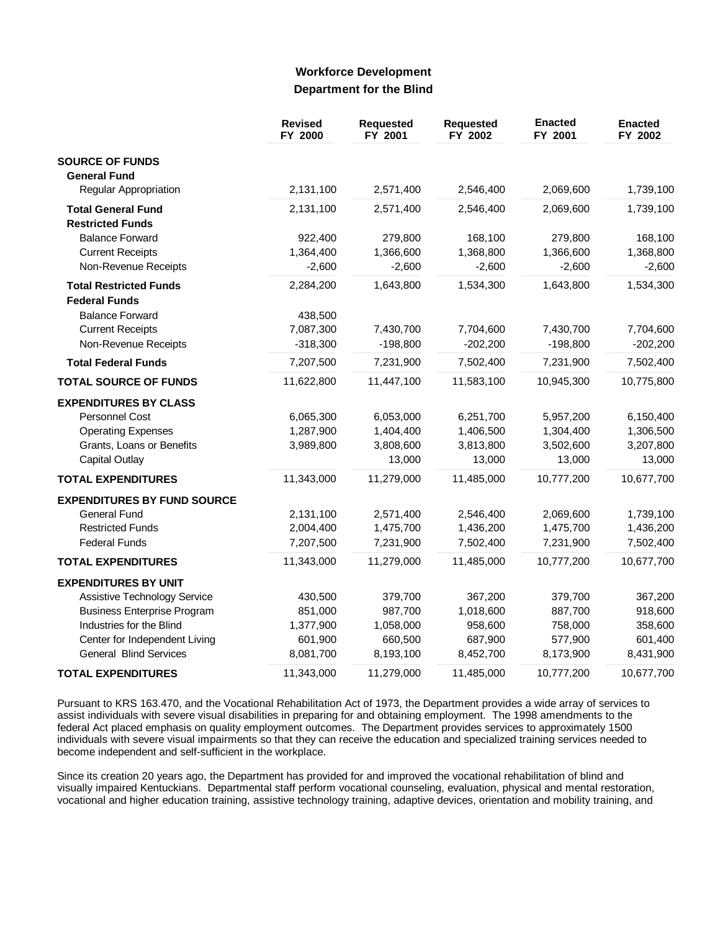### **Workforce Development Department for the Blind**

|                                    | <b>Revised</b><br>FY 2000 | Requested<br>FY 2001 | Requested<br>FY 2002 | <b>Enacted</b><br>FY 2001 | <b>Enacted</b><br>FY 2002 |
|------------------------------------|---------------------------|----------------------|----------------------|---------------------------|---------------------------|
| <b>SOURCE OF FUNDS</b>             |                           |                      |                      |                           |                           |
| <b>General Fund</b>                |                           |                      |                      |                           |                           |
| Regular Appropriation              | 2,131,100                 | 2,571,400            | 2,546,400            | 2,069,600                 | 1,739,100                 |
| <b>Total General Fund</b>          | 2,131,100                 | 2,571,400            | 2,546,400            | 2,069,600                 | 1,739,100                 |
| <b>Restricted Funds</b>            |                           |                      |                      |                           |                           |
| <b>Balance Forward</b>             | 922,400                   | 279,800              | 168,100              | 279,800                   | 168,100                   |
| <b>Current Receipts</b>            | 1,364,400                 | 1,366,600            | 1,368,800            | 1,366,600                 | 1,368,800                 |
| Non-Revenue Receipts               | $-2,600$                  | $-2,600$             | $-2,600$             | $-2,600$                  | $-2,600$                  |
| <b>Total Restricted Funds</b>      | 2,284,200                 | 1,643,800            | 1,534,300            | 1,643,800                 | 1,534,300                 |
| <b>Federal Funds</b>               |                           |                      |                      |                           |                           |
| <b>Balance Forward</b>             | 438,500                   |                      |                      |                           |                           |
| <b>Current Receipts</b>            | 7,087,300                 | 7,430,700            | 7,704,600            | 7,430,700                 | 7,704,600                 |
| Non-Revenue Receipts               | $-318,300$                | $-198,800$           | $-202,200$           | $-198,800$                | $-202,200$                |
| <b>Total Federal Funds</b>         | 7,207,500                 | 7,231,900            | 7,502,400            | 7,231,900                 | 7,502,400                 |
| <b>TOTAL SOURCE OF FUNDS</b>       | 11,622,800                | 11,447,100           | 11,583,100           | 10,945,300                | 10,775,800                |
| <b>EXPENDITURES BY CLASS</b>       |                           |                      |                      |                           |                           |
| Personnel Cost                     | 6,065,300                 | 6,053,000            | 6,251,700            | 5,957,200                 | 6,150,400                 |
| <b>Operating Expenses</b>          | 1,287,900                 | 1,404,400            | 1,406,500            | 1,304,400                 | 1,306,500                 |
| Grants, Loans or Benefits          | 3,989,800                 | 3,808,600            | 3,813,800            | 3,502,600                 | 3,207,800                 |
| <b>Capital Outlay</b>              |                           | 13,000               | 13,000               | 13,000                    | 13,000                    |
| <b>TOTAL EXPENDITURES</b>          | 11,343,000                | 11,279,000           | 11,485,000           | 10,777,200                | 10,677,700                |
| <b>EXPENDITURES BY FUND SOURCE</b> |                           |                      |                      |                           |                           |
| <b>General Fund</b>                | 2,131,100                 | 2,571,400            | 2,546,400            | 2,069,600                 | 1,739,100                 |
| <b>Restricted Funds</b>            | 2,004,400                 | 1,475,700            | 1,436,200            | 1,475,700                 | 1,436,200                 |
| <b>Federal Funds</b>               | 7,207,500                 | 7,231,900            | 7,502,400            | 7,231,900                 | 7,502,400                 |
| <b>TOTAL EXPENDITURES</b>          | 11,343,000                | 11,279,000           | 11,485,000           | 10,777,200                | 10,677,700                |
| <b>EXPENDITURES BY UNIT</b>        |                           |                      |                      |                           |                           |
| Assistive Technology Service       | 430,500                   | 379,700              | 367,200              | 379,700                   | 367,200                   |
| <b>Business Enterprise Program</b> | 851,000                   | 987,700              | 1,018,600            | 887,700                   | 918,600                   |
| Industries for the Blind           | 1,377,900                 | 1,058,000            | 958,600              | 758,000                   | 358,600                   |
| Center for Independent Living      | 601,900                   | 660,500              | 687,900              | 577,900                   | 601,400                   |
| <b>General Blind Services</b>      | 8,081,700                 | 8,193,100            | 8,452,700            | 8,173,900                 | 8,431,900                 |
| <b>TOTAL EXPENDITURES</b>          | 11,343,000                | 11,279,000           | 11,485,000           | 10,777,200                | 10,677,700                |

Pursuant to KRS 163.470, and the Vocational Rehabilitation Act of 1973, the Department provides a wide array of services to assist individuals with severe visual disabilities in preparing for and obtaining employment. The 1998 amendments to the federal Act placed emphasis on quality employment outcomes. The Department provides services to approximately 1500 individuals with severe visual impairments so that they can receive the education and specialized training services needed to become independent and self-sufficient in the workplace.

Since its creation 20 years ago, the Department has provided for and improved the vocational rehabilitation of blind and visually impaired Kentuckians. Departmental staff perform vocational counseling, evaluation, physical and mental restoration, vocational and higher education training, assistive technology training, adaptive devices, orientation and mobility training, and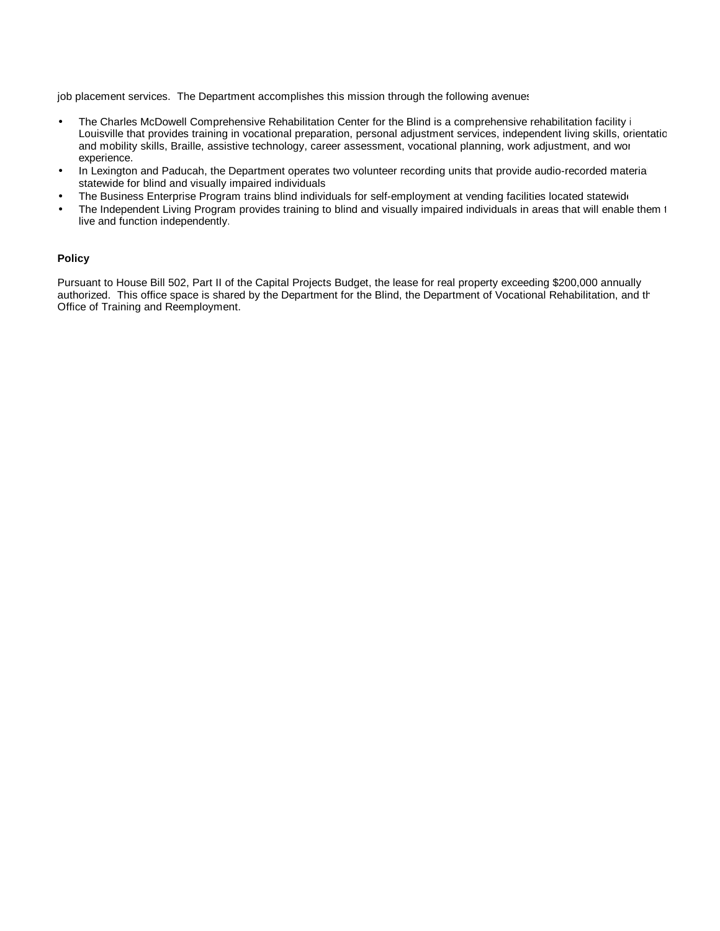job placement services. The Department accomplishes this mission through the following avenues

- The Charles McDowell Comprehensive Rehabilitation Center for the Blind is a comprehensive rehabilitation facility i Louisville that provides training in vocational preparation, personal adjustment services, independent living skills, orientatic and mobility skills, Braille, assistive technology, career assessment, vocational planning, work adjustment, and wor experience.
- In Lexington and Paducah, the Department operates two volunteer recording units that provide audio-recorded material statewide for blind and visually impaired individuals.
- The Business Enterprise Program trains blind individuals for self-employment at vending facilities located statewide.
- The Independent Living Program provides training to blind and visually impaired individuals in areas that will enable them 1 live and function independently.

### **Policy**

Pursuant to House Bill 502, Part II of the Capital Projects Budget, the lease for real property exceeding \$200,000 annually authorized. This office space is shared by the Department for the Blind, the Department of Vocational Rehabilitation, and the Office of Training and Reemployment.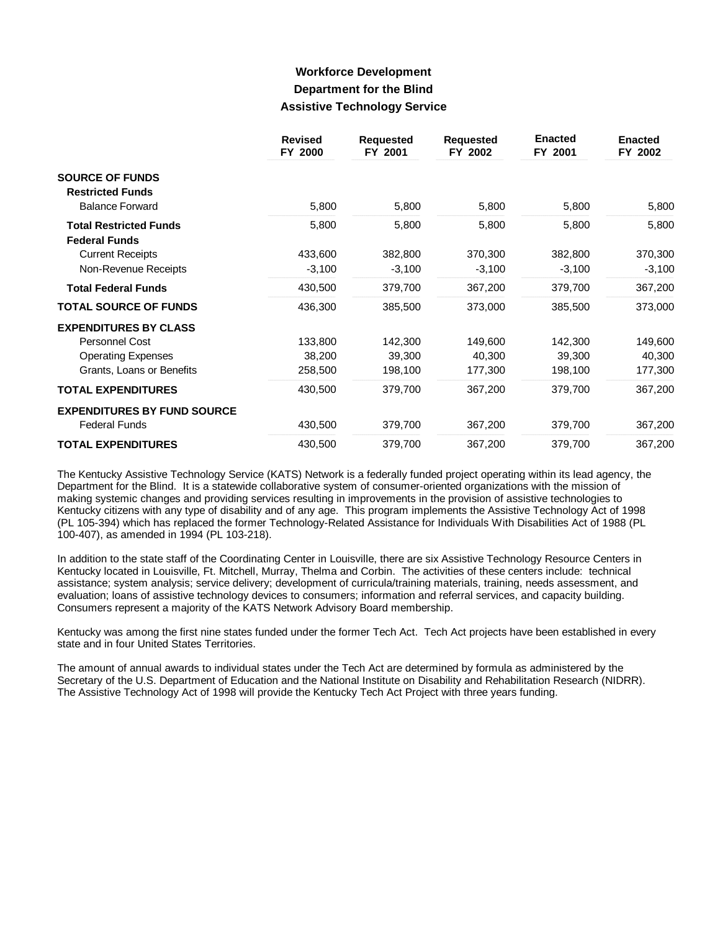## **Workforce Development Department for the Blind Assistive Technology Service**

|                                                       | <b>Revised</b><br>FY 2000 | <b>Requested</b><br>FY 2001 | <b>Requested</b><br>FY 2002 | <b>Enacted</b><br>FY 2001 | <b>Enacted</b><br>FY 2002 |
|-------------------------------------------------------|---------------------------|-----------------------------|-----------------------------|---------------------------|---------------------------|
| <b>SOURCE OF FUNDS</b>                                |                           |                             |                             |                           |                           |
| <b>Restricted Funds</b><br><b>Balance Forward</b>     | 5,800                     | 5,800                       | 5,800                       | 5,800                     | 5,800                     |
| <b>Total Restricted Funds</b><br><b>Federal Funds</b> | 5,800                     | 5,800                       | 5,800                       | 5,800                     | 5,800                     |
| <b>Current Receipts</b>                               | 433,600                   | 382,800                     | 370,300                     | 382,800                   | 370,300                   |
| Non-Revenue Receipts                                  | $-3,100$                  | $-3,100$                    | $-3,100$                    | $-3,100$                  | $-3,100$                  |
| <b>Total Federal Funds</b>                            | 430,500                   | 379,700                     | 367,200                     | 379,700                   | 367,200                   |
| <b>TOTAL SOURCE OF FUNDS</b>                          | 436,300                   | 385,500                     | 373,000                     | 385,500                   | 373,000                   |
| <b>EXPENDITURES BY CLASS</b>                          |                           |                             |                             |                           |                           |
| Personnel Cost                                        | 133,800                   | 142,300                     | 149,600                     | 142,300                   | 149,600                   |
| <b>Operating Expenses</b>                             | 38,200                    | 39,300                      | 40,300                      | 39,300                    | 40,300                    |
| Grants, Loans or Benefits                             | 258,500                   | 198,100                     | 177,300                     | 198,100                   | 177,300                   |
| <b>TOTAL EXPENDITURES</b>                             | 430,500                   | 379,700                     | 367,200                     | 379,700                   | 367,200                   |
| <b>EXPENDITURES BY FUND SOURCE</b>                    |                           |                             |                             |                           |                           |
| <b>Federal Funds</b>                                  | 430,500                   | 379,700                     | 367,200                     | 379,700                   | 367,200                   |
| <b>TOTAL EXPENDITURES</b>                             | 430,500                   | 379,700                     | 367,200                     | 379,700                   | 367,200                   |

The Kentucky Assistive Technology Service (KATS) Network is a federally funded project operating within its lead agency, the Department for the Blind. It is a statewide collaborative system of consumer-oriented organizations with the mission of making systemic changes and providing services resulting in improvements in the provision of assistive technologies to Kentucky citizens with any type of disability and of any age. This program implements the Assistive Technology Act of 1998 (PL 105-394) which has replaced the former Technology-Related Assistance for Individuals With Disabilities Act of 1988 (PL 100-407), as amended in 1994 (PL 103-218).

In addition to the state staff of the Coordinating Center in Louisville, there are six Assistive Technology Resource Centers in Kentucky located in Louisville, Ft. Mitchell, Murray, Thelma and Corbin. The activities of these centers include: technical assistance; system analysis; service delivery; development of curricula/training materials, training, needs assessment, and evaluation; loans of assistive technology devices to consumers; information and referral services, and capacity building. Consumers represent a majority of the KATS Network Advisory Board membership.

Kentucky was among the first nine states funded under the former Tech Act. Tech Act projects have been established in every state and in four United States Territories.

The amount of annual awards to individual states under the Tech Act are determined by formula as administered by the Secretary of the U.S. Department of Education and the National Institute on Disability and Rehabilitation Research (NIDRR). The Assistive Technology Act of 1998 will provide the Kentucky Tech Act Project with three years funding.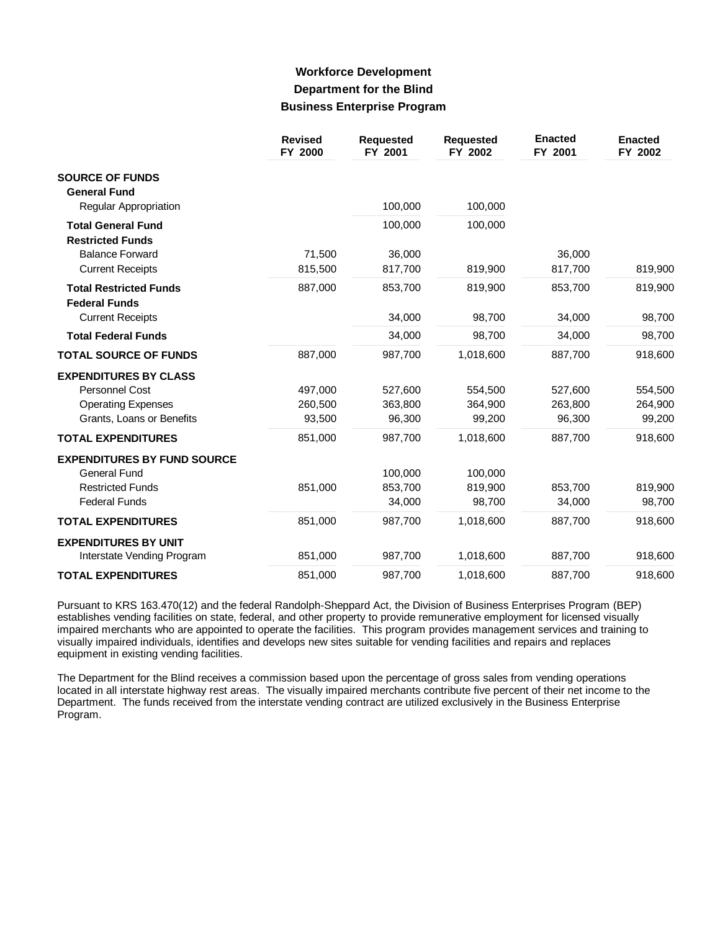## **Workforce Development Department for the Blind Business Enterprise Program**

|                                                       | <b>Revised</b><br>FY 2000 | <b>Requested</b><br>FY 2001 | <b>Requested</b><br>FY 2002 | <b>Enacted</b><br>FY 2001 | <b>Enacted</b><br>FY 2002 |
|-------------------------------------------------------|---------------------------|-----------------------------|-----------------------------|---------------------------|---------------------------|
| <b>SOURCE OF FUNDS</b><br><b>General Fund</b>         |                           |                             |                             |                           |                           |
| Regular Appropriation                                 |                           | 100,000                     | 100,000                     |                           |                           |
| <b>Total General Fund</b><br><b>Restricted Funds</b>  |                           | 100,000                     | 100,000                     |                           |                           |
| <b>Balance Forward</b>                                | 71,500                    | 36,000                      |                             | 36,000                    |                           |
| <b>Current Receipts</b>                               | 815,500                   | 817,700                     | 819,900                     | 817,700                   | 819,900                   |
| <b>Total Restricted Funds</b><br><b>Federal Funds</b> | 887,000                   | 853,700                     | 819,900                     | 853,700                   | 819,900                   |
| <b>Current Receipts</b>                               |                           | 34,000                      | 98,700                      | 34,000                    | 98,700                    |
| <b>Total Federal Funds</b>                            |                           | 34,000                      | 98,700                      | 34,000                    | 98,700                    |
| <b>TOTAL SOURCE OF FUNDS</b>                          | 887,000                   | 987,700                     | 1,018,600                   | 887,700                   | 918,600                   |
| <b>EXPENDITURES BY CLASS</b>                          |                           |                             |                             |                           |                           |
| <b>Personnel Cost</b>                                 | 497,000                   | 527,600                     | 554,500                     | 527,600                   | 554,500                   |
| <b>Operating Expenses</b>                             | 260,500                   | 363,800                     | 364,900                     | 263,800                   | 264,900                   |
| Grants, Loans or Benefits                             | 93,500                    | 96,300                      | 99,200                      | 96,300                    | 99,200                    |
| <b>TOTAL EXPENDITURES</b>                             | 851,000                   | 987,700                     | 1,018,600                   | 887,700                   | 918,600                   |
| <b>EXPENDITURES BY FUND SOURCE</b>                    |                           |                             |                             |                           |                           |
| <b>General Fund</b>                                   |                           | 100,000                     | 100,000                     |                           |                           |
| <b>Restricted Funds</b>                               | 851,000                   | 853,700                     | 819.900                     | 853,700                   | 819,900                   |
| <b>Federal Funds</b>                                  |                           | 34,000                      | 98,700                      | 34,000                    | 98,700                    |
| <b>TOTAL EXPENDITURES</b>                             | 851,000                   | 987,700                     | 1,018,600                   | 887,700                   | 918,600                   |
| <b>EXPENDITURES BY UNIT</b>                           |                           |                             |                             |                           |                           |
| Interstate Vending Program                            | 851,000                   | 987,700                     | 1,018,600                   | 887,700                   | 918,600                   |
| <b>TOTAL EXPENDITURES</b>                             | 851,000                   | 987,700                     | 1,018,600                   | 887,700                   | 918,600                   |

Pursuant to KRS 163.470(12) and the federal Randolph-Sheppard Act, the Division of Business Enterprises Program (BEP) establishes vending facilities on state, federal, and other property to provide remunerative employment for licensed visually impaired merchants who are appointed to operate the facilities. This program provides management services and training to visually impaired individuals, identifies and develops new sites suitable for vending facilities and repairs and replaces equipment in existing vending facilities.

The Department for the Blind receives a commission based upon the percentage of gross sales from vending operations located in all interstate highway rest areas. The visually impaired merchants contribute five percent of their net income to the Department. The funds received from the interstate vending contract are utilized exclusively in the Business Enterprise Program.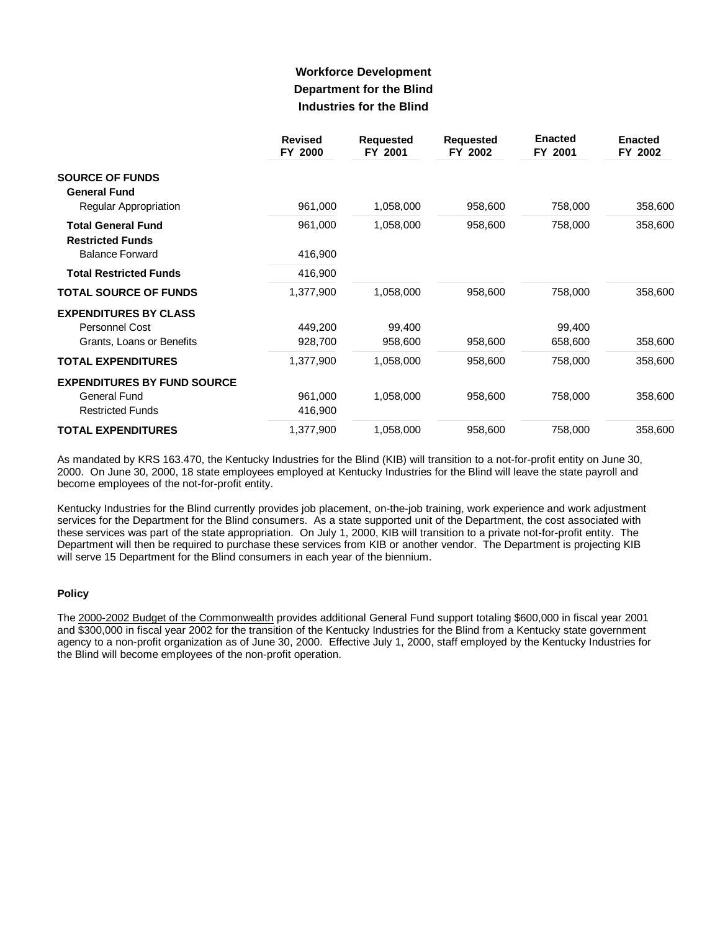# **Workforce Development Department for the Blind Industries for the Blind**

|                                                      | <b>Revised</b><br>FY 2000 | <b>Requested</b><br>FY 2001 | <b>Requested</b><br>FY 2002 | <b>Enacted</b><br>FY 2001 | <b>Enacted</b><br>FY 2002 |
|------------------------------------------------------|---------------------------|-----------------------------|-----------------------------|---------------------------|---------------------------|
| <b>SOURCE OF FUNDS</b><br><b>General Fund</b>        |                           |                             |                             |                           |                           |
| Regular Appropriation                                | 961,000                   | 1,058,000                   | 958,600                     | 758,000                   | 358,600                   |
| <b>Total General Fund</b><br><b>Restricted Funds</b> | 961,000                   | 1,058,000                   | 958,600                     | 758,000                   | 358,600                   |
| <b>Balance Forward</b>                               | 416,900                   |                             |                             |                           |                           |
| <b>Total Restricted Funds</b>                        | 416,900                   |                             |                             |                           |                           |
| <b>TOTAL SOURCE OF FUNDS</b>                         | 1,377,900                 | 1,058,000                   | 958,600                     | 758,000                   | 358,600                   |
| <b>EXPENDITURES BY CLASS</b>                         |                           |                             |                             |                           |                           |
| Personnel Cost                                       | 449,200                   | 99,400                      |                             | 99,400                    |                           |
| Grants, Loans or Benefits                            | 928,700                   | 958,600                     | 958,600                     | 658,600                   | 358,600                   |
| <b>TOTAL EXPENDITURES</b>                            | 1,377,900                 | 1,058,000                   | 958,600                     | 758,000                   | 358,600                   |
| <b>EXPENDITURES BY FUND SOURCE</b>                   |                           |                             |                             |                           |                           |
| General Fund                                         | 961,000                   | 1,058,000                   | 958,600                     | 758,000                   | 358,600                   |
| <b>Restricted Funds</b>                              | 416,900                   |                             |                             |                           |                           |
| <b>TOTAL EXPENDITURES</b>                            | 1,377,900                 | 1,058,000                   | 958,600                     | 758,000                   | 358,600                   |

As mandated by KRS 163.470, the Kentucky Industries for the Blind (KIB) will transition to a not-for-profit entity on June 30, 2000. On June 30, 2000, 18 state employees employed at Kentucky Industries for the Blind will leave the state payroll and become employees of the not-for-profit entity.

Kentucky Industries for the Blind currently provides job placement, on-the-job training, work experience and work adjustment services for the Department for the Blind consumers. As a state supported unit of the Department, the cost associated with these services was part of the state appropriation. On July 1, 2000, KIB will transition to a private not-for-profit entity. The Department will then be required to purchase these services from KIB or another vendor. The Department is projecting KIB will serve 15 Department for the Blind consumers in each year of the biennium.

### **Policy**

The 2000-2002 Budget of the Commonwealth provides additional General Fund support totaling \$600,000 in fiscal year 2001 and \$300,000 in fiscal year 2002 for the transition of the Kentucky Industries for the Blind from a Kentucky state government agency to a non-profit organization as of June 30, 2000. Effective July 1, 2000, staff employed by the Kentucky Industries for the Blind will become employees of the non-profit operation.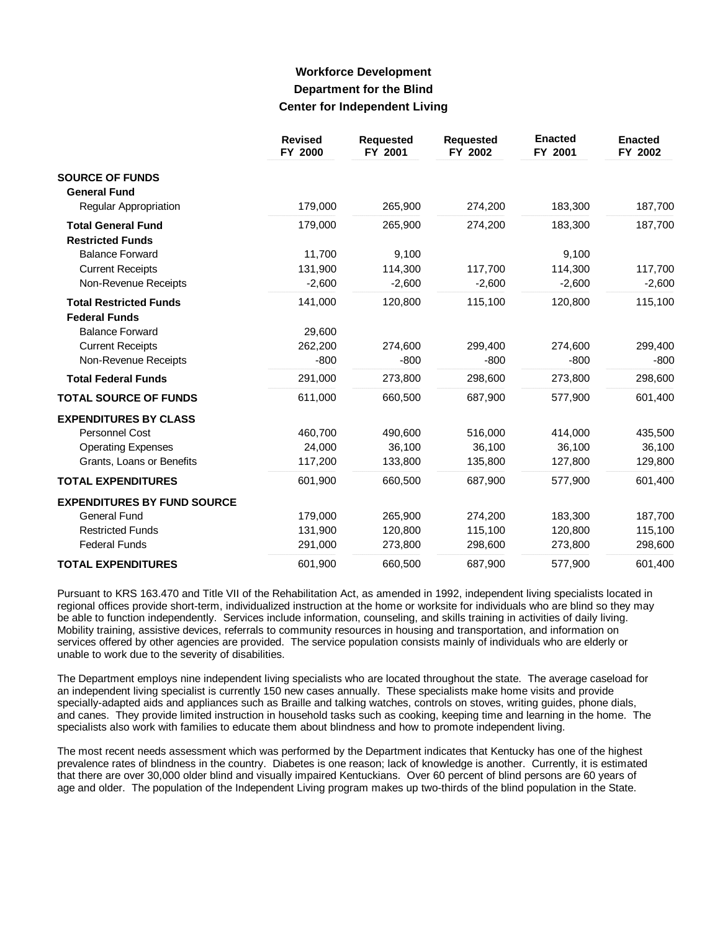## **Workforce Development Department for the Blind Center for Independent Living**

|                                                       | <b>Revised</b><br>FY 2000 | <b>Requested</b><br>FY 2001 | <b>Requested</b><br>FY 2002 | <b>Enacted</b><br>FY 2001 | <b>Enacted</b><br>FY 2002 |
|-------------------------------------------------------|---------------------------|-----------------------------|-----------------------------|---------------------------|---------------------------|
| <b>SOURCE OF FUNDS</b><br><b>General Fund</b>         |                           |                             |                             |                           |                           |
| Regular Appropriation                                 | 179,000                   | 265,900                     | 274,200                     | 183,300                   | 187,700                   |
| <b>Total General Fund</b><br><b>Restricted Funds</b>  | 179,000                   | 265,900                     | 274,200                     | 183,300                   | 187,700                   |
| <b>Balance Forward</b>                                | 11,700                    | 9,100                       |                             | 9,100                     |                           |
| <b>Current Receipts</b>                               | 131,900                   | 114,300                     | 117,700                     | 114,300                   | 117,700                   |
| Non-Revenue Receipts                                  | $-2,600$                  | $-2,600$                    | $-2,600$                    | $-2,600$                  | $-2,600$                  |
| <b>Total Restricted Funds</b><br><b>Federal Funds</b> | 141,000                   | 120,800                     | 115,100                     | 120,800                   | 115,100                   |
| <b>Balance Forward</b>                                | 29,600                    |                             |                             |                           |                           |
| <b>Current Receipts</b>                               | 262,200                   | 274,600                     | 299,400                     | 274,600                   | 299,400                   |
| Non-Revenue Receipts                                  | $-800$                    | $-800$                      | $-800$                      | $-800$                    | $-800$                    |
| <b>Total Federal Funds</b>                            | 291,000                   | 273,800                     | 298,600                     | 273,800                   | 298,600                   |
| <b>TOTAL SOURCE OF FUNDS</b>                          | 611,000                   | 660,500                     | 687,900                     | 577,900                   | 601,400                   |
| <b>EXPENDITURES BY CLASS</b>                          |                           |                             |                             |                           |                           |
| <b>Personnel Cost</b>                                 | 460,700                   | 490,600                     | 516,000                     | 414.000                   | 435,500                   |
| <b>Operating Expenses</b>                             | 24,000                    | 36,100                      | 36,100                      | 36,100                    | 36,100                    |
| Grants, Loans or Benefits                             | 117,200                   | 133,800                     | 135,800                     | 127,800                   | 129,800                   |
| <b>TOTAL EXPENDITURES</b>                             | 601,900                   | 660,500                     | 687,900                     | 577,900                   | 601,400                   |
| <b>EXPENDITURES BY FUND SOURCE</b>                    |                           |                             |                             |                           |                           |
| <b>General Fund</b>                                   | 179,000                   | 265,900                     | 274,200                     | 183,300                   | 187,700                   |
| <b>Restricted Funds</b>                               | 131,900                   | 120,800                     | 115,100                     | 120,800                   | 115,100                   |
| <b>Federal Funds</b>                                  | 291,000                   | 273,800                     | 298,600                     | 273,800                   | 298,600                   |
| <b>TOTAL EXPENDITURES</b>                             | 601,900                   | 660,500                     | 687,900                     | 577,900                   | 601,400                   |

Pursuant to KRS 163.470 and Title VII of the Rehabilitation Act, as amended in 1992, independent living specialists located in regional offices provide short-term, individualized instruction at the home or worksite for individuals who are blind so they may be able to function independently. Services include information, counseling, and skills training in activities of daily living. Mobility training, assistive devices, referrals to community resources in housing and transportation, and information on services offered by other agencies are provided. The service population consists mainly of individuals who are elderly or unable to work due to the severity of disabilities.

The Department employs nine independent living specialists who are located throughout the state. The average caseload for an independent living specialist is currently 150 new cases annually. These specialists make home visits and provide specially-adapted aids and appliances such as Braille and talking watches, controls on stoves, writing guides, phone dials, and canes. They provide limited instruction in household tasks such as cooking, keeping time and learning in the home. The specialists also work with families to educate them about blindness and how to promote independent living.

The most recent needs assessment which was performed by the Department indicates that Kentucky has one of the highest prevalence rates of blindness in the country. Diabetes is one reason; lack of knowledge is another. Currently, it is estimated that there are over 30,000 older blind and visually impaired Kentuckians. Over 60 percent of blind persons are 60 years of age and older. The population of the Independent Living program makes up two-thirds of the blind population in the State.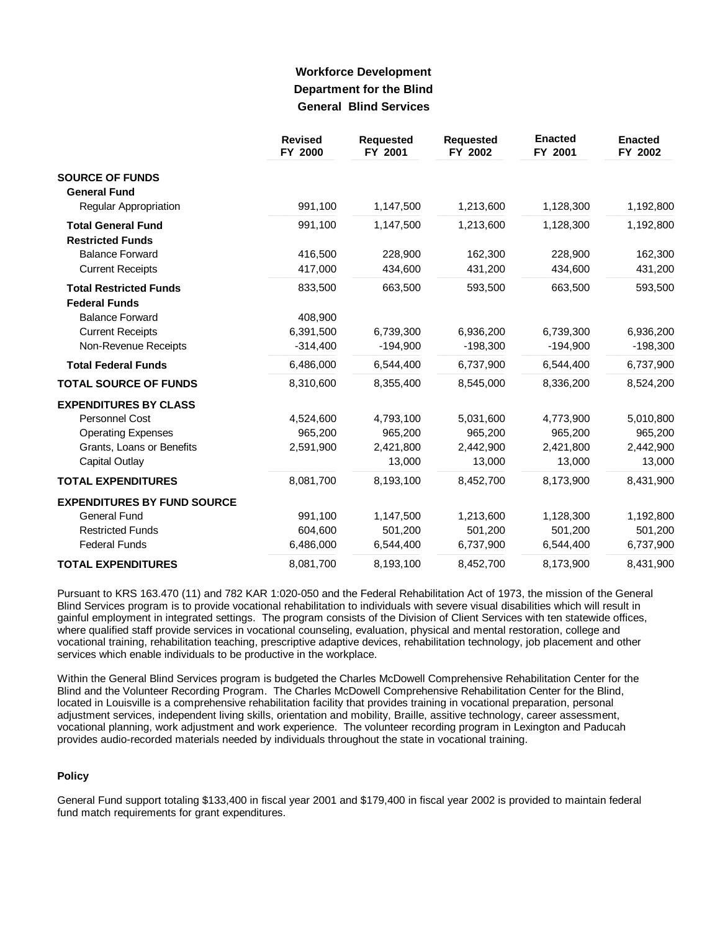## **Workforce Development Department for the Blind General Blind Services**

|                                               | <b>Revised</b><br>FY 2000 | <b>Requested</b><br>FY 2001 | <b>Requested</b><br>FY 2002 | <b>Enacted</b><br>FY 2001 | <b>Enacted</b><br>FY 2002 |
|-----------------------------------------------|---------------------------|-----------------------------|-----------------------------|---------------------------|---------------------------|
| <b>SOURCE OF FUNDS</b><br><b>General Fund</b> |                           |                             |                             |                           |                           |
| Regular Appropriation                         | 991,100                   | 1,147,500                   | 1,213,600                   | 1,128,300                 | 1,192,800                 |
| <b>Total General Fund</b>                     | 991,100                   | 1,147,500                   | 1,213,600                   | 1,128,300                 | 1,192,800                 |
| <b>Restricted Funds</b>                       |                           |                             |                             |                           |                           |
| <b>Balance Forward</b>                        | 416,500                   | 228,900                     | 162,300                     | 228,900                   | 162,300                   |
| <b>Current Receipts</b>                       | 417,000                   | 434,600                     | 431,200                     | 434,600                   | 431,200                   |
| <b>Total Restricted Funds</b>                 | 833,500                   | 663,500                     | 593,500                     | 663,500                   | 593,500                   |
| <b>Federal Funds</b>                          |                           |                             |                             |                           |                           |
| <b>Balance Forward</b>                        | 408,900                   |                             |                             |                           |                           |
| <b>Current Receipts</b>                       | 6,391,500                 | 6,739,300                   | 6,936,200                   | 6,739,300                 | 6,936,200                 |
| Non-Revenue Receipts                          | $-314,400$                | $-194,900$                  | $-198,300$                  | $-194,900$                | $-198,300$                |
| <b>Total Federal Funds</b>                    | 6,486,000                 | 6,544,400                   | 6,737,900                   | 6,544,400                 | 6,737,900                 |
| <b>TOTAL SOURCE OF FUNDS</b>                  | 8,310,600                 | 8,355,400                   | 8,545,000                   | 8,336,200                 | 8,524,200                 |
| <b>EXPENDITURES BY CLASS</b>                  |                           |                             |                             |                           |                           |
| Personnel Cost                                | 4,524,600                 | 4,793,100                   | 5,031,600                   | 4,773,900                 | 5,010,800                 |
| <b>Operating Expenses</b>                     | 965,200                   | 965,200                     | 965,200                     | 965,200                   | 965,200                   |
| Grants, Loans or Benefits                     | 2,591,900                 | 2,421,800                   | 2,442,900                   | 2,421,800                 | 2,442,900                 |
| Capital Outlay                                |                           | 13,000                      | 13,000                      | 13,000                    | 13,000                    |
| <b>TOTAL EXPENDITURES</b>                     | 8,081,700                 | 8,193,100                   | 8,452,700                   | 8,173,900                 | 8,431,900                 |
| <b>EXPENDITURES BY FUND SOURCE</b>            |                           |                             |                             |                           |                           |
| <b>General Fund</b>                           | 991,100                   | 1,147,500                   | 1,213,600                   | 1,128,300                 | 1,192,800                 |
| <b>Restricted Funds</b>                       | 604,600                   | 501,200                     | 501,200                     | 501,200                   | 501,200                   |
| <b>Federal Funds</b>                          | 6,486,000                 | 6,544,400                   | 6,737,900                   | 6,544,400                 | 6,737,900                 |
| <b>TOTAL EXPENDITURES</b>                     | 8,081,700                 | 8,193,100                   | 8,452,700                   | 8,173,900                 | 8,431,900                 |

Pursuant to KRS 163.470 (11) and 782 KAR 1:020-050 and the Federal Rehabilitation Act of 1973, the mission of the General Blind Services program is to provide vocational rehabilitation to individuals with severe visual disabilities which will result in gainful employment in integrated settings. The program consists of the Division of Client Services with ten statewide offices, where qualified staff provide services in vocational counseling, evaluation, physical and mental restoration, college and vocational training, rehabilitation teaching, prescriptive adaptive devices, rehabilitation technology, job placement and other services which enable individuals to be productive in the workplace.

Within the General Blind Services program is budgeted the Charles McDowell Comprehensive Rehabilitation Center for the Blind and the Volunteer Recording Program. The Charles McDowell Comprehensive Rehabilitation Center for the Blind, located in Louisville is a comprehensive rehabilitation facility that provides training in vocational preparation, personal adjustment services, independent living skills, orientation and mobility, Braille, assitive technology, career assessment, vocational planning, work adjustment and work experience. The volunteer recording program in Lexington and Paducah provides audio-recorded materials needed by individuals throughout the state in vocational training.

### **Policy**

General Fund support totaling \$133,400 in fiscal year 2001 and \$179,400 in fiscal year 2002 is provided to maintain federal fund match requirements for grant expenditures.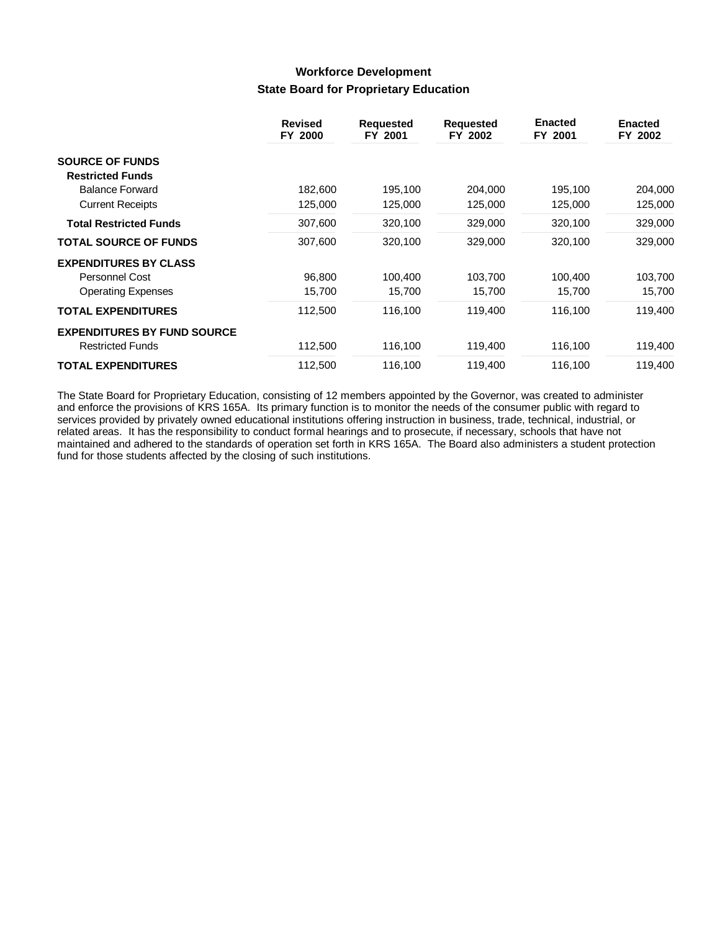## **Workforce Development State Board for Proprietary Education**

|                                    | <b>Revised</b><br>FY 2000 | <b>Requested</b><br>FY 2001 | <b>Requested</b><br>FY 2002 | <b>Enacted</b><br>FY 2001 | <b>Enacted</b><br>FY 2002 |
|------------------------------------|---------------------------|-----------------------------|-----------------------------|---------------------------|---------------------------|
| <b>SOURCE OF FUNDS</b>             |                           |                             |                             |                           |                           |
| <b>Restricted Funds</b>            |                           |                             |                             |                           |                           |
| <b>Balance Forward</b>             | 182,600                   | 195,100                     | 204,000                     | 195,100                   | 204,000                   |
| <b>Current Receipts</b>            | 125,000                   | 125,000                     | 125,000                     | 125,000                   | 125,000                   |
| <b>Total Restricted Funds</b>      | 307,600                   | 320,100                     | 329,000                     | 320,100                   | 329,000                   |
| <b>TOTAL SOURCE OF FUNDS</b>       | 307,600                   | 320,100                     | 329,000                     | 320,100                   | 329,000                   |
| <b>EXPENDITURES BY CLASS</b>       |                           |                             |                             |                           |                           |
| Personnel Cost                     | 96,800                    | 100,400                     | 103,700                     | 100,400                   | 103,700                   |
| <b>Operating Expenses</b>          | 15,700                    | 15,700                      | 15,700                      | 15,700                    | 15,700                    |
| <b>TOTAL EXPENDITURES</b>          | 112,500                   | 116,100                     | 119,400                     | 116,100                   | 119,400                   |
| <b>EXPENDITURES BY FUND SOURCE</b> |                           |                             |                             |                           |                           |
| <b>Restricted Funds</b>            | 112,500                   | 116,100                     | 119,400                     | 116,100                   | 119,400                   |
| <b>TOTAL EXPENDITURES</b>          | 112,500                   | 116,100                     | 119,400                     | 116,100                   | 119,400                   |

The State Board for Proprietary Education, consisting of 12 members appointed by the Governor, was created to administer and enforce the provisions of KRS 165A. Its primary function is to monitor the needs of the consumer public with regard to services provided by privately owned educational institutions offering instruction in business, trade, technical, industrial, or related areas. It has the responsibility to conduct formal hearings and to prosecute, if necessary, schools that have not maintained and adhered to the standards of operation set forth in KRS 165A. The Board also administers a student protection fund for those students affected by the closing of such institutions.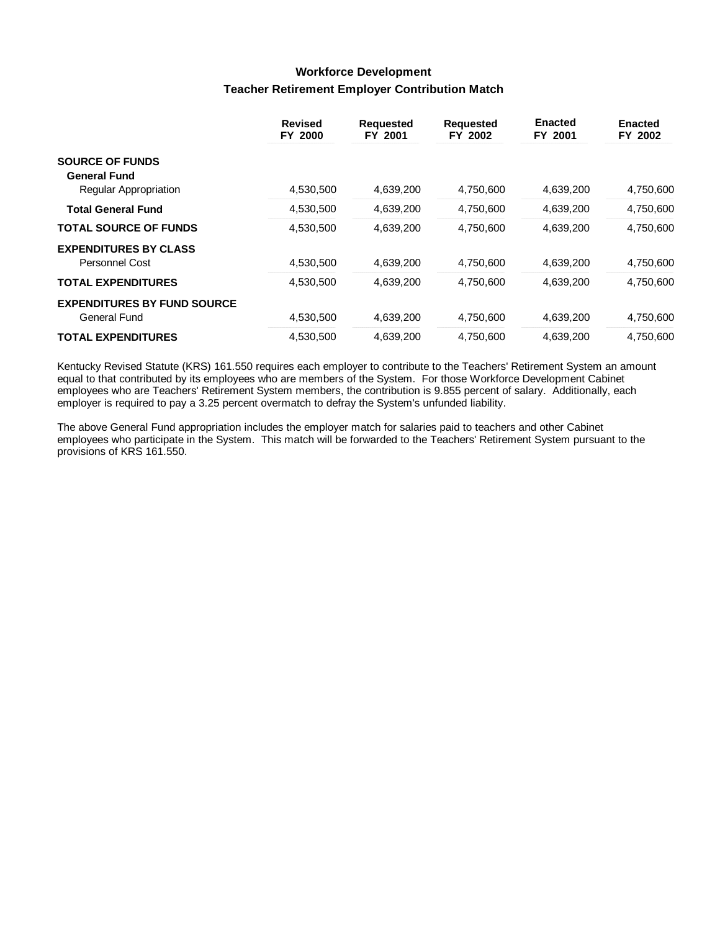## **Workforce Development Teacher Retirement Employer Contribution Match**

|                                    | <b>Revised</b><br>FY 2000 | <b>Requested</b><br>FY 2001 | <b>Requested</b><br>FY 2002 | <b>Enacted</b><br>FY 2001 | <b>Enacted</b><br>FY 2002 |
|------------------------------------|---------------------------|-----------------------------|-----------------------------|---------------------------|---------------------------|
| <b>SOURCE OF FUNDS</b>             |                           |                             |                             |                           |                           |
| <b>General Fund</b>                | 4,530,500                 | 4,639,200                   | 4,750,600                   | 4,639,200                 | 4,750,600                 |
| Regular Appropriation              |                           |                             |                             |                           |                           |
| <b>Total General Fund</b>          | 4,530,500                 | 4,639,200                   | 4,750,600                   | 4,639,200                 | 4,750,600                 |
| <b>TOTAL SOURCE OF FUNDS</b>       | 4,530,500                 | 4,639,200                   | 4,750,600                   | 4,639,200                 | 4,750,600                 |
| <b>EXPENDITURES BY CLASS</b>       |                           |                             |                             |                           |                           |
| <b>Personnel Cost</b>              | 4,530,500                 | 4.639.200                   | 4.750.600                   | 4,639,200                 | 4,750,600                 |
| <b>TOTAL EXPENDITURES</b>          | 4,530,500                 | 4,639,200                   | 4,750,600                   | 4,639,200                 | 4,750,600                 |
| <b>EXPENDITURES BY FUND SOURCE</b> |                           |                             |                             |                           |                           |
| <b>General Fund</b>                | 4,530,500                 | 4.639.200                   | 4.750.600                   | 4,639,200                 | 4,750,600                 |
| <b>TOTAL EXPENDITURES</b>          | 4,530,500                 | 4,639,200                   | 4.750.600                   | 4,639,200                 | 4,750,600                 |

Kentucky Revised Statute (KRS) 161.550 requires each employer to contribute to the Teachers' Retirement System an amount equal to that contributed by its employees who are members of the System. For those Workforce Development Cabinet employees who are Teachers' Retirement System members, the contribution is 9.855 percent of salary. Additionally, each employer is required to pay a 3.25 percent overmatch to defray the System's unfunded liability.

The above General Fund appropriation includes the employer match for salaries paid to teachers and other Cabinet employees who participate in the System. This match will be forwarded to the Teachers' Retirement System pursuant to the provisions of KRS 161.550.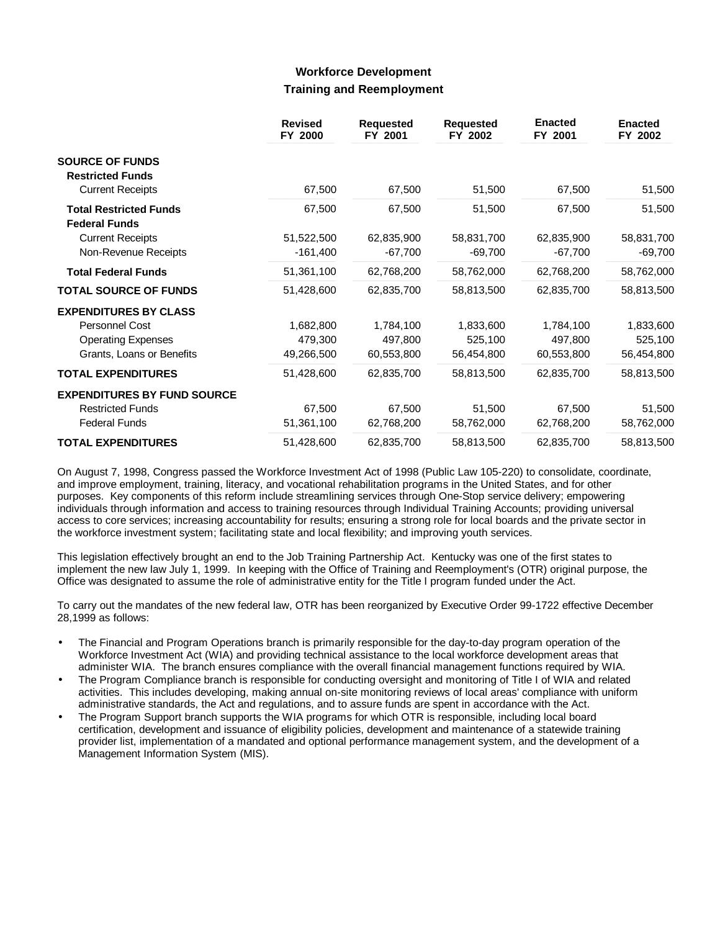### **Workforce Development Training and Reemployment**

|                                                       | <b>Revised</b><br>FY 2000 | <b>Requested</b><br>FY 2001 | <b>Requested</b><br>FY 2002 | <b>Enacted</b><br>FY 2001 | <b>Enacted</b><br>FY 2002 |
|-------------------------------------------------------|---------------------------|-----------------------------|-----------------------------|---------------------------|---------------------------|
| <b>SOURCE OF FUNDS</b>                                |                           |                             |                             |                           |                           |
| <b>Restricted Funds</b><br><b>Current Receipts</b>    | 67,500                    | 67,500                      | 51,500                      | 67,500                    | 51,500                    |
| <b>Total Restricted Funds</b><br><b>Federal Funds</b> | 67,500                    | 67,500                      | 51,500                      | 67,500                    | 51,500                    |
| <b>Current Receipts</b>                               | 51,522,500                | 62,835,900                  | 58,831,700                  | 62,835,900                | 58,831,700                |
| Non-Revenue Receipts<br><b>Total Federal Funds</b>    | $-161,400$<br>51,361,100  | $-67,700$<br>62,768,200     | $-69,700$<br>58,762,000     | $-67,700$<br>62,768,200   | $-69,700$<br>58,762,000   |
| <b>TOTAL SOURCE OF FUNDS</b>                          | 51,428,600                | 62,835,700                  | 58,813,500                  | 62,835,700                | 58,813,500                |
| <b>EXPENDITURES BY CLASS</b>                          |                           |                             |                             |                           |                           |
| Personnel Cost                                        | 1,682,800                 | 1,784,100                   | 1,833,600                   | 1,784,100                 | 1,833,600                 |
| <b>Operating Expenses</b>                             | 479,300                   | 497,800                     | 525,100                     | 497,800                   | 525,100                   |
| Grants, Loans or Benefits                             | 49,266,500                | 60,553,800                  | 56,454,800                  | 60,553,800                | 56,454,800                |
| <b>TOTAL EXPENDITURES</b>                             | 51,428,600                | 62,835,700                  | 58,813,500                  | 62,835,700                | 58,813,500                |
| <b>EXPENDITURES BY FUND SOURCE</b>                    |                           |                             |                             |                           |                           |
| <b>Restricted Funds</b>                               | 67,500                    | 67,500                      | 51,500                      | 67,500                    | 51,500                    |
| <b>Federal Funds</b>                                  | 51,361,100                | 62,768,200                  | 58,762,000                  | 62,768,200                | 58,762,000                |
| <b>TOTAL EXPENDITURES</b>                             | 51,428,600                | 62,835,700                  | 58,813,500                  | 62,835,700                | 58,813,500                |

On August 7, 1998, Congress passed the Workforce Investment Act of 1998 (Public Law 105-220) to consolidate, coordinate, and improve employment, training, literacy, and vocational rehabilitation programs in the United States, and for other purposes. Key components of this reform include streamlining services through One-Stop service delivery; empowering individuals through information and access to training resources through Individual Training Accounts; providing universal access to core services; increasing accountability for results; ensuring a strong role for local boards and the private sector in the workforce investment system; facilitating state and local flexibility; and improving youth services.

This legislation effectively brought an end to the Job Training Partnership Act. Kentucky was one of the first states to implement the new law July 1, 1999. In keeping with the Office of Training and Reemployment's (OTR) original purpose, the Office was designated to assume the role of administrative entity for the Title I program funded under the Act.

To carry out the mandates of the new federal law, OTR has been reorganized by Executive Order 99-1722 effective December 28,1999 as follows:

- The Financial and Program Operations branch is primarily responsible for the day-to-day program operation of the Workforce Investment Act (WIA) and providing technical assistance to the local workforce development areas that administer WIA. The branch ensures compliance with the overall financial management functions required by WIA.
- The Program Compliance branch is responsible for conducting oversight and monitoring of Title I of WIA and related activities. This includes developing, making annual on-site monitoring reviews of local areas' compliance with uniform administrative standards, the Act and regulations, and to assure funds are spent in accordance with the Act.
- The Program Support branch supports the WIA programs for which OTR is responsible, including local board certification, development and issuance of eligibility policies, development and maintenance of a statewide training provider list, implementation of a mandated and optional performance management system, and the development of a Management Information System (MIS).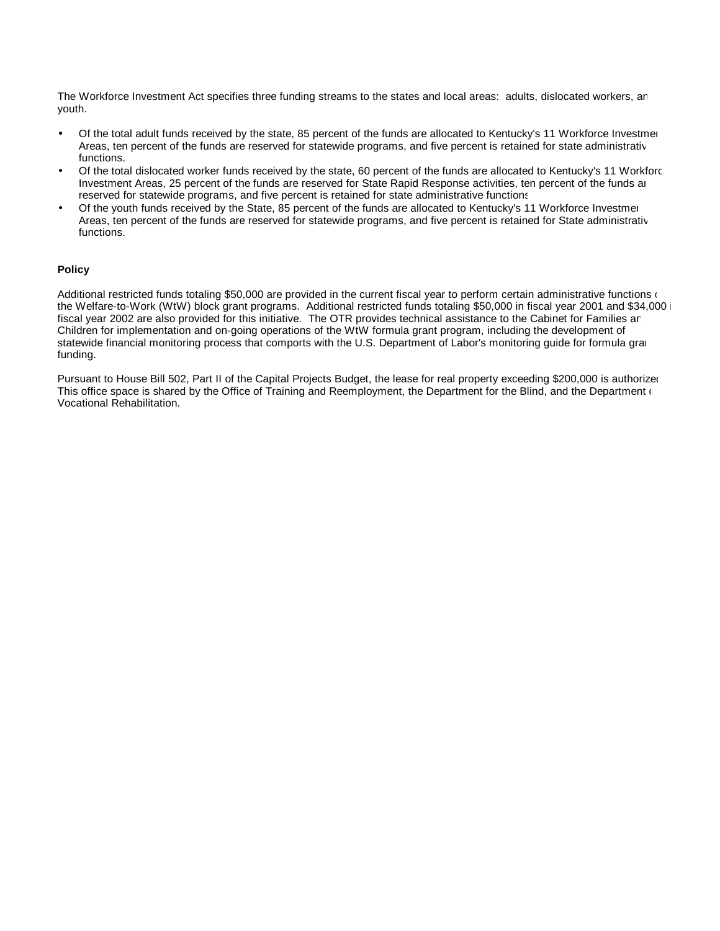The Workforce Investment Act specifies three funding streams to the states and local areas: adults, dislocated workers, an youth.

- Of the total adult funds received by the state, 85 percent of the funds are allocated to Kentucky's 11 Workforce Investment Areas, ten percent of the funds are reserved for statewide programs, and five percent is retained for state administrative functions.
- Of the total dislocated worker funds received by the state, 60 percent of the funds are allocated to Kentucky's 11 Workforce Investment Areas, 25 percent of the funds are reserved for State Rapid Response activities, ten percent of the funds are reserved for statewide programs, and five percent is retained for state administrative functions.
- Of the youth funds received by the State, 85 percent of the funds are allocated to Kentucky's 11 Workforce Investment Areas, ten percent of the funds are reserved for statewide programs, and five percent is retained for State administrative functions.

### **Policy**

Additional restricted funds totaling \$50,000 are provided in the current fiscal year to perform certain administrative functions of the Welfare-to-Work (WtW) block grant programs. Additional restricted funds totaling \$50,000 in fiscal year 2001 and \$34,000 fiscal year 2002 are also provided for this initiative. The OTR provides technical assistance to the Cabinet for Families an Children for implementation and on-going operations of the WtW formula grant program, including the development of statewide financial monitoring process that comports with the U.S. Department of Labor's monitoring guide for formula grant funding.

Pursuant to House Bill 502, Part II of the Capital Projects Budget, the lease for real property exceeding \$200,000 is authorized This office space is shared by the Office of Training and Reemployment, the Department for the Blind, and the Department  $($ Vocational Rehabilitation.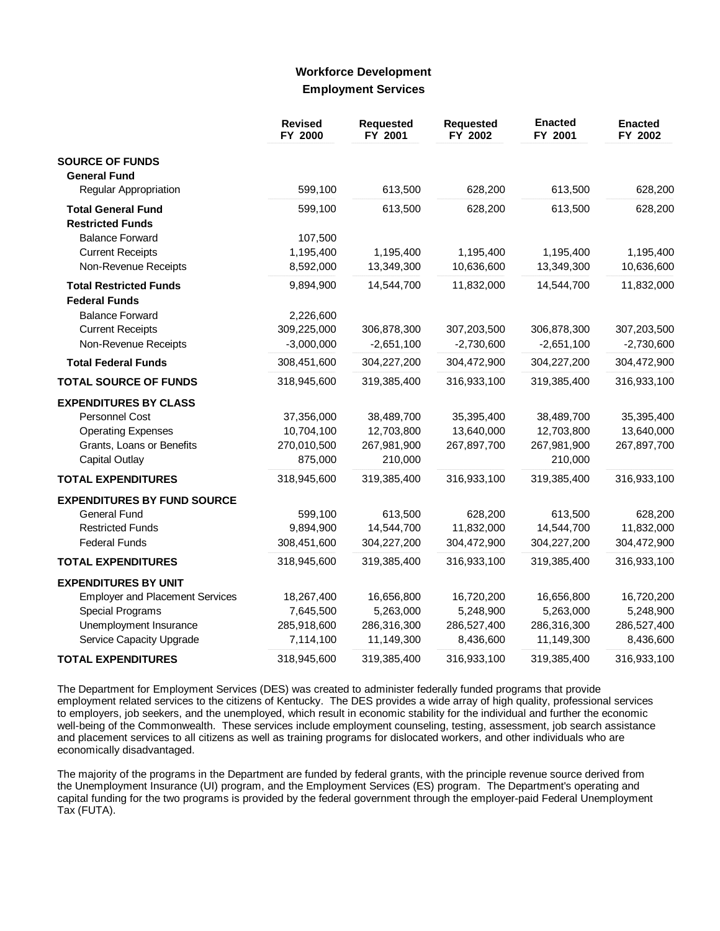### **Workforce Development Employment Services**

|                                        | <b>Revised</b><br>FY 2000 | <b>Requested</b><br>FY 2001 | Requested<br>FY 2002 | <b>Enacted</b><br>FY 2001 | <b>Enacted</b><br>FY 2002 |
|----------------------------------------|---------------------------|-----------------------------|----------------------|---------------------------|---------------------------|
| <b>SOURCE OF FUNDS</b>                 |                           |                             |                      |                           |                           |
| <b>General Fund</b>                    |                           |                             |                      |                           |                           |
| Regular Appropriation                  | 599,100                   | 613,500                     | 628,200              | 613,500                   | 628,200                   |
| <b>Total General Fund</b>              | 599,100                   | 613,500                     | 628,200              | 613,500                   | 628,200                   |
| <b>Restricted Funds</b>                |                           |                             |                      |                           |                           |
| <b>Balance Forward</b>                 | 107,500                   |                             |                      |                           |                           |
| <b>Current Receipts</b>                | 1,195,400                 | 1,195,400                   | 1,195,400            | 1,195,400                 | 1,195,400                 |
| Non-Revenue Receipts                   | 8,592,000                 | 13,349,300                  | 10,636,600           | 13,349,300                | 10,636,600                |
| <b>Total Restricted Funds</b>          | 9,894,900                 | 14,544,700                  | 11,832,000           | 14,544,700                | 11,832,000                |
| <b>Federal Funds</b>                   |                           |                             |                      |                           |                           |
| <b>Balance Forward</b>                 | 2,226,600                 |                             |                      |                           |                           |
| <b>Current Receipts</b>                | 309,225,000               | 306,878,300                 | 307,203,500          | 306,878,300               | 307,203,500               |
| Non-Revenue Receipts                   | $-3,000,000$              | $-2,651,100$                | $-2,730,600$         | $-2,651,100$              | $-2,730,600$              |
| <b>Total Federal Funds</b>             | 308,451,600               | 304,227,200                 | 304,472,900          | 304,227,200               | 304,472,900               |
| <b>TOTAL SOURCE OF FUNDS</b>           | 318,945,600               | 319,385,400                 | 316,933,100          | 319,385,400               | 316,933,100               |
| <b>EXPENDITURES BY CLASS</b>           |                           |                             |                      |                           |                           |
| Personnel Cost                         | 37,356,000                | 38,489,700                  | 35,395,400           | 38,489,700                | 35,395,400                |
| <b>Operating Expenses</b>              | 10,704,100                | 12,703,800                  | 13,640,000           | 12,703,800                | 13,640,000                |
| Grants, Loans or Benefits              | 270,010,500               | 267,981,900                 | 267,897,700          | 267,981,900               | 267,897,700               |
| <b>Capital Outlay</b>                  | 875,000                   | 210,000                     |                      | 210,000                   |                           |
| <b>TOTAL EXPENDITURES</b>              | 318,945,600               | 319,385,400                 | 316,933,100          | 319,385,400               | 316,933,100               |
| <b>EXPENDITURES BY FUND SOURCE</b>     |                           |                             |                      |                           |                           |
| General Fund                           | 599,100                   | 613,500                     | 628,200              | 613,500                   | 628,200                   |
| <b>Restricted Funds</b>                | 9,894,900                 | 14,544,700                  | 11,832,000           | 14,544,700                | 11,832,000                |
| <b>Federal Funds</b>                   | 308,451,600               | 304,227,200                 | 304,472,900          | 304,227,200               | 304,472,900               |
| <b>TOTAL EXPENDITURES</b>              | 318,945,600               | 319,385,400                 | 316,933,100          | 319,385,400               | 316,933,100               |
| <b>EXPENDITURES BY UNIT</b>            |                           |                             |                      |                           |                           |
| <b>Employer and Placement Services</b> | 18,267,400                | 16,656,800                  | 16,720,200           | 16,656,800                | 16,720,200                |
| <b>Special Programs</b>                | 7,645,500                 | 5,263,000                   | 5,248,900            | 5,263,000                 | 5,248,900                 |
| Unemployment Insurance                 | 285,918,600               | 286,316,300                 | 286,527,400          | 286,316,300               | 286,527,400               |
| Service Capacity Upgrade               | 7,114,100                 | 11,149,300                  | 8,436,600            | 11,149,300                | 8,436,600                 |
| <b>TOTAL EXPENDITURES</b>              | 318,945,600               | 319,385,400                 | 316,933,100          | 319,385,400               | 316,933,100               |

The Department for Employment Services (DES) was created to administer federally funded programs that provide employment related services to the citizens of Kentucky. The DES provides a wide array of high quality, professional services to employers, job seekers, and the unemployed, which result in economic stability for the individual and further the economic well-being of the Commonwealth. These services include employment counseling, testing, assessment, job search assistance and placement services to all citizens as well as training programs for dislocated workers, and other individuals who are economically disadvantaged.

The majority of the programs in the Department are funded by federal grants, with the principle revenue source derived from the Unemployment Insurance (UI) program, and the Employment Services (ES) program. The Department's operating and capital funding for the two programs is provided by the federal government through the employer-paid Federal Unemployment Tax (FUTA).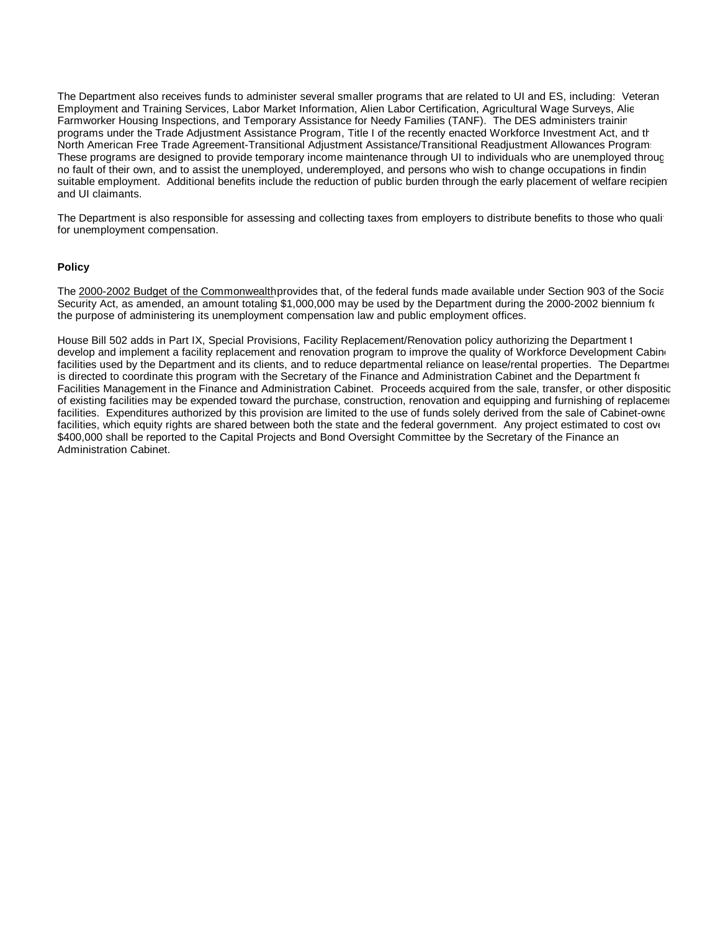The Department also receives funds to administer several smaller programs that are related to UI and ES, including: Veteran Employment and Training Services, Labor Market Information, Alien Labor Certification, Agricultural Wage Surveys, Alien Farmworker Housing Inspections, and Temporary Assistance for Needy Families (TANF). The DES administers training programs under the Trade Adjustment Assistance Program, Title I of the recently enacted Workforce Investment Act, and the North American Free Trade Agreement-Transitional Adjustment Assistance/Transitional Readjustment Allowances Programs. These programs are designed to provide temporary income maintenance through UI to individuals who are unemployed through no fault of their own, and to assist the unemployed, underemployed, and persons who wish to change occupations in finding suitable employment. Additional benefits include the reduction of public burden through the early placement of welfare recipient and UI claimants.

The Department is also responsible for assessing and collecting taxes from employers to distribute benefits to those who qualify for unemployment compensation.

### **Policy**

The 2000-2002 Budget of the Commonwealth provides that, of the federal funds made available under Section 903 of the Social Security Act, as amended, an amount totaling \$1,000,000 may be used by the Department during the 2000-2002 biennium for the purpose of administering its unemployment compensation law and public employment offices.

House Bill 502 adds in Part IX, Special Provisions, Facility Replacement/Renovation policy authorizing the Department 1 develop and implement a facility replacement and renovation program to improve the quality of Workforce Development Cabinet facilities used by the Department and its clients, and to reduce departmental reliance on lease/rental properties. The Department is directed to coordinate this program with the Secretary of the Finance and Administration Cabinet and the Department for Facilities Management in the Finance and Administration Cabinet. Proceeds acquired from the sale, transfer, or other dispositic of existing facilities may be expended toward the purchase, construction, renovation and equipping and furnishing of replacement facilities. Expenditures authorized by this provision are limited to the use of funds solely derived from the sale of Cabinet-owne facilities, which equity rights are shared between both the state and the federal government. Any project estimated to cost over \$400,000 shall be reported to the Capital Projects and Bond Oversight Committee by the Secretary of the Finance an Administration Cabinet.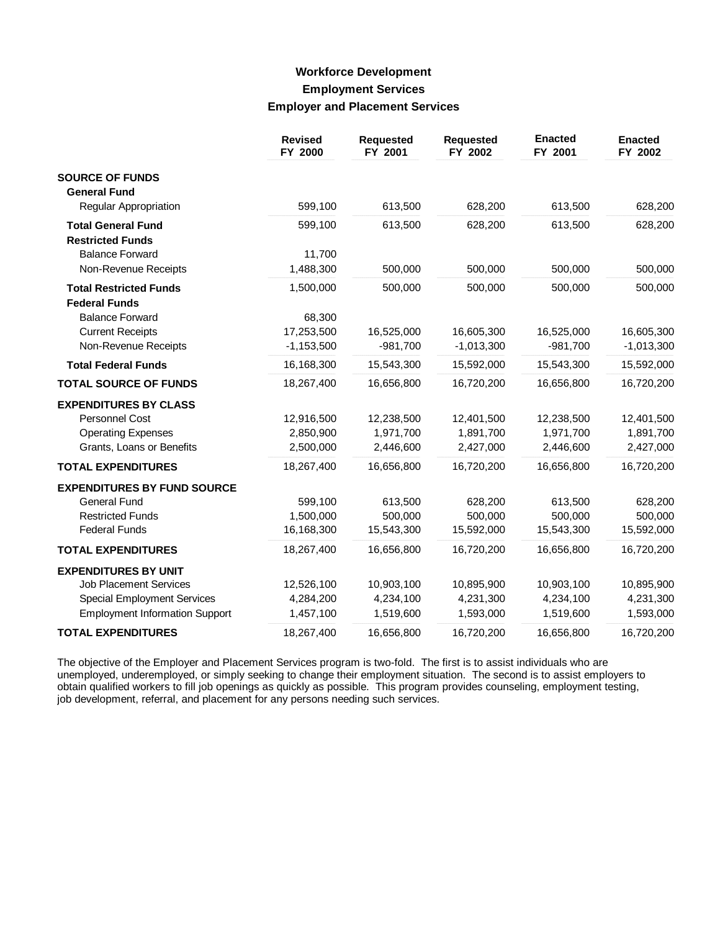## **Workforce Development Employment Services Employer and Placement Services**

|                                                       | <b>Revised</b><br>FY 2000 | Requested<br>FY 2001 | <b>Requested</b><br>FY 2002 | <b>Enacted</b><br>FY 2001 | <b>Enacted</b><br>FY 2002 |
|-------------------------------------------------------|---------------------------|----------------------|-----------------------------|---------------------------|---------------------------|
| <b>SOURCE OF FUNDS</b>                                |                           |                      |                             |                           |                           |
| <b>General Fund</b>                                   |                           |                      |                             |                           |                           |
| Regular Appropriation                                 | 599,100                   | 613,500              | 628,200                     | 613,500                   | 628,200                   |
| <b>Total General Fund</b>                             | 599,100                   | 613,500              | 628,200                     | 613,500                   | 628,200                   |
| <b>Restricted Funds</b>                               |                           |                      |                             |                           |                           |
| <b>Balance Forward</b>                                | 11,700                    |                      |                             |                           |                           |
| Non-Revenue Receipts                                  | 1,488,300                 | 500,000              | 500,000                     | 500,000                   | 500,000                   |
| <b>Total Restricted Funds</b><br><b>Federal Funds</b> | 1,500,000                 | 500,000              | 500,000                     | 500,000                   | 500,000                   |
| <b>Balance Forward</b>                                | 68,300                    |                      |                             |                           |                           |
| <b>Current Receipts</b>                               | 17,253,500                | 16,525,000           | 16,605,300                  | 16,525,000                | 16,605,300                |
| Non-Revenue Receipts                                  | $-1,153,500$              | $-981,700$           | $-1,013,300$                | $-981,700$                | $-1,013,300$              |
| <b>Total Federal Funds</b>                            | 16,168,300                | 15,543,300           | 15,592,000                  | 15,543,300                | 15,592,000                |
| <b>TOTAL SOURCE OF FUNDS</b>                          | 18,267,400                | 16,656,800           | 16,720,200                  | 16,656,800                | 16,720,200                |
| <b>EXPENDITURES BY CLASS</b>                          |                           |                      |                             |                           |                           |
| <b>Personnel Cost</b>                                 | 12,916,500                | 12,238,500           | 12,401,500                  | 12,238,500                | 12,401,500                |
| <b>Operating Expenses</b>                             | 2,850,900                 | 1,971,700            | 1,891,700                   | 1,971,700                 | 1,891,700                 |
| Grants, Loans or Benefits                             | 2,500,000                 | 2,446,600            | 2,427,000                   | 2,446,600                 | 2,427,000                 |
| <b>TOTAL EXPENDITURES</b>                             | 18,267,400                | 16,656,800           | 16,720,200                  | 16,656,800                | 16,720,200                |
| <b>EXPENDITURES BY FUND SOURCE</b>                    |                           |                      |                             |                           |                           |
| <b>General Fund</b>                                   | 599,100                   | 613,500              | 628,200                     | 613,500                   | 628,200                   |
| <b>Restricted Funds</b>                               | 1,500,000                 | 500,000              | 500,000                     | 500,000                   | 500,000                   |
| <b>Federal Funds</b>                                  | 16,168,300                | 15,543,300           | 15,592,000                  | 15,543,300                | 15,592,000                |
| <b>TOTAL EXPENDITURES</b>                             | 18,267,400                | 16,656,800           | 16,720,200                  | 16,656,800                | 16,720,200                |
| <b>EXPENDITURES BY UNIT</b>                           |                           |                      |                             |                           |                           |
| <b>Job Placement Services</b>                         | 12,526,100                | 10,903,100           | 10,895,900                  | 10,903,100                | 10,895,900                |
| <b>Special Employment Services</b>                    | 4,284,200                 | 4,234,100            | 4,231,300                   | 4,234,100                 | 4,231,300                 |
| <b>Employment Information Support</b>                 | 1,457,100                 | 1,519,600            | 1,593,000                   | 1,519,600                 | 1,593,000                 |
| <b>TOTAL EXPENDITURES</b>                             | 18,267,400                | 16,656,800           | 16,720,200                  | 16,656,800                | 16,720,200                |

The objective of the Employer and Placement Services program is two-fold. The first is to assist individuals who are unemployed, underemployed, or simply seeking to change their employment situation. The second is to assist employers to obtain qualified workers to fill job openings as quickly as possible. This program provides counseling, employment testing, job development, referral, and placement for any persons needing such services.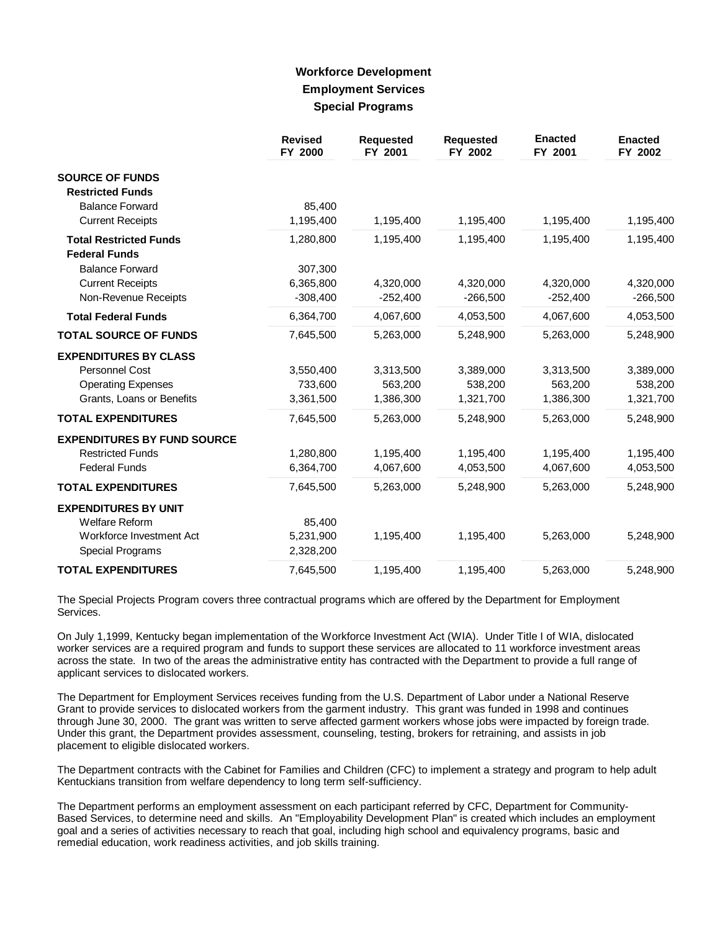## **Workforce Development Employment Services Special Programs**

|                                                       | <b>Revised</b><br>FY 2000 | <b>Requested</b><br>FY 2001 | <b>Requested</b><br>FY 2002 | <b>Enacted</b><br>FY 2001 | <b>Enacted</b><br>FY 2002 |
|-------------------------------------------------------|---------------------------|-----------------------------|-----------------------------|---------------------------|---------------------------|
| <b>SOURCE OF FUNDS</b><br><b>Restricted Funds</b>     |                           |                             |                             |                           |                           |
| <b>Balance Forward</b>                                | 85,400                    |                             |                             |                           |                           |
| <b>Current Receipts</b>                               | 1,195,400                 | 1,195,400                   | 1,195,400                   | 1,195,400                 | 1,195,400                 |
| <b>Total Restricted Funds</b><br><b>Federal Funds</b> | 1,280,800                 | 1,195,400                   | 1,195,400                   | 1,195,400                 | 1,195,400                 |
| <b>Balance Forward</b>                                | 307,300                   |                             |                             |                           |                           |
| <b>Current Receipts</b>                               | 6,365,800                 | 4,320,000                   | 4,320,000                   | 4,320,000                 | 4,320,000                 |
| Non-Revenue Receipts                                  | $-308,400$                | $-252,400$                  | $-266,500$                  | $-252,400$                | $-266,500$                |
| <b>Total Federal Funds</b>                            | 6,364,700                 | 4,067,600                   | 4,053,500                   | 4,067,600                 | 4,053,500                 |
| <b>TOTAL SOURCE OF FUNDS</b>                          | 7,645,500                 | 5,263,000                   | 5,248,900                   | 5,263,000                 | 5,248,900                 |
| <b>EXPENDITURES BY CLASS</b>                          |                           |                             |                             |                           |                           |
| Personnel Cost                                        | 3,550,400                 | 3,313,500                   | 3,389,000                   | 3,313,500                 | 3,389,000                 |
| <b>Operating Expenses</b>                             | 733,600                   | 563,200                     | 538,200                     | 563,200                   | 538,200                   |
| Grants, Loans or Benefits                             | 3,361,500                 | 1,386,300                   | 1,321,700                   | 1,386,300                 | 1,321,700                 |
| <b>TOTAL EXPENDITURES</b>                             | 7,645,500                 | 5,263,000                   | 5,248,900                   | 5,263,000                 | 5,248,900                 |
| <b>EXPENDITURES BY FUND SOURCE</b>                    |                           |                             |                             |                           |                           |
| <b>Restricted Funds</b>                               | 1,280,800                 | 1,195,400                   | 1,195,400                   | 1,195,400                 | 1,195,400                 |
| <b>Federal Funds</b>                                  | 6,364,700                 | 4,067,600                   | 4,053,500                   | 4,067,600                 | 4,053,500                 |
| <b>TOTAL EXPENDITURES</b>                             | 7,645,500                 | 5,263,000                   | 5,248,900                   | 5,263,000                 | 5,248,900                 |
| <b>EXPENDITURES BY UNIT</b>                           |                           |                             |                             |                           |                           |
| <b>Welfare Reform</b>                                 | 85,400                    |                             |                             |                           |                           |
| Workforce Investment Act                              | 5,231,900                 | 1,195,400                   | 1,195,400                   | 5,263,000                 | 5,248,900                 |
| Special Programs                                      | 2,328,200                 |                             |                             |                           |                           |
| <b>TOTAL EXPENDITURES</b>                             | 7,645,500                 | 1,195,400                   | 1,195,400                   | 5,263,000                 | 5,248,900                 |

The Special Projects Program covers three contractual programs which are offered by the Department for Employment Services.

On July 1,1999, Kentucky began implementation of the Workforce Investment Act (WIA). Under Title I of WIA, dislocated worker services are a required program and funds to support these services are allocated to 11 workforce investment areas across the state. In two of the areas the administrative entity has contracted with the Department to provide a full range of applicant services to dislocated workers.

The Department for Employment Services receives funding from the U.S. Department of Labor under a National Reserve Grant to provide services to dislocated workers from the garment industry. This grant was funded in 1998 and continues through June 30, 2000. The grant was written to serve affected garment workers whose jobs were impacted by foreign trade. Under this grant, the Department provides assessment, counseling, testing, brokers for retraining, and assists in job placement to eligible dislocated workers.

The Department contracts with the Cabinet for Families and Children (CFC) to implement a strategy and program to help adult Kentuckians transition from welfare dependency to long term self-sufficiency.

The Department performs an employment assessment on each participant referred by CFC, Department for Community-Based Services, to determine need and skills. An "Employability Development Plan" is created which includes an employment goal and a series of activities necessary to reach that goal, including high school and equivalency programs, basic and remedial education, work readiness activities, and job skills training.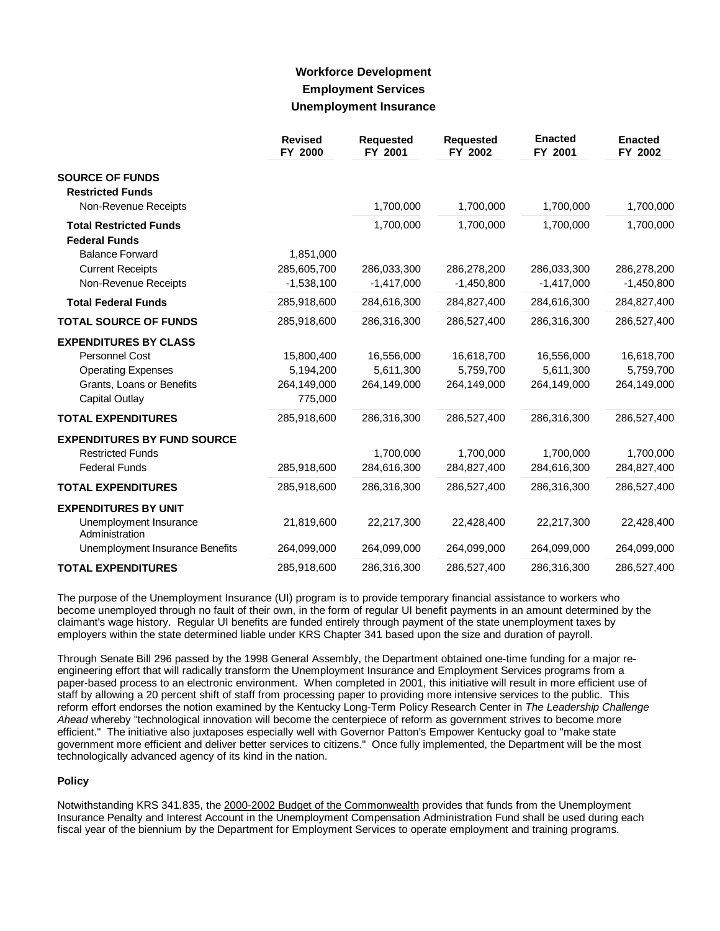## **Workforce Development Employment Services Unemployment Insurance**

|                                                       | <b>Revised</b><br>FY 2000 | <b>Requested</b><br>FY 2001 | <b>Requested</b><br>FY 2002 | <b>Enacted</b><br>FY 2001 | <b>Enacted</b><br>FY 2002 |
|-------------------------------------------------------|---------------------------|-----------------------------|-----------------------------|---------------------------|---------------------------|
| <b>SOURCE OF FUNDS</b><br><b>Restricted Funds</b>     |                           |                             |                             |                           |                           |
| Non-Revenue Receipts                                  |                           | 1,700,000                   | 1,700,000                   | 1,700,000                 | 1,700,000                 |
| <b>Total Restricted Funds</b><br><b>Federal Funds</b> |                           | 1,700,000                   | 1,700,000                   | 1,700,000                 | 1,700,000                 |
| <b>Balance Forward</b>                                | 1,851,000                 |                             |                             |                           |                           |
| <b>Current Receipts</b>                               | 285,605,700               | 286,033,300                 | 286,278,200                 | 286,033,300               | 286,278,200               |
| Non-Revenue Receipts                                  | $-1,538,100$              | $-1,417,000$                | $-1,450,800$                | $-1,417,000$              | $-1,450,800$              |
| <b>Total Federal Funds</b>                            | 285,918,600               | 284,616,300                 | 284,827,400                 | 284,616,300               | 284,827,400               |
| <b>TOTAL SOURCE OF FUNDS</b>                          | 285,918,600               | 286,316,300                 | 286,527,400                 | 286,316,300               | 286,527,400               |
| <b>EXPENDITURES BY CLASS</b>                          |                           |                             |                             |                           |                           |
| <b>Personnel Cost</b>                                 | 15,800,400                | 16,556,000                  | 16,618,700                  | 16,556,000                | 16,618,700                |
| <b>Operating Expenses</b>                             | 5,194,200                 | 5,611,300                   | 5,759,700                   | 5,611,300                 | 5,759,700                 |
| Grants, Loans or Benefits<br>Capital Outlay           | 264,149,000<br>775,000    | 264,149,000                 | 264,149,000                 | 264,149,000               | 264,149,000               |
| <b>TOTAL EXPENDITURES</b>                             | 285,918,600               | 286,316,300                 | 286,527,400                 | 286,316,300               | 286,527,400               |
| <b>EXPENDITURES BY FUND SOURCE</b>                    |                           |                             |                             |                           |                           |
| <b>Restricted Funds</b>                               |                           | 1,700,000                   | 1,700,000                   | 1,700,000                 | 1,700,000                 |
| <b>Federal Funds</b>                                  | 285,918,600               | 284,616,300                 | 284,827,400                 | 284,616,300               | 284,827,400               |
| <b>TOTAL EXPENDITURES</b>                             | 285,918,600               | 286,316,300                 | 286,527,400                 | 286,316,300               | 286,527,400               |
| <b>EXPENDITURES BY UNIT</b>                           |                           |                             |                             |                           |                           |
| Unemployment Insurance<br>Administration              | 21,819,600                | 22,217,300                  | 22,428,400                  | 22,217,300                | 22,428,400                |
| Unemployment Insurance Benefits                       | 264,099,000               | 264,099,000                 | 264,099,000                 | 264,099,000               | 264,099,000               |
| <b>TOTAL EXPENDITURES</b>                             | 285,918,600               | 286,316,300                 | 286,527,400                 | 286,316,300               | 286,527,400               |

The purpose of the Unemployment Insurance (UI) program is to provide temporary financial assistance to workers who become unemployed through no fault of their own, in the form of regular UI benefit payments in an amount determined by the claimant's wage history. Regular UI benefits are funded entirely through payment of the state unemployment taxes by employers within the state determined liable under KRS Chapter 341 based upon the size and duration of payroll.

Through Senate Bill 296 passed by the 1998 General Assembly, the Department obtained one-time funding for a major reengineering effort that will radically transform the Unemployment Insurance and Employment Services programs from a paper-based process to an electronic environment. When completed in 2001, this initiative will result in more efficient use of staff by allowing a 20 percent shift of staff from processing paper to providing more intensive services to the public. This reform effort endorses the notion examined by the Kentucky Long-Term Policy Research Center in *The Leadership Challenge Ahead* whereby "technological innovation will become the centerpiece of reform as government strives to become more efficient." The initiative also juxtaposes especially well with Governor Patton's Empower Kentucky goal to "make state government more efficient and deliver better services to citizens." Once fully implemented, the Department will be the most technologically advanced agency of its kind in the nation.

### **Policy**

Notwithstanding KRS 341.835, the 2000-2002 Budget of the Commonwealth provides that funds from the Unemployment Insurance Penalty and Interest Account in the Unemployment Compensation Administration Fund shall be used during each fiscal year of the biennium by the Department for Employment Services to operate employment and training programs.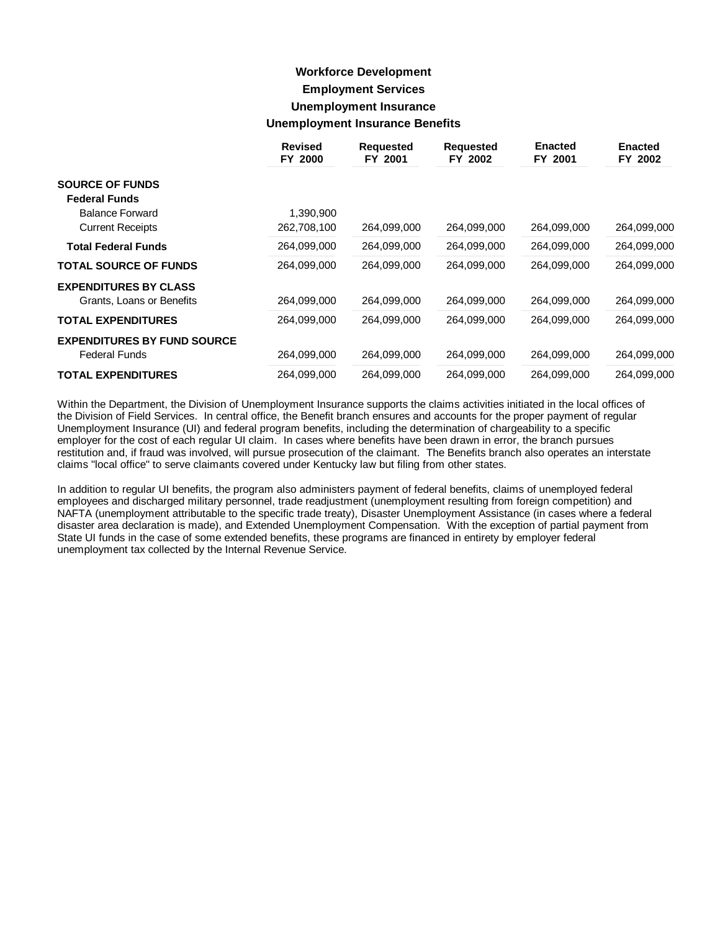## **Workforce Development Employment Services Unemployment Insurance Unemployment Insurance Benefits**

|                                    | <b>Revised</b><br>FY 2000 | <b>Requested</b><br>FY 2001 | <b>Requested</b><br>FY 2002 | <b>Enacted</b><br>FY 2001 | <b>Enacted</b><br>FY 2002 |
|------------------------------------|---------------------------|-----------------------------|-----------------------------|---------------------------|---------------------------|
| <b>SOURCE OF FUNDS</b>             |                           |                             |                             |                           |                           |
| <b>Federal Funds</b>               |                           |                             |                             |                           |                           |
| <b>Balance Forward</b>             | 1,390,900                 |                             |                             |                           |                           |
| <b>Current Receipts</b>            | 262,708,100               | 264,099,000                 | 264,099,000                 | 264,099,000               | 264,099,000               |
| <b>Total Federal Funds</b>         | 264,099,000               | 264,099,000                 | 264,099,000                 | 264.099.000               | 264,099,000               |
| <b>TOTAL SOURCE OF FUNDS</b>       | 264,099,000               | 264,099,000                 | 264.099.000                 | 264,099,000               | 264,099,000               |
| <b>EXPENDITURES BY CLASS</b>       |                           |                             |                             |                           |                           |
| Grants, Loans or Benefits          | 264,099,000               | 264,099,000                 | 264,099,000                 | 264,099,000               | 264,099,000               |
| <b>TOTAL EXPENDITURES</b>          | 264,099,000               | 264,099,000                 | 264,099,000                 | 264,099,000               | 264,099,000               |
| <b>EXPENDITURES BY FUND SOURCE</b> |                           |                             |                             |                           |                           |
| <b>Federal Funds</b>               | 264,099,000               | 264,099,000                 | 264,099,000                 | 264,099,000               | 264,099,000               |
| <b>TOTAL EXPENDITURES</b>          | 264,099,000               | 264,099,000                 | 264,099,000                 | 264,099,000               | 264,099,000               |

Within the Department, the Division of Unemployment Insurance supports the claims activities initiated in the local offices of the Division of Field Services. In central office, the Benefit branch ensures and accounts for the proper payment of regular Unemployment Insurance (UI) and federal program benefits, including the determination of chargeability to a specific employer for the cost of each regular UI claim. In cases where benefits have been drawn in error, the branch pursues restitution and, if fraud was involved, will pursue prosecution of the claimant. The Benefits branch also operates an interstate claims "local office" to serve claimants covered under Kentucky law but filing from other states.

In addition to regular UI benefits, the program also administers payment of federal benefits, claims of unemployed federal employees and discharged military personnel, trade readjustment (unemployment resulting from foreign competition) and NAFTA (unemployment attributable to the specific trade treaty), Disaster Unemployment Assistance (in cases where a federal disaster area declaration is made), and Extended Unemployment Compensation. With the exception of partial payment from State UI funds in the case of some extended benefits, these programs are financed in entirety by employer federal unemployment tax collected by the Internal Revenue Service.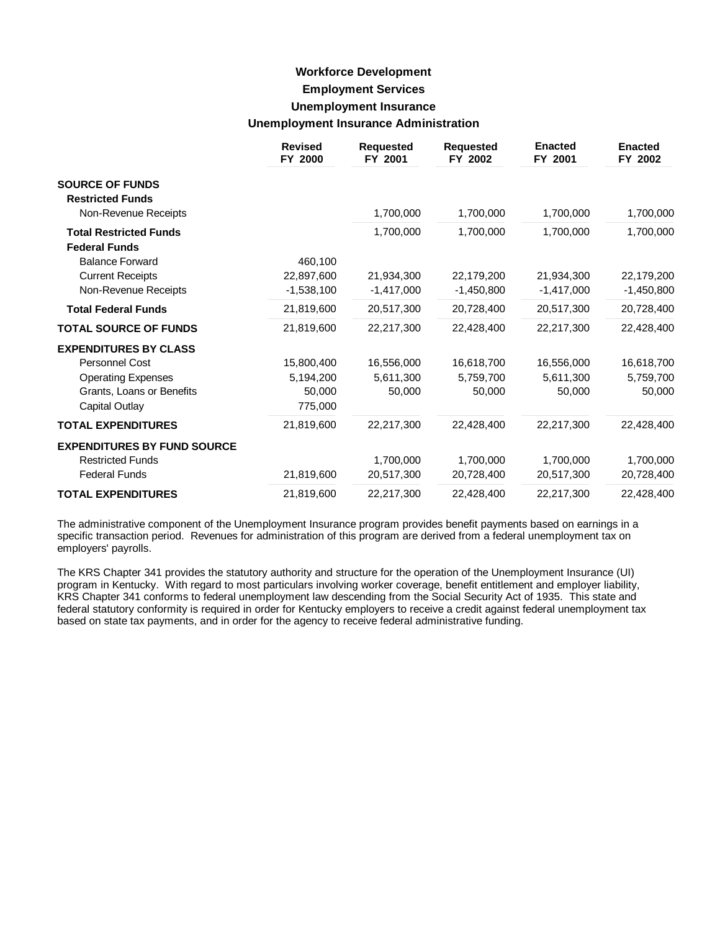## **Workforce Development Employment Services Unemployment Insurance Unemployment Insurance Administration**

|                                                       | <b>Revised</b><br>FY 2000 | <b>Requested</b><br>FY 2001 | <b>Requested</b><br>FY 2002 | <b>Enacted</b><br>FY 2001 | <b>Enacted</b><br>FY 2002 |
|-------------------------------------------------------|---------------------------|-----------------------------|-----------------------------|---------------------------|---------------------------|
| <b>SOURCE OF FUNDS</b><br><b>Restricted Funds</b>     |                           |                             |                             |                           |                           |
| Non-Revenue Receipts                                  |                           | 1,700,000                   | 1,700,000                   | 1,700,000                 | 1,700,000                 |
| <b>Total Restricted Funds</b><br><b>Federal Funds</b> |                           | 1,700,000                   | 1,700,000                   | 1,700,000                 | 1,700,000                 |
| <b>Balance Forward</b>                                | 460,100                   |                             |                             |                           |                           |
| <b>Current Receipts</b>                               | 22,897,600                | 21,934,300                  | 22,179,200                  | 21,934,300                | 22,179,200                |
| Non-Revenue Receipts                                  | $-1,538,100$              | $-1,417,000$                | $-1,450,800$                | $-1,417,000$              | $-1,450,800$              |
| <b>Total Federal Funds</b>                            | 21,819,600                | 20,517,300                  | 20,728,400                  | 20,517,300                | 20,728,400                |
| <b>TOTAL SOURCE OF FUNDS</b>                          | 21,819,600                | 22,217,300                  | 22,428,400                  | 22,217,300                | 22,428,400                |
| <b>EXPENDITURES BY CLASS</b>                          |                           |                             |                             |                           |                           |
| Personnel Cost                                        | 15,800,400                | 16,556,000                  | 16,618,700                  | 16,556,000                | 16,618,700                |
| <b>Operating Expenses</b>                             | 5,194,200                 | 5,611,300                   | 5,759,700                   | 5,611,300                 | 5,759,700                 |
| Grants, Loans or Benefits                             | 50,000                    | 50,000                      | 50,000                      | 50,000                    | 50,000                    |
| <b>Capital Outlay</b>                                 | 775,000                   |                             |                             |                           |                           |
| <b>TOTAL EXPENDITURES</b>                             | 21,819,600                | 22,217,300                  | 22,428,400                  | 22,217,300                | 22,428,400                |
| <b>EXPENDITURES BY FUND SOURCE</b>                    |                           |                             |                             |                           |                           |
| <b>Restricted Funds</b>                               |                           | 1,700,000                   | 1,700,000                   | 1,700,000                 | 1,700,000                 |
| <b>Federal Funds</b>                                  | 21,819,600                | 20,517,300                  | 20,728,400                  | 20,517,300                | 20,728,400                |
| <b>TOTAL EXPENDITURES</b>                             | 21,819,600                | 22,217,300                  | 22,428,400                  | 22,217,300                | 22,428,400                |

The administrative component of the Unemployment Insurance program provides benefit payments based on earnings in a specific transaction period. Revenues for administration of this program are derived from a federal unemployment tax on employers' payrolls.

The KRS Chapter 341 provides the statutory authority and structure for the operation of the Unemployment Insurance (UI) program in Kentucky. With regard to most particulars involving worker coverage, benefit entitlement and employer liability, KRS Chapter 341 conforms to federal unemployment law descending from the Social Security Act of 1935. This state and federal statutory conformity is required in order for Kentucky employers to receive a credit against federal unemployment tax based on state tax payments, and in order for the agency to receive federal administrative funding.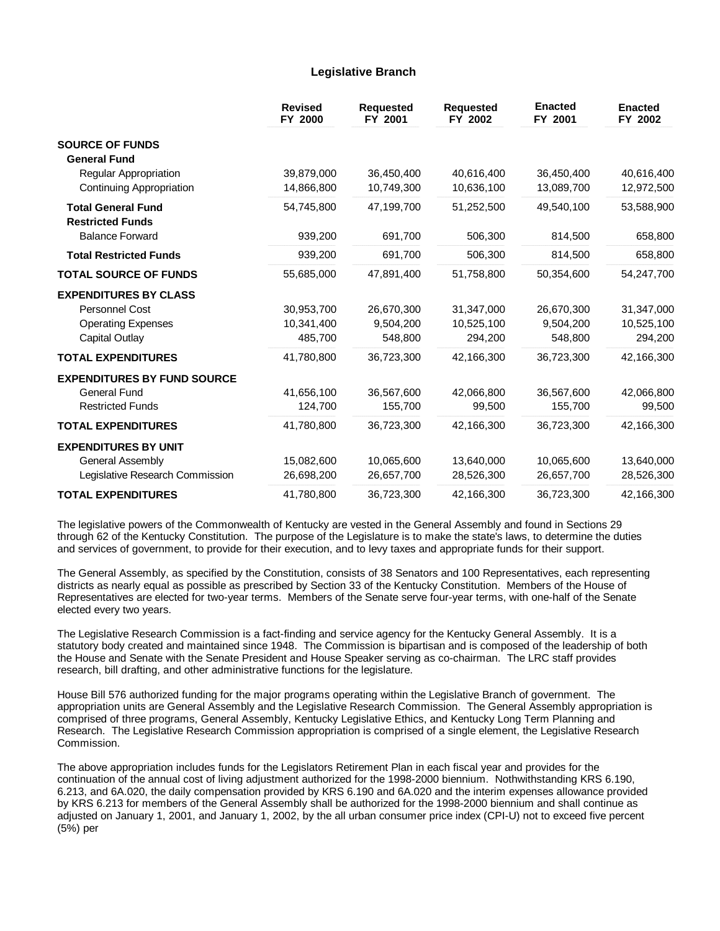### **Legislative Branch**

|                                                      | <b>Revised</b><br>FY 2000 | <b>Requested</b><br>FY 2001 | <b>Requested</b><br>FY 2002 | <b>Enacted</b><br>FY 2001 | <b>Enacted</b><br>FY 2002 |
|------------------------------------------------------|---------------------------|-----------------------------|-----------------------------|---------------------------|---------------------------|
| <b>SOURCE OF FUNDS</b><br><b>General Fund</b>        |                           |                             |                             |                           |                           |
| Regular Appropriation                                | 39,879,000                | 36,450,400                  | 40,616,400                  | 36,450,400                | 40,616,400                |
| Continuing Appropriation                             | 14,866,800                | 10,749,300                  | 10,636,100                  | 13,089,700                | 12,972,500                |
| <b>Total General Fund</b><br><b>Restricted Funds</b> | 54,745,800                | 47,199,700                  | 51,252,500                  | 49,540,100                | 53,588,900                |
| <b>Balance Forward</b>                               | 939,200                   | 691,700                     | 506,300                     | 814,500                   | 658,800                   |
| <b>Total Restricted Funds</b>                        | 939,200                   | 691,700                     | 506,300                     | 814,500                   | 658,800                   |
| <b>TOTAL SOURCE OF FUNDS</b>                         | 55,685,000                | 47,891,400                  | 51,758,800                  | 50,354,600                | 54,247,700                |
| <b>EXPENDITURES BY CLASS</b>                         |                           |                             |                             |                           |                           |
| Personnel Cost                                       | 30,953,700                | 26,670,300                  | 31,347,000                  | 26,670,300                | 31,347,000                |
| <b>Operating Expenses</b>                            | 10,341,400                | 9,504,200                   | 10,525,100                  | 9,504,200                 | 10,525,100                |
| <b>Capital Outlay</b>                                | 485,700                   | 548,800                     | 294,200                     | 548,800                   | 294,200                   |
| <b>TOTAL EXPENDITURES</b>                            | 41,780,800                | 36,723,300                  | 42,166,300                  | 36,723,300                | 42,166,300                |
| <b>EXPENDITURES BY FUND SOURCE</b>                   |                           |                             |                             |                           |                           |
| <b>General Fund</b>                                  | 41,656,100                | 36,567,600                  | 42,066,800                  | 36,567,600                | 42,066,800                |
| <b>Restricted Funds</b>                              | 124,700                   | 155,700                     | 99,500                      | 155,700                   | 99,500                    |
| <b>TOTAL EXPENDITURES</b>                            | 41,780,800                | 36,723,300                  | 42,166,300                  | 36,723,300                | 42,166,300                |
| <b>EXPENDITURES BY UNIT</b>                          |                           |                             |                             |                           |                           |
| General Assembly                                     | 15,082,600                | 10,065,600                  | 13,640,000                  | 10,065,600                | 13,640,000                |
| Legislative Research Commission                      | 26,698,200                | 26,657,700                  | 28,526,300                  | 26,657,700                | 28,526,300                |
| <b>TOTAL EXPENDITURES</b>                            | 41,780,800                | 36,723,300                  | 42,166,300                  | 36,723,300                | 42,166,300                |

The legislative powers of the Commonwealth of Kentucky are vested in the General Assembly and found in Sections 29 through 62 of the Kentucky Constitution. The purpose of the Legislature is to make the state's laws, to determine the duties and services of government, to provide for their execution, and to levy taxes and appropriate funds for their support.

The General Assembly, as specified by the Constitution, consists of 38 Senators and 100 Representatives, each representing districts as nearly equal as possible as prescribed by Section 33 of the Kentucky Constitution. Members of the House of Representatives are elected for two-year terms. Members of the Senate serve four-year terms, with one-half of the Senate elected every two years.

The Legislative Research Commission is a fact-finding and service agency for the Kentucky General Assembly. It is a statutory body created and maintained since 1948. The Commission is bipartisan and is composed of the leadership of both the House and Senate with the Senate President and House Speaker serving as co-chairman. The LRC staff provides research, bill drafting, and other administrative functions for the legislature.

House Bill 576 authorized funding for the major programs operating within the Legislative Branch of government. The appropriation units are General Assembly and the Legislative Research Commission. The General Assembly appropriation is comprised of three programs, General Assembly, Kentucky Legislative Ethics, and Kentucky Long Term Planning and Research. The Legislative Research Commission appropriation is comprised of a single element, the Legislative Research Commission.

The above appropriation includes funds for the Legislators Retirement Plan in each fiscal year and provides for the continuation of the annual cost of living adjustment authorized for the 1998-2000 biennium. Nothwithstanding KRS 6.190, 6.213, and 6A.020, the daily compensation provided by KRS 6.190 and 6A.020 and the interim expenses allowance provided by KRS 6.213 for members of the General Assembly shall be authorized for the 1998-2000 biennium and shall continue as adjusted on January 1, 2001, and January 1, 2002, by the all urban consumer price index (CPI-U) not to exceed five percent (5%) per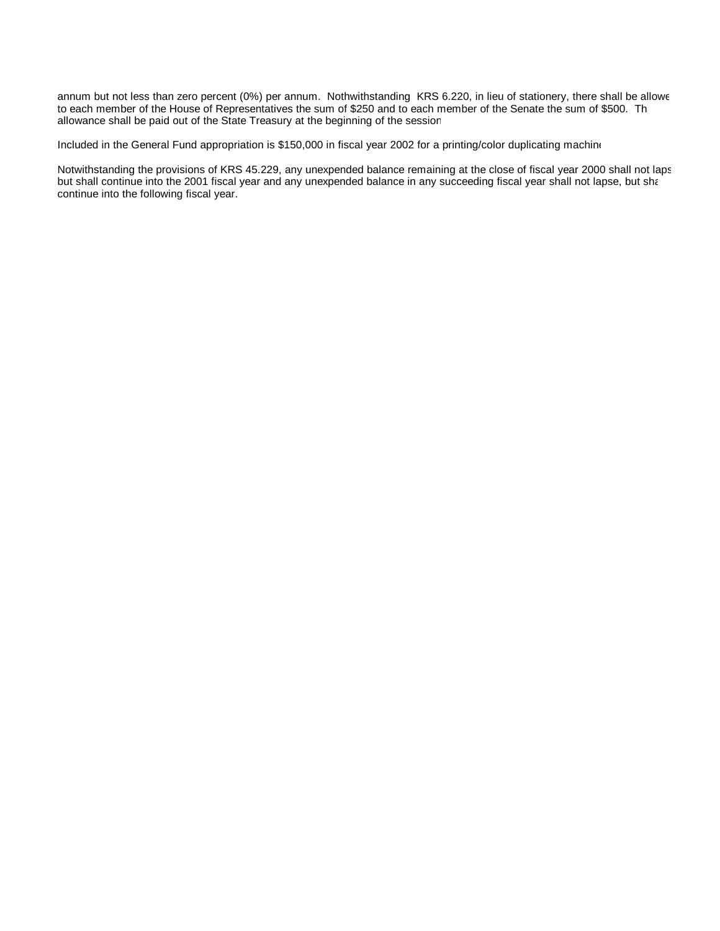annum but not less than zero percent (0%) per annum. Nothwithstanding KRS 6.220, in lieu of stationery, there shall be allowe to each member of the House of Representatives the sum of \$250 and to each member of the Senate the sum of \$500. Th allowance shall be paid out of the State Treasury at the beginning of the session.

Included in the General Fund appropriation is \$150,000 in fiscal year 2002 for a printing/color duplicating machine

Notwithstanding the provisions of KRS 45.229, any unexpended balance remaining at the close of fiscal year 2000 shall not lapsed but shall continue into the 2001 fiscal year and any unexpended balance in any succeeding fiscal year shall not lapse, but shall continue into the following fiscal year.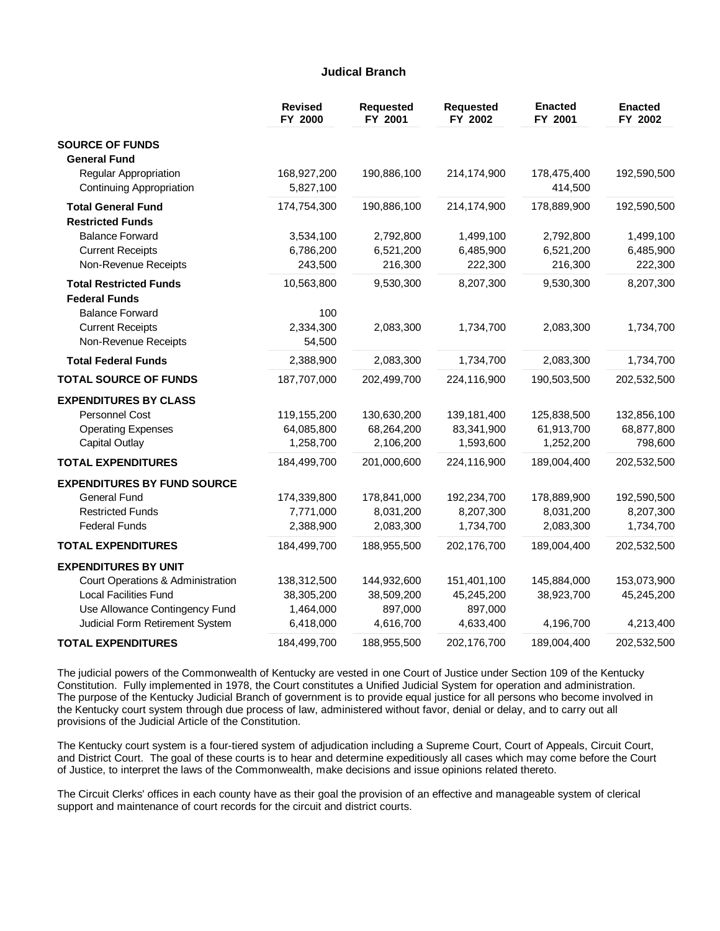### **Judical Branch**

|                                                   | <b>Revised</b><br>FY 2000 | <b>Requested</b><br>FY 2001 | <b>Requested</b><br>FY 2002 | <b>Enacted</b><br>FY 2001 | <b>Enacted</b><br>FY 2002 |
|---------------------------------------------------|---------------------------|-----------------------------|-----------------------------|---------------------------|---------------------------|
| <b>SOURCE OF FUNDS</b>                            |                           |                             |                             |                           |                           |
| <b>General Fund</b>                               |                           |                             |                             |                           |                           |
| Regular Appropriation<br>Continuing Appropriation | 168,927,200<br>5,827,100  | 190,886,100                 | 214,174,900                 | 178,475,400<br>414,500    | 192,590,500               |
| <b>Total General Fund</b>                         | 174,754,300               | 190,886,100                 | 214,174,900                 | 178,889,900               | 192,590,500               |
| <b>Restricted Funds</b>                           |                           |                             |                             |                           |                           |
| <b>Balance Forward</b>                            | 3,534,100                 | 2,792,800                   | 1,499,100                   | 2,792,800                 | 1,499,100                 |
| <b>Current Receipts</b>                           | 6,786,200                 | 6,521,200                   | 6,485,900                   | 6,521,200                 | 6,485,900                 |
| Non-Revenue Receipts                              | 243,500                   | 216,300                     | 222,300                     | 216,300                   | 222,300                   |
| <b>Total Restricted Funds</b>                     | 10,563,800                | 9,530,300                   | 8,207,300                   | 9,530,300                 | 8,207,300                 |
| <b>Federal Funds</b>                              |                           |                             |                             |                           |                           |
| <b>Balance Forward</b>                            | 100                       |                             |                             |                           |                           |
| <b>Current Receipts</b>                           | 2,334,300                 | 2,083,300                   | 1,734,700                   | 2,083,300                 | 1,734,700                 |
| Non-Revenue Receipts                              | 54,500                    |                             |                             |                           |                           |
| <b>Total Federal Funds</b>                        | 2,388,900                 | 2,083,300                   | 1,734,700                   | 2,083,300                 | 1,734,700                 |
| <b>TOTAL SOURCE OF FUNDS</b>                      | 187,707,000               | 202,499,700                 | 224,116,900                 | 190,503,500               | 202,532,500               |
| <b>EXPENDITURES BY CLASS</b>                      |                           |                             |                             |                           |                           |
| Personnel Cost                                    | 119,155,200               | 130,630,200                 | 139,181,400                 | 125,838,500               | 132,856,100               |
| <b>Operating Expenses</b>                         | 64,085,800                | 68,264,200                  | 83,341,900                  | 61,913,700                | 68,877,800                |
| <b>Capital Outlay</b>                             | 1,258,700                 | 2,106,200                   | 1,593,600                   | 1,252,200                 | 798,600                   |
| <b>TOTAL EXPENDITURES</b>                         | 184,499,700               | 201,000,600                 | 224,116,900                 | 189,004,400               | 202,532,500               |
| <b>EXPENDITURES BY FUND SOURCE</b>                |                           |                             |                             |                           |                           |
| <b>General Fund</b>                               | 174,339,800               | 178,841,000                 | 192,234,700                 | 178,889,900               | 192,590,500               |
| <b>Restricted Funds</b>                           | 7,771,000                 | 8,031,200                   | 8,207,300                   | 8,031,200                 | 8,207,300                 |
| <b>Federal Funds</b>                              | 2,388,900                 | 2,083,300                   | 1,734,700                   | 2,083,300                 | 1,734,700                 |
| <b>TOTAL EXPENDITURES</b>                         | 184,499,700               | 188,955,500                 | 202,176,700                 | 189,004,400               | 202,532,500               |
| <b>EXPENDITURES BY UNIT</b>                       |                           |                             |                             |                           |                           |
| Court Operations & Administration                 | 138,312,500               | 144,932,600                 | 151,401,100                 | 145,884,000               | 153,073,900               |
| <b>Local Facilities Fund</b>                      | 38,305,200                | 38,509,200                  | 45,245,200                  | 38,923,700                | 45,245,200                |
| Use Allowance Contingency Fund                    | 1,464,000                 | 897,000                     | 897,000                     |                           |                           |
| Judicial Form Retirement System                   | 6,418,000                 | 4,616,700                   | 4,633,400                   | 4,196,700                 | 4,213,400                 |
| <b>TOTAL EXPENDITURES</b>                         | 184,499,700               | 188,955,500                 | 202,176,700                 | 189,004,400               | 202,532,500               |

The judicial powers of the Commonwealth of Kentucky are vested in one Court of Justice under Section 109 of the Kentucky Constitution. Fully implemented in 1978, the Court constitutes a Unified Judicial System for operation and administration. The purpose of the Kentucky Judicial Branch of government is to provide equal justice for all persons who become involved in the Kentucky court system through due process of law, administered without favor, denial or delay, and to carry out all provisions of the Judicial Article of the Constitution.

The Kentucky court system is a four-tiered system of adjudication including a Supreme Court, Court of Appeals, Circuit Court, and District Court. The goal of these courts is to hear and determine expeditiously all cases which may come before the Court of Justice, to interpret the laws of the Commonwealth, make decisions and issue opinions related thereto.

The Circuit Clerks' offices in each county have as their goal the provision of an effective and manageable system of clerical support and maintenance of court records for the circuit and district courts.